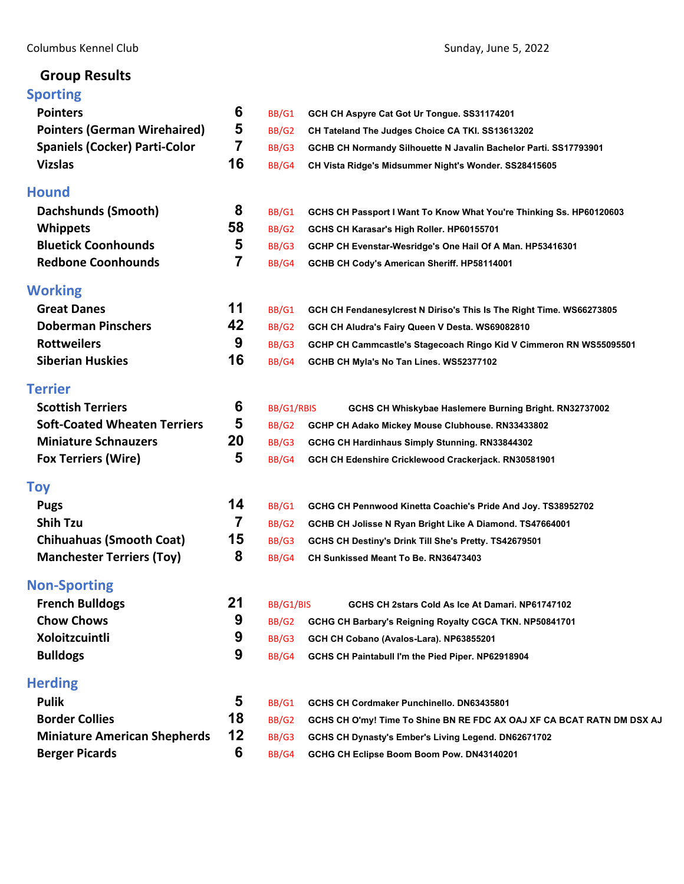# **Group Results**

# **[Sporting](#page-2-0)**

| <b>Pointers</b>                      | 6              | BB/G1      | GCH CH Aspyre Cat Got Ur Tongue. SS31174201                            |
|--------------------------------------|----------------|------------|------------------------------------------------------------------------|
| <b>Pointers (German Wirehaired)</b>  | 5              | BB/G2      | CH Tateland The Judges Choice CA TKI. SS13613202                       |
| <b>Spaniels (Cocker) Parti-Color</b> | 7              | BB/G3      | GCHB CH Normandy Silhouette N Javalin Bachelor Parti. SS17793901       |
| <b>Vizslas</b>                       | 16             | BB/G4      | CH Vista Ridge's Midsummer Night's Wonder. SS28415605                  |
| <b>Hound</b>                         |                |            |                                                                        |
| Dachshunds (Smooth)                  | 8              | BB/G1      | GCHS CH Passport I Want To Know What You're Thinking Ss. HP60120603    |
| <b>Whippets</b>                      | 58             | BB/G2      | GCHS CH Karasar's High Roller. HP60155701                              |
| <b>Bluetick Coonhounds</b>           | 5              | BB/G3      | GCHP CH Evenstar-Wesridge's One Hail Of A Man. HP53416301              |
| <b>Redbone Coonhounds</b>            | $\overline{7}$ | BB/G4      | GCHB CH Cody's American Sheriff. HP58114001                            |
| <b>Working</b>                       |                |            |                                                                        |
| <b>Great Danes</b>                   | 11             | BB/G1      | GCH CH Fendanesylcrest N Diriso's This Is The Right Time. WS66273805   |
| <b>Doberman Pinschers</b>            | 42             | BB/G2      | GCH CH Aludra's Fairy Queen V Desta. WS69082810                        |
| <b>Rottweilers</b>                   | 9              | BB/G3      | GCHP CH Cammcastle's Stagecoach Ringo Kid V Cimmeron RN WS55095501     |
| <b>Siberian Huskies</b>              | 16             | BB/G4      | GCHB CH Myla's No Tan Lines. WS52377102                                |
| <b>Terrier</b>                       |                |            |                                                                        |
| <b>Scottish Terriers</b>             | 6              | BB/G1/RBIS | GCHS CH Whiskybae Haslemere Burning Bright. RN32737002                 |
| <b>Soft-Coated Wheaten Terriers</b>  | 5              | BB/G2      | GCHP CH Adako Mickey Mouse Clubhouse. RN33433802                       |
| <b>Miniature Schnauzers</b>          | 20             | BB/G3      | GCHG CH Hardinhaus Simply Stunning. RN33844302                         |
| <b>Fox Terriers (Wire)</b>           | 5              | BB/G4      | GCH CH Edenshire Cricklewood Crackerjack. RN30581901                   |
| <b>Toy</b>                           |                |            |                                                                        |
| <b>Pugs</b>                          | 14             | BB/G1      | GCHG CH Pennwood Kinetta Coachie's Pride And Joy. TS38952702           |
| <b>Shih Tzu</b>                      | 7              | BB/G2      | GCHB CH Jolisse N Ryan Bright Like A Diamond. TS47664001               |
| <b>Chihuahuas (Smooth Coat)</b>      | 15             | BB/G3      | GCHS CH Destiny's Drink Till She's Pretty. TS42679501                  |
| <b>Manchester Terriers (Toy)</b>     | 8              | BB/G4      | CH Sunkissed Meant To Be. RN36473403                                   |
| <b>Non-Sporting</b>                  |                |            |                                                                        |
| <b>French Bulldogs</b>               | 21             | BB/G1/BIS  | GCHS CH 2stars Cold As Ice At Damari. NP61747102                       |
| <b>Chow Chows</b>                    | 9              | BB/G2      | GCHG CH Barbary's Reigning Royalty CGCA TKN. NP50841701                |
| Xoloitzcuintli                       | 9              | BB/G3      | GCH CH Cobano (Avalos-Lara). NP63855201                                |
| <b>Bulldogs</b>                      | 9              | BB/G4      | GCHS CH Paintabull I'm the Pied Piper. NP62918904                      |
| <b>Herding</b>                       |                |            |                                                                        |
| <b>Pulik</b>                         | 5              | BB/G1      | GCHS CH Cordmaker Punchinello. DN63435801                              |
| <b>Border Collies</b>                | 18             | BB/G2      | GCHS CH O'my! Time To Shine BN RE FDC AX OAJ XF CA BCAT RATN DM DSX AJ |
| <b>Miniature American Shepherds</b>  | 12             | BB/G3      | GCHS CH Dynasty's Ember's Living Legend. DN62671702                    |
| <b>Berger Picards</b>                | 6              | BB/G4      | GCHG CH Eclipse Boom Boom Pow. DN43140201                              |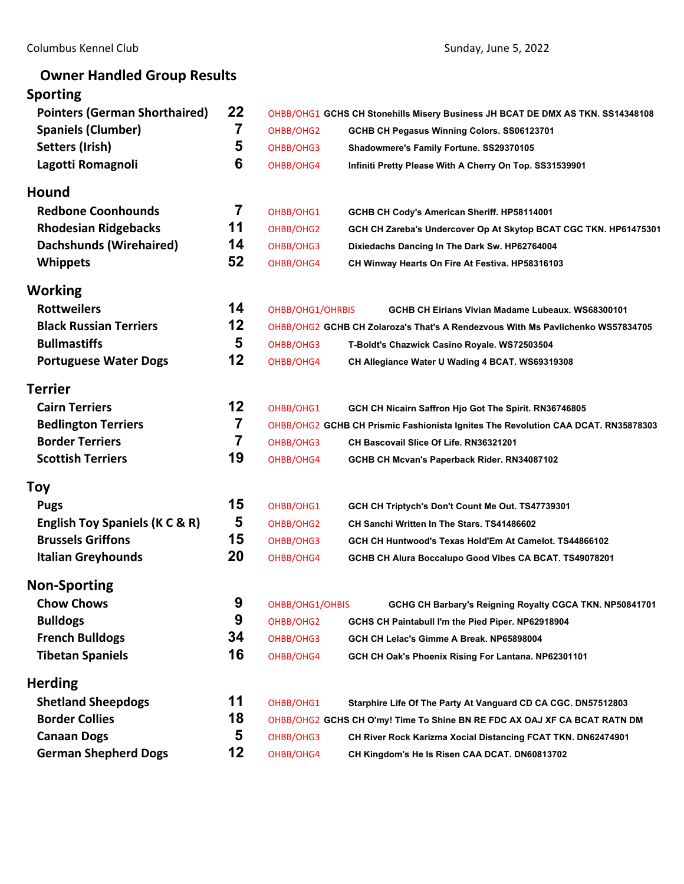# **Owner Handled Group Results Sporting Pointers (German Shorthaired) 22** OHBB/OHG1 **GCHS CH Stonehills Misery Business JH BCAT DE DMX AS TKN. SS14348108 Spaniels (Clumber) 7** OHBB/OHG2 **GCHB CH Pegasus Winning Colors. SS06123701 Setters (Irish) 5** OHBB/OHG3 **Shadowmere's Family Fortune. SS29370105 Lagotti Romagnoli 6** OHBB/OHG4 **Infiniti Pretty Please With A Cherry On Top. SS31539901 Hound Redbone Coonhounds 7** OHBB/OHG1 **GCHB CH Cody's American Sheriff. HP58114001 Rhodesian Ridgebacks 11** OHBB/OHG2 **GCH CH Zareba's Undercover Op At Skytop BCAT CGC TKN. HP61475301 Dachshunds (Wirehaired) 14** OHBB/OHG3 **Dixiedachs Dancing In The Dark Sw. HP62764004 Whippets 52** OHBB/OHG4 **CH Winway Hearts On Fire At Festiva. HP58316103 Working Rottweilers 14** OHBB/OHG1/OHRBIS **GCHB CH Eirians Vivian Madame Lubeaux. WS68300101 Black Russian Terriers 12** OHBB/OHG2 **GCHB CH Zolaroza's That's A Rendezvous With Ms Pavlichenko WS57834705 Bullmastiffs 5** OHBB/OHG3 **T-Boldt's Chazwick Casino Royale. WS72503504 Portuguese Water Dogs 12** OHBB/OHG4 **CH Allegiance Water U Wading 4 BCAT. WS69319308 Terrier Cairn Terriers 12** OHBB/OHG1 **GCH CH Nicairn Saffron Hjo Got The Spirit. RN36746805 Bedlington Terriers 7** OHBB/OHG2 **GCHB CH Prismic Fashionista Ignites The Revolution CAA DCAT. RN35878303 Border Terriers 7** OHBB/OHG3 **CH Bascovail Slice Of Life. RN36321201 Scottish Terriers 19** OHBB/OHG4 **GCHB CH Mcvan's Paperback Rider. RN34087102 Toy Pugs 15** OHBB/OHG1 **GCH CH Triptych's Don't Count Me Out. TS47739301 English Toy Spaniels (K C & R) 5** OHBB/OHG2 **CH Sanchi Written In The Stars. TS41486602 Brussels Griffons 15** OHBB/OHG3 **GCH CH Huntwood's Texas Hold'Em At Camelot. TS44866102 Italian Greyhounds 20** OHBB/OHG4 **GCHB CH Alura Boccalupo Good Vibes CA BCAT. TS49078201 Non‐Sporting Chow Chows 9** OHBB/OHG1/OHBIS **GCHG CH Barbary's Reigning Royalty CGCA TKN. NP50841701 Bulldogs 19** OHBB/OHG2 **GCHS CH Paintabull I'm the Pied Piper. NP62918904 French Bulldogs 34** OHBB/OHG3 **GCH CH Lelac's Gimme A Break. NP65898004 Tibetan Spaniels 16** OHBB/OHG4 **GCH CH Oak's Phoenix Rising For Lantana. NP62301101 Herding Shetland Sheepdogs 11** OHBB/OHG1 **Starphire Life Of The Party At Vanguard CD CA CGC. DN57512803 Border Collies 18** OHBB/OHG2 **GCHS CH O'my! Time To Shine BN RE FDC AX OAJ XF CA BCAT RATN DM**

**Canaan Dogs 5** OHBB/OHG3 **CH River Rock Karizma Xocial Distancing FCAT TKN. DN62474901**

**German Shepherd Dogs 12** OHBB/OHG4 **CH Kingdom's He Is Risen CAA DCAT. DN60813702**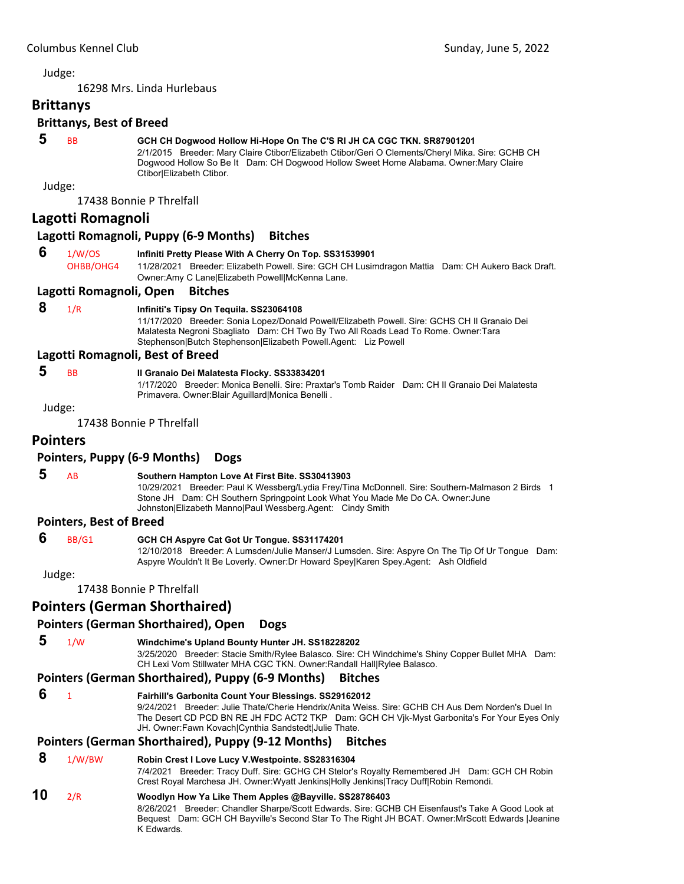<span id="page-2-0"></span>16298 Mrs. Linda Hurlebaus

# **Brittanys**

#### **Brittanys, Best of Breed**

# **5** BB **GCH CH Dogwood Hollow Hi-Hope On The C'S RI JH CA CGC TKN. SR87901201**

2/1/2015 Breeder: Mary Claire Ctibor/Elizabeth Ctibor/Geri O Clements/Cheryl Mika. Sire: GCHB CH Dogwood Hollow So Be It Dam: CH Dogwood Hollow Sweet Home Alabama. Owner:Mary Claire Ctibor|Elizabeth Ctibor.

Judge:

17438 Bonnie P Threlfall

#### **Lagotti Romagnoli**

#### **Lagotti Romagnoli, Puppy (6‐9 Months) Bitches**

#### **6** 1/W/OS **Infiniti Pretty Please With A Cherry On Top. SS31539901**

OHBB/OHG4 11/28/2021 Breeder: Elizabeth Powell. Sire: GCH CH Lusimdragon Mattia Dam: CH Aukero Back Draft. Owner:Amy C Lane|Elizabeth Powell|McKenna Lane.

#### **Lagotti Romagnoli, Open Bitches**

# **8** 1/R **Infiniti's Tipsy On Tequila. SS23064108**

11/17/2020 Breeder: Sonia Lopez/Donald Powell/Elizabeth Powell. Sire: GCHS CH Il Granaio Dei Malatesta Negroni Sbagliato Dam: CH Two By Two All Roads Lead To Rome. Owner:Tara Stephenson|Butch Stephenson|Elizabeth Powell.Agent: Liz Powell

#### **Lagotti Romagnoli, Best of Breed**

#### **5** BB **Il Granaio Dei Malatesta Flocky. SS33834201**

1/17/2020 Breeder: Monica Benelli. Sire: Praxtar's Tomb Raider Dam: CH Il Granaio Dei Malatesta Primavera. Owner:Blair Aguillard|Monica Benelli .

Judge:

17438 Bonnie P Threlfall

# **Pointers**

#### **Pointers, Puppy (6‐9 Months) Dogs**

# **5** AB **Southern Hampton Love At First Bite. SS30413903**

10/29/2021 Breeder: Paul K Wessberg/Lydia Frey/Tina McDonnell. Sire: Southern-Malmason 2 Birds 1 Stone JH Dam: CH Southern Springpoint Look What You Made Me Do CA. Owner:June Johnston|Elizabeth Manno|Paul Wessberg.Agent: Cindy Smith

#### **Pointers, Best of Breed**

#### **6** BB/G1 **GCH CH Aspyre Cat Got Ur Tongue. SS31174201**

12/10/2018 Breeder: A Lumsden/Julie Manser/J Lumsden. Sire: Aspyre On The Tip Of Ur Tongue Dam: Aspyre Wouldn't It Be Loverly. Owner:Dr Howard Spey|Karen Spey.Agent: Ash Oldfield

Judge:

17438 Bonnie P Threlfall

# **Pointers (German Shorthaired)**

# **Pointers (German Shorthaired), Open Dogs**

 **5** 1/W **Windchime's Upland Bounty Hunter JH. SS18228202**

3/25/2020 Breeder: Stacie Smith/Rylee Balasco. Sire: CH Windchime's Shiny Copper Bullet MHA Dam: CH Lexi Vom Stillwater MHA CGC TKN. Owner:Randall Hall|Rylee Balasco.

#### **Pointers (German Shorthaired), Puppy (6‐9 Months) Bitches**

 **6** <sup>1</sup> **Fairhill's Garbonita Count Your Blessings. SS29162012**

9/24/2021 Breeder: Julie Thate/Cherie Hendrix/Anita Weiss. Sire: GCHB CH Aus Dem Norden's Duel In The Desert CD PCD BN RE JH FDC ACT2 TKP Dam: GCH CH Vjk-Myst Garbonita's For Your Eyes Only JH. Owner:Fawn Kovach|Cynthia Sandstedt|Julie Thate.

# **Pointers (German Shorthaired), Puppy (9‐12 Months) Bitches**

#### **8** 1/W/BW **Robin Crest I Love Lucy V.Westpointe. SS28316304**

7/4/2021 Breeder: Tracy Duff. Sire: GCHG CH Stelor's Royalty Remembered JH Dam: GCH CH Robin Crest Royal Marchesa JH. Owner:Wyatt Jenkins|Holly Jenkins|Tracy Duff|Robin Remondi.

#### **10** 2/R **Woodlyn How Ya Like Them Apples @Bayville. SS28786403**

8/26/2021 Breeder: Chandler Sharpe/Scott Edwards. Sire: GCHB CH Eisenfaust's Take A Good Look at Bequest Dam: GCH CH Bayville's Second Star To The Right JH BCAT. Owner:MrScott Edwards |Jeanine K Edwards.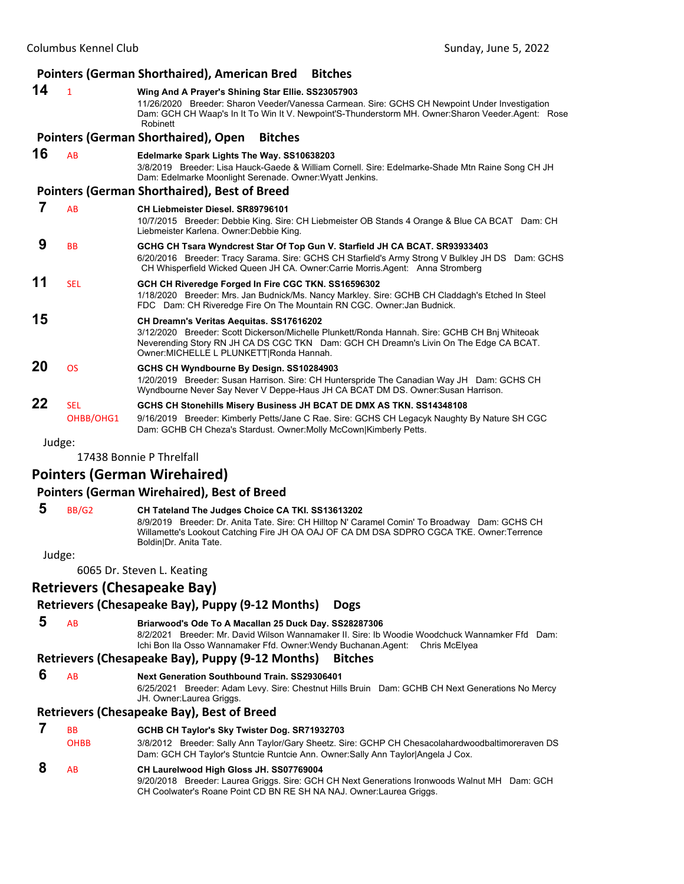|    |                         | <b>Pointers (German Shorthaired), American Bred</b><br><b>Bitches</b>                                                                                                                                                                                                          |
|----|-------------------------|--------------------------------------------------------------------------------------------------------------------------------------------------------------------------------------------------------------------------------------------------------------------------------|
| 14 | $\mathbf{1}$            | Wing And A Prayer's Shining Star Ellie. SS23057903<br>11/26/2020 Breeder: Sharon Veeder/Vanessa Carmean. Sire: GCHS CH Newpoint Under Investigation<br>Dam: GCH CH Waap's In It To Win It V. Newpoint'S-Thunderstorm MH. Owner: Sharon Veeder Agent: Rose<br>Robinett          |
|    |                         | Pointers (German Shorthaired), Open<br><b>Bitches</b>                                                                                                                                                                                                                          |
| 16 | AB                      | Edelmarke Spark Lights The Way. SS10638203<br>3/8/2019 Breeder: Lisa Hauck-Gaede & William Cornell. Sire: Edelmarke-Shade Mtn Raine Song CH JH<br>Dam: Edelmarke Moonlight Serenade. Owner: Wyatt Jenkins.                                                                     |
|    |                         | <b>Pointers (German Shorthaired), Best of Breed</b>                                                                                                                                                                                                                            |
| 7  | AB                      | CH Liebmeister Diesel, SR89796101<br>10/7/2015 Breeder: Debbie King. Sire: CH Liebmeister OB Stands 4 Orange & Blue CA BCAT Dam: CH<br>Liebmeister Karlena. Owner: Debbie King.                                                                                                |
| 9  | <b>BB</b>               | GCHG CH Tsara Wyndcrest Star Of Top Gun V. Starfield JH CA BCAT. SR93933403<br>6/20/2016 Breeder: Tracy Sarama. Sire: GCHS CH Starfield's Army Strong V Bulkley JH DS Dam: GCHS<br>CH Whisperfield Wicked Queen JH CA. Owner:Carrie Morris.Agent: Anna Stromberg               |
| 11 | <b>SEL</b>              | GCH CH Riveredge Forged In Fire CGC TKN. SS16596302<br>1/18/2020 Breeder: Mrs. Jan Budnick/Ms. Nancy Markley. Sire: GCHB CH Claddagh's Etched In Steel<br>FDC Dam: CH Riveredge Fire On The Mountain RN CGC. Owner: Jan Budnick.                                               |
| 15 |                         | CH Dreamn's Veritas Aequitas. SS17616202<br>3/12/2020 Breeder: Scott Dickerson/Michelle Plunkett/Ronda Hannah. Sire: GCHB CH Bnj Whiteoak<br>Neverending Story RN JH CA DS CGC TKN Dam: GCH CH Dreamn's Livin On The Edge CA BCAT.<br>Owner: MICHELLE L PLUNKETT Ronda Hannah. |
| 20 | <b>OS</b>               | GCHS CH Wyndbourne By Design. SS10284903<br>1/20/2019 Breeder: Susan Harrison. Sire: CH Hunterspride The Canadian Way JH Dam: GCHS CH<br>Wyndbourne Never Say Never V Deppe-Haus JH CA BCAT DM DS. Owner:Susan Harrison.                                                       |
| 22 | <b>SEL</b><br>OHBB/OHG1 | GCHS CH Stonehills Misery Business JH BCAT DE DMX AS TKN. SS14348108<br>9/16/2019 Breeder: Kimberly Petts/Jane C Rae. Sire: GCHS CH Legacyk Naughty By Nature SH CGC<br>Dam: GCHB CH Cheza's Stardust. Owner: Molly McCown Kimberly Petts.                                     |
|    | Judge:                  |                                                                                                                                                                                                                                                                                |
|    |                         | 17438 Bonnie P Threlfall                                                                                                                                                                                                                                                       |
|    |                         | <b>Pointers (German Wirehaired)</b>                                                                                                                                                                                                                                            |
|    |                         | <b>Pointers (German Wirehaired), Best of Breed</b>                                                                                                                                                                                                                             |

# **5** BB/G2 **CH Tateland The Judges Choice CA TKI. SS13613202**

8/9/2019 Breeder: Dr. Anita Tate. Sire: CH Hilltop N' Caramel Comin' To Broadway Dam: GCHS CH Willamette's Lookout Catching Fire JH OA OAJ OF CA DM DSA SDPRO CGCA TKE. Owner:Terrence Boldin|Dr. Anita Tate.

Judge:

6065 Dr. Steven L. Keating

# **Retrievers (Chesapeake Bay)**

# **Retrievers (Chesapeake Bay), Puppy (9‐12 Months) Dogs**

 **5** AB **Briarwood's Ode To A Macallan 25 Duck Day. SS28287306** 8/2/2021 Breeder: Mr. David Wilson Wannamaker II. Sire: Ib Woodie Woodchuck Wannamker Ffd Dam: Ichi Bon Ila Osso Wannamaker Ffd. Owner:Wendy Buchanan.Agent: Chris McElyea

# **Retrievers (Chesapeake Bay), Puppy (9‐12 Months) Bitches**

 **6** AB **Next Generation Southbound Train. SS29306401**

6/25/2021 Breeder: Adam Levy. Sire: Chestnut Hills Bruin Dam: GCHB CH Next Generations No Mercy JH. Owner:Laurea Griggs.

# **Retrievers (Chesapeake Bay), Best of Breed**

| <b>B<sub>B</sub></b> | GCHB CH Taylor's Sky Twister Dog. SR71932703                                                                                                                                                                    |
|----------------------|-----------------------------------------------------------------------------------------------------------------------------------------------------------------------------------------------------------------|
| <b>OHBB</b>          | 3/8/2012 Breeder: Sally Ann Taylor/Gary Sheetz. Sire: GCHP CH Chesacolahardwoodbaltimoreraven DS<br>Dam: GCH CH Taylor's Stuntcie Runtcie Ann. Owner: Sally Ann Taylor Angela J Cox.                            |
| <b>AB</b>            | CH Laurelwood High Gloss JH. SS07769004<br>9/20/2018 Breeder: Laurea Griggs. Sire: GCH CH Next Generations Ironwoods Walnut MH Dam: GCH<br>CH Coolwater's Roane Point CD BN RE SH NA NAJ. Owner: Laurea Griggs. |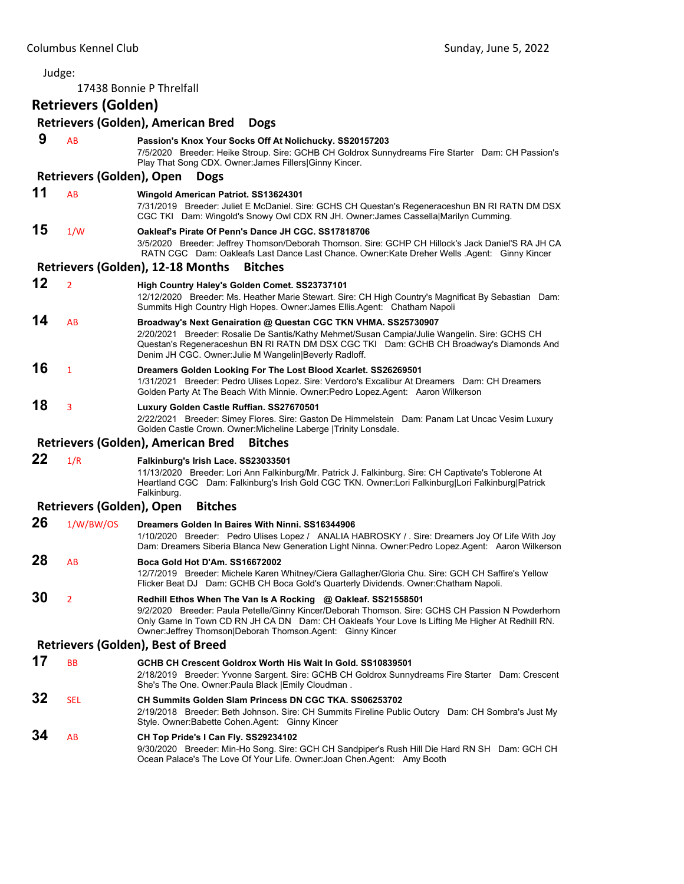Judge: 17438 Bonnie P Threlfall **Retrievers (Golden) Retrievers (Golden), American Bred Dogs 9** AB **Passion's Knox Your Socks Off At Nolichucky. SS20157203** 7/5/2020 Breeder: Heike Stroup. Sire: GCHB CH Goldrox Sunnydreams Fire Starter Dam: CH Passion's Play That Song CDX. Owner:James Fillers|Ginny Kincer. **Retrievers (Golden), Open Dogs 11** AB **Wingold American Patriot. SS13624301** 7/31/2019 Breeder: Juliet E McDaniel. Sire: GCHS CH Questan's Regeneraceshun BN RI RATN DM DSX CGC TKI Dam: Wingold's Snowy Owl CDX RN JH. Owner:James Cassella|Marilyn Cumming. **15** 1/W **Oakleaf's Pirate Of Penn's Dance JH CGC. SS17818706** 3/5/2020 Breeder: Jeffrey Thomson/Deborah Thomson. Sire: GCHP CH Hillock's Jack Daniel'S RA JH CA RATN CGC Dam: Oakleafs Last Dance Last Chance. Owner:Kate Dreher Wells .Agent: Ginny Kincer **Retrievers (Golden), 12‐18 Months Bitches 12** <sup>2</sup> **High Country Haley's Golden Comet. SS23737101** 12/12/2020 Breeder: Ms. Heather Marie Stewart. Sire: CH High Country's Magnificat By Sebastian Dam: Summits High Country High Hopes. Owner:James Ellis.Agent: Chatham Napoli **14** AB **Broadway's Next Genairation @ Questan CGC TKN VHMA. SS25730907** 2/20/2021 Breeder: Rosalie De Santis/Kathy Mehmet/Susan Campia/Julie Wangelin. Sire: GCHS CH Questan's Regeneraceshun BN RI RATN DM DSX CGC TKI Dam: GCHB CH Broadway's Diamonds And Denim JH CGC. Owner:Julie M Wangelin|Beverly Radloff. **16** <sup>1</sup> **Dreamers Golden Looking For The Lost Blood Xcarlet. SS26269501** 1/31/2021 Breeder: Pedro Ulises Lopez. Sire: Verdoro's Excalibur At Dreamers Dam: CH Dreamers Golden Party At The Beach With Minnie. Owner:Pedro Lopez.Agent: Aaron Wilkerson **18** <sup>3</sup> **Luxury Golden Castle Ruffian. SS27670501** 2/22/2021 Breeder: Simey Flores. Sire: Gaston De Himmelstein Dam: Panam Lat Uncac Vesim Luxury Golden Castle Crown. Owner:Micheline Laberge |Trinity Lonsdale. **Retrievers (Golden), American Bred Bitches 22** 1/R **Falkinburg's Irish Lace. SS23033501** 11/13/2020 Breeder: Lori Ann Falkinburg/Mr. Patrick J. Falkinburg. Sire: CH Captivate's Toblerone At Heartland CGC Dam: Falkinburg's Irish Gold CGC TKN. Owner:Lori Falkinburg|Lori Falkinburg|Patrick Falkinburg. **Retrievers (Golden), Open Bitches 26** 1/W/BW/OS **Dreamers Golden In Baires With Ninni. SS16344906** 1/10/2020 Breeder: Pedro Ulises Lopez / ANALIA HABROSKY / . Sire: Dreamers Joy Of Life With Joy Dam: Dreamers Siberia Blanca New Generation Light Ninna. Owner:Pedro Lopez.Agent: Aaron Wilkerson **28** AB **Boca Gold Hot D'Am. SS16672002** 12/7/2019 Breeder: Michele Karen Whitney/Ciera Gallagher/Gloria Chu. Sire: GCH CH Saffire's Yellow Flicker Beat DJ Dam: GCHB CH Boca Gold's Quarterly Dividends. Owner:Chatham Napoli. **30** <sup>2</sup> **Redhill Ethos When The Van Is A Rocking @ Oakleaf. SS21558501** 9/2/2020 Breeder: Paula Petelle/Ginny Kincer/Deborah Thomson. Sire: GCHS CH Passion N Powderhorn Only Game In Town CD RN JH CA DN Dam: CH Oakleafs Your Love Is Lifting Me Higher At Redhill RN. Owner:Jeffrey Thomson|Deborah Thomson.Agent: Ginny Kincer **Retrievers (Golden), Best of Breed 17** BB **GCHB CH Crescent Goldrox Worth His Wait In Gold. SS10839501** 2/18/2019 Breeder: Yvonne Sargent. Sire: GCHB CH Goldrox Sunnydreams Fire Starter Dam: Crescent She's The One. Owner:Paula Black |Emily Cloudman . **32** SEL **CH Summits Golden Slam Princess DN CGC TKA. SS06253702** 2/19/2018 Breeder: Beth Johnson. Sire: CH Summits Fireline Public Outcry Dam: CH Sombra's Just My Style. Owner:Babette Cohen.Agent: Ginny Kincer **34** AB **CH Top Pride's I Can Fly. SS29234102** 9/30/2020 Breeder: Min-Ho Song. Sire: GCH CH Sandpiper's Rush Hill Die Hard RN SH Dam: GCH CH Ocean Palace's The Love Of Your Life. Owner:Joan Chen.Agent: Amy Booth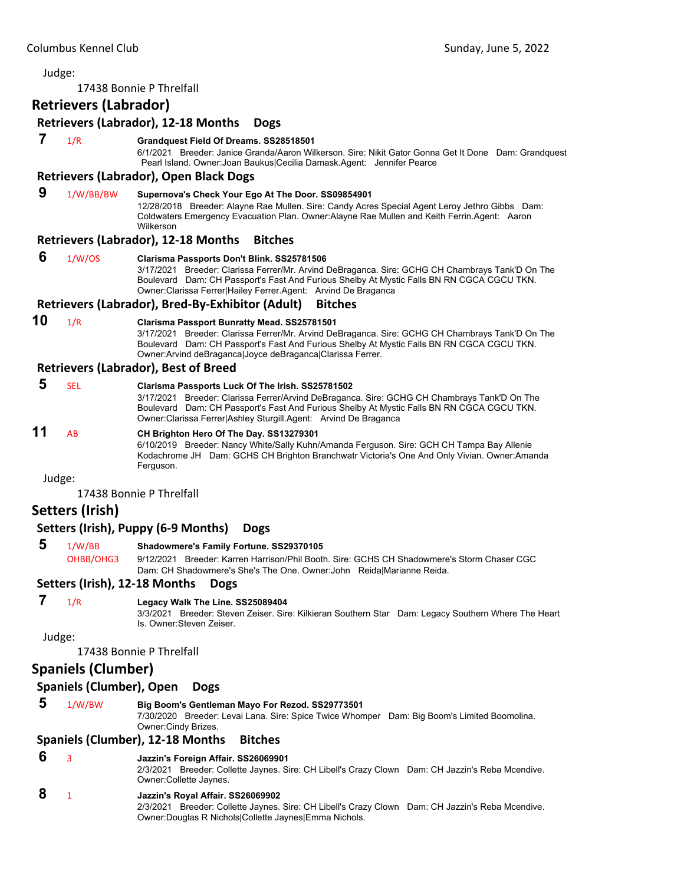17438 Bonnie P Threlfall

#### **Retrievers (Labrador)**

#### **Retrievers (Labrador), 12‐18 Months Dogs**

#### **7** 1/R **Grandquest Field Of Dreams. SS28518501**

6/1/2021 Breeder: Janice Granda/Aaron Wilkerson. Sire: Nikit Gator Gonna Get It Done Dam: Grandquest Pearl Island. Owner:Joan Baukus|Cecilia Damask.Agent: Jennifer Pearce

#### **Retrievers (Labrador), Open Black Dogs**

# **9** 1/W/BB/BW **Supernova's Check Your Ego At The Door. SS09854901**

12/28/2018 Breeder: Alayne Rae Mullen. Sire: Candy Acres Special Agent Leroy Jethro Gibbs Dam: Coldwaters Emergency Evacuation Plan. Owner:Alayne Rae Mullen and Keith Ferrin.Agent: Aaron Wilkerson

#### **Retrievers (Labrador), 12‐18 Months Bitches**

#### **6** 1/W/OS **Clarisma Passports Don't Blink. SS25781506**

3/17/2021 Breeder: Clarissa Ferrer/Mr. Arvind DeBraganca. Sire: GCHG CH Chambrays Tank'D On The Boulevard Dam: CH Passport's Fast And Furious Shelby At Mystic Falls BN RN CGCA CGCU TKN. Owner:Clarissa Ferrer|Hailey Ferrer.Agent: Arvind De Braganca

#### **Retrievers (Labrador), Bred‐By‐Exhibitor (Adult) Bitches**

#### **10** 1/R **Clarisma Passport Bunratty Mead. SS25781501**

3/17/2021 Breeder: Clarissa Ferrer/Mr. Arvind DeBraganca. Sire: GCHG CH Chambrays Tank'D On The Boulevard Dam: CH Passport's Fast And Furious Shelby At Mystic Falls BN RN CGCA CGCU TKN. Owner:Arvind deBraganca|Joyce deBraganca|Clarissa Ferrer.

#### **Retrievers (Labrador), Best of Breed**

| 11 | SEL | Clarisma Passports Luck Of The Irish. SS25781502<br>3/17/2021 Breeder: Clarissa Ferrer/Arvind DeBraganca. Sire: GCHG CH Chambrays Tank'D On The<br>Boulevard Dam: CH Passport's Fast And Furious Shelby At Mystic Falls BN RN CGCA CGCU TKN.<br>Owner: Clarissa Ferrer Ashley Sturgill.Agent: Arvind De Braganca |
|----|-----|------------------------------------------------------------------------------------------------------------------------------------------------------------------------------------------------------------------------------------------------------------------------------------------------------------------|
|    | AB. | CH Brighton Hero Of The Day. SS13279301<br>6/10/2019 Breeder: Nancy White/Sally Kuhn/Amanda Ferguson. Sire: GCH CH Tampa Bay Allenie<br>Kodachrome JH Dam: GCHS CH Brighton Branchwatr Victoria's One And Only Vivian. Owner: Amanda<br>Ferguson.                                                                |

Judge:

17438 Bonnie P Threlfall

#### **Setters (Irish)**

#### **Setters (Irish), Puppy (6‐9 Months) Dogs**

 **5** 1/W/BB **Shadowmere's Family Fortune. SS29370105**

OHBB/OHG3 9/12/2021 Breeder: Karren Harrison/Phil Booth. Sire: GCHS CH Shadowmere's Storm Chaser CGC Dam: CH Shadowmere's She's The One. Owner:John Reida|Marianne Reida.

#### **Setters (Irish), 12‐18 Months Dogs**

# **7** 1/R **Legacy Walk The Line. SS25089404**

3/3/2021 Breeder: Steven Zeiser. Sire: Kilkieran Southern Star Dam: Legacy Southern Where The Heart Is. Owner:Steven Zeiser.

Judge:

17438 Bonnie P Threlfall

# **Spaniels (Clumber)**

#### **Spaniels (Clumber), Open Dogs**

 **5** 1/W/BW **Big Boom's Gentleman Mayo For Rezod. SS29773501**

7/30/2020 Breeder: Levai Lana. Sire: Spice Twice Whomper Dam: Big Boom's Limited Boomolina. Owner:Cindy Brizes.

#### **Spaniels (Clumber), 12‐18 Months Bitches**

#### **6** <sup>3</sup> **Jazzin's Foreign Affair. SS26069901**

2/3/2021 Breeder: Collette Jaynes. Sire: CH Libell's Crazy Clown Dam: CH Jazzin's Reba Mcendive. Owner:Collette Jaynes.

#### **8** <sup>1</sup> **Jazzin's Royal Affair. SS26069902**

2/3/2021 Breeder: Collette Jaynes. Sire: CH Libell's Crazy Clown Dam: CH Jazzin's Reba Mcendive. Owner:Douglas R Nichols|Collette Jaynes|Emma Nichols.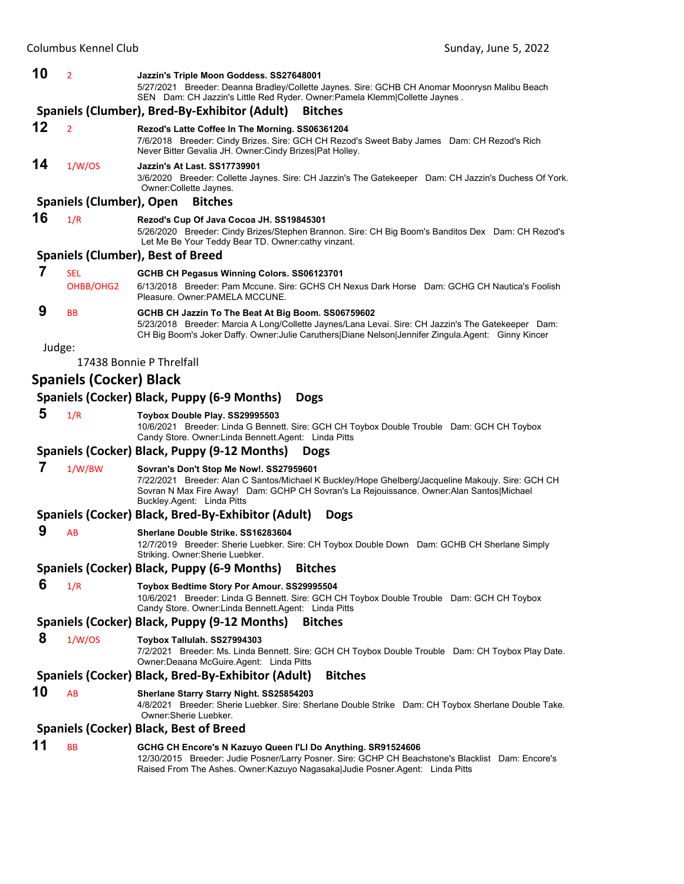#### **10** <sup>2</sup> **Jazzin's Triple Moon Goddess. SS27648001**

5/27/2021 Breeder: Deanna Bradley/Collette Jaynes. Sire: GCHB CH Anomar Moonrysn Malibu Beach SEN Dam: CH Jazzin's Little Red Ryder. Owner:Pamela Klemm|Collette Jaynes .

#### **Spaniels (Clumber), Bred‐By‐Exhibitor (Adult) Bitches**

**12** <sup>2</sup> **Rezod's Latte Coffee In The Morning. SS06361204** 7/6/2018 Breeder: Cindy Brizes. Sire: GCH CH Rezod's Sweet Baby James Dam: CH Rezod's Rich Never Bitter Gevalia JH. Owner:Cindy Brizes|Pat Holley.

# **14** 1/W/OS **Jazzin's At Last. SS17739901**

3/6/2020 Breeder: Collette Jaynes. Sire: CH Jazzin's The Gatekeeper Dam: CH Jazzin's Duchess Of York. Owner:Collette Jaynes.

#### **Spaniels (Clumber), Open Bitches**

- **16** 1/R **Rezod's Cup Of Java Cocoa JH. SS19845301**
	- 5/26/2020 Breeder: Cindy Brizes/Stephen Brannon. Sire: CH Big Boom's Banditos Dex Dam: CH Rezod's Let Me Be Your Teddy Bear TD. Owner:cathy vinzant.

#### **Spaniels (Clumber), Best of Breed**

| SEL       | GCHB CH Pegasus Winning Colors. SS06123701                                                                                                                                                                |
|-----------|-----------------------------------------------------------------------------------------------------------------------------------------------------------------------------------------------------------|
| OHBB/OHG2 | 6/13/2018 Breeder: Pam Mccune, Sire: GCHS CH Nexus Dark Horse Dam: GCHG CH Nautica's Foolish<br>Pleasure, Owner: PAMELA MCCUNE.                                                                           |
| <b>BB</b> | GCHB CH Jazzin To The Beat At Big Boom. SS06759602                                                                                                                                                        |
|           | 5/23/2018 Breeder: Marcia A Long/Collette Jaynes/Lana Levai. Sire: CH Jazzin's The Gatekeeper Dam:<br>CH Big Boom's Joker Daffy. Owner: Julie Caruthers Diane Nelson Jennifer Zingula Agent: Ginny Kincer |

Judge:

17438 Bonnie P Threlfall

# **Spaniels (Cocker) Black**

|    | Spaniels (Cocker) Black, Puppy (6-9 Months)<br><b>Dogs</b> |                                                                                                                                                                                                                                                                         |  |  |  |
|----|------------------------------------------------------------|-------------------------------------------------------------------------------------------------------------------------------------------------------------------------------------------------------------------------------------------------------------------------|--|--|--|
| 5  | 1/R                                                        | Toybox Double Play. SS29995503<br>10/6/2021 Breeder: Linda G Bennett. Sire: GCH CH Toybox Double Trouble Dam: GCH CH Toybox<br>Candy Store. Owner: Linda Bennett. Agent: Linda Pitts                                                                                    |  |  |  |
|    |                                                            | Spaniels (Cocker) Black, Puppy (9-12 Months)<br><b>Dogs</b>                                                                                                                                                                                                             |  |  |  |
| 7  | 1/W/BW                                                     | Sovran's Don't Stop Me Now!. SS27959601<br>7/22/2021 Breeder: Alan C Santos/Michael K Buckley/Hope Ghelberg/Jacqueline Makoujy. Sire: GCH CH<br>Sovran N Max Fire Away! Dam: GCHP CH Sovran's La Rejouissance. Owner: Alan Santos Michael<br>Buckley.Agent: Linda Pitts |  |  |  |
|    |                                                            | Spaniels (Cocker) Black, Bred-By-Exhibitor (Adult) Dogs                                                                                                                                                                                                                 |  |  |  |
| 9  | AB                                                         | Sherlane Double Strike, SS16283604<br>12/7/2019 Breeder: Sherie Luebker. Sire: CH Toybox Double Down Dam: GCHB CH Sherlane Simply<br>Striking. Owner: Sherie Luebker.                                                                                                   |  |  |  |
|    |                                                            | Spaniels (Cocker) Black, Puppy (6-9 Months) Bitches                                                                                                                                                                                                                     |  |  |  |
| 6  | 1/R                                                        | Toybox Bedtime Story Por Amour. SS29995504<br>10/6/2021 Breeder: Linda G Bennett. Sire: GCH CH Toybox Double Trouble Dam: GCH CH Toybox<br>Candy Store. Owner: Linda Bennett. Agent: Linda Pitts                                                                        |  |  |  |
|    |                                                            | Spaniels (Cocker) Black, Puppy (9-12 Months)<br><b>Bitches</b>                                                                                                                                                                                                          |  |  |  |
| 8  | 1/W/OS                                                     | Toybox Tallulah. SS27994303<br>7/2/2021 Breeder: Ms. Linda Bennett. Sire: GCH CH Toybox Double Trouble Dam: CH Toybox Play Date.<br>Owner: Deaana McGuire. Agent: Linda Pitts                                                                                           |  |  |  |
|    |                                                            | Spaniels (Cocker) Black, Bred-By-Exhibitor (Adult)<br><b>Bitches</b>                                                                                                                                                                                                    |  |  |  |
| 10 | AB                                                         | Sherlane Starry Starry Night. SS25854203<br>4/8/2021 Breeder: Sherie Luebker. Sire: Sherlane Double Strike Dam: CH Toybox Sherlane Double Take.<br>Owner: Sherie Luebker.                                                                                               |  |  |  |
|    |                                                            | <b>Spaniels (Cocker) Black, Best of Breed</b>                                                                                                                                                                                                                           |  |  |  |
| 11 | <b>BB</b>                                                  | GCHG CH Encore's N Kazuyo Queen I'LI Do Anything. SR91524606<br>12/30/2015 Breeder: Judie Posner/Larry Posner. Sire: GCHP CH Beachstone's Blacklist Dam: Encore's<br>Raised From The Ashes. Owner: Kazuyo Nagasaka Judie Posner. Agent: Linda Pitts                     |  |  |  |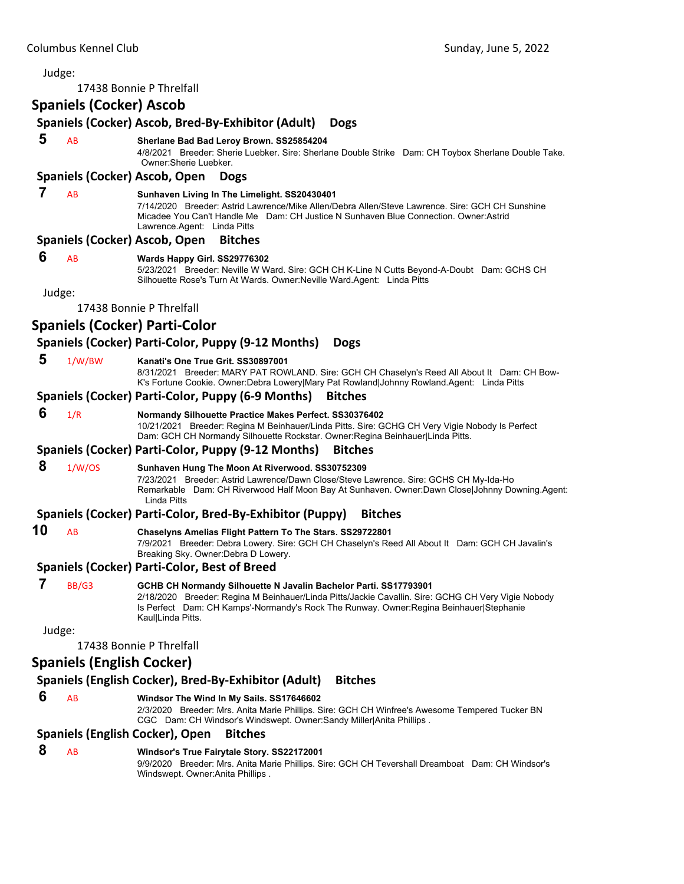| Judge: |                                  |                                                                                                                                                                                                                                                                                        |
|--------|----------------------------------|----------------------------------------------------------------------------------------------------------------------------------------------------------------------------------------------------------------------------------------------------------------------------------------|
|        |                                  | 17438 Bonnie P Threlfall                                                                                                                                                                                                                                                               |
|        | <b>Spaniels (Cocker) Ascob</b>   |                                                                                                                                                                                                                                                                                        |
|        |                                  | Spaniels (Cocker) Ascob, Bred-By-Exhibitor (Adult)<br><b>Dogs</b>                                                                                                                                                                                                                      |
| 5      | AB                               | Sherlane Bad Bad Leroy Brown. SS25854204<br>4/8/2021 Breeder: Sherie Luebker. Sire: Sherlane Double Strike Dam: CH Toybox Sherlane Double Take.<br>Owner: Sherie Luebker.                                                                                                              |
|        |                                  | Spaniels (Cocker) Ascob, Open<br><b>Dogs</b>                                                                                                                                                                                                                                           |
| 7      | AB                               | Sunhaven Living In The Limelight. SS20430401<br>7/14/2020 Breeder: Astrid Lawrence/Mike Allen/Debra Allen/Steve Lawrence. Sire: GCH CH Sunshine<br>Micadee You Can't Handle Me Dam: CH Justice N Sunhaven Blue Connection, Owner:Astrid<br>Lawrence Agent: Linda Pitts                 |
|        |                                  | Spaniels (Cocker) Ascob, Open<br><b>Bitches</b>                                                                                                                                                                                                                                        |
| 6      | AB                               | Wards Happy Girl. SS29776302<br>5/23/2021 Breeder: Neville W Ward. Sire: GCH CH K-Line N Cutts Beyond-A-Doubt Dam: GCHS CH<br>Silhouette Rose's Turn At Wards. Owner: Neville Ward. Agent: Linda Pitts                                                                                 |
| Judge: |                                  |                                                                                                                                                                                                                                                                                        |
|        |                                  | 17438 Bonnie P Threlfall                                                                                                                                                                                                                                                               |
|        |                                  | <b>Spaniels (Cocker) Parti-Color</b>                                                                                                                                                                                                                                                   |
|        |                                  | Spaniels (Cocker) Parti-Color, Puppy (9-12 Months)<br><b>Dogs</b>                                                                                                                                                                                                                      |
| 5      | 1/W/BW                           | Kanati's One True Grit, SS30897001<br>8/31/2021 Breeder: MARY PAT ROWLAND. Sire: GCH CH Chaselyn's Reed All About It Dam: CH Bow-<br>K's Fortune Cookie. Owner:Debra Lowery Mary Pat Rowland Johnny Rowland.Agent: Linda Pitts                                                         |
|        |                                  | Spaniels (Cocker) Parti-Color, Puppy (6-9 Months)<br><b>Bitches</b>                                                                                                                                                                                                                    |
| 6      | 1/R                              | Normandy Silhouette Practice Makes Perfect. SS30376402<br>10/21/2021 Breeder: Regina M Beinhauer/Linda Pitts. Sire: GCHG CH Very Vigie Nobody Is Perfect<br>Dam: GCH CH Normandy Silhouette Rockstar. Owner: Regina Beinhauer Linda Pitts.                                             |
|        |                                  | Spaniels (Cocker) Parti-Color, Puppy (9-12 Months)<br><b>Bitches</b>                                                                                                                                                                                                                   |
| 8      | 1/W/OS                           | Sunhaven Hung The Moon At Riverwood. SS30752309<br>7/23/2021 Breeder: Astrid Lawrence/Dawn Close/Steve Lawrence. Sire: GCHS CH My-Ida-Ho<br>Remarkable Dam: CH Riverwood Half Moon Bay At Sunhaven. Owner:Dawn Close Johnny Downing.Agent:<br><b>Linda Pitts</b>                       |
|        |                                  | Spaniels (Cocker) Parti-Color, Bred-By-Exhibitor (Puppy)<br><b>Bitches</b>                                                                                                                                                                                                             |
| 10     | AB                               | Chaselyns Amelias Flight Pattern To The Stars. SS29722801<br>7/9/2021 Breeder: Debra Lowery. Sire: GCH CH Chaselyn's Reed All About It Dam: GCH CH Javalin's<br>Breaking Sky. Owner: Debra D Lowery.                                                                                   |
|        |                                  | <b>Spaniels (Cocker) Parti-Color, Best of Breed</b>                                                                                                                                                                                                                                    |
| 7      | BB/G3                            | GCHB CH Normandy Silhouette N Javalin Bachelor Parti. SS17793901<br>2/18/2020 Breeder: Regina M Beinhauer/Linda Pitts/Jackie Cavallin. Sire: GCHG CH Very Vigie Nobody<br>Is Perfect Dam: CH Kamps'-Normandy's Rock The Runway. Owner: Regina Beinhauer Stephanie<br>Kaul Linda Pitts. |
| Judge: |                                  |                                                                                                                                                                                                                                                                                        |
|        |                                  | 17438 Bonnie P Threlfall                                                                                                                                                                                                                                                               |
|        | <b>Spaniels (English Cocker)</b> |                                                                                                                                                                                                                                                                                        |
|        |                                  | Spaniels (English Cocker), Bred-By-Exhibitor (Adult)<br><b>Bitches</b>                                                                                                                                                                                                                 |
| 6      | AB                               | Windsor The Wind In My Sails. SS17646602<br>2/3/2020 Breeder: Mrs. Anita Marie Phillips. Sire: GCH CH Winfree's Awesome Tempered Tucker BN<br>CGC Dam: CH Windsor's Windswept. Owner: Sandy Miller Anita Phillips.                                                                     |
|        |                                  | <b>Spaniels (English Cocker), Open</b><br><b>Bitches</b>                                                                                                                                                                                                                               |
| 8      | <b>AB</b>                        | Windsor's True Fairytale Story. SS22172001<br>9/9/2020 Breeder: Mrs. Anita Marie Phillips. Sire: GCH CH Tevershall Dreamboat Dam: CH Windsor's<br>Windswept. Owner:Anita Phillips .                                                                                                    |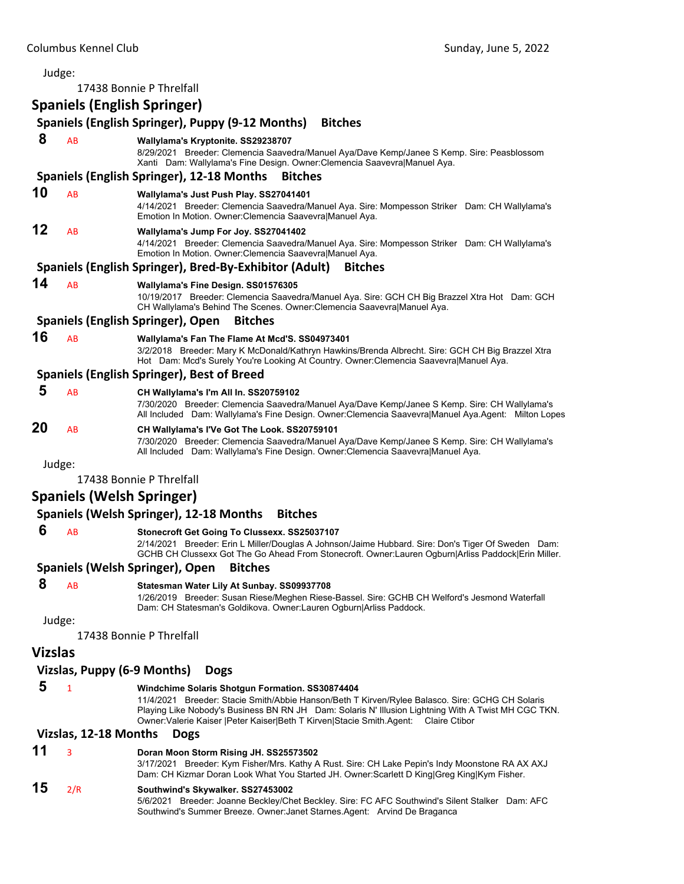|                | Judge:                |                                                                                                                                                                                                                                                                                                                                                      |
|----------------|-----------------------|------------------------------------------------------------------------------------------------------------------------------------------------------------------------------------------------------------------------------------------------------------------------------------------------------------------------------------------------------|
|                |                       | 17438 Bonnie P Threlfall                                                                                                                                                                                                                                                                                                                             |
|                |                       | <b>Spaniels (English Springer)</b>                                                                                                                                                                                                                                                                                                                   |
|                |                       | Spaniels (English Springer), Puppy (9-12 Months)<br><b>Bitches</b>                                                                                                                                                                                                                                                                                   |
| 8              | AB                    | Wallylama's Kryptonite. SS29238707<br>8/29/2021 Breeder: Clemencia Saavedra/Manuel Aya/Dave Kemp/Janee S Kemp. Sire: Peasblossom<br>Xanti Dam: Wallylama's Fine Design. Owner: Clemencia Saavevra Manuel Aya.                                                                                                                                        |
|                |                       | Spaniels (English Springer), 12-18 Months<br><b>Bitches</b>                                                                                                                                                                                                                                                                                          |
| 10             | AB                    | Wallylama's Just Push Play. SS27041401<br>4/14/2021 Breeder: Clemencia Saavedra/Manuel Aya. Sire: Mompesson Striker Dam: CH Wallylama's<br>Emotion In Motion. Owner: Clemencia SaavevralManuel Aya.                                                                                                                                                  |
| 12             | AB                    | Wallylama's Jump For Joy. SS27041402<br>4/14/2021 Breeder: Clemencia Saavedra/Manuel Aya. Sire: Mompesson Striker Dam: CH Wallylama's<br>Emotion In Motion. Owner: Clemencia Saavevra Manuel Aya.                                                                                                                                                    |
|                |                       | Spaniels (English Springer), Bred-By-Exhibitor (Adult)<br><b>Bitches</b>                                                                                                                                                                                                                                                                             |
| 14             | AB                    | Wallylama's Fine Design. SS01576305<br>10/19/2017 Breeder: Clemencia Saavedra/Manuel Aya. Sire: GCH CH Big Brazzel Xtra Hot Dam: GCH<br>CH Wallylama's Behind The Scenes. Owner:Clemencia Saavevra Manuel Aya.                                                                                                                                       |
|                |                       | <b>Spaniels (English Springer), Open</b><br><b>Bitches</b>                                                                                                                                                                                                                                                                                           |
| 16             | AB                    | Wallylama's Fan The Flame At Mcd'S. SS04973401<br>3/2/2018 Breeder: Mary K McDonald/Kathryn Hawkins/Brenda Albrecht. Sire: GCH CH Big Brazzel Xtra<br>Hot Dam: Mcd's Surely You're Looking At Country. Owner: Clemencia Saavevra Manuel Aya.                                                                                                         |
|                |                       | <b>Spaniels (English Springer), Best of Breed</b>                                                                                                                                                                                                                                                                                                    |
| 5              | AB                    | CH Wallylama's I'm All In. SS20759102<br>7/30/2020 Breeder: Clemencia Saavedra/Manuel Aya/Dave Kemp/Janee S Kemp. Sire: CH Wallylama's<br>All Included Dam: Wallylama's Fine Design. Owner: Clemencia Saavevra Manuel Aya. Agent: Milton Lopes                                                                                                       |
| 20             | AB                    | CH Wallylama's I'Ve Got The Look. SS20759101<br>7/30/2020 Breeder: Clemencia Saavedra/Manuel Aya/Dave Kemp/Janee S Kemp. Sire: CH Wallylama's<br>All Included Dam: Wallylama's Fine Design. Owner: Clemencia Saavevra Manuel Aya.                                                                                                                    |
|                | Judge:                |                                                                                                                                                                                                                                                                                                                                                      |
|                |                       | 17438 Bonnie P Threlfall                                                                                                                                                                                                                                                                                                                             |
|                |                       | <b>Spaniels (Welsh Springer)</b>                                                                                                                                                                                                                                                                                                                     |
|                |                       | Spaniels (Welsh Springer), 12-18 Months<br><b>Bitches</b>                                                                                                                                                                                                                                                                                            |
| 6              | AB                    | Stonecroft Get Going To Clussexx. SS25037107<br>2/14/2021 Breeder: Erin L Miller/Douglas A Johnson/Jaime Hubbard. Sire: Don's Tiger Of Sweden Dam:<br>GCHB CH Clussexx Got The Go Ahead From Stonecroft. Owner:Lauren Ogburn Arliss Paddock Erin Miller.                                                                                             |
|                |                       | Spaniels (Welsh Springer), Open<br><b>Bitches</b>                                                                                                                                                                                                                                                                                                    |
| 8              | AB                    | Statesman Water Lily At Sunbay. SS09937708<br>1/26/2019 Breeder: Susan Riese/Meghen Riese-Bassel. Sire: GCHB CH Welford's Jesmond Waterfall<br>Dam: CH Statesman's Goldikova. Owner:Lauren Ogburn Arliss Paddock.                                                                                                                                    |
|                | Judge:                |                                                                                                                                                                                                                                                                                                                                                      |
|                |                       | 17438 Bonnie P Threlfall                                                                                                                                                                                                                                                                                                                             |
| <b>Vizslas</b> |                       |                                                                                                                                                                                                                                                                                                                                                      |
|                |                       | Vizslas, Puppy (6-9 Months)<br><b>Dogs</b>                                                                                                                                                                                                                                                                                                           |
| 5              | $\mathbf{1}$          | Windchime Solaris Shotgun Formation. SS30874404<br>11/4/2021 Breeder: Stacie Smith/Abbie Hanson/Beth T Kirven/Rylee Balasco. Sire: GCHG CH Solaris<br>Playing Like Nobody's Business BN RN JH Dam: Solaris N' Illusion Lightning With A Twist MH CGC TKN.<br>Owner: Valerie Kaiser   Peter Kaiser  Beth T Kirven  Stacie Smith. Agent: Claire Ctibor |
|                | Vizslas, 12-18 Months | <b>Dogs</b>                                                                                                                                                                                                                                                                                                                                          |
| 11             | 3                     | Doran Moon Storm Rising JH. SS25573502<br>3/17/2021 Breeder: Kym Fisher/Mrs. Kathy A Rust. Sire: CH Lake Pepin's Indy Moonstone RA AX AXJ<br>Dam: CH Kizmar Doran Look What You Started JH. Owner:Scarlett D King Greg King Kym Fisher.                                                                                                              |
| 15             | 2/R                   | Southwind's Skywalker. SS27453002<br>5/6/2021 Breeder: Joanne Beckley/Chet Beckley. Sire: FC AFC Southwind's Silent Stalker Dam: AFC<br>Southwind's Summer Breeze. Owner: Janet Starnes. Agent: Arvind De Braganca                                                                                                                                   |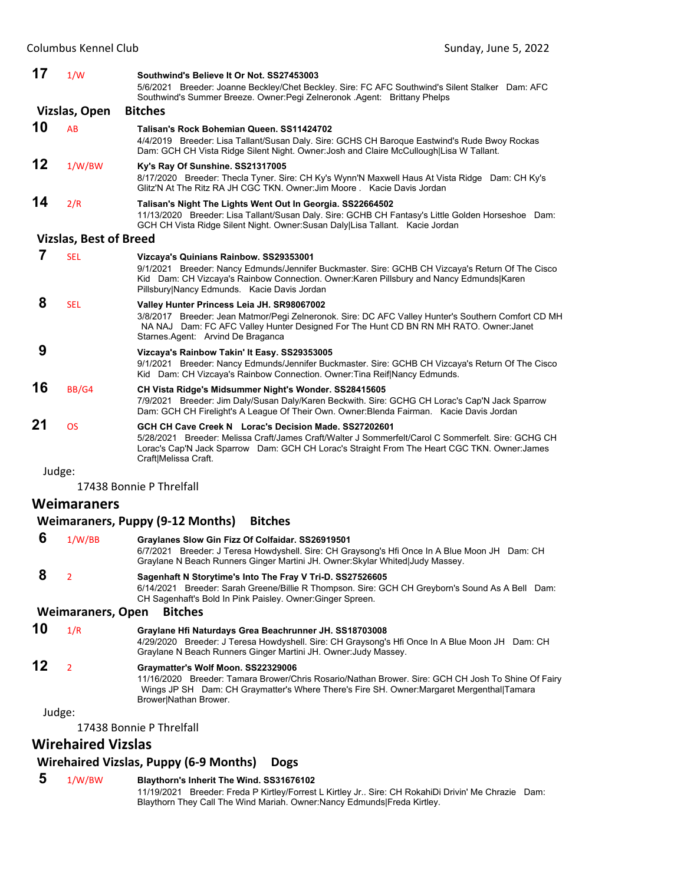| 17         | 1/W                           | Southwind's Believe It Or Not. SS27453003<br>5/6/2021 Breeder: Joanne Beckley/Chet Beckley. Sire: FC AFC Southwind's Silent Stalker Dam: AFC<br>Southwind's Summer Breeze. Owner: Pegi Zelneronok Agent: Brittany Phelps                                                               |
|------------|-------------------------------|----------------------------------------------------------------------------------------------------------------------------------------------------------------------------------------------------------------------------------------------------------------------------------------|
|            | Vizslas, Open                 | <b>Bitches</b>                                                                                                                                                                                                                                                                         |
| 10         | AB                            | Talisan's Rock Bohemian Queen, SS11424702<br>4/4/2019 Breeder: Lisa Tallant/Susan Daly. Sire: GCHS CH Baroque Eastwind's Rude Bwoy Rockas<br>Dam: GCH CH Vista Ridge Silent Night. Owner: Josh and Claire McCullough Lisa W Tallant.                                                   |
| 12         | 1/W/BW                        | Ky's Ray Of Sunshine. SS21317005<br>8/17/2020 Breeder: Thecla Tyner. Sire: CH Ky's Wynn'N Maxwell Haus At Vista Ridge Dam: CH Ky's<br>Glitz'N At The Ritz RA JH CGC TKN, Owner: Jim Moore, Kacie Davis Jordan                                                                          |
| 14         | 2/R                           | Talisan's Night The Lights Went Out In Georgia. SS22664502<br>11/13/2020 Breeder: Lisa Tallant/Susan Daly. Sire: GCHB CH Fantasy's Little Golden Horseshoe Dam:<br>GCH CH Vista Ridge Silent Night. Owner: Susan Daly Lisa Tallant. Kacie Jordan                                       |
|            | <b>Vizslas, Best of Breed</b> |                                                                                                                                                                                                                                                                                        |
| 7          | <b>SEL</b>                    | Vizcaya's Quinians Rainbow. SS29353001<br>9/1/2021 Breeder: Nancy Edmunds/Jennifer Buckmaster. Sire: GCHB CH Vizcaya's Return Of The Cisco<br>Kid Dam: CH Vizcaya's Rainbow Connection. Owner: Karen Pillsbury and Nancy Edmunds  Karen<br>Pillsbury Nancy Edmunds. Kacie Davis Jordan |
| 8          | <b>SEL</b>                    | Valley Hunter Princess Leia JH. SR98067002<br>3/8/2017 Breeder: Jean Matmor/Pegi Zelneronok. Sire: DC AFC Valley Hunter's Southern Comfort CD MH<br>NA NAJ Dam: FC AFC Valley Hunter Designed For The Hunt CD BN RN MH RATO. Owner: Janet<br>Starnes Agent: Arvind De Braganca         |
| 9          |                               | Vizcaya's Rainbow Takin' It Easy. SS29353005<br>9/1/2021 Breeder: Nancy Edmunds/Jennifer Buckmaster. Sire: GCHB CH Vizcaya's Return Of The Cisco<br>Kid Dam: CH Vizcaya's Rainbow Connection. Owner: Tina Reif Nancy Edmunds.                                                          |
| 16         | BB/G4                         | CH Vista Ridge's Midsummer Night's Wonder. SS28415605<br>7/9/2021 Breeder: Jim Daly/Susan Daly/Karen Beckwith. Sire: GCHG CH Lorac's Cap'N Jack Sparrow<br>Dam: GCH CH Firelight's A League Of Their Own. Owner: Blenda Fairman. Kacie Davis Jordan                                    |
| 21         | <b>OS</b>                     | GCH CH Cave Creek N Lorac's Decision Made, SS27202601<br>5/28/2021 Breeder: Melissa Craft/James Craft/Walter J Sommerfelt/Carol C Sommerfelt, Sire: GCHG CH<br>Lorac's Cap'N Jack Sparrow Dam: GCH CH Lorac's Straight From The Heart CGC TKN. Owner: James<br>Craft Melissa Craft.    |
| والمرور ال |                               |                                                                                                                                                                                                                                                                                        |

17438 Bonnie P Threlfall

# **Weimaraners**

# **Weimaraners, Puppy (9‐12 Months) Bitches**

| -6 | 1/W/BB | Graylanes Slow Gin Fizz Of Colfaidar. SS26919501                                              |
|----|--------|-----------------------------------------------------------------------------------------------|
|    |        | 6/7/2021 Breeder: J Teresa Howdyshell. Sire: CH Graysong's Hfi Once In A Blue Moon JH Dam: CH |
|    |        | Graylane N Beach Runners Ginger Martini JH. Owner: Skylar Whited Judy Massey.                 |
| -8 |        | Sagenhaft N Storytime's Into The Fray V Tri-D. SS27526605                                     |

6/14/2021 Breeder: Sarah Greene/Billie R Thompson. Sire: GCH CH Greyborn's Sound As A Bell Dam: CH Sagenhaft's Bold In Pink Paisley. Owner:Ginger Spreen.

# **Weimaraners, Open Bitches**

# **10** 1/R **Graylane Hfi Naturdays Grea Beachrunner JH. SS18703008**

4/29/2020 Breeder: J Teresa Howdyshell. Sire: CH Graysong's Hfi Once In A Blue Moon JH Dam: CH Graylane N Beach Runners Ginger Martini JH. Owner:Judy Massey.

# **12** <sup>2</sup> **Graymatter's Wolf Moon. SS22329006**

11/16/2020 Breeder: Tamara Brower/Chris Rosario/Nathan Brower. Sire: GCH CH Josh To Shine Of Fairy Wings JP SH Dam: CH Graymatter's Where There's Fire SH. Owner:Margaret Mergenthal|Tamara Brower|Nathan Brower.

# Judge:

17438 Bonnie P Threlfall

# **Wirehaired Vizslas**

# **Wirehaired Vizslas, Puppy (6‐9 Months) Dogs**

# **5** 1/W/BW **Blaythorn's Inherit The Wind. SS31676102**

11/19/2021 Breeder: Freda P Kirtley/Forrest L Kirtley Jr.. Sire: CH RokahiDi Drivin' Me Chrazie Dam: Blaythorn They Call The Wind Mariah. Owner:Nancy Edmunds|Freda Kirtley.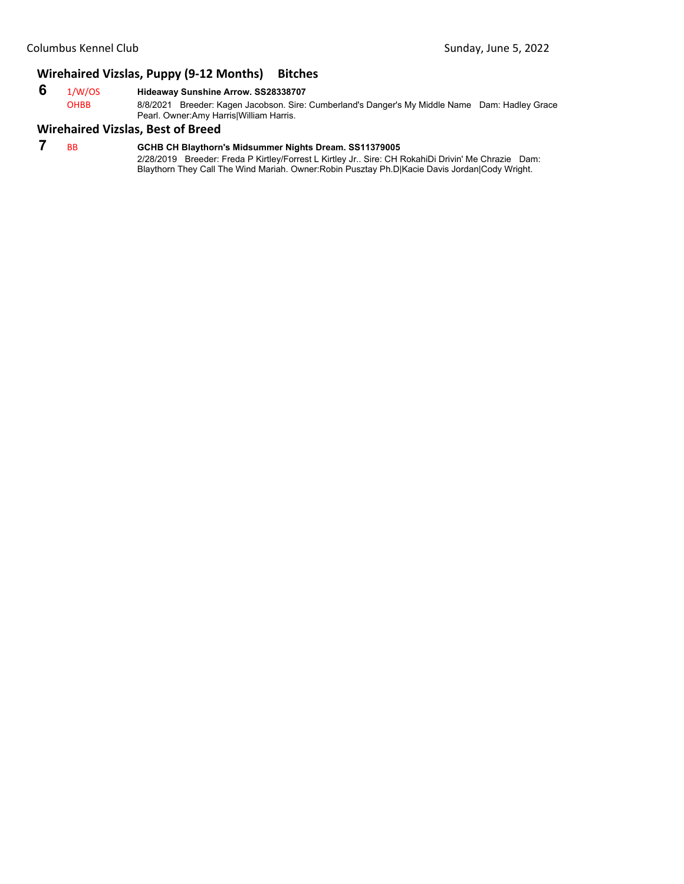# **Wirehaired Vizslas, Puppy (9‐12 Months) Bitches**

# **6** 1/W/OS **Hideaway Sunshine Arrow. SS28338707**

8/8/2021 Breeder: Kagen Jacobson. Sire: Cumberland's Danger's My Middle Name Dam: Hadley Grace Pearl. Owner:Amy Harris|William Harris.

# **Wirehaired Vizslas, Best of Breed**

# **7** BB **GCHB CH Blaythorn's Midsummer Nights Dream. SS11379005**

2/28/2019 Breeder: Freda P Kirtley/Forrest L Kirtley Jr.. Sire: CH RokahiDi Drivin' Me Chrazie Dam: Blaythorn They Call The Wind Mariah. Owner:Robin Pusztay Ph.D|Kacie Davis Jordan|Cody Wright.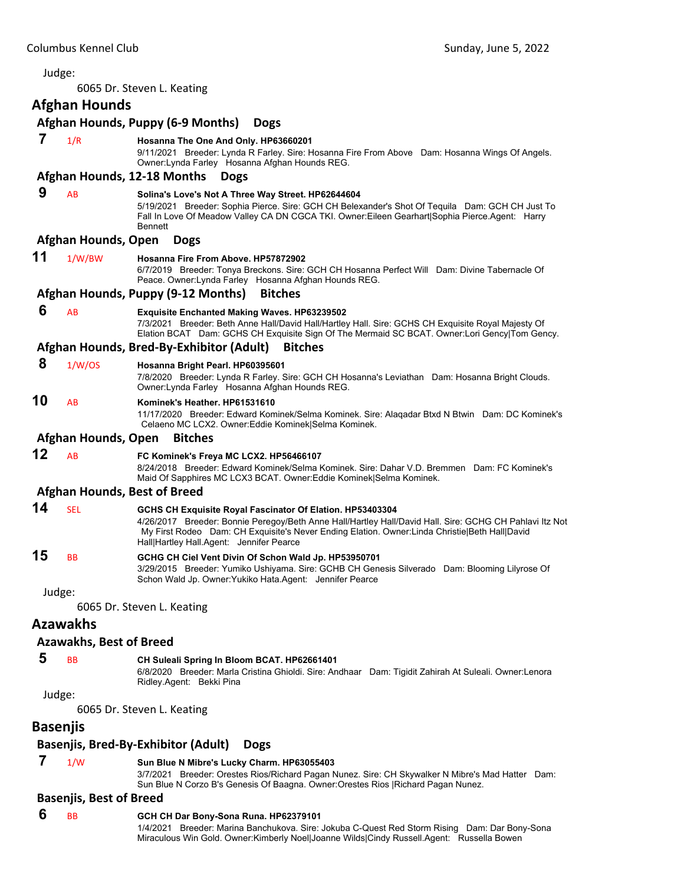<span id="page-11-0"></span>

|    | Judge:                         |                                                                                                                                                                                                                                                                                                                    |
|----|--------------------------------|--------------------------------------------------------------------------------------------------------------------------------------------------------------------------------------------------------------------------------------------------------------------------------------------------------------------|
|    |                                | 6065 Dr. Steven L. Keating                                                                                                                                                                                                                                                                                         |
|    | <b>Afghan Hounds</b>           |                                                                                                                                                                                                                                                                                                                    |
|    |                                | Afghan Hounds, Puppy (6-9 Months)<br><b>Dogs</b>                                                                                                                                                                                                                                                                   |
| 7  | 1/R                            | Hosanna The One And Only. HP63660201<br>9/11/2021 Breeder: Lynda R Farley. Sire: Hosanna Fire From Above Dam: Hosanna Wings Of Angels.<br>Owner: Lynda Farley Hosanna Afghan Hounds REG.                                                                                                                           |
|    |                                | Afghan Hounds, 12-18 Months<br><b>Dogs</b>                                                                                                                                                                                                                                                                         |
| 9  | AB                             | Solina's Love's Not A Three Way Street. HP62644604<br>5/19/2021 Breeder: Sophia Pierce. Sire: GCH CH Belexander's Shot Of Tequila Dam: GCH CH Just To<br>Fall In Love Of Meadow Valley CA DN CGCA TKI. Owner: Eileen Gearhart   Sophia Pierce. Agent: Harry<br>Bennett                                             |
|    | Afghan Hounds, Open            | <b>Dogs</b>                                                                                                                                                                                                                                                                                                        |
| 11 | 1/W/BW                         | Hosanna Fire From Above. HP57872902<br>6/7/2019 Breeder: Tonya Breckons. Sire: GCH CH Hosanna Perfect Will Dam: Divine Tabernacle Of<br>Peace. Owner: Lynda Farley Hosanna Afghan Hounds REG.                                                                                                                      |
|    |                                | Afghan Hounds, Puppy (9-12 Months)<br><b>Bitches</b>                                                                                                                                                                                                                                                               |
| 6  | AB                             | <b>Exquisite Enchanted Making Waves. HP63239502</b><br>7/3/2021 Breeder: Beth Anne Hall/David Hall/Hartley Hall. Sire: GCHS CH Exquisite Royal Majesty Of<br>Elation BCAT Dam: GCHS CH Exquisite Sign Of The Mermaid SC BCAT. Owner:Lori Gency Tom Gency.                                                          |
|    |                                | Afghan Hounds, Bred-By-Exhibitor (Adult)<br><b>Bitches</b>                                                                                                                                                                                                                                                         |
| 8  | 1/W/OS                         | Hosanna Bright Pearl. HP60395601<br>7/8/2020 Breeder: Lynda R Farley. Sire: GCH CH Hosanna's Leviathan Dam: Hosanna Bright Clouds.<br>Owner: Lynda Farley Hosanna Afghan Hounds REG.                                                                                                                               |
| 10 | AB                             | Kominek's Heather. HP61531610<br>11/17/2020 Breeder: Edward Kominek/Selma Kominek. Sire: Alaqadar Btxd N Btwin Dam: DC Kominek's<br>Celaeno MC LCX2. Owner:Eddie Kominek Selma Kominek.                                                                                                                            |
|    | Afghan Hounds, Open            | <b>Bitches</b>                                                                                                                                                                                                                                                                                                     |
| 12 | AB                             | FC Kominek's Freya MC LCX2. HP56466107<br>8/24/2018 Breeder: Edward Kominek/Selma Kominek. Sire: Dahar V.D. Bremmen Dam: FC Kominek's<br>Maid Of Sapphires MC LCX3 BCAT. Owner: Eddie Kominek Selma Kominek.                                                                                                       |
|    |                                | <b>Afghan Hounds, Best of Breed</b>                                                                                                                                                                                                                                                                                |
| 14 | <b>SEL</b>                     | GCHS CH Exquisite Royal Fascinator Of Elation. HP53403304<br>4/26/2017 Breeder: Bonnie Peregoy/Beth Anne Hall/Hartley Hall/David Hall. Sire: GCHG CH Pahlavi Itz Not<br>My First Rodeo Dam: CH Exquisite's Never Ending Elation. Owner: Linda Christie Beth Hall David<br>Hall Hartley Hall.Agent: Jennifer Pearce |
| 15 | ВB                             | GCHG CH Ciel Vent Divin Of Schon Wald Jp. HP53950701<br>3/29/2015 Breeder: Yumiko Ushiyama. Sire: GCHB CH Genesis Silverado Dam: Blooming Lilyrose Of<br>Schon Wald Jp. Owner: Yukiko Hata. Agent: Jennifer Pearce                                                                                                 |
|    | Judge:                         |                                                                                                                                                                                                                                                                                                                    |
|    |                                | 6065 Dr. Steven L. Keating                                                                                                                                                                                                                                                                                         |
|    | <b>Azawakhs</b>                |                                                                                                                                                                                                                                                                                                                    |
|    | <b>Azawakhs, Best of Breed</b> |                                                                                                                                                                                                                                                                                                                    |
| 5  | <b>BB</b>                      | CH Suleali Spring In Bloom BCAT. HP62661401<br>6/8/2020 Breeder: Marla Cristina Ghioldi. Sire: Andhaar Dam: Tigidit Zahirah At Suleali. Owner:Lenora<br>Ridley Agent: Bekki Pina                                                                                                                                   |
|    | Judge:                         |                                                                                                                                                                                                                                                                                                                    |
|    |                                | 6065 Dr. Steven L. Keating                                                                                                                                                                                                                                                                                         |
|    | <b>Basenjis</b>                |                                                                                                                                                                                                                                                                                                                    |
|    |                                | <b>Basenjis, Bred-By-Exhibitor (Adult)</b><br><b>Dogs</b>                                                                                                                                                                                                                                                          |
| 7  | 1/W                            | Sun Blue N Mibre's Lucky Charm. HP63055403<br>3/7/2021 Breeder: Orestes Rios/Richard Pagan Nunez, Sire: CH Skywalker N Mibre's Mad Hatter Dam:                                                                                                                                                                     |

3/7/2021 Breeder: Orestes Rios/Richard Pagan Nunez. Sire: CH Skywalker N Mibre's Mad Hatter Dam: Sun Blue N Corzo B's Genesis Of Baagna. Owner:Orestes Rios |Richard Pagan Nunez.

# **Basenjis, Best of Breed**

- **6** BB **GCH CH Dar Bony-Sona Runa. HP62379101**
	- 1/4/2021 Breeder: Marina Banchukova. Sire: Jokuba C-Quest Red Storm Rising Dam: Dar Bony-Sona Miraculous Win Gold. Owner:Kimberly Noel|Joanne Wilds|Cindy Russell.Agent: Russella Bowen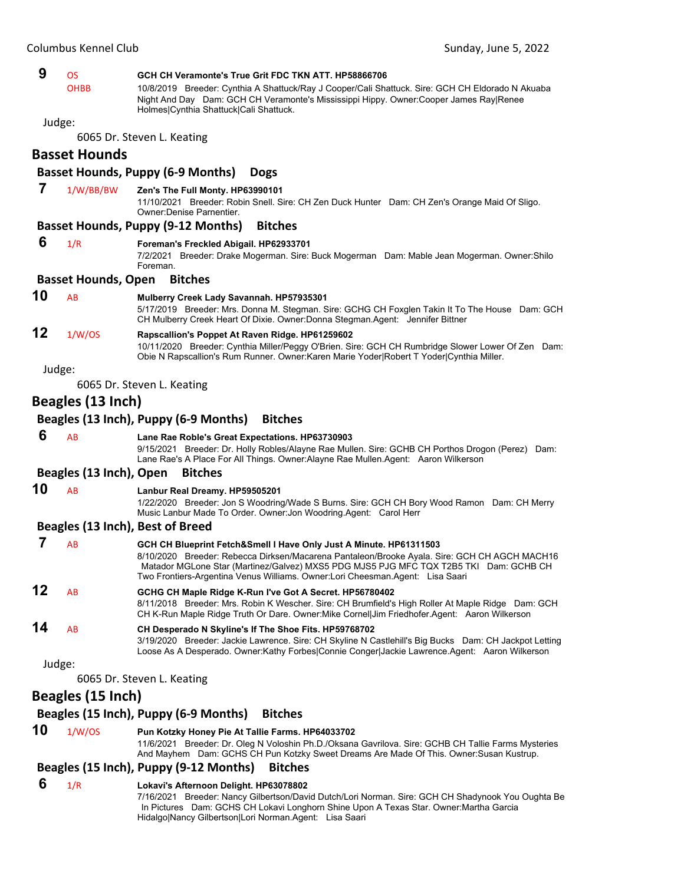| 9  | <b>OS</b><br><b>OHBB</b>   | GCH CH Veramonte's True Grit FDC TKN ATT. HP58866706<br>10/8/2019 Breeder: Cynthia A Shattuck/Ray J Cooper/Cali Shattuck. Sire: GCH CH Eldorado N Akuaba<br>Night And Day Dam: GCH CH Veramonte's Mississippi Hippy. Owner: Cooper James Ray Renee                                                                                           |
|----|----------------------------|----------------------------------------------------------------------------------------------------------------------------------------------------------------------------------------------------------------------------------------------------------------------------------------------------------------------------------------------|
|    |                            | Holmes Cynthia Shattuck Cali Shattuck.                                                                                                                                                                                                                                                                                                       |
|    | Judge:                     |                                                                                                                                                                                                                                                                                                                                              |
|    |                            | 6065 Dr. Steven L. Keating                                                                                                                                                                                                                                                                                                                   |
|    | <b>Basset Hounds</b>       |                                                                                                                                                                                                                                                                                                                                              |
|    |                            | <b>Basset Hounds, Puppy (6-9 Months)</b><br><b>Dogs</b>                                                                                                                                                                                                                                                                                      |
| 7  | 1/W/BB/BW                  | Zen's The Full Monty. HP63990101<br>11/10/2021 Breeder: Robin Snell. Sire: CH Zen Duck Hunter Dam: CH Zen's Orange Maid Of Sligo.<br><b>Owner:Denise Parnentier.</b>                                                                                                                                                                         |
|    |                            | <b>Basset Hounds, Puppy (9-12 Months)</b><br><b>Bitches</b>                                                                                                                                                                                                                                                                                  |
| 6  | 1/R                        | Foreman's Freckled Abigail. HP62933701<br>7/2/2021 Breeder: Drake Mogerman. Sire: Buck Mogerman Dam: Mable Jean Mogerman. Owner: Shilo<br>Foreman.                                                                                                                                                                                           |
|    | <b>Basset Hounds, Open</b> | <b>Bitches</b>                                                                                                                                                                                                                                                                                                                               |
| 10 | AB                         | Mulberry Creek Lady Savannah. HP57935301<br>5/17/2019 Breeder: Mrs. Donna M. Stegman. Sire: GCHG CH Foxglen Takin It To The House Dam: GCH<br>CH Mulberry Creek Heart Of Dixie. Owner:Donna Stegman.Agent: Jennifer Bittner                                                                                                                  |
| 12 | 1/W/OS                     | Rapscallion's Poppet At Raven Ridge. HP61259602<br>10/11/2020 Breeder: Cynthia Miller/Peggy O'Brien. Sire: GCH CH Rumbridge Slower Lower Of Zen Dam:<br>Obie N Rapscallion's Rum Runner. Owner: Karen Marie Yoder Robert T Yoder Cynthia Miller.                                                                                             |
|    | Judge:                     |                                                                                                                                                                                                                                                                                                                                              |
|    |                            | 6065 Dr. Steven L. Keating                                                                                                                                                                                                                                                                                                                   |
|    | Beagles (13 Inch)          |                                                                                                                                                                                                                                                                                                                                              |
|    |                            | Beagles (13 Inch), Puppy (6-9 Months)<br><b>Bitches</b>                                                                                                                                                                                                                                                                                      |
| 6  | AB                         | Lane Rae Roble's Great Expectations. HP63730903<br>9/15/2021 Breeder: Dr. Holly Robles/Alayne Rae Mullen. Sire: GCHB CH Porthos Drogon (Perez) Dam:<br>Lane Rae's A Place For All Things. Owner: Alayne Rae Mullen. Agent: Aaron Wilkerson                                                                                                   |
|    | Beagles (13 Inch), Open    | <b>Bitches</b>                                                                                                                                                                                                                                                                                                                               |
| 10 | AB                         | Lanbur Real Dreamy. HP59505201<br>1/22/2020 Breeder: Jon S Woodring/Wade S Burns. Sire: GCH CH Bory Wood Ramon Dam: CH Merry<br>Music Lanbur Made To Order. Owner: Jon Woodring. Agent: Carol Herr                                                                                                                                           |
|    |                            | Beagles (13 Inch), Best of Breed                                                                                                                                                                                                                                                                                                             |
| 7  | AB                         | GCH CH Blueprint Fetch&Smell I Have Only Just A Minute. HP61311503<br>8/10/2020 Breeder: Rebecca Dirksen/Macarena Pantaleon/Brooke Ayala, Sire: GCH CH AGCH MACH16<br>Matador MGLone Star (Martinez/Galvez) MXS5 PDG MJS5 PJG MFC TQX T2B5 TKI Dam: GCHB CH<br>Two Frontiers-Argentina Venus Williams. Owner:Lori Cheesman.Agent: Lisa Saari |
| 12 | AB                         | GCHG CH Maple Ridge K-Run I've Got A Secret. HP56780402<br>8/11/2018 Breeder: Mrs. Robin K Wescher. Sire: CH Brumfield's High Roller At Maple Ridge Dam: GCH<br>CH K-Run Maple Ridge Truth Or Dare. Owner: Mike Cornel Jim Friedhofer Agent: Aaron Wilkerson                                                                                 |
| 14 | AB                         | CH Desperado N Skyline's If The Shoe Fits. HP59768702<br>3/19/2020 Breeder: Jackie Lawrence. Sire: CH Skyline N Castlehill's Big Bucks Dam: CH Jackpot Letting<br>Loose As A Desperado. Owner:Kathy Forbes Connie Conger Jackie Lawrence.Agent: Aaron Wilkerson                                                                              |
|    | Judge:                     |                                                                                                                                                                                                                                                                                                                                              |
|    |                            | 6065 Dr. Steven L. Keating                                                                                                                                                                                                                                                                                                                   |
|    | Beagles (15 Inch)          |                                                                                                                                                                                                                                                                                                                                              |
|    |                            | Beagles (15 Inch), Puppy (6-9 Months)<br><b>Bitches</b>                                                                                                                                                                                                                                                                                      |
| 10 | 1/W/OS                     | Pun Kotzky Honey Pie At Tallie Farms. HP64033702<br>11/6/2021 Breeder: Dr. Oleg N Voloshin Ph.D./Oksana Gavrilova. Sire: GCHB CH Tallie Farms Mysteries                                                                                                                                                                                      |
|    |                            | And Mayhem Dam: GCHS CH Pun Kotzky Sweet Dreams Are Made Of This. Owner: Susan Kustrup.<br>Beagles (15 Inch), Puppy (9-12 Months)<br><b>Bitches</b>                                                                                                                                                                                          |
| 6  | 1/R                        | Lokavi's Afternoon Delight. HP63078802                                                                                                                                                                                                                                                                                                       |
|    |                            | 7/16/2021 Breeder: Nancy Gilbertson/David Dutch/Lori Norman. Sire: GCH CH Shadynook You Oughta Be<br>In Pictures Dam: GCHS CH Lokavi Longhorn Shine Upon A Texas Star. Owner: Martha Garcia<br>Hidalgo Nancy Gilbertson Lori Norman.Agent: Lisa Saari                                                                                        |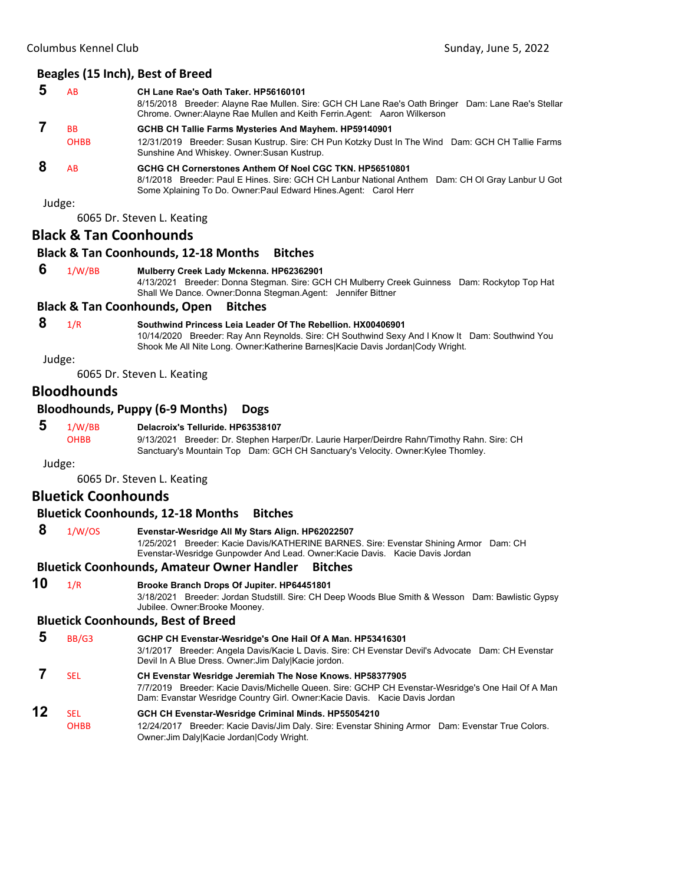|                                                                    | AB          | CH Lane Rae's Oath Taker, HP56160101<br>8/15/2018 Breeder: Alayne Rae Mullen. Sire: GCH CH Lane Rae's Oath Bringer Dam: Lane Rae's Stellar<br>Chrome. Owner: Alayne Rae Mullen and Keith Ferrin. Agent: Aaron Wilkerson         |
|--------------------------------------------------------------------|-------------|---------------------------------------------------------------------------------------------------------------------------------------------------------------------------------------------------------------------------------|
| <b>BB</b><br>GCHB CH Tallie Farms Mysteries And Mayhem. HP59140901 |             |                                                                                                                                                                                                                                 |
|                                                                    | <b>OHBB</b> | 12/31/2019 Breeder: Susan Kustrup. Sire: CH Pun Kotzky Dust In The Wind Dam: GCH CH Tallie Farms<br>Sunshine And Whiskey. Owner: Susan Kustrup.                                                                                 |
|                                                                    | AB          | GCHG CH Cornerstones Anthem Of Noel CGC TKN, HP56510801<br>8/1/2018 Breeder: Paul E Hines. Sire: GCH CH Lanbur National Anthem Dam: CH OI Gray Lanbur U Got<br>Some Xplaining To Do. Owner: Paul Edward Hines Agent: Carol Herr |

6065 Dr. Steven L. Keating

#### **Black & Tan Coonhounds**

# **Black & Tan Coonhounds, 12‐18 Months Bitches**

# **6** 1/W/BB **Mulberry Creek Lady Mckenna. HP62362901**

4/13/2021 Breeder: Donna Stegman. Sire: GCH CH Mulberry Creek Guinness Dam: Rockytop Top Hat Shall We Dance. Owner:Donna Stegman.Agent: Jennifer Bittner

#### **Black & Tan Coonhounds, Open Bitches**

# **8** 1/R **Southwind Princess Leia Leader Of The Rebellion. HX00406901**

10/14/2020 Breeder: Ray Ann Reynolds. Sire: CH Southwind Sexy And I Know It Dam: Southwind You Shook Me All Nite Long. Owner:Katherine Barnes|Kacie Davis Jordan|Cody Wright.

Judge:

6065 Dr. Steven L. Keating

# **Bloodhounds**

#### **Bloodhounds, Puppy (6‐9 Months) Dogs**

#### **5** 1/W/BB **Delacroix's Telluride. HP63538107**

OHBB 9/13/2021 Breeder: Dr. Stephen Harper/Dr. Laurie Harper/Deirdre Rahn/Timothy Rahn. Sire: CH Sanctuary's Mountain Top Dam: GCH CH Sanctuary's Velocity. Owner:Kylee Thomley.

Judge:

6065 Dr. Steven L. Keating

#### **Bluetick Coonhounds**

#### **Bluetick Coonhounds, 12‐18 Months Bitches**

 **8** 1/W/OS **Evenstar-Wesridge All My Stars Align. HP62022507**

1/25/2021 Breeder: Kacie Davis/KATHERINE BARNES. Sire: Evenstar Shining Armor Dam: CH Evenstar-Wesridge Gunpowder And Lead. Owner:Kacie Davis. Kacie Davis Jordan

#### **Bluetick Coonhounds, Amateur Owner Handler Bitches**

**10** 1/R **Brooke Branch Drops Of Jupiter. HP64451801**

3/18/2021 Breeder: Jordan Studstill. Sire: CH Deep Woods Blue Smith & Wesson Dam: Bawlistic Gypsy Jubilee. Owner:Brooke Mooney.

#### **Bluetick Coonhounds, Best of Breed**

|    | BB/G3               | GCHP CH Evenstar-Wesridge's One Hail Of A Man. HP53416301<br>3/1/2017 Breeder: Angela Davis/Kacie L Davis. Sire: CH Evenstar Devil's Advocate Dam: CH Evenstar<br>Devil In A Blue Dress. Owner: Jim Daly Kacie jordon.                       |
|----|---------------------|----------------------------------------------------------------------------------------------------------------------------------------------------------------------------------------------------------------------------------------------|
|    | <b>SEL</b>          | CH Evenstar Wesridge Jeremiah The Nose Knows. HP58377905<br>7/7/2019 Breeder: Kacie Davis/Michelle Queen. Sire: GCHP CH Evenstar-Wesridge's One Hail Of A Man<br>Dam: Evanstar Wesridge Country Girl. Owner: Kacie Davis. Kacie Davis Jordan |
| 12 | SFI.<br><b>OHBB</b> | GCH CH Evenstar-Wesridge Criminal Minds. HP55054210<br>12/24/2017 Breeder: Kacie Davis/Jim Daly. Sire: Evenstar Shining Armor Dam: Evenstar True Colors.<br>Owner: Jim Daly Kacie Jordan Cody Wright.                                        |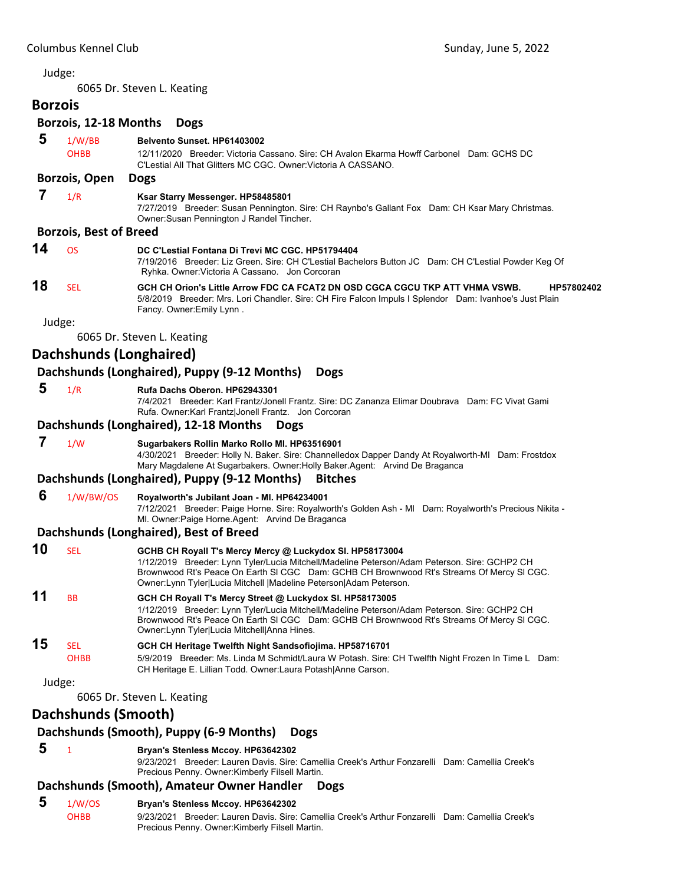6065 Dr. Steven L. Keating

# **Borzois Borzois, 12‐18 Months Dogs**

| 5  | 1/W/BB<br><b>OHBB</b>         | Belvento Sunset. HP61403002<br>12/11/2020 Breeder: Victoria Cassano, Sire: CH Avalon Ekarma Howff Carbonel Dam: GCHS DC<br>C'Lestial All That Glitters MC CGC. Owner: Victoria A CASSANO.                  |
|----|-------------------------------|------------------------------------------------------------------------------------------------------------------------------------------------------------------------------------------------------------|
|    | <b>Borzois, Open</b>          | <b>Dogs</b>                                                                                                                                                                                                |
|    | 1/R                           | Ksar Starry Messenger. HP58485801<br>7/27/2019 Breeder: Susan Pennington. Sire: CH Raynbo's Gallant Fox Dam: CH Ksar Mary Christmas.<br>Owner: Susan Pennington J Randel Tincher.                          |
|    | <b>Borzois, Best of Breed</b> |                                                                                                                                                                                                            |
| 14 | <b>OS</b>                     | DC C'Lestial Fontana Di Trevi MC CGC, HP51794404<br>7/19/2016 Breeder: Liz Green. Sire: CH C'Lestial Bachelors Button JC Dam: CH C'Lestial Powder Keg Of<br>Ryhka. Owner: Victoria A Cassano. Jon Corcoran |
| 18 | SEL                           | GCH CH Orion's Little Arrow FDC CA FCAT2 DN OSD CGCA CGCU TKP ATT VHMA VSWB.<br>HP57802402                                                                                                                 |

5/8/2019 Breeder: Mrs. Lori Chandler. Sire: CH Fire Falcon Impuls I Splendor Dam: Ivanhoe's Just Plain Fancy. Owner:Emily Lynn .

Judge:

6065 Dr. Steven L. Keating

# **Dachshunds (Longhaired)**

# **Dachshunds (Longhaired), Puppy (9‐12 Months) Dogs**

#### **5** 1/R **Rufa Dachs Oberon. HP62943301**

7/4/2021 Breeder: Karl Frantz/Jonell Frantz. Sire: DC Zananza Elimar Doubrava Dam: FC Vivat Gami Rufa. Owner:Karl Frantz|Jonell Frantz. Jon Corcoran

#### **Dachshunds (Longhaired), 12‐18 Months Dogs**

 **7** 1/W **Sugarbakers Rollin Marko Rollo Ml. HP63516901** 4/30/2021 Breeder: Holly N. Baker. Sire: Channelledox Dapper Dandy At Royalworth-Ml Dam: Frostdox Mary Magdalene At Sugarbakers. Owner:Holly Baker.Agent: Arvind De Braganca

# **Dachshunds (Longhaired), Puppy (9‐12 Months) Bitches**

- **6** 1/W/BW/OS **Royalworth's Jubilant Joan Ml. HP64234001**
	- 7/12/2021 Breeder: Paige Horne. Sire: Royalworth's Golden Ash Ml Dam: Royalworth's Precious Nikita Ml. Owner:Paige Horne.Agent: Arvind De Braganca

#### **Dachshunds (Longhaired), Best of Breed**

| 10 | SEL                       | GCHB CH Royall T's Mercy Mercy @ Luckydox SI. HP58173004<br>1/12/2019 Breeder: Lynn Tyler/Lucia Mitchell/Madeline Peterson/Adam Peterson. Sire: GCHP2 CH<br>Brownwood Rt's Peace On Earth SI CGC Dam: GCHB CH Brownwood Rt's Streams Of Mercy SI CGC.<br>Owner: Lynn Tyler Lucia Mitchell   Madeline Peterson Adam Peterson. |
|----|---------------------------|------------------------------------------------------------------------------------------------------------------------------------------------------------------------------------------------------------------------------------------------------------------------------------------------------------------------------|
| 11 | <b>B<sub>B</sub></b>      | GCH CH Royall T's Mercy Street @ Luckydox SI. HP58173005<br>1/12/2019 Breeder: Lynn Tyler/Lucia Mitchell/Madeline Peterson/Adam Peterson. Sire: GCHP2 CH<br>Brownwood Rt's Peace On Earth SI CGC Dam: GCHB CH Brownwood Rt's Streams Of Mercy SI CGC.<br>Owner:Lynn Tyler Lucia Mitchell Anna Hines.                         |
| 15 | <b>SEL</b><br><b>OHBB</b> | GCH CH Heritage Twelfth Night Sandsofiojima. HP58716701<br>5/9/2019 Breeder: Ms. Linda M Schmidt/Laura W Potash. Sire: CH Twelfth Night Frozen In Time L Dam:<br>CH Heritage E. Lillian Todd. Owner: Laura Potash Anne Carson.                                                                                               |
|    | Judge:                    |                                                                                                                                                                                                                                                                                                                              |

6065 Dr. Steven L. Keating

# **Dachshunds (Smooth)**

#### **Dachshunds (Smooth), Puppy (6‐9 Months) Dogs**

 **5** <sup>1</sup> **Bryan's Stenless Mccoy. HP63642302**

9/23/2021 Breeder: Lauren Davis. Sire: Camellia Creek's Arthur Fonzarelli Dam: Camellia Creek's Precious Penny. Owner:Kimberly Filsell Martin.

# **Dachshunds (Smooth), Amateur Owner Handler Dogs**

#### **5** 1/W/OS **Bryan's Stenless Mccoy. HP63642302** OHBB 9/23/2021 Breeder: Lauren Davis. Sire: Camellia Creek's Arthur Fonzarelli Dam: Camellia Creek's Precious Penny. Owner:Kimberly Filsell Martin.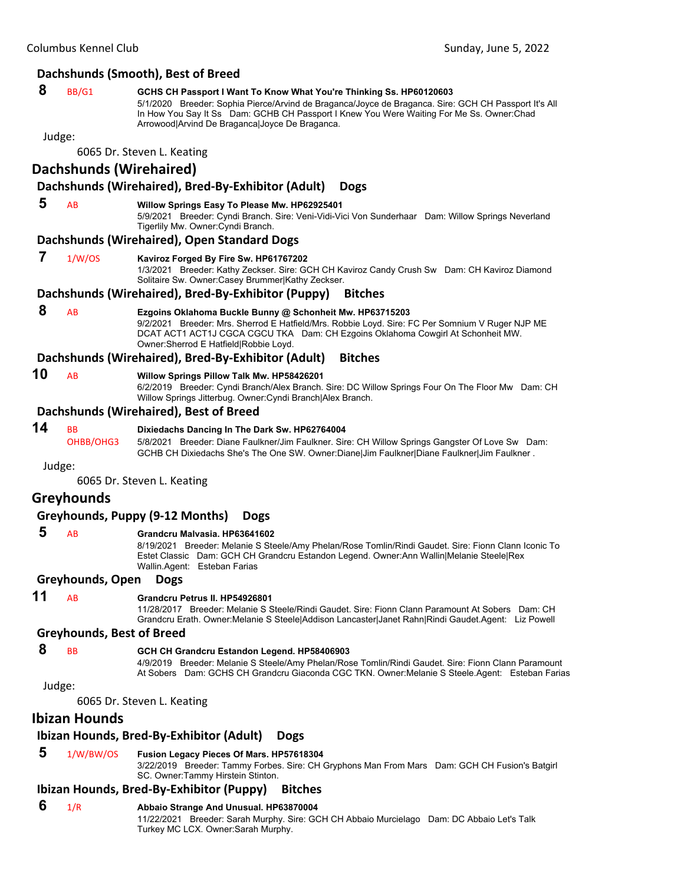#### **Dachshunds (Smooth), Best of Breed**

#### **8** BB/G1 **GCHS CH Passport I Want To Know What You're Thinking Ss. HP60120603**

5/1/2020 Breeder: Sophia Pierce/Arvind de Braganca/Joyce de Braganca. Sire: GCH CH Passport It's All In How You Say It Ss Dam: GCHB CH Passport I Knew You Were Waiting For Me Ss. Owner:Chad Arrowood|Arvind De Braganca|Joyce De Braganca.

Judge:

6065 Dr. Steven L. Keating

# **Dachshunds (Wirehaired)**

#### **Dachshunds (Wirehaired), Bred‐By‐Exhibitor (Adult) Dogs**

#### **5** AB **Willow Springs Easy To Please Mw. HP62925401**

5/9/2021 Breeder: Cyndi Branch. Sire: Veni-Vidi-Vici Von Sunderhaar Dam: Willow Springs Neverland Tigerlily Mw. Owner:Cyndi Branch.

#### **Dachshunds (Wirehaired), Open Standard Dogs**

#### **7** 1/W/OS **Kaviroz Forged By Fire Sw. HP61767202**

1/3/2021 Breeder: Kathy Zeckser. Sire: GCH CH Kaviroz Candy Crush Sw Dam: CH Kaviroz Diamond Solitaire Sw. Owner:Casey Brummer|Kathy Zeckser.

#### **Dachshunds (Wirehaired), Bred‐By‐Exhibitor (Puppy) Bitches**

 **8** AB **Ezgoins Oklahoma Buckle Bunny @ Schonheit Mw. HP63715203** 9/2/2021 Breeder: Mrs. Sherrod E Hatfield/Mrs. Robbie Loyd. Sire: FC Per Somnium V Ruger NJP ME DCAT ACT1 ACT1J CGCA CGCU TKA Dam: CH Ezgoins Oklahoma Cowgirl At Schonheit MW. Owner:Sherrod E Hatfield|Robbie Loyd.

#### **Dachshunds (Wirehaired), Bred‐By‐Exhibitor (Adult) Bitches**

- **10** AB **Willow Springs Pillow Talk Mw. HP58426201**
	- 6/2/2019 Breeder: Cyndi Branch/Alex Branch. Sire: DC Willow Springs Four On The Floor Mw Dam: CH Willow Springs Jitterbug. Owner:Cyndi Branch|Alex Branch.

#### **Dachshunds (Wirehaired), Best of Breed**

#### **14** BB **Dixiedachs Dancing In The Dark Sw. HP62764004**

OHBB/OHG3 5/8/2021 Breeder: Diane Faulkner/Jim Faulkner. Sire: CH Willow Springs Gangster Of Love Sw Dam: GCHB CH Dixiedachs She's The One SW. Owner:Diane|Jim Faulkner|Diane Faulkner|Jim Faulkner .

Judge:

6065 Dr. Steven L. Keating

# **Greyhounds**

**Greyhounds, Puppy (9‐12 Months) Dogs**

#### **5** AB **Grandcru Malvasia. HP63641602**

8/19/2021 Breeder: Melanie S Steele/Amy Phelan/Rose Tomlin/Rindi Gaudet. Sire: Fionn Clann Iconic To Estet Classic Dam: GCH CH Grandcru Estandon Legend. Owner:Ann Wallin|Melanie Steele|Rex Wallin.Agent: Esteban Farias

#### **Greyhounds, Open Dogs**

# **11** AB **Grandcru Petrus II. HP54926801**

11/28/2017 Breeder: Melanie S Steele/Rindi Gaudet. Sire: Fionn Clann Paramount At Sobers Dam: CH Grandcru Erath. Owner:Melanie S Steele|Addison Lancaster|Janet Rahn|Rindi Gaudet.Agent: Liz Powell

#### **Greyhounds, Best of Breed**

### **8** BB **GCH CH Grandcru Estandon Legend. HP58406903**

4/9/2019 Breeder: Melanie S Steele/Amy Phelan/Rose Tomlin/Rindi Gaudet. Sire: Fionn Clann Paramount At Sobers Dam: GCHS CH Grandcru Giaconda CGC TKN. Owner:Melanie S Steele.Agent: Esteban Farias

Judge:

6065 Dr. Steven L. Keating

#### **Ibizan Hounds**

# **Ibizan Hounds, Bred‐By‐Exhibitor (Adult) Dogs**

# **5** 1/W/BW/OS **Fusion Legacy Pieces Of Mars. HP57618304**

3/22/2019 Breeder: Tammy Forbes. Sire: CH Gryphons Man From Mars Dam: GCH CH Fusion's Batgirl SC. Owner:Tammy Hirstein Stinton.

# **Ibizan Hounds, Bred‐By‐Exhibitor (Puppy) Bitches**

#### **6** 1/R **Abbaio Strange And Unusual. HP63870004**

11/22/2021 Breeder: Sarah Murphy. Sire: GCH CH Abbaio Murcielago Dam: DC Abbaio Let's Talk Turkey MC LCX. Owner:Sarah Murphy.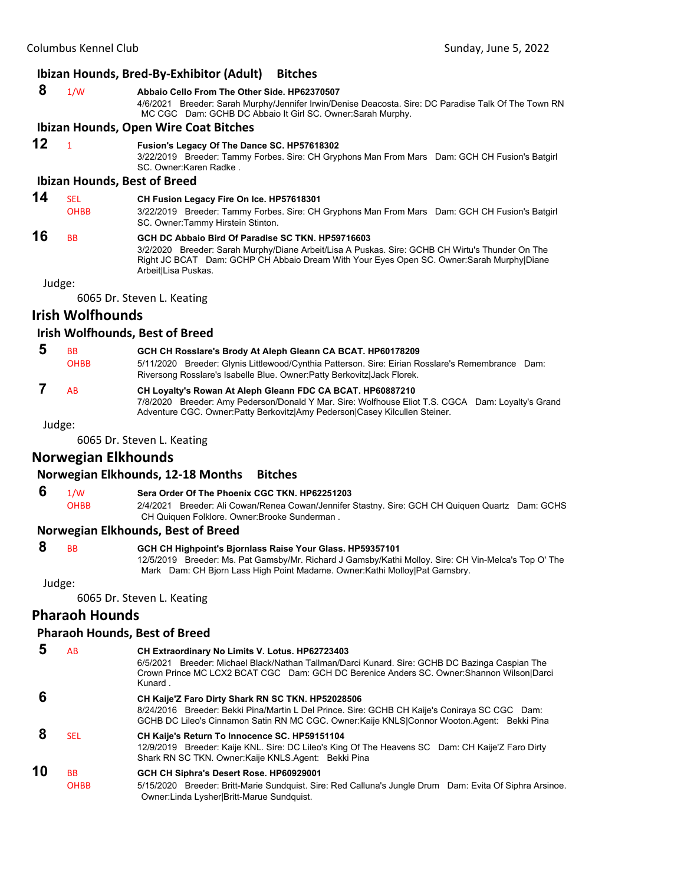#### **Ibizan Hounds, Bred‐By‐Exhibitor (Adult) Bitches**

 **8** 1/W **Abbaio Cello From The Other Side. HP62370507** 4/6/2021 Breeder: Sarah Murphy/Jennifer Irwin/Denise Deacosta. Sire: DC Paradise Talk Of The Town RN MC CGC Dam: GCHB DC Abbaio It Girl SC. Owner:Sarah Murphy.

#### **Ibizan Hounds, Open Wire Coat Bitches**

# **12** <sup>1</sup> **Fusion's Legacy Of The Dance SC. HP57618302**

3/22/2019 Breeder: Tammy Forbes. Sire: CH Gryphons Man From Mars Dam: GCH CH Fusion's Batgirl SC. Owner:Karen Radke .

# **Ibizan Hounds, Best of Breed**

# **14** SEL **CH Fusion Legacy Fire On Ice. HP57618301**

OHBB 3/22/2019 Breeder: Tammy Forbes. Sire: CH Gryphons Man From Mars Dam: GCH CH Fusion's Batgirl SC. Owner:Tammy Hirstein Stinton.

#### **16** BB **GCH DC Abbaio Bird Of Paradise SC TKN. HP59716603**

3/2/2020 Breeder: Sarah Murphy/Diane Arbeit/Lisa A Puskas. Sire: GCHB CH Wirtu's Thunder On The Right JC BCAT Dam: GCHP CH Abbaio Dream With Your Eyes Open SC. Owner:Sarah Murphy|Diane Arbeit|Lisa Puskas.

Judge:

6065 Dr. Steven L. Keating

# **Irish Wolfhounds**

#### **Irish Wolfhounds, Best of Breed**

| <b>BB</b>                                                               | GCH CH Rosslare's Brody At Aleph Gleann CA BCAT. HP60178209                                      |  |  |
|-------------------------------------------------------------------------|--------------------------------------------------------------------------------------------------|--|--|
| <b>OHBB</b>                                                             | 5/11/2020 Breeder: Glynis Littlewood/Cynthia Patterson. Sire: Eirian Rosslare's Remembrance Dam: |  |  |
|                                                                         | Riversong Rosslare's Isabelle Blue. Owner: Patty Berkovitz Jack Florek.                          |  |  |
| <b>AR</b><br>CH Loyalty's Rowan At Aleph Gleann FDC CA BCAT. HP60887210 |                                                                                                  |  |  |

7/8/2020 Breeder: Amy Pederson/Donald Y Mar. Sire: Wolfhouse Eliot T.S. CGCA Dam: Loyalty's Grand Adventure CGC. Owner:Patty Berkovitz|Amy Pederson|Casey Kilcullen Steiner.

Judge:

6065 Dr. Steven L. Keating

# **Norwegian Elkhounds**

#### **Norwegian Elkhounds, 12‐18 Months Bitches**

 **6** 1/W **Sera Order Of The Phoenix CGC TKN. HP62251203**

OHBB 2/4/2021 Breeder: Ali Cowan/Renea Cowan/Jennifer Stastny. Sire: GCH CH Quiquen Quartz Dam: GCHS CH Quiquen Folklore. Owner:Brooke Sunderman .

#### **Norwegian Elkhounds, Best of Breed**

#### **8** BB **GCH CH Highpoint's Bjornlass Raise Your Glass. HP59357101**

12/5/2019 Breeder: Ms. Pat Gamsby/Mr. Richard J Gamsby/Kathi Molloy. Sire: CH Vin-Melca's Top O' The Mark Dam: CH Bjorn Lass High Point Madame. Owner:Kathi Molloy|Pat Gamsbry.

Judge:

6065 Dr. Steven L. Keating

# **Pharaoh Hounds**

#### **Pharaoh Hounds, Best of Breed**

|    | AB                       | CH Extraordinary No Limits V. Lotus. HP62723403<br>6/5/2021 Breeder: Michael Black/Nathan Tallman/Darci Kunard. Sire: GCHB DC Bazinga Caspian The<br>Crown Prince MC LCX2 BCAT CGC Dam: GCH DC Berenice Anders SC. Owner: Shannon Wilson Darci<br>Kunard. |
|----|--------------------------|-----------------------------------------------------------------------------------------------------------------------------------------------------------------------------------------------------------------------------------------------------------|
|    |                          | CH Kaije'Z Faro Dirty Shark RN SC TKN. HP52028506<br>8/24/2016 Breeder: Bekki Pina/Martin L Del Prince. Sire: GCHB CH Kaije's Coniraya SC CGC Dam:<br>GCHB DC Lileo's Cinnamon Satin RN MC CGC. Owner: Kaije KNLS Connor Wooton. Agent: Bekki Pina        |
|    | <b>SEL</b>               | CH Kaije's Return To Innocence SC. HP59151104<br>12/9/2019 Breeder: Kaije KNL. Sire: DC Lileo's King Of The Heavens SC Dam: CH Kaije'Z Faro Dirty<br>Shark RN SC TKN. Owner: Kaije KNLS. Agent: Bekki Pina                                                |
| 10 | <b>BB</b><br><b>OHBB</b> | GCH CH Siphra's Desert Rose. HP60929001<br>5/15/2020 Breeder: Britt-Marie Sundquist. Sire: Red Calluna's Jungle Drum Dam: Evita Of Siphra Arsinoe.<br>Owner: Linda Lysher Britt-Marue Sundquist.                                                          |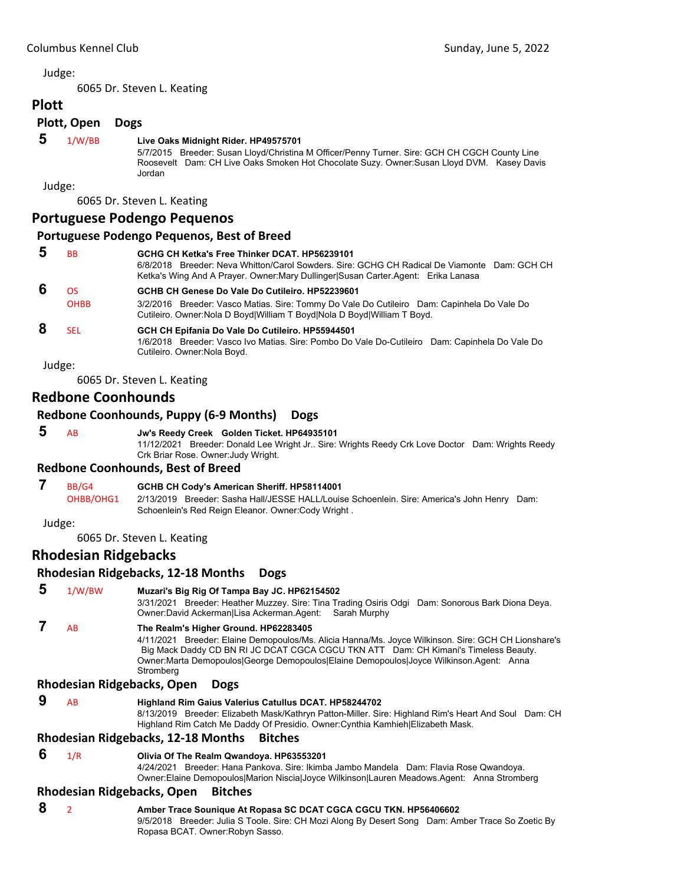**Plott**

6065 Dr. Steven L. Keating

**Plott, Open Dogs**

# **5** 1/W/BB **Live Oaks Midnight Rider. HP49575701**

5/7/2015 Breeder: Susan Lloyd/Christina M Officer/Penny Turner. Sire: GCH CH CGCH County Line Roosevelt Dam: CH Live Oaks Smoken Hot Chocolate Suzy. Owner:Susan Lloyd DVM. Kasey Davis Jordan

Judge:

6065 Dr. Steven L. Keating

# **Portuguese Podengo Pequenos**

#### **Portuguese Podengo Pequenos, Best of Breed**

| BB          | GCHG CH Ketka's Free Thinker DCAT. HP56239101<br>6/8/2018 Breeder: Neva Whitton/Carol Sowders, Sire: GCHG CH Radical De Viamonte Dam: GCH CH<br>Ketka's Wing And A Prayer. Owner:Mary Dullinger Susan Carter Agent: Erika Lanasa |
|-------------|----------------------------------------------------------------------------------------------------------------------------------------------------------------------------------------------------------------------------------|
| <b>OS</b>   | GCHB CH Genese Do Vale Do Cutileiro, HP52239601                                                                                                                                                                                  |
| <b>OHBB</b> | 3/2/2016 Breeder: Vasco Matias. Sire: Tommy Do Vale Do Cutileiro Dam: Capinhela Do Vale Do<br>Cutileiro. Owner: Nola D Boyd William T Boyd Nola D Boyd William T Boyd.                                                           |
| SEL         | GCH CH Epifania Do Vale Do Cutileiro. HP55944501<br>1/6/2018 Breeder: Vasco Ivo Matias. Sire: Pombo Do Vale Do-Cutileiro Dam: Capinhela Do Vale Do<br>Cutileiro. Owner: Nola Boyd.                                               |
| Judge:      |                                                                                                                                                                                                                                  |

6065 Dr. Steven L. Keating

# **Redbone Coonhounds**

# **Redbone Coonhounds, Puppy (6‐9 Months) Dogs**

 **5** AB **Jw's Reedy Creek Golden Ticket. HP64935101** 11/12/2021 Breeder: Donald Lee Wright Jr.. Sire: Wrights Reedy Crk Love Doctor Dam: Wrights Reedy Crk Briar Rose. Owner:Judy Wright.

# **Redbone Coonhounds, Best of Breed**

#### **7** BB/G4 **GCHB CH Cody's American Sheriff. HP58114001**

OHBB/OHG1 2/13/2019 Breeder: Sasha Hall/JESSE HALL/Louise Schoenlein. Sire: America's John Henry Dam: Schoenlein's Red Reign Eleanor. Owner:Cody Wright .

Judge:

6065 Dr. Steven L. Keating

# **Rhodesian Ridgebacks**

# **Rhodesian Ridgebacks, 12‐18 Months Dogs**

# **5** 1/W/BW **Muzari's Big Rig Of Tampa Bay JC. HP62154502**

3/31/2021 Breeder: Heather Muzzey. Sire: Tina Trading Osiris Odgi Dam: Sonorous Bark Diona Deya. Owner:David Ackerman|Lisa Ackerman.Agent: Sarah Murphy

 **7** AB **The Realm's Higher Ground. HP62283405**

4/11/2021 Breeder: Elaine Demopoulos/Ms. Alicia Hanna/Ms. Joyce Wilkinson. Sire: GCH CH Lionshare's Big Mack Daddy CD BN RI JC DCAT CGCA CGCU TKN ATT Dam: CH Kimani's Timeless Beauty. Owner:Marta Demopoulos|George Demopoulos|Elaine Demopoulos|Joyce Wilkinson.Agent: Anna **Stromberg** 

# **Rhodesian Ridgebacks, Open Dogs**

#### **9** AB **Highland Rim Gaius Valerius Catullus DCAT. HP58244702**

8/13/2019 Breeder: Elizabeth Mask/Kathryn Patton-Miller. Sire: Highland Rim's Heart And Soul Dam: CH Highland Rim Catch Me Daddy Of Presidio. Owner:Cynthia Kamhieh|Elizabeth Mask.

# **Rhodesian Ridgebacks, 12‐18 Months Bitches**

 **6** 1/R **Olivia Of The Realm Qwandoya. HP63553201**

4/24/2021 Breeder: Hana Pankova. Sire: Ikimba Jambo Mandela Dam: Flavia Rose Qwandoya. Owner:Elaine Demopoulos|Marion Niscia|Joyce Wilkinson|Lauren Meadows.Agent: Anna Stromberg

# **Rhodesian Ridgebacks, Open Bitches**

# **8** <sup>2</sup> **Amber Trace Sounique At Ropasa SC DCAT CGCA CGCU TKN. HP56406602**

9/5/2018 Breeder: Julia S Toole. Sire: CH Mozi Along By Desert Song Dam: Amber Trace So Zoetic By Ropasa BCAT. Owner:Robyn Sasso.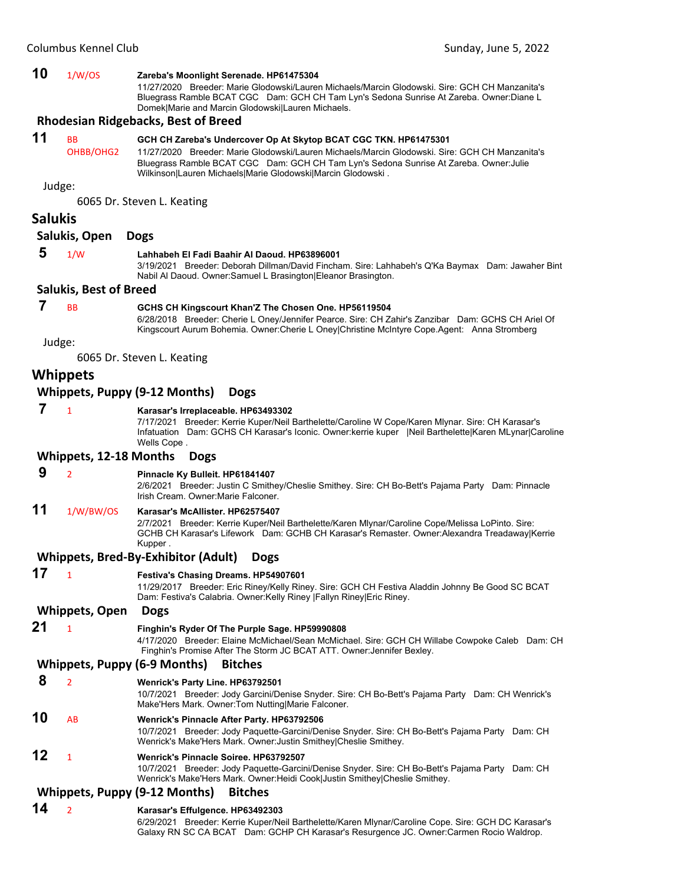#### **10** 1/W/OS **Zareba's Moonlight Serenade. HP61475304** 11/27/2020 Breeder: Marie Glodowski/Lauren Michaels/Marcin Glodowski. Sire: GCH CH Manzanita's Bluegrass Ramble BCAT CGC Dam: GCH CH Tam Lyn's Sedona Sunrise At Zareba. Owner:Diane L Domek|Marie and Marcin Glodowski|Lauren Michaels. **Rhodesian Ridgebacks, Best of Breed 11** BB **GCH CH Zareba's Undercover Op At Skytop BCAT CGC TKN. HP61475301** OHBB/OHG2 11/27/2020 Breeder: Marie Glodowski/Lauren Michaels/Marcin Glodowski. Sire: GCH CH Manzanita's Bluegrass Ramble BCAT CGC Dam: GCH CH Tam Lyn's Sedona Sunrise At Zareba. Owner:Julie Wilkinson|Lauren Michaels|Marie Glodowski|Marcin Glodowski . Judge: 6065 Dr. Steven L. Keating **Salukis Salukis, Open Dogs 5** 1/W **Lahhabeh El Fadi Baahir Al Daoud. HP63896001** 3/19/2021 Breeder: Deborah Dillman/David Fincham. Sire: Lahhabeh's Q'Ka Baymax Dam: Jawaher Bint Nabil Al Daoud. Owner:Samuel L Brasington|Eleanor Brasington. **Salukis, Best of Breed 7** BB **GCHS CH Kingscourt Khan'Z The Chosen One. HP56119504** 6/28/2018 Breeder: Cherie L Oney/Jennifer Pearce. Sire: CH Zahir's Zanzibar Dam: GCHS CH Ariel Of Kingscourt Aurum Bohemia. Owner:Cherie L Oney|Christine McIntyre Cope.Agent: Anna Stromberg Judge: 6065 Dr. Steven L. Keating **Whippets Whippets, Puppy (9‐12 Months) Dogs 7** <sup>1</sup> **Karasar's Irreplaceable. HP63493302** 7/17/2021 Breeder: Kerrie Kuper/Neil Barthelette/Caroline W Cope/Karen Mlynar. Sire: CH Karasar's Infatuation Dam: GCHS CH Karasar's Iconic. Owner:kerrie kuper |Neil Barthelette|Karen MLynar|Caroline Wells Cope . **Whippets, 12‐18 Months Dogs 9** <sup>2</sup> **Pinnacle Ky Bulleit. HP61841407** 2/6/2021 Breeder: Justin C Smithey/Cheslie Smithey. Sire: CH Bo-Bett's Pajama Party Dam: Pinnacle Irish Cream. Owner:Marie Falconer. **11** 1/W/BW/OS **Karasar's McAllister. HP62575407** 2/7/2021 Breeder: Kerrie Kuper/Neil Barthelette/Karen Mlynar/Caroline Cope/Melissa LoPinto. Sire: GCHB CH Karasar's Lifework Dam: GCHB CH Karasar's Remaster. Owner:Alexandra Treadaway|Kerrie Kupper . **Whippets, Bred‐By‐Exhibitor (Adult) Dogs 17** <sup>1</sup> **Festiva's Chasing Dreams. HP54907601** 11/29/2017 Breeder: Eric Riney/Kelly Riney. Sire: GCH CH Festiva Aladdin Johnny Be Good SC BCAT Dam: Festiva's Calabria. Owner:Kelly Riney |Fallyn Riney|Eric Riney. **Whippets, Open Dogs 21** <sup>1</sup> **Finghin's Ryder Of The Purple Sage. HP59990808** 4/17/2020 Breeder: Elaine McMichael/Sean McMichael. Sire: GCH CH Willabe Cowpoke Caleb Dam: CH Finghin's Promise After The Storm JC BCAT ATT. Owner:Jennifer Bexley. **Whippets, Puppy (6‐9 Months) Bitches 8** <sup>2</sup> **Wenrick's Party Line. HP63792501** 10/7/2021 Breeder: Jody Garcini/Denise Snyder. Sire: CH Bo-Bett's Pajama Party Dam: CH Wenrick's Make'Hers Mark. Owner:Tom Nutting|Marie Falconer. **10** AB **Wenrick's Pinnacle After Party. HP63792506** 10/7/2021 Breeder: Jody Paquette-Garcini/Denise Snyder. Sire: CH Bo-Bett's Pajama Party Dam: CH Wenrick's Make'Hers Mark. Owner:Justin Smithey|Cheslie Smithey. **12** <sup>1</sup> **Wenrick's Pinnacle Soiree. HP63792507** 10/7/2021 Breeder: Jody Paquette-Garcini/Denise Snyder. Sire: CH Bo-Bett's Pajama Party Dam: CH Wenrick's Make'Hers Mark. Owner:Heidi Cook|Justin Smithey|Cheslie Smithey. **Whippets, Puppy (9‐12 Months) Bitches 14** <sup>2</sup> **Karasar's Effulgence. HP63492303**

6/29/2021 Breeder: Kerrie Kuper/Neil Barthelette/Karen Mlynar/Caroline Cope. Sire: GCH DC Karasar's Galaxy RN SC CA BCAT Dam: GCHP CH Karasar's Resurgence JC. Owner:Carmen Rocio Waldrop.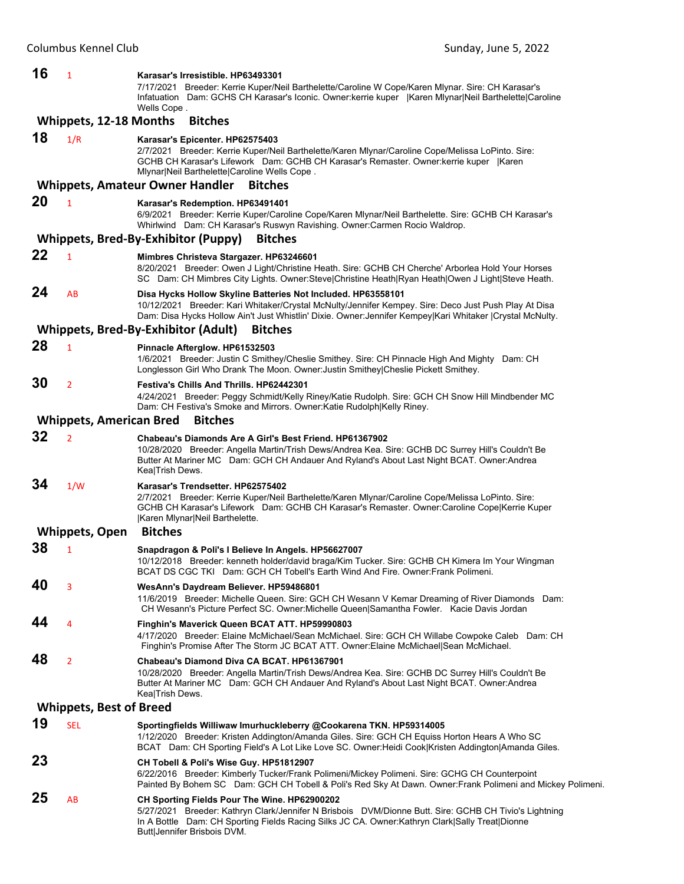| 16 | 1                              | Karasar's Irresistible. HP63493301<br>7/17/2021 Breeder: Kerrie Kuper/Neil Barthelette/Caroline W Cope/Karen Mlynar. Sire: CH Karasar's<br>Infatuation Dam: GCHS CH Karasar's Iconic. Owner: kerrie kuper   Karen Mlynar Neil Barthelette Caroline<br>Wells Cope.                         |  |  |
|----|--------------------------------|-------------------------------------------------------------------------------------------------------------------------------------------------------------------------------------------------------------------------------------------------------------------------------------------|--|--|
|    | <b>Whippets, 12-18 Months</b>  | <b>Bitches</b>                                                                                                                                                                                                                                                                            |  |  |
| 18 | 1/R                            | Karasar's Epicenter. HP62575403<br>2/7/2021 Breeder: Kerrie Kuper/Neil Barthelette/Karen Mlynar/Caroline Cope/Melissa LoPinto. Sire:<br>GCHB CH Karasar's Lifework Dam: GCHB CH Karasar's Remaster. Owner: kerrie kuper   Karen<br>Mlynar Neil Barthelette Caroline Wells Cope.           |  |  |
|    |                                | <b>Whippets, Amateur Owner Handler</b><br><b>Bitches</b>                                                                                                                                                                                                                                  |  |  |
| 20 | $\mathbf{1}$                   | Karasar's Redemption. HP63491401<br>6/9/2021 Breeder: Kerrie Kuper/Caroline Cope/Karen Mlynar/Neil Barthelette. Sire: GCHB CH Karasar's<br>Whirlwind Dam: CH Karasar's Ruswyn Ravishing. Owner:Carmen Rocio Waldrop.                                                                      |  |  |
|    |                                | <b>Whippets, Bred-By-Exhibitor (Puppy)</b><br><b>Bitches</b>                                                                                                                                                                                                                              |  |  |
| 22 | 1                              | Mimbres Christeva Stargazer. HP63246601<br>8/20/2021 Breeder: Owen J Light/Christine Heath. Sire: GCHB CH Cherche' Arborlea Hold Your Horses<br>SC Dam: CH Mimbres City Lights. Owner:Steve Christine Heath Ryan Heath Owen J Light Steve Heath.                                          |  |  |
| 24 | AB                             | Disa Hycks Hollow Skyline Batteries Not Included. HP63558101<br>10/12/2021 Breeder: Kari Whitaker/Crystal McNulty/Jennifer Kempey. Sire: Deco Just Push Play At Disa<br>Dam: Disa Hycks Hollow Ain't Just Whistlin' Dixie. Owner: Jennifer Kempey Kari Whitaker   Crystal McNulty.        |  |  |
|    |                                | Whippets, Bred-By-Exhibitor (Adult)<br><b>Bitches</b>                                                                                                                                                                                                                                     |  |  |
| 28 | $\mathbf{1}$                   | Pinnacle Afterglow. HP61532503<br>1/6/2021 Breeder: Justin C Smithey/Cheslie Smithey. Sire: CH Pinnacle High And Mighty Dam: CH<br>Longlesson Girl Who Drank The Moon. Owner: Justin Smithey Cheslie Pickett Smithey.                                                                     |  |  |
| 30 | $\overline{2}$                 | Festiva's Chills And Thrills. HP62442301<br>4/24/2021 Breeder: Peggy Schmidt/Kelly Riney/Katie Rudolph. Sire: GCH CH Snow Hill Mindbender MC<br>Dam: CH Festiva's Smoke and Mirrors. Owner: Katie Rudolph Kelly Riney.                                                                    |  |  |
|    | <b>Whippets, American Bred</b> | <b>Bitches</b>                                                                                                                                                                                                                                                                            |  |  |
| 32 | $\overline{2}$                 | Chabeau's Diamonds Are A Girl's Best Friend. HP61367902<br>10/28/2020 Breeder: Angella Martin/Trish Dews/Andrea Kea. Sire: GCHB DC Surrey Hill's Couldn't Be<br>Butter At Mariner MC Dam: GCH CH Andauer And Ryland's About Last Night BCAT. Owner: Andrea<br>Kea Trish Dews.             |  |  |
| 34 | 1/W                            | Karasar's Trendsetter. HP62575402<br>2/7/2021 Breeder: Kerrie Kuper/Neil Barthelette/Karen Mlynar/Caroline Cope/Melissa LoPinto. Sire:<br>GCHB CH Karasar's Lifework Dam: GCHB CH Karasar's Remaster. Owner:Caroline Cope Kerrie Kuper<br>Karen Mlynar Neil Barthelette.                  |  |  |
|    | <b>Whippets, Open</b>          | <b>Bitches</b>                                                                                                                                                                                                                                                                            |  |  |
| 38 | $\mathbf{1}$                   | Snapdragon & Poli's I Believe In Angels. HP56627007<br>10/12/2018 Breeder: kenneth holder/david braga/Kim Tucker. Sire: GCHB CH Kimera Im Your Wingman<br>BCAT DS CGC TKI Dam: GCH CH Tobell's Earth Wind And Fire. Owner: Frank Polimeni.                                                |  |  |
| 40 | 3                              | WesAnn's Daydream Believer. HP59486801<br>11/6/2019 Breeder: Michelle Queen. Sire: GCH CH Wesann V Kemar Dreaming of River Diamonds Dam:<br>CH Wesann's Picture Perfect SC. Owner:Michelle Queen Samantha Fowler. Kacie Davis Jordan                                                      |  |  |
| 44 | 4                              | Finghin's Maverick Queen BCAT ATT. HP59990803<br>4/17/2020 Breeder: Elaine McMichael/Sean McMichael. Sire: GCH CH Willabe Cowpoke Caleb Dam: CH<br>Finghin's Promise After The Storm JC BCAT ATT. Owner: Elaine McMichael Sean McMichael.                                                 |  |  |
| 48 | $\overline{2}$                 | Chabeau's Diamond Diva CA BCAT, HP61367901<br>10/28/2020 Breeder: Angella Martin/Trish Dews/Andrea Kea. Sire: GCHB DC Surrey Hill's Couldn't Be<br>Butter At Mariner MC Dam: GCH CH Andauer And Ryland's About Last Night BCAT. Owner: Andrea<br>Kea Trish Dews.                          |  |  |
|    | <b>Whippets, Best of Breed</b> |                                                                                                                                                                                                                                                                                           |  |  |
| 19 | <b>SEL</b>                     | Sportingfields Williwaw Imurhuckleberry @Cookarena TKN. HP59314005<br>1/12/2020 Breeder: Kristen Addington/Amanda Giles. Sire: GCH CH Equiss Horton Hears A Who SC<br>BCAT Dam: CH Sporting Field's A Lot Like Love SC. Owner: Heidi Cook Kristen Addington Amanda Giles.                 |  |  |
| 23 |                                | CH Tobell & Poli's Wise Guy. HP51812907<br>6/22/2016 Breeder: Kimberly Tucker/Frank Polimeni/Mickey Polimeni. Sire: GCHG CH Counterpoint<br>Painted By Bohem SC Dam: GCH CH Tobell & Poli's Red Sky At Dawn. Owner: Frank Polimeni and Mickey Polimeni.                                   |  |  |
| 25 | AB                             | CH Sporting Fields Pour The Wine. HP62900202<br>5/27/2021 Breeder: Kathryn Clark/Jennifer N Brisbois DVM/Dionne Butt. Sire: GCHB CH Tivio's Lightning<br>In A Bottle Dam: CH Sporting Fields Racing Silks JC CA. Owner: Kathryn Clark Sally Treat   Dionne<br>Butt Jennifer Brisbois DVM. |  |  |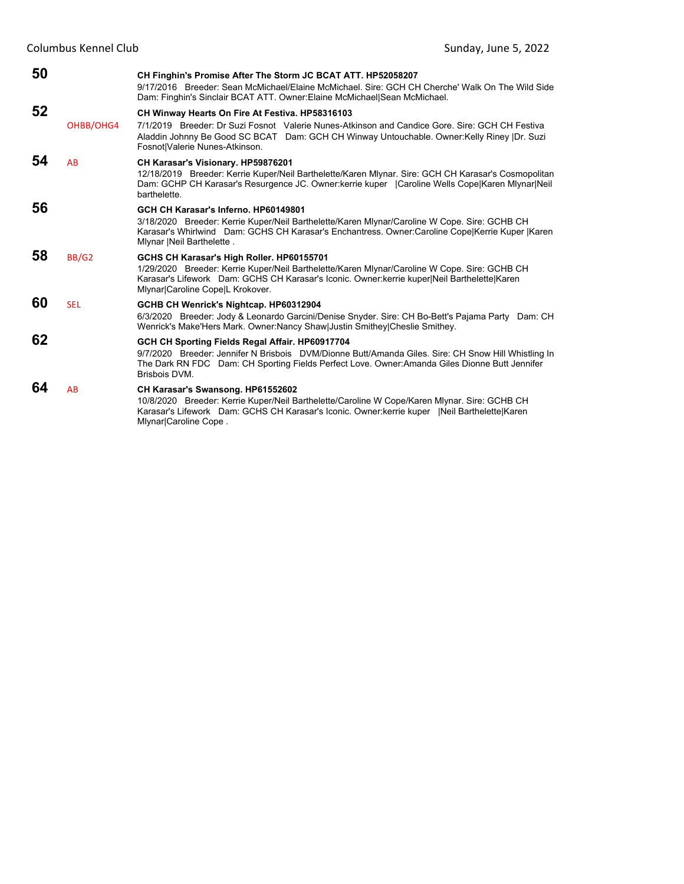| 50 |            | CH Finghin's Promise After The Storm JC BCAT ATT. HP52058207<br>9/17/2016 Breeder: Sean McMichael/Elaine McMichael, Sire: GCH CH Cherche' Walk On The Wild Side<br>Dam: Finghin's Sinclair BCAT ATT. Owner: Elaine McMichael Sean McMichael.                                  |  |  |
|----|------------|-------------------------------------------------------------------------------------------------------------------------------------------------------------------------------------------------------------------------------------------------------------------------------|--|--|
| 52 |            | CH Winway Hearts On Fire At Festiva. HP58316103                                                                                                                                                                                                                               |  |  |
|    | OHBB/OHG4  | 7/1/2019 Breeder: Dr Suzi Fosnot Valerie Nunes-Atkinson and Candice Gore, Sire: GCH CH Festiva<br>Aladdin Johnny Be Good SC BCAT Dam: GCH CH Winway Untouchable. Owner: Kelly Riney  Dr. Suzi<br>Fosnot Valerie Nunes-Atkinson.                                               |  |  |
| 54 | AB         | CH Karasar's Visionary. HP59876201<br>12/18/2019 Breeder: Kerrie Kuper/Neil Barthelette/Karen Mlynar. Sire: GCH CH Karasar's Cosmopolitan<br>Dam: GCHP CH Karasar's Resurgence JC. Owner: kerrie kuper   Caroline Wells Cope Karen Miynar Neil<br>barthelette.                |  |  |
| 56 |            | GCH CH Karasar's Inferno, HP60149801<br>3/18/2020 Breeder: Kerrie Kuper/Neil Barthelette/Karen Mlynar/Caroline W Cope. Sire: GCHB CH<br>Karasar's Whirlwind Dam: GCHS CH Karasar's Enchantress. Owner:Caroline CopelKerrie Kuper  Karen<br>Mlynar   Neil Barthelette.         |  |  |
| 58 | BB/G2      | GCHS CH Karasar's High Roller. HP60155701<br>1/29/2020 Breeder: Kerrie Kuper/Neil Barthelette/Karen Mlynar/Caroline W Cope. Sire: GCHB CH<br>Karasar's Lifework Dam: GCHS CH Karasar's Iconic. Owner: kerrie kuper Neil Barthelette Karen<br>Mlynar Caroline Cope L Krokover. |  |  |
| 60 | <b>SEL</b> | GCHB CH Wenrick's Nightcap. HP60312904<br>6/3/2020 Breeder: Jody & Leonardo Garcini/Denise Snyder. Sire: CH Bo-Bett's Pajama Party Dam: CH<br>Wenrick's Make'Hers Mark. Owner:Nancy Shaw Justin Smithey Cheslie Smithey.                                                      |  |  |
| 62 |            | GCH CH Sporting Fields Regal Affair. HP60917704<br>9/7/2020 Breeder: Jennifer N Brisbois DVM/Dionne Butt/Amanda Giles. Sire: CH Snow Hill Whistling In<br>The Dark RN FDC Dam: CH Sporting Fields Perfect Love. Owner:Amanda Giles Dionne Butt Jennifer<br>Brisbois DVM.      |  |  |
| 64 | AB         | CH Karasar's Swansong. HP61552602<br>10/8/2020 Breeder: Kerrie Kuper/Neil Barthelette/Caroline W Cope/Karen Mlynar, Sire: GCHB CH<br>Karasar's Lifework Dam: GCHS CH Karasar's Iconic. Owner: kerrie kuper   Neil Barthelette Karen<br>Mlynar Caroline Cope.                  |  |  |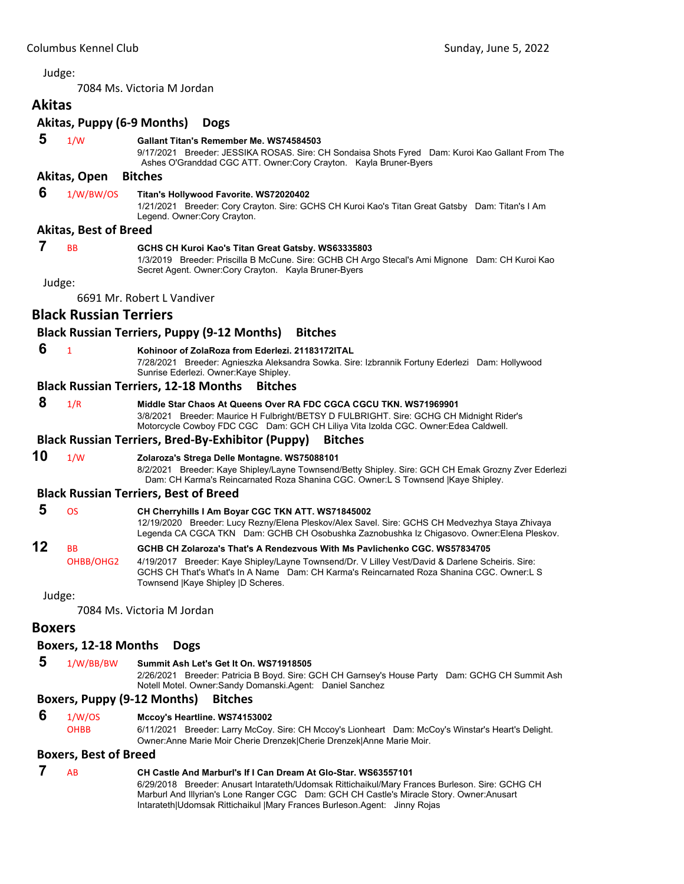<span id="page-21-0"></span>7084 Ms. Victoria M Jordan

# **Akitas Akitas, Puppy (6‐9 Months) Dogs**

 **5** 1/W **Gallant Titan's Remember Me. WS74584503**

9/17/2021 Breeder: JESSIKA ROSAS. Sire: CH Sondaisa Shots Fyred Dam: Kuroi Kao Gallant From The Ashes O'Granddad CGC ATT. Owner:Cory Crayton. Kayla Bruner-Byers

### **Akitas, Open Bitches**

#### **6** 1/W/BW/OS **Titan's Hollywood Favorite. WS72020402**

1/21/2021 Breeder: Cory Crayton. Sire: GCHS CH Kuroi Kao's Titan Great Gatsby Dam: Titan's I Am Legend. Owner:Cory Crayton.

#### **Akitas, Best of Breed**

# **7** BB **GCHS CH Kuroi Kao's Titan Great Gatsby. WS63335803**

1/3/2019 Breeder: Priscilla B McCune. Sire: GCHB CH Argo Stecal's Ami Mignone Dam: CH Kuroi Kao Secret Agent. Owner:Cory Crayton. Kayla Bruner-Byers

Judge:

6691 Mr. Robert L Vandiver

# **Black Russian Terriers**

# **Black Russian Terriers, Puppy (9‐12 Months) Bitches**

- **6** <sup>1</sup> **Kohinoor of ZolaRoza from Ederlezi. 21183172ITAL**
	- 7/28/2021 Breeder: Agnieszka Aleksandra Sowka. Sire: Izbrannik Fortuny Ederlezi Dam: Hollywood Sunrise Ederlezi. Owner:Kaye Shipley.

#### **Black Russian Terriers, 12‐18 Months Bitches**

 **8** 1/R **Middle Star Chaos At Queens Over RA FDC CGCA CGCU TKN. WS71969901**

3/8/2021 Breeder: Maurice H Fulbright/BETSY D FULBRIGHT. Sire: GCHG CH Midnight Rider's Motorcycle Cowboy FDC CGC Dam: GCH CH Liliya Vita Izolda CGC. Owner:Edea Caldwell.

#### **Black Russian Terriers, Bred‐By‐Exhibitor (Puppy) Bitches**

# **10** 1/W **Zolaroza's Strega Delle Montagne. WS75088101**

8/2/2021 Breeder: Kaye Shipley/Layne Townsend/Betty Shipley. Sire: GCH CH Emak Grozny Zver Ederlezi Dam: CH Karma's Reincarnated Roza Shanina CGC. Owner:L S Townsend |Kaye Shipley.

#### **Black Russian Terriers, Best of Breed**

| 12                                                            | <b>RR</b> | GCHB CH Zolaroza's That's A Rendezvous With Ms Pavlichenko CGC. WS57834705                                                                                                                   |
|---------------------------------------------------------------|-----------|----------------------------------------------------------------------------------------------------------------------------------------------------------------------------------------------|
| -5<br>ns<br>CH Cherryhills I Am Boyar CGC TKN ATT. WS71845002 |           | 12/19/2020 Breeder: Lucy Rezny/Elena Pleskov/Alex Savel. Sire: GCHS CH Medvezhya Staya Zhivaya<br>Legenda CA CGCA TKN Dam: GCHB CH Osobushka Zaznobushka Iz Chigasovo. Owner: Elena Pleskov. |
|                                                               |           |                                                                                                                                                                                              |

OHBB/OHG2 4/19/2017 Breeder: Kaye Shipley/Layne Townsend/Dr. V Lilley Vest/David & Darlene Scheiris. Sire: GCHS CH That's What's In A Name Dam: CH Karma's Reincarnated Roza Shanina CGC. Owner:L S Townsend |Kaye Shipley |D Scheres.

Judge:

7084 Ms. Victoria M Jordan

# **Boxers**

# **Boxers, 12‐18 Months Dogs**

 **5** 1/W/BB/BW **Summit Ash Let's Get It On. WS71918505** 2/26/2021 Breeder: Patricia B Boyd. Sire: GCH CH Garnsey's House Party Dam: GCHG CH Summit Ash Notell Motel. Owner:Sandy Domanski.Agent: Daniel Sanchez

#### **Boxers, Puppy (9‐12 Months) Bitches**

- **6** 1/W/OS **Mccoy's Heartline. WS74153002**
	- OHBB 6/11/2021 Breeder: Larry McCoy. Sire: CH Mccoy's Lionheart Dam: McCoy's Winstar's Heart's Delight. Owner:Anne Marie Moir Cherie Drenzek|Cherie Drenzek|Anne Marie Moir.

#### **Boxers, Best of Breed**

# **7** AB **CH Castle And Marburl's If I Can Dream At Glo-Star. WS63557101**

6/29/2018 Breeder: Anusart Intarateth/Udomsak Rittichaikul/Mary Frances Burleson. Sire: GCHG CH Marburl And Illyrian's Lone Ranger CGC Dam: GCH CH Castle's Miracle Story. Owner:Anusart Intarateth|Udomsak Rittichaikul |Mary Frances Burleson.Agent: Jinny Rojas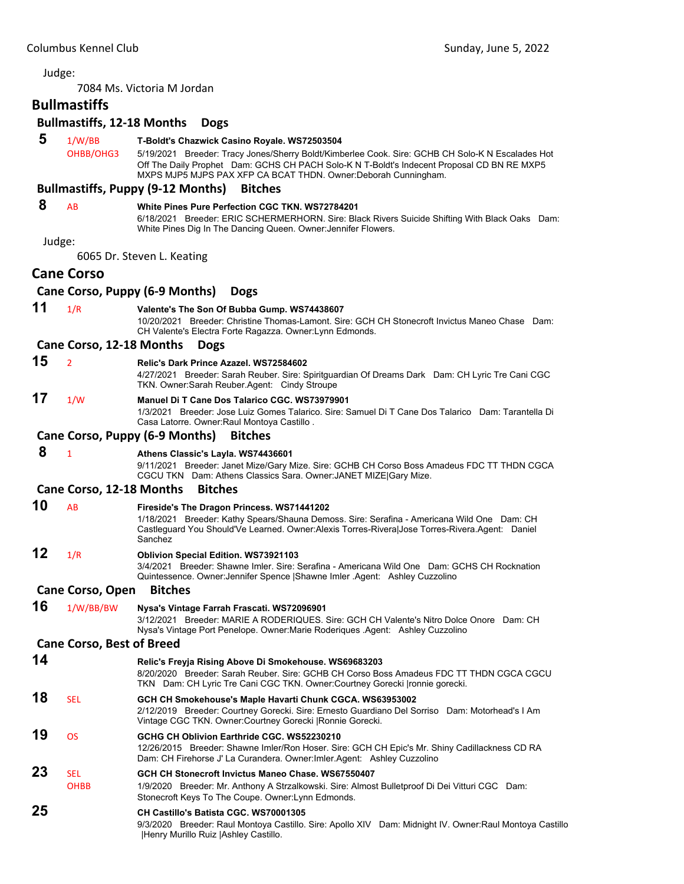7084 Ms. Victoria M Jordan

# **Bullmastiffs**

# **Bullmastiffs, 12‐18 Months Dogs**

- **5** 1/W/BB **T-Boldt's Chazwick Casino Royale. WS72503504**
	- OHBB/OHG3 5/19/2021 Breeder: Tracy Jones/Sherry Boldt/Kimberlee Cook. Sire: GCHB CH Solo-K N Escalades Hot Off The Daily Prophet Dam: GCHS CH PACH Solo-K N T-Boldt's Indecent Proposal CD BN RE MXP5 MXPS MJP5 MJPS PAX XFP CA BCAT THDN. Owner:Deborah Cunningham.

#### **Bullmastiffs, Puppy (9‐12 Months) Bitches**

#### **8** AB **White Pines Pure Perfection CGC TKN. WS72784201**

6/18/2021 Breeder: ERIC SCHERMERHORN. Sire: Black Rivers Suicide Shifting With Black Oaks Dam: White Pines Dig In The Dancing Queen. Owner:Jennifer Flowers.

Judge:

6065 Dr. Steven L. Keating

# **Cane Corso**

| Cane Corso, Puppy (6-9 Months) Dogs |  |  |  |  |
|-------------------------------------|--|--|--|--|
|-------------------------------------|--|--|--|--|

# **11** 1/R **Valente's The Son Of Bubba Gump. WS74438607**

10/20/2021 Breeder: Christine Thomas-Lamont. Sire: GCH CH Stonecroft Invictus Maneo Chase Dam: CH Valente's Electra Forte Ragazza. Owner:Lynn Edmonds.

#### **Cane Corso, 12‐18 Months Dogs**

# **15** <sup>2</sup> **Relic's Dark Prince Azazel. WS72584602**

4/27/2021 Breeder: Sarah Reuber. Sire: Spiritguardian Of Dreams Dark Dam: CH Lyric Tre Cani CGC TKN. Owner:Sarah Reuber.Agent: Cindy Stroupe

#### **17** 1/W **Manuel Di T Cane Dos Talarico CGC. WS73979901**

1/3/2021 Breeder: Jose Luiz Gomes Talarico. Sire: Samuel Di T Cane Dos Talarico Dam: Tarantella Di Casa Latorre. Owner:Raul Montoya Castillo .

#### **Cane Corso, Puppy (6‐9 Months) Bitches**

# **8** <sup>1</sup> **Athens Classic's Layla. WS74436601**

9/11/2021 Breeder: Janet Mize/Gary Mize. Sire: GCHB CH Corso Boss Amadeus FDC TT THDN CGCA CGCU TKN Dam: Athens Classics Sara. Owner:JANET MIZE|Gary Mize.

#### **Cane Corso, 12‐18 Months Bitches**

**10** AB **Fireside's The Dragon Princess. WS71441202** 1/18/2021 Breeder: Kathy Spears/Shauna Demoss. Sire: Serafina - Americana Wild One Dam: CH Castleguard You Should'Ve Learned. Owner:Alexis Torres-Rivera|Jose Torres-Rivera.Agent: Daniel Sanchez

### **12** 1/R **Oblivion Special Edition. WS73921103**

3/4/2021 Breeder: Shawne Imler. Sire: Serafina - Americana Wild One Dam: GCHS CH Rocknation Quintessence. Owner:Jennifer Spence |Shawne Imler .Agent: Ashley Cuzzolino

#### **Cane Corso, Open Bitches**

#### **16** 1/W/BB/BW **Nysa's Vintage Farrah Frascati. WS72096901**

3/12/2021 Breeder: MARIE A RODERIQUES. Sire: GCH CH Valente's Nitro Dolce Onore Dam: CH Nysa's Vintage Port Penelope. Owner:Marie Roderiques .Agent: Ashley Cuzzolino

# **Cane Corso, Best of Breed**

**14 Relic's Freyja Rising Above Di Smokehouse. WS69683203** 8/20/2020 Breeder: Sarah Reuber. Sire: GCHB CH Corso Boss Amadeus FDC TT THDN CGCA CGCU TKN Dam: CH Lyric Tre Cani CGC TKN. Owner:Courtney Gorecki |ronnie gorecki. **18** SEL **GCH CH Smokehouse's Maple Havarti Chunk CGCA. WS63953002** 2/12/2019 Breeder: Courtney Gorecki. Sire: Ernesto Guardiano Del Sorriso Dam: Motorhead's I Am Vintage CGC TKN. Owner:Courtney Gorecki |Ronnie Gorecki. **19** OS **GCHG CH Oblivion Earthride CGC. WS52230210** 12/26/2015 Breeder: Shawne Imler/Ron Hoser. Sire: GCH CH Epic's Mr. Shiny Cadillackness CD RA Dam: CH Firehorse J' La Curandera. Owner:Imler.Agent: Ashley Cuzzolino **23** SEL **GCH CH Stonecroft Invictus Maneo Chase. WS67550407** OHBB 1/9/2020 Breeder: Mr. Anthony A Strzalkowski. Sire: Almost Bulletproof Di Dei Vitturi CGC Dam: Stonecroft Keys To The Coupe. Owner:Lynn Edmonds. **25 CH Castillo's Batista CGC. WS70001305** 9/3/2020 Breeder: Raul Montoya Castillo. Sire: Apollo XIV Dam: Midnight IV. Owner:Raul Montoya Castillo |Henry Murillo Ruiz |Ashley Castillo.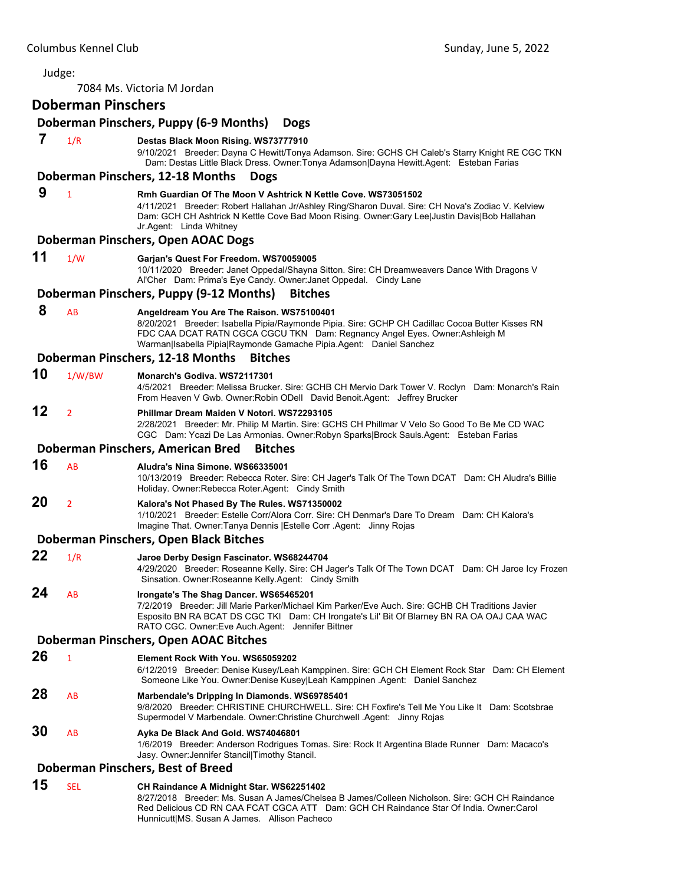| Judge: |                           |                                                                                                                                                                                                                                                                                                   |
|--------|---------------------------|---------------------------------------------------------------------------------------------------------------------------------------------------------------------------------------------------------------------------------------------------------------------------------------------------|
|        |                           | 7084 Ms. Victoria M Jordan                                                                                                                                                                                                                                                                        |
|        | <b>Doberman Pinschers</b> |                                                                                                                                                                                                                                                                                                   |
|        |                           | Doberman Pinschers, Puppy (6-9 Months)<br><b>Dogs</b>                                                                                                                                                                                                                                             |
| 7      | 1/R                       | Destas Black Moon Rising. WS73777910<br>9/10/2021 Breeder: Dayna C Hewitt/Tonya Adamson. Sire: GCHS CH Caleb's Starry Knight RE CGC TKN<br>Dam: Destas Little Black Dress. Owner: Tonya Adamson Dayna Hewitt. Agent: Esteban Farias                                                               |
|        |                           | Doberman Pinschers, 12-18 Months<br><b>Dogs</b>                                                                                                                                                                                                                                                   |
| 9      | $\mathbf{1}$              | Rmh Guardian Of The Moon V Ashtrick N Kettle Cove. WS73051502<br>4/11/2021 Breeder: Robert Hallahan Jr/Ashley Ring/Sharon Duval. Sire: CH Nova's Zodiac V. Kelview<br>Dam: GCH CH Ashtrick N Kettle Cove Bad Moon Rising. Owner:Gary Lee Justin Davis Bob Hallahan<br>Jr.Agent: Linda Whitney     |
|        |                           | Doberman Pinschers, Open AOAC Dogs                                                                                                                                                                                                                                                                |
| 11     | 1/W                       | Garjan's Quest For Freedom. WS70059005<br>10/11/2020 Breeder: Janet Oppedal/Shayna Sitton. Sire: CH Dreamweavers Dance With Dragons V<br>Al'Cher Dam: Prima's Eye Candy. Owner: Janet Oppedal. Cindy Lane                                                                                         |
|        |                           | Doberman Pinschers, Puppy (9-12 Months)<br><b>Bitches</b>                                                                                                                                                                                                                                         |
| 8      | AB                        | Angeldream You Are The Raison. WS75100401<br>8/20/2021 Breeder: Isabella Pipia/Raymonde Pipia. Sire: GCHP CH Cadillac Cocoa Butter Kisses RN<br>FDC CAA DCAT RATN CGCA CGCU TKN Dam: Regnancy Angel Eyes. Owner: Ashleigh M<br>Warman Isabella Pipia Raymonde Gamache Pipia.Agent: Daniel Sanchez |
|        |                           | Doberman Pinschers, 12-18 Months<br><b>Bitches</b>                                                                                                                                                                                                                                                |
| 10     | 1/W/BW                    | Monarch's Godiva, WS72117301<br>4/5/2021 Breeder: Melissa Brucker. Sire: GCHB CH Mervio Dark Tower V. Roclyn Dam: Monarch's Rain<br>From Heaven V Gwb. Owner: Robin ODell David Benoit. Agent: Jeffrey Brucker                                                                                    |
| 12     | $\overline{2}$            | Phillmar Dream Maiden V Notori, WS72293105<br>2/28/2021 Breeder: Mr. Philip M Martin. Sire: GCHS CH Phillmar V Velo So Good To Be Me CD WAC<br>CGC Dam: Ycazi De Las Armonias. Owner:Robyn Sparks Brock Sauls.Agent: Esteban Farias                                                               |
|        |                           | Doberman Pinschers, American Bred<br><b>Bitches</b>                                                                                                                                                                                                                                               |
| 16     | AB                        | Aludra's Nina Simone, WS66335001<br>10/13/2019 Breeder: Rebecca Roter. Sire: CH Jager's Talk Of The Town DCAT Dam: CH Aludra's Billie<br>Holiday. Owner: Rebecca Roter. Agent: Cindy Smith                                                                                                        |
| 20     | $\overline{2}$            | Kalora's Not Phased By The Rules. WS71350002<br>1/10/2021 Breeder: Estelle Corr/Alora Corr. Sire: CH Denmar's Dare To Dream Dam: CH Kalora's<br>Imagine That. Owner: Tanya Dennis   Estelle Corr . Agent: Jinny Rojas                                                                             |
|        |                           | Doberman Pinschers, Open Black Bitches                                                                                                                                                                                                                                                            |
| 22     | 1/R                       | Jaroe Derby Design Fascinator. WS68244704<br>4/29/2020 Breeder: Roseanne Kelly. Sire: CH Jager's Talk Of The Town DCAT Dam: CH Jaroe Icy Frozen<br>Sinsation. Owner: Roseanne Kelly. Agent: Cindy Smith                                                                                           |
| 24     | AB                        | Irongate's The Shag Dancer. WS65465201<br>7/2/2019 Breeder: Jill Marie Parker/Michael Kim Parker/Eve Auch. Sire: GCHB CH Traditions Javier<br>Esposito BN RA BCAT DS CGC TKI Dam: CH Irongate's Lil' Bit Of Blarney BN RA OA OAJ CAA WAC<br>RATO CGC. Owner:Eve Auch.Agent: Jennifer Bittner      |
|        |                           | Doberman Pinschers, Open AOAC Bitches                                                                                                                                                                                                                                                             |
| 26     | $\mathbf{1}$              | Element Rock With You. WS65059202<br>6/12/2019 Breeder: Denise Kusey/Leah Kamppinen. Sire: GCH CH Element Rock Star Dam: CH Element<br>Someone Like You. Owner:Denise Kusey Leah Kamppinen .Agent: Daniel Sanchez                                                                                 |
| 28     | AB                        | Marbendale's Dripping In Diamonds. WS69785401<br>9/8/2020 Breeder: CHRISTINE CHURCHWELL. Sire: CH Foxfire's Tell Me You Like It Dam: Scotsbrae<br>Supermodel V Marbendale. Owner: Christine Churchwell Agent: Jinny Rojas                                                                         |
| 30     | AB                        | Ayka De Black And Gold. WS74046801<br>1/6/2019 Breeder: Anderson Rodrigues Tomas. Sire: Rock It Argentina Blade Runner Dam: Macaco's<br>Jasy. Owner: Jennifer Stancil Timothy Stancil.                                                                                                            |
|        |                           | Doberman Pinschers, Best of Breed                                                                                                                                                                                                                                                                 |
| 15     | <b>SEL</b>                | CH Raindance A Midnight Star. WS62251402<br>8/27/2018 Breeder: Ms. Susan A James/Chelsea B James/Colleen Nicholson. Sire: GCH CH Raindance                                                                                                                                                        |

Red Delicious CD RN CAA FCAT CGCA ATT Dam: GCH CH Raindance Star Of India. Owner:Carol Hunnicutt|MS. Susan A James. Allison Pacheco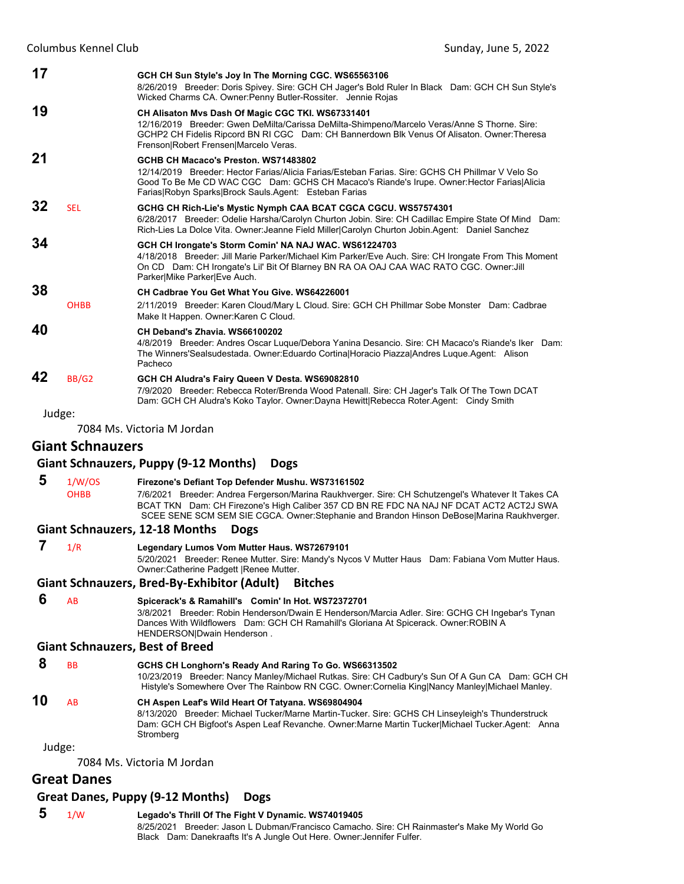| 17     |                         | GCH CH Sun Style's Joy In The Morning CGC. WS65563106<br>8/26/2019 Breeder: Doris Spivey. Sire: GCH CH Jager's Bold Ruler In Black Dam: GCH CH Sun Style's<br>Wicked Charms CA. Owner: Penny Butler-Rossiter. Jennie Rojas                                                                      |
|--------|-------------------------|-------------------------------------------------------------------------------------------------------------------------------------------------------------------------------------------------------------------------------------------------------------------------------------------------|
| 19     |                         | CH Alisaton Mvs Dash Of Magic CGC TKI. WS67331401<br>12/16/2019 Breeder: Gwen DeMilta/Carissa DeMilta-Shimpeno/Marcelo Veras/Anne S Thorne. Sire:<br>GCHP2 CH Fidelis Ripcord BN RI CGC Dam: CH Bannerdown Blk Venus Of Alisaton. Owner: Theresa<br>Frenson Robert Frensen Marcelo Veras.       |
| 21     |                         | GCHB CH Macaco's Preston. WS71483802<br>12/14/2019 Breeder: Hector Farias/Alicia Farias/Esteban Farias, Sire: GCHS CH Phillmar V Velo So<br>Good To Be Me CD WAC CGC Dam: GCHS CH Macaco's Riande's Irupe. Owner: Hector Farias Alicia<br>Farias Robyn Sparks Brock Sauls Agent: Esteban Farias |
| 32     | <b>SEL</b>              | GCHG CH Rich-Lie's Mystic Nymph CAA BCAT CGCA CGCU. WS57574301<br>6/28/2017 Breeder: Odelie Harsha/Carolyn Churton Jobin. Sire: CH Cadillac Empire State Of Mind Dam:<br>Rich-Lies La Dolce Vita. Owner: Jeanne Field Miller Carolyn Churton Jobin Agent: Daniel Sanchez                        |
| 34     |                         | GCH CH Irongate's Storm Comin' NA NAJ WAC. WS61224703<br>4/18/2018 Breeder: Jill Marie Parker/Michael Kim Parker/Eve Auch. Sire: CH Irongate From This Moment<br>On CD Dam: CH Irongate's Lil' Bit Of Blarney BN RA OA OAJ CAA WAC RATO CGC. Owner: Jill<br>Parker Mike Parker Eve Auch.        |
| 38     | <b>OHBB</b>             | CH Cadbrae You Get What You Give. WS64226001<br>2/11/2019 Breeder: Karen Cloud/Mary L Cloud. Sire: GCH CH Phillmar Sobe Monster Dam: Cadbrae<br>Make It Happen. Owner: Karen C Cloud.                                                                                                           |
| 40     |                         | CH Deband's Zhavia. WS66100202<br>4/8/2019 Breeder: Andres Oscar Luque/Debora Yanina Desancio. Sire: CH Macaco's Riande's Iker Dam:<br>The Winners'Sealsudestada. Owner:Eduardo Cortina Horacio Piazza Andres Luque.Agent: Alison<br>Pacheco                                                    |
| 42     | BB/G2                   | GCH CH Aludra's Fairy Queen V Desta. WS69082810<br>7/9/2020 Breeder: Rebecca Roter/Brenda Wood Patenall. Sire: CH Jager's Talk Of The Town DCAT<br>Dam: GCH CH Aludra's Koko Taylor. Owner:Dayna Hewitt Rebecca Roter.Agent: Cindy Smith                                                        |
| Judge: |                         |                                                                                                                                                                                                                                                                                                 |
|        |                         | 7084 Ms. Victoria M Jordan                                                                                                                                                                                                                                                                      |
|        | <b>Giant Schnauzers</b> |                                                                                                                                                                                                                                                                                                 |
|        |                         | <b>Giant Schnauzers, Puppy (9-12 Months)</b><br><b>Dogs</b>                                                                                                                                                                                                                                     |
| 5      | 1/W/OS                  | Firezone's Defiant Top Defender Mushu. WS73161502                                                                                                                                                                                                                                               |
|        | <b>OHBB</b>             | 7/6/2021 Breeder: Andrea Fergerson/Marina Raukhverger. Sire: CH Schutzengel's Whatever It Takes CA<br>BCAT TKN Dam: CH Firezone's High Caliber 357 CD BN RE FDC NA NAJ NF DCAT ACT2 ACT2J SWA<br>SCEE SENE SCM SEM SIE CGCA. Owner: Stephanie and Brandon Hinson DeBose Marina Raukhverger.     |
|        |                         | <b>Giant Schnauzers, 12-18 Months</b><br><b>Dogs</b>                                                                                                                                                                                                                                            |
| 7      | 1/R                     | Legendary Lumos Vom Mutter Haus. WS72679101<br>5/20/2021 Breeder: Renee Mutter. Sire: Mandy's Nycos V Mutter Haus Dam: Fabiana Vom Mutter Haus.<br>Owner: Catherine Padgett   Renee Mutter.                                                                                                     |
|        |                         | <b>Giant Schnauzers, Bred-By-Exhibitor (Adult)</b><br><b>Bitches</b>                                                                                                                                                                                                                            |
| 6      | AB                      | Spicerack's & Ramahill's Comin' In Hot. WS72372701<br>3/8/2021 Breeder: Robin Henderson/Dwain E Henderson/Marcia Adler. Sire: GCHG CH Ingebar's Tynan<br>Dances With Wildflowers Dam: GCH CH Ramahill's Gloriana At Spicerack. Owner: ROBIN A<br>HENDERSON Dwain Henderson.                     |
|        |                         | <b>Giant Schnauzers, Best of Breed</b>                                                                                                                                                                                                                                                          |
|        |                         |                                                                                                                                                                                                                                                                                                 |

#### **8** BB **GCHS CH Longhorn's Ready And Raring To Go. WS66313502**

10/23/2019 Breeder: Nancy Manley/Michael Rutkas. Sire: CH Cadbury's Sun Of A Gun CA Dam: GCH CH Histyle's Somewhere Over The Rainbow RN CGC. Owner:Cornelia King|Nancy Manley|Michael Manley.

# **10** AB **CH Aspen Leaf's Wild Heart Of Tatyana. WS69804904**

8/13/2020 Breeder: Michael Tucker/Marne Martin-Tucker. Sire: GCHS CH Linseyleigh's Thunderstruck Dam: GCH CH Bigfoot's Aspen Leaf Revanche. Owner:Marne Martin Tucker|Michael Tucker.Agent: Anna Stromberg

Judge:

7084 Ms. Victoria M Jordan

# **Great Danes**

#### **Great Danes, Puppy (9‐12 Months) Dogs**

 **5** 1/W **Legado's Thrill Of The Fight V Dynamic. WS74019405** 8/25/2021 Breeder: Jason L Dubman/Francisco Camacho. Sire: CH Rainmaster's Make My World Go Black Dam: Danekraafts It's A Jungle Out Here. Owner:Jennifer Fulfer.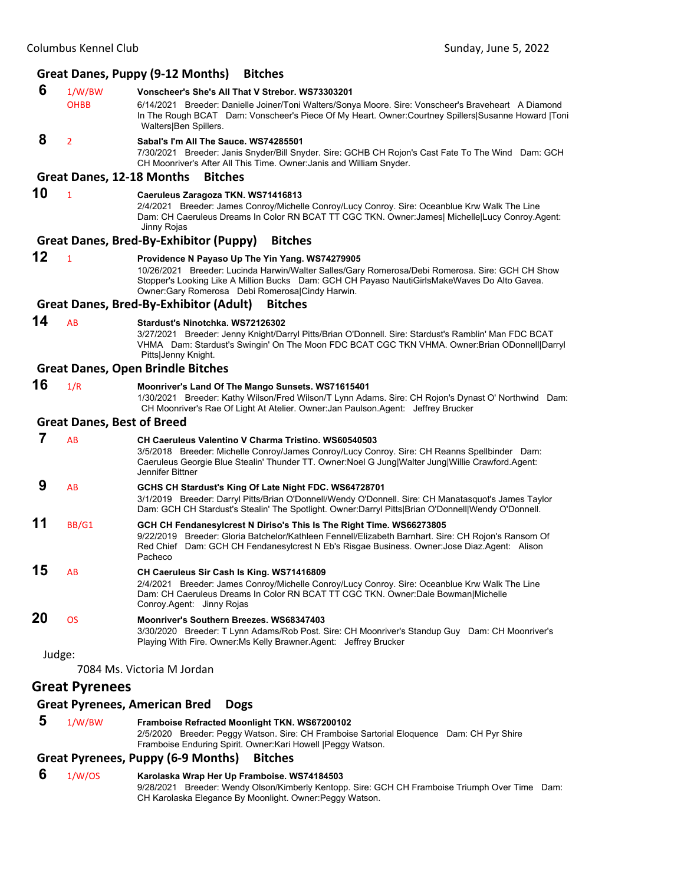#### **Great Danes, Puppy (9‐12 Months) Bitches**

- **6** 1/W/BW **Vonscheer's She's All That V Strebor. WS73303201**
	- OHBB 6/14/2021 Breeder: Danielle Joiner/Toni Walters/Sonya Moore. Sire: Vonscheer's Braveheart A Diamond In The Rough BCAT Dam: Vonscheer's Piece Of My Heart. Owner:Courtney Spillers|Susanne Howard |Toni Walters|Ben Spillers.

 **8** <sup>2</sup> **Sabal's I'm All The Sauce. WS74285501**

7/30/2021 Breeder: Janis Snyder/Bill Snyder. Sire: GCHB CH Rojon's Cast Fate To The Wind Dam: GCH CH Moonriver's After All This Time. Owner:Janis and William Snyder.

#### **Great Danes, 12‐18 Months Bitches**

# **10** <sup>1</sup> **Caeruleus Zaragoza TKN. WS71416813**

2/4/2021 Breeder: James Conroy/Michelle Conroy/Lucy Conroy. Sire: Oceanblue Krw Walk The Line Dam: CH Caeruleus Dreams In Color RN BCAT TT CGC TKN. Owner:James| Michelle|Lucy Conroy.Agent: Jinny Rojas

#### **Great Danes, Bred‐By‐Exhibitor (Puppy) Bitches**

#### **12** <sup>1</sup> **Providence N Payaso Up The Yin Yang. WS74279905**

10/26/2021 Breeder: Lucinda Harwin/Walter Salles/Gary Romerosa/Debi Romerosa. Sire: GCH CH Show Stopper's Looking Like A Million Bucks Dam: GCH CH Payaso NautiGirlsMakeWaves Do Alto Gavea. Owner:Gary Romerosa Debi Romerosa|Cindy Harwin.

#### **Great Danes, Bred‐By‐Exhibitor (Adult) Bitches**

# **14** AB **Stardust's Ninotchka. WS72126302**

3/27/2021 Breeder: Jenny Knight/Darryl Pitts/Brian O'Donnell. Sire: Stardust's Ramblin' Man FDC BCAT VHMA Dam: Stardust's Swingin' On The Moon FDC BCAT CGC TKN VHMA. Owner:Brian ODonnell|Darryl Pitts|Jenny Knight.

#### **Great Danes, Open Brindle Bitches**

- 
- **16** 1/R **Moonriver's Land Of The Mango Sunsets. WS71615401** 1/30/2021 Breeder: Kathy Wilson/Fred Wilson/T Lynn Adams. Sire: CH Rojon's Dynast O' Northwind Dam: CH Moonriver's Rae Of Light At Atelier. Owner:Jan Paulson.Agent: Jeffrey Brucker

#### **Great Danes, Best of Breed**

|    | AB        | CH Caeruleus Valentino V Charma Tristino. WS60540503<br>3/5/2018 Breeder: Michelle Conroy/James Conroy/Lucy Conroy. Sire: CH Reanns Spellbinder Dam:<br>Caeruleus Georgie Blue Stealin' Thunder TT. Owner: Noel G Jung Walter Jung Willie Crawford. Agent:<br>Jennifer Bittner          |
|----|-----------|-----------------------------------------------------------------------------------------------------------------------------------------------------------------------------------------------------------------------------------------------------------------------------------------|
|    | AB        | GCHS CH Stardust's King Of Late Night FDC. WS64728701<br>3/1/2019 Breeder: Darryl Pitts/Brian O'Donnell/Wendy O'Donnell. Sire: CH Manatasquot's James Taylor<br>Dam: GCH CH Stardust's Stealin' The Spotlight. Owner:Darryl Pitts Brian O'Donnell Wendy O'Donnell.                      |
| 11 | BB/G1     | GCH CH Fendanesylcrest N Diriso's This Is The Right Time. WS66273805<br>9/22/2019 Breeder: Gloria Batchelor/Kathleen Fennell/Elizabeth Barnhart. Sire: CH Rojon's Ransom Of<br>Red Chief Dam: GCH CH Fendanesylcrest N Eb's Risgae Business. Owner: Jose Diaz. Agent: Alison<br>Pacheco |
| 15 | AB        | CH Caeruleus Sir Cash Is King. WS71416809<br>2/4/2021 Breeder: James Conroy/Michelle Conroy/Lucy Conroy. Sire: Oceanblue Krw Walk The Line<br>Dam: CH Caeruleus Dreams In Color RN BCAT TT CGC TKN. Owner:Dale Bowman Michelle<br>Conroy Agent: Jinny Rojas                             |
| 20 | <b>OS</b> | Moonriver's Southern Breezes, WS68347403<br>3/30/2020 Breeder: T Lynn Adams/Rob Post. Sire: CH Moonriver's Standup Guy Dam: CH Moonriver's<br>Playing With Fire. Owner: Ms Kelly Brawner. Agent: Jeffrey Brucker                                                                        |

Judge:

7084 Ms. Victoria M Jordan

# **Great Pyrenees**

#### **Great Pyrenees, American Bred Dogs**

 **5** 1/W/BW **Framboise Refracted Moonlight TKN. WS67200102** 2/5/2020 Breeder: Peggy Watson. Sire: CH Framboise Sartorial Eloquence Dam: CH Pyr Shire Framboise Enduring Spirit. Owner:Kari Howell |Peggy Watson.

#### **Great Pyrenees, Puppy (6‐9 Months) Bitches**

 **6** 1/W/OS **Karolaska Wrap Her Up Framboise. WS74184503** 9/28/2021 Breeder: Wendy Olson/Kimberly Kentopp. Sire: GCH CH Framboise Triumph Over Time Dam: CH Karolaska Elegance By Moonlight. Owner:Peggy Watson.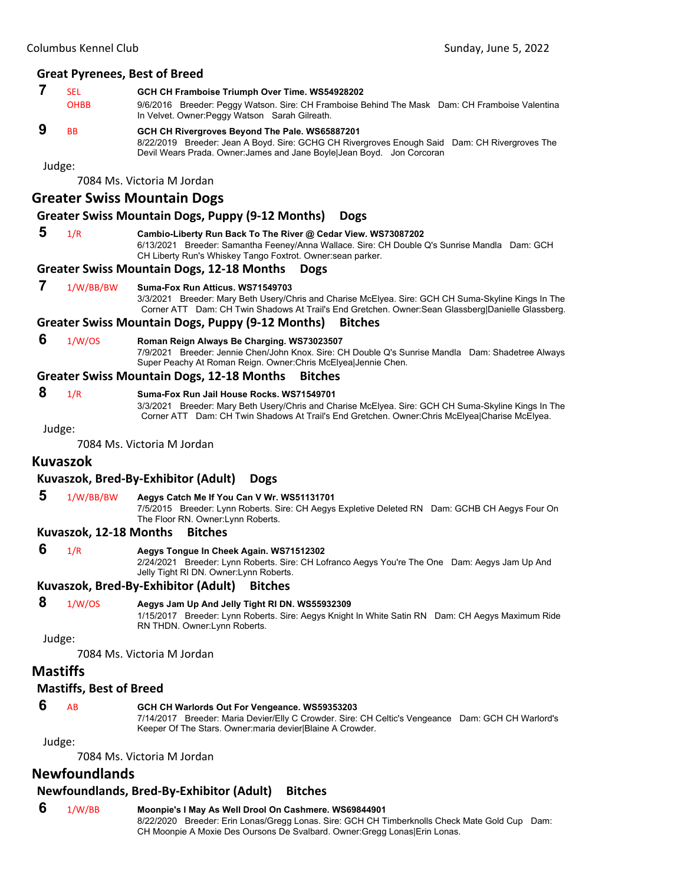# **7** SEL **GCH CH Framboise Triumph Over Time. WS54928202**

OHBB 9/6/2016 Breeder: Peggy Watson. Sire: CH Framboise Behind The Mask Dam: CH Framboise Valentina In Velvet. Owner:Peggy Watson Sarah Gilreath.

# **9** BB **GCH CH Rivergroves Beyond The Pale. WS65887201**

8/22/2019 Breeder: Jean A Boyd. Sire: GCHG CH Rivergroves Enough Said Dam: CH Rivergroves The Devil Wears Prada. Owner:James and Jane Boyle|Jean Boyd. Jon Corcoran

Judge:

7084 Ms. Victoria M Jordan

#### **Greater Swiss Mountain Dogs**

#### **Greater Swiss Mountain Dogs, Puppy (9‐12 Months) Dogs**

 **5** 1/R **Cambio-Liberty Run Back To The River @ Cedar View. WS73087202** 6/13/2021 Breeder: Samantha Feeney/Anna Wallace. Sire: CH Double Q's Sunrise Mandla Dam: GCH CH Liberty Run's Whiskey Tango Foxtrot. Owner:sean parker.

#### **Greater Swiss Mountain Dogs, 12‐18 Months Dogs**

#### **7** 1/W/BB/BW **Suma-Fox Run Atticus. WS71549703**

3/3/2021 Breeder: Mary Beth Usery/Chris and Charise McElyea. Sire: GCH CH Suma-Skyline Kings In The Corner ATT Dam: CH Twin Shadows At Trail's End Gretchen. Owner:Sean Glassberg|Danielle Glassberg.

#### **Greater Swiss Mountain Dogs, Puppy (9‐12 Months) Bitches**

#### **6** 1/W/OS **Roman Reign Always Be Charging. WS73023507**

7/9/2021 Breeder: Jennie Chen/John Knox. Sire: CH Double Q's Sunrise Mandla Dam: Shadetree Always Super Peachy At Roman Reign. Owner:Chris McElyea|Jennie Chen.

#### **Greater Swiss Mountain Dogs, 12‐18 Months Bitches**

#### **8** 1/R **Suma-Fox Run Jail House Rocks. WS71549701**

3/3/2021 Breeder: Mary Beth Usery/Chris and Charise McElyea. Sire: GCH CH Suma-Skyline Kings In The Corner ATT Dam: CH Twin Shadows At Trail's End Gretchen. Owner:Chris McElyea|Charise McElyea.

Judge:

7084 Ms. Victoria M Jordan

# **Kuvaszok**

#### **Kuvaszok, Bred‐By‐Exhibitor (Adult) Dogs**

#### **5** 1/W/BB/BW **Aegys Catch Me If You Can V Wr. WS51131701**

7/5/2015 Breeder: Lynn Roberts. Sire: CH Aegys Expletive Deleted RN Dam: GCHB CH Aegys Four On The Floor RN. Owner:Lynn Roberts.

#### **Kuvaszok, 12‐18 Months Bitches**

#### **6** 1/R **Aegys Tongue In Cheek Again. WS71512302**

2/24/2021 Breeder: Lynn Roberts. Sire: CH Lofranco Aegys You're The One Dam: Aegys Jam Up And Jelly Tight RI DN. Owner:Lynn Roberts.

**Kuvaszok, Bred‐By‐Exhibitor (Adult) Bitches**

#### **8** 1/W/OS **Aegys Jam Up And Jelly Tight RI DN. WS55932309**

1/15/2017 Breeder: Lynn Roberts. Sire: Aegys Knight In White Satin RN Dam: CH Aegys Maximum Ride RN THDN. Owner:Lynn Roberts.

#### Judge:

7084 Ms. Victoria M Jordan

# **Mastiffs**

#### **Mastiffs, Best of Breed**

#### **6** AB **GCH CH Warlords Out For Vengeance. WS59353203**

7/14/2017 Breeder: Maria Devier/Elly C Crowder. Sire: CH Celtic's Vengeance Dam: GCH CH Warlord's Keeper Of The Stars. Owner:maria devier|Blaine A Crowder.

Judge:

7084 Ms. Victoria M Jordan

# **Newfoundlands**

# **Newfoundlands, Bred‐By‐Exhibitor (Adult) Bitches**

 **6** 1/W/BB **Moonpie's I May As Well Drool On Cashmere. WS69844901**

8/22/2020 Breeder: Erin Lonas/Gregg Lonas. Sire: GCH CH Timberknolls Check Mate Gold Cup Dam: CH Moonpie A Moxie Des Oursons De Svalbard. Owner:Gregg Lonas|Erin Lonas.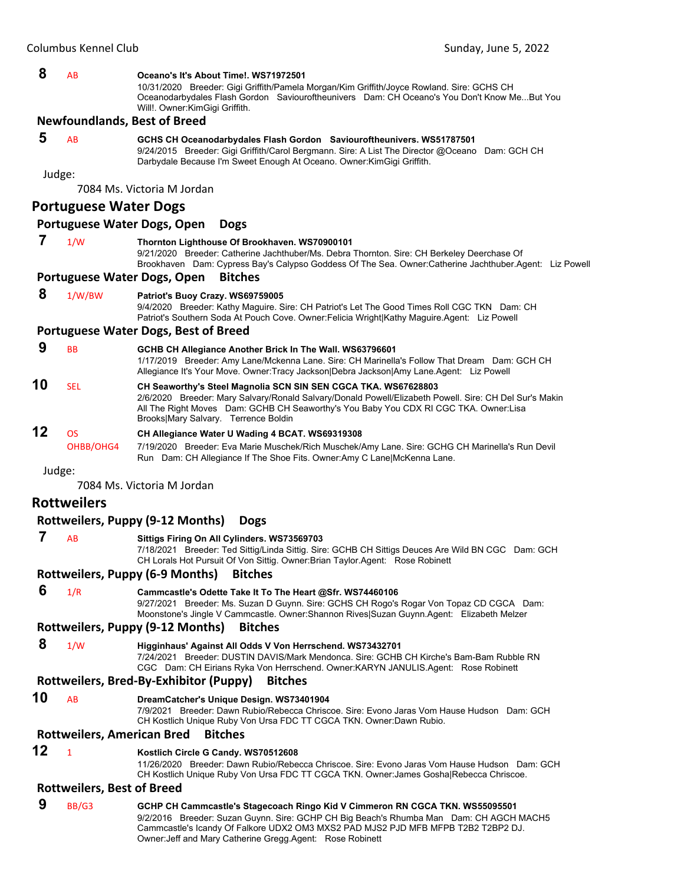#### **8** AB **Oceano's It's About Time!. WS71972501**

10/31/2020 Breeder: Gigi Griffith/Pamela Morgan/Kim Griffith/Joyce Rowland. Sire: GCHS CH Oceanodarbydales Flash Gordon Saviouroftheunivers Dam: CH Oceano's You Don't Know Me...But You Will!. Owner:KimGigi Griffith.

#### **Newfoundlands, Best of Breed**

#### **5** AB **GCHS CH Oceanodarbydales Flash Gordon Saviouroftheunivers. WS51787501**

9/24/2015 Breeder: Gigi Griffith/Carol Bergmann. Sire: A List The Director @Oceano Dam: GCH CH Darbydale Because I'm Sweet Enough At Oceano. Owner:KimGigi Griffith.

Judge:

7084 Ms. Victoria M Jordan

#### **Portuguese Water Dogs**

#### **Portuguese Water Dogs, Open Dogs**

#### **7** 1/W **Thornton Lighthouse Of Brookhaven. WS70900101**

9/21/2020 Breeder: Catherine Jachthuber/Ms. Debra Thornton. Sire: CH Berkeley Deerchase Of Brookhaven Dam: Cypress Bay's Calypso Goddess Of The Sea. Owner:Catherine Jachthuber.Agent: Liz Powell

#### **Portuguese Water Dogs, Open Bitches**

#### **8** 1/W/BW **Patriot's Buoy Crazy. WS69759005**

9/4/2020 Breeder: Kathy Maguire. Sire: CH Patriot's Let The Good Times Roll CGC TKN Dam: CH Patriot's Southern Soda At Pouch Cove. Owner:Felicia Wright|Kathy Maguire.Agent: Liz Powell

#### **Portuguese Water Dogs, Best of Breed**

 **9** BB **GCHB CH Allegiance Another Brick In The Wall. WS63796601** 1/17/2019 Breeder: Amy Lane/Mckenna Lane. Sire: CH Marinella's Follow That Dream Dam: GCH CH Allegiance It's Your Move. Owner:Tracy Jackson|Debra Jackson|Amy Lane.Agent: Liz Powell **10** SEL **CH Seaworthy's Steel Magnolia SCN SIN SEN CGCA TKA. WS67628803** 2/6/2020 Breeder: Mary Salvary/Ronald Salvary/Donald Powell/Elizabeth Powell. Sire: CH Del Sur's Makin All The Right Moves Dam: GCHB CH Seaworthy's You Baby You CDX RI CGC TKA. Owner:Lisa Brooks|Mary Salvary. Terrence Boldin **12** OS **CH Allegiance Water U Wading 4 BCAT. WS69319308**

OHBB/OHG4 7/19/2020 Breeder: Eva Marie Muschek/Rich Muschek/Amy Lane. Sire: GCHG CH Marinella's Run Devil Run Dam: CH Allegiance If The Shoe Fits. Owner:Amy C Lane|McKenna Lane.

Judge:

7084 Ms. Victoria M Jordan

# **Rottweilers**

#### **Rottweilers, Puppy (9‐12 Months) Dogs**

#### **7** AB **Sittigs Firing On All Cylinders. WS73569703**

7/18/2021 Breeder: Ted Sittig/Linda Sittig. Sire: GCHB CH Sittigs Deuces Are Wild BN CGC Dam: GCH CH Lorals Hot Pursuit Of Von Sittig. Owner:Brian Taylor.Agent: Rose Robinett

#### **Rottweilers, Puppy (6‐9 Months) Bitches**

#### **6** 1/R **Cammcastle's Odette Take It To The Heart @Sfr. WS74460106**

9/27/2021 Breeder: Ms. Suzan D Guynn. Sire: GCHS CH Rogo's Rogar Von Topaz CD CGCA Dam: Moonstone's Jingle V Cammcastle. Owner:Shannon Rives|Suzan Guynn.Agent: Elizabeth Melzer

#### **Rottweilers, Puppy (9‐12 Months) Bitches**

 **8** 1/W **Higginhaus' Against All Odds V Von Herrschend. WS73432701**

7/24/2021 Breeder: DUSTIN DAVIS/Mark Mendonca. Sire: GCHB CH Kirche's Bam-Bam Rubble RN CGC Dam: CH Eirians Ryka Von Herrschend. Owner:KARYN JANULIS.Agent: Rose Robinett

#### **Rottweilers, Bred‐By‐Exhibitor (Puppy) Bitches**

#### **10** AB **DreamCatcher's Unique Design. WS73401904**

7/9/2021 Breeder: Dawn Rubio/Rebecca Chriscoe. Sire: Evono Jaras Vom Hause Hudson Dam: GCH CH Kostlich Unique Ruby Von Ursa FDC TT CGCA TKN. Owner:Dawn Rubio.

#### **Rottweilers, American Bred Bitches**

#### **12** <sup>1</sup> **Kostlich Circle G Candy. WS70512608**

11/26/2020 Breeder: Dawn Rubio/Rebecca Chriscoe. Sire: Evono Jaras Vom Hause Hudson Dam: GCH CH Kostlich Unique Ruby Von Ursa FDC TT CGCA TKN. Owner:James Gosha|Rebecca Chriscoe.

#### **Rottweilers, Best of Breed**

 **9** BB/G3 **GCHP CH Cammcastle's Stagecoach Ringo Kid V Cimmeron RN CGCA TKN. WS55095501** 9/2/2016 Breeder: Suzan Guynn. Sire: GCHP CH Big Beach's Rhumba Man Dam: CH AGCH MACH5 Cammcastle's Icandy Of Falkore UDX2 OM3 MXS2 PAD MJS2 PJD MFB MFPB T2B2 T2BP2 DJ. Owner:Jeff and Mary Catherine Gregg.Agent: Rose Robinett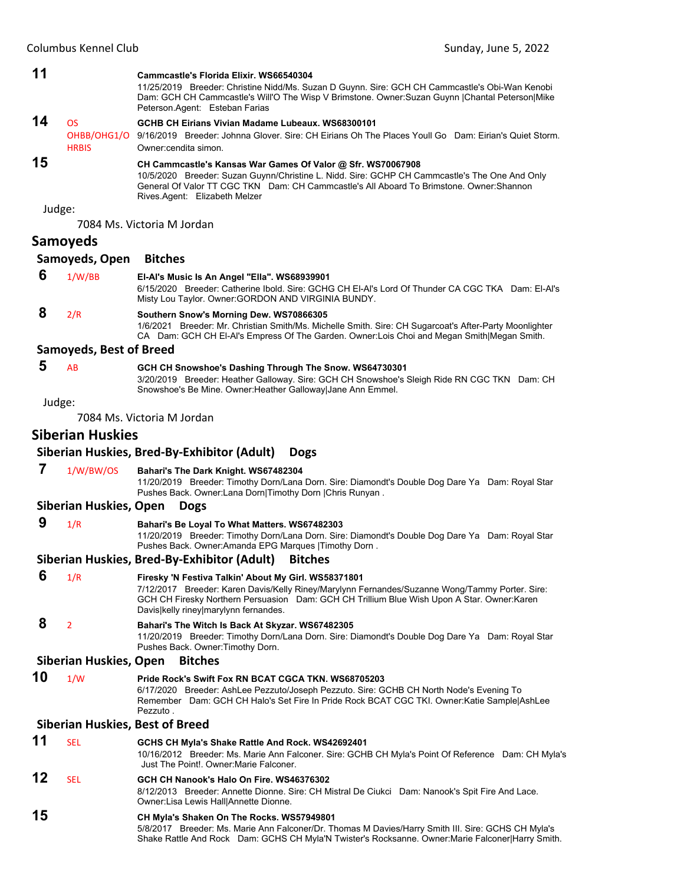|    | Columbus Kennel Club           | Sunday, June 5, 2022                                                                                                                                                                                                                                                                          |
|----|--------------------------------|-----------------------------------------------------------------------------------------------------------------------------------------------------------------------------------------------------------------------------------------------------------------------------------------------|
| 11 |                                | Cammcastle's Florida Elixir, WS66540304<br>11/25/2019 Breeder: Christine Nidd/Ms. Suzan D Guynn. Sire: GCH CH Cammcastle's Obi-Wan Kenobi<br>Dam: GCH CH Cammcastle's Will'O The Wisp V Brimstone. Owner:Suzan Guynn  Chantal Peterson Mike<br>Peterson.Agent: Esteban Farias                 |
| 14 | <b>OS</b><br><b>HRBIS</b>      | GCHB CH Eirians Vivian Madame Lubeaux. WS68300101<br>OHBB/OHG1/O 9/16/2019 Breeder: Johnna Glover. Sire: CH Eirians Oh The Places Youll Go Dam: Eirian's Quiet Storm.<br>Owner: cendita simon.                                                                                                |
| 15 |                                | CH Cammcastle's Kansas War Games Of Valor @ Sfr. WS70067908<br>10/5/2020 Breeder: Suzan Guynn/Christine L. Nidd. Sire: GCHP CH Cammcastle's The One And Only<br>General Of Valor TT CGC TKN Dam: CH Cammcastle's All Aboard To Brimstone. Owner: Shannon<br>Rives.Agent: Elizabeth Melzer     |
|    | Judge:                         |                                                                                                                                                                                                                                                                                               |
|    |                                | 7084 Ms. Victoria M Jordan                                                                                                                                                                                                                                                                    |
|    | <b>Samoyeds</b>                |                                                                                                                                                                                                                                                                                               |
|    | Samoyeds, Open                 | <b>Bitches</b>                                                                                                                                                                                                                                                                                |
| 6  | 1/W/BB                         | El-Al's Music Is An Angel "Ella". WS68939901<br>6/15/2020 Breeder: Catherine Ibold. Sire: GCHG CH EI-AI's Lord Of Thunder CA CGC TKA Dam: EI-AI's<br>Misty Lou Taylor. Owner: GORDON AND VIRGINIA BUNDY.                                                                                      |
| 8  | 2/R                            | Southern Snow's Morning Dew. WS70866305<br>1/6/2021 Breeder: Mr. Christian Smith/Ms. Michelle Smith. Sire: CH Sugarcoat's After-Party Moonlighter<br>CA Dam: GCH CH EI-AI's Empress Of The Garden. Owner: Lois Choi and Megan Smith Megan Smith.                                              |
|    | <b>Samoyeds, Best of Breed</b> |                                                                                                                                                                                                                                                                                               |
| 5  | AB                             | GCH CH Snowshoe's Dashing Through The Snow. WS64730301<br>3/20/2019 Breeder: Heather Galloway. Sire: GCH CH Snowshoe's Sleigh Ride RN CGC TKN Dam: CH<br>Snowshoe's Be Mine. Owner: Heather Galloway Jane Ann Emmel.                                                                          |
|    | Judge:                         |                                                                                                                                                                                                                                                                                               |
|    |                                | 7084 Ms. Victoria M Jordan                                                                                                                                                                                                                                                                    |
|    | <b>Siberian Huskies</b>        |                                                                                                                                                                                                                                                                                               |
|    |                                | Siberian Huskies, Bred-By-Exhibitor (Adult)<br><b>Dogs</b>                                                                                                                                                                                                                                    |
| 7  | 1/W/BW/OS                      | Bahari's The Dark Knight. WS67482304<br>11/20/2019 Breeder: Timothy Dorn/Lana Dorn. Sire: Diamondt's Double Dog Dare Ya Dam: Royal Star<br>Pushes Back. Owner:Lana Dorn Timothy Dorn  Chris Runyan.                                                                                           |
|    | Siberian Huskies, Open         | <b>Dogs</b>                                                                                                                                                                                                                                                                                   |
| 9  | 1/R                            | Bahari's Be Loyal To What Matters. WS67482303<br>11/20/2019 Breeder: Timothy Dorn/Lana Dorn. Sire: Diamondt's Double Dog Dare Ya Dam: Royal Star<br>Pushes Back. Owner:Amanda EPG Marques   Timothy Dorn.                                                                                     |
|    |                                | Siberian Huskies, Bred-By-Exhibitor (Adult)<br><b>Bitches</b>                                                                                                                                                                                                                                 |
| 6  | 1/R                            | Firesky 'N Festiva Talkin' About My Girl. WS58371801<br>7/12/2017 Breeder: Karen Davis/Kelly Riney/Marylynn Fernandes/Suzanne Wong/Tammy Porter. Sire:<br>GCH CH Firesky Northern Persuasion Dam: GCH CH Trillium Blue Wish Upon A Star. Owner:Karen<br>Davis kelly riney marylynn fernandes. |
| 8  | $\overline{2}$                 | Bahari's The Witch Is Back At Skyzar. WS67482305<br>11/20/2019 Breeder: Timothy Dorn/Lana Dorn. Sire: Diamondt's Double Dog Dare Ya Dam: Royal Star<br>Pushes Back. Owner: Timothy Dorn.                                                                                                      |
|    | Siberian Huskies, Open         | <b>Bitches</b>                                                                                                                                                                                                                                                                                |
| 10 | 1/W                            | Pride Rock's Swift Fox RN BCAT CGCA TKN. WS68705203<br>6/17/2020 Breeder: AshLee Pezzuto/Joseph Pezzuto. Sire: GCHB CH North Node's Evening To<br>Remember Dam: GCH CH Halo's Set Fire In Pride Rock BCAT CGC TKI. Owner: Katie Sample AshLee<br>Pezzuto.                                     |
|    |                                | <b>Siberian Huskies, Best of Breed</b>                                                                                                                                                                                                                                                        |
| 11 | <b>SEL</b>                     | GCHS CH Myla's Shake Rattle And Rock. WS42692401<br>10/16/2012 Breeder: Ms. Marie Ann Falconer. Sire: GCHB CH Myla's Point Of Reference Dam: CH Myla's<br>Just The Point!. Owner: Marie Falconer.                                                                                             |
| 12 | SEL                            | GCH CH Nanook's Halo On Fire. WS46376302<br>8/12/2013 Breeder: Annette Dionne. Sire: CH Mistral De Ciukci Dam: Nanook's Spit Fire And Lace.<br>Owner:Lisa Lewis Hall Annette Dionne.                                                                                                          |

# **15 CH Myla's Shaken On The Rocks. WS57949801**

5/8/2017 Breeder: Ms. Marie Ann Falconer/Dr. Thomas M Davies/Harry Smith III. Sire: GCHS CH Myla's Shake Rattle And Rock Dam: GCHS CH Myla'N Twister's Rocksanne. Owner:Marie Falconer|Harry Smith.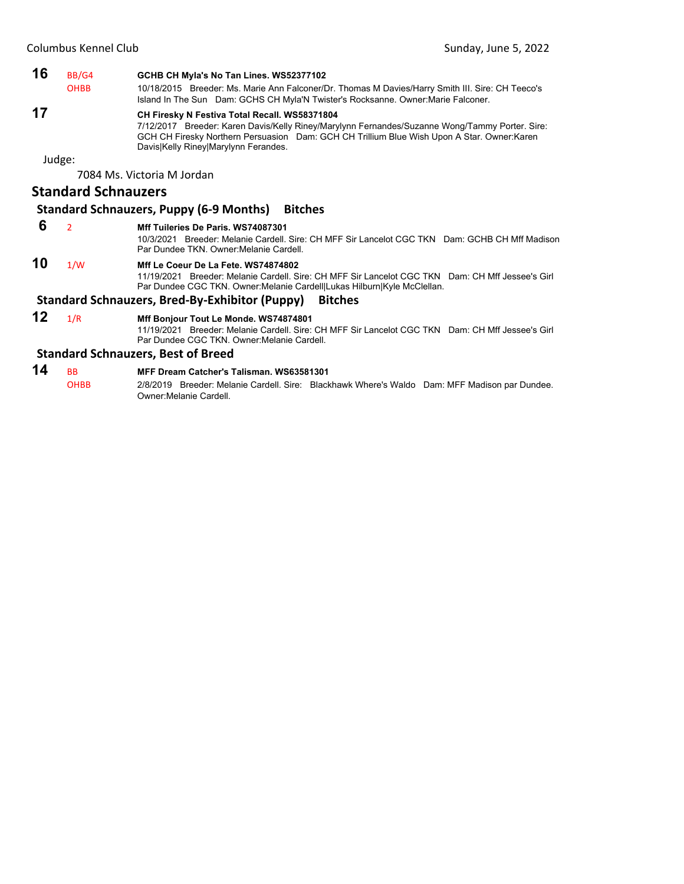# **16** BB/G4 **GCHB CH Myla's No Tan Lines. WS52377102** OHBB 10/18/2015 Breeder: Ms. Marie Ann Falconer/Dr. Thomas M Davies/Harry Smith III. Sire: CH Teeco's Island In The Sun Dam: GCHS CH Myla'N Twister's Rocksanne. Owner:Marie Falconer. **17 CH Firesky N Festiva Total Recall. WS58371804** 7/12/2017 Breeder: Karen Davis/Kelly Riney/Marylynn Fernandes/Suzanne Wong/Tammy Porter. Sire: GCH CH Firesky Northern Persuasion Dam: GCH CH Trillium Blue Wish Upon A Star. Owner:Karen Davis|Kelly Riney|Marylynn Ferandes. Judge: 7084 Ms. Victoria M Jordan **Standard Schnauzers**

# **Standard Schnauzers, Puppy (6‐9 Months) Bitches**

#### **6** <sup>2</sup> **Mff Tuileries De Paris. WS74087301**

10/3/2021 Breeder: Melanie Cardell. Sire: CH MFF Sir Lancelot CGC TKN Dam: GCHB CH Mff Madison Par Dundee TKN. Owner:Melanie Cardell.

### **10** 1/W **Mff Le Coeur De La Fete. WS74874802**

11/19/2021 Breeder: Melanie Cardell. Sire: CH MFF Sir Lancelot CGC TKN Dam: CH Mff Jessee's Girl Par Dundee CGC TKN. Owner:Melanie Cardell|Lukas Hilburn|Kyle McClellan.

# **Standard Schnauzers, Bred‐By‐Exhibitor (Puppy) Bitches**

**12** 1/R **Mff Bonjour Tout Le Monde. WS74874801** 11/19/2021 Breeder: Melanie Cardell. Sire: CH MFF Sir Lancelot CGC TKN Dam: CH Mff Jessee's Girl Par Dundee CGC TKN. Owner:Melanie Cardell.

#### **Standard Schnauzers, Best of Breed**

# **14** BB **MFF Dream Catcher's Talisman. WS63581301**

OHBB 2/8/2019 Breeder: Melanie Cardell. Sire: Blackhawk Where's Waldo Dam: MFF Madison par Dundee. Owner:Melanie Cardell.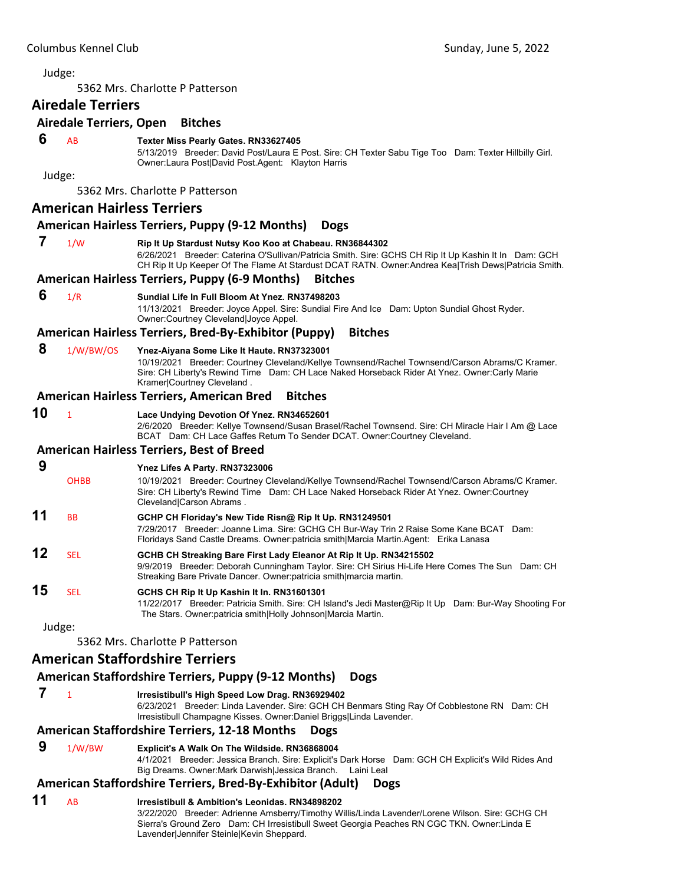<span id="page-30-0"></span>5362 Mrs. Charlotte P Patterson

# **Airedale Terriers**

#### **Airedale Terriers, Open Bitches**

#### **6** AB **Texter Miss Pearly Gates. RN33627405**

5/13/2019 Breeder: David Post/Laura E Post. Sire: CH Texter Sabu Tige Too Dam: Texter Hillbilly Girl. Owner:Laura Post|David Post.Agent: Klayton Harris

Judge:

5362 Mrs. Charlotte P Patterson

#### **American Hairless Terriers**

#### **American Hairless Terriers, Puppy (9‐12 Months) Dogs**

#### **7** 1/W **Rip It Up Stardust Nutsy Koo Koo at Chabeau. RN36844302**

6/26/2021 Breeder: Caterina O'Sullivan/Patricia Smith. Sire: GCHS CH Rip It Up Kashin It In Dam: GCH CH Rip It Up Keeper Of The Flame At Stardust DCAT RATN. Owner:Andrea Kea|Trish Dews|Patricia Smith.

#### **American Hairless Terriers, Puppy (6‐9 Months) Bitches**

#### **6** 1/R **Sundial Life In Full Bloom At Ynez. RN37498203**

11/13/2021 Breeder: Joyce Appel. Sire: Sundial Fire And Ice Dam: Upton Sundial Ghost Ryder. Owner:Courtney Cleveland|Joyce Appel.

#### **American Hairless Terriers, Bred‐By‐Exhibitor (Puppy) Bitches**

#### **8** 1/W/BW/OS **Ynez-Aiyana Some Like It Haute. RN37323001**

10/19/2021 Breeder: Courtney Cleveland/Kellye Townsend/Rachel Townsend/Carson Abrams/C Kramer. Sire: CH Liberty's Rewind Time Dam: CH Lace Naked Horseback Rider At Ynez. Owner:Carly Marie Kramer|Courtney Cleveland .

#### **American Hairless Terriers, American Bred Bitches**

# **10** <sup>1</sup> **Lace Undying Devotion Of Ynez. RN34652601**

2/6/2020 Breeder: Kellye Townsend/Susan Brasel/Rachel Townsend. Sire: CH Miracle Hair I Am @ Lace BCAT Dam: CH Lace Gaffes Return To Sender DCAT. Owner:Courtney Cleveland.

#### **American Hairless Terriers, Best of Breed**

#### **9 Ynez Lifes A Party. RN37323006** OHBB 10/19/2021 Breeder: Courtney Cleveland/Kellye Townsend/Rachel Townsend/Carson Abrams/C Kramer. Sire: CH Liberty's Rewind Time Dam: CH Lace Naked Horseback Rider At Ynez. Owner:Courtney Cleveland|Carson Abrams . **11** BB **GCHP CH Floriday's New Tide Risn@ Rip It Up. RN31249501** 7/29/2017 Breeder: Joanne Lima. Sire: GCHG CH Bur-Way Trin 2 Raise Some Kane BCAT Dam: Floridays Sand Castle Dreams. Owner:patricia smith|Marcia Martin.Agent: Erika Lanasa **12** SEL **GCHB CH Streaking Bare First Lady Eleanor At Rip It Up. RN34215502** 9/9/2019 Breeder: Deborah Cunningham Taylor. Sire: CH Sirius Hi-Life Here Comes The Sun Dam: CH Streaking Bare Private Dancer. Owner:patricia smith|marcia martin. **15** SEL **GCHS CH Rip It Up Kashin It In. RN31601301**

11/22/2017 Breeder: Patricia Smith. Sire: CH Island's Jedi Master@Rip It Up Dam: Bur-Way Shooting For The Stars. Owner:patricia smith|Holly Johnson|Marcia Martin.

Judge:

5362 Mrs. Charlotte P Patterson

# **American Staffordshire Terriers**

# **American Staffordshire Terriers, Puppy (9‐12 Months) Dogs**

 **7** <sup>1</sup> **Irresistibull's High Speed Low Drag. RN36929402**

6/23/2021 Breeder: Linda Lavender. Sire: GCH CH Benmars Sting Ray Of Cobblestone RN Dam: CH Irresistibull Champagne Kisses. Owner:Daniel Briggs|Linda Lavender.

# **American Staffordshire Terriers, 12‐18 Months Dogs**

 **9** 1/W/BW **Explicit's A Walk On The Wildside. RN36868004**

4/1/2021 Breeder: Jessica Branch. Sire: Explicit's Dark Horse Dam: GCH CH Explicit's Wild Rides And Big Dreams. Owner:Mark Darwish|Jessica Branch. Laini Leal

# **American Staffordshire Terriers, Bred‐By‐Exhibitor (Adult) Dogs**

# **11** AB **Irresistibull & Ambition's Leonidas. RN34898202**

3/22/2020 Breeder: Adrienne Amsberry/Timothy Willis/Linda Lavender/Lorene Wilson. Sire: GCHG CH Sierra's Ground Zero Dam: CH Irresistibull Sweet Georgia Peaches RN CGC TKN. Owner:Linda E Lavender|Jennifer Steinle|Kevin Sheppard.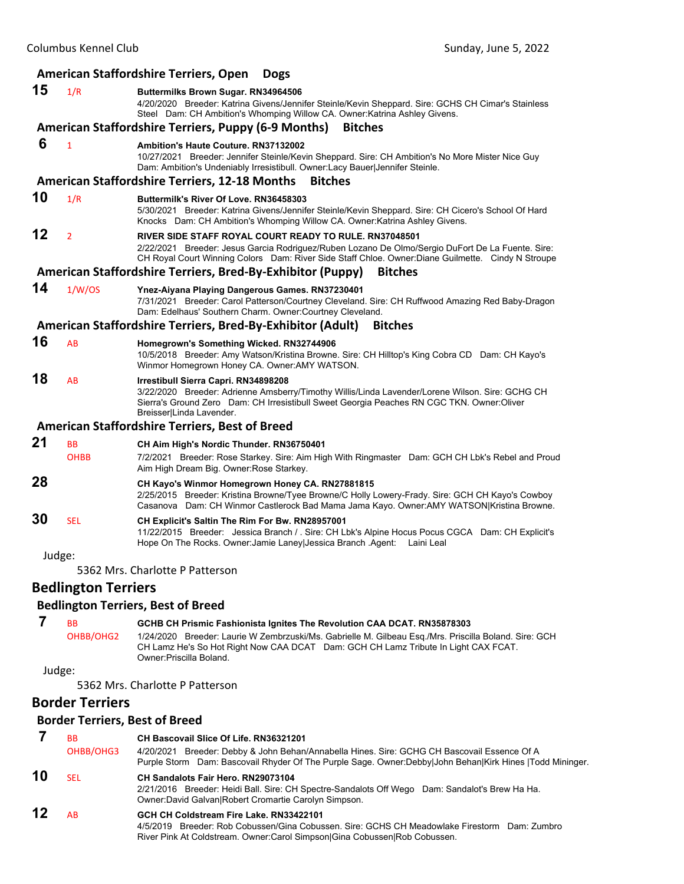|    | American Staffordshire Terriers, Open<br><b>Dogs</b> |                                                                                                                                                                                                                                                                                                    |  |
|----|------------------------------------------------------|----------------------------------------------------------------------------------------------------------------------------------------------------------------------------------------------------------------------------------------------------------------------------------------------------|--|
| 15 | 1/R                                                  | Buttermilks Brown Sugar. RN34964506<br>4/20/2020 Breeder: Katrina Givens/Jennifer Steinle/Kevin Sheppard. Sire: GCHS CH Cimar's Stainless<br>Steel Dam: CH Ambition's Whomping Willow CA. Owner: Katrina Ashley Givens.                                                                            |  |
|    |                                                      | <b>American Staffordshire Terriers, Puppy (6-9 Months)</b><br><b>Bitches</b>                                                                                                                                                                                                                       |  |
| 6  | $\mathbf{1}$                                         | <b>Ambition's Haute Couture, RN37132002</b><br>10/27/2021 Breeder: Jennifer Steinle/Kevin Sheppard. Sire: CH Ambition's No More Mister Nice Guy<br>Dam: Ambition's Undeniably Irresistibull. Owner:Lacy Bauer Jennifer Steinle.                                                                    |  |
|    |                                                      | <b>American Staffordshire Terriers, 12-18 Months</b><br><b>Bitches</b>                                                                                                                                                                                                                             |  |
| 10 | 1/R                                                  | Buttermilk's River Of Love, RN36458303<br>5/30/2021 Breeder: Katrina Givens/Jennifer Steinle/Kevin Sheppard. Sire: CH Cicero's School Of Hard<br>Knocks Dam: CH Ambition's Whomping Willow CA. Owner: Katrina Ashley Givens.                                                                       |  |
| 12 | $\overline{2}$                                       | RIVER SIDE STAFF ROYAL COURT READY TO RULE, RN37048501<br>2/22/2021 Breeder: Jesus Garcia Rodriguez/Ruben Lozano De Olmo/Sergio DuFort De La Fuente. Sire:<br>CH Royal Court Winning Colors Dam: River Side Staff Chloe. Owner: Diane Guilmette. Cindy N Stroupe                                   |  |
|    |                                                      | American Staffordshire Terriers, Bred-By-Exhibitor (Puppy)<br><b>Bitches</b>                                                                                                                                                                                                                       |  |
| 14 | 1/W/OS                                               | Ynez-Aiyana Playing Dangerous Games. RN37230401<br>7/31/2021 Breeder: Carol Patterson/Courtney Cleveland. Sire: CH Ruffwood Amazing Red Baby-Dragon<br>Dam: Edelhaus' Southern Charm. Owner: Courtney Cleveland.                                                                                   |  |
|    |                                                      | American Staffordshire Terriers, Bred-By-Exhibitor (Adult)<br><b>Bitches</b>                                                                                                                                                                                                                       |  |
| 16 | AB                                                   | Homegrown's Something Wicked. RN32744906<br>10/5/2018 Breeder: Amy Watson/Kristina Browne. Sire: CH Hilltop's King Cobra CD Dam: CH Kayo's<br>Winmor Homegrown Honey CA. Owner:AMY WATSON.                                                                                                         |  |
| 18 | AB                                                   | Irrestibull Sierra Capri. RN34898208<br>3/22/2020 Breeder: Adrienne Amsberry/Timothy Willis/Linda Lavender/Lorene Wilson. Sire: GCHG CH<br>Sierra's Ground Zero Dam: CH Irresistibull Sweet Georgia Peaches RN CGC TKN. Owner:Oliver<br>Breisser Linda Lavender.                                   |  |
|    |                                                      | <b>American Staffordshire Terriers, Best of Breed</b>                                                                                                                                                                                                                                              |  |
| 21 | <b>BB</b><br><b>OHBB</b>                             | CH Aim High's Nordic Thunder. RN36750401<br>7/2/2021 Breeder: Rose Starkey. Sire: Aim High With Ringmaster Dam: GCH CH Lbk's Rebel and Proud<br>Aim High Dream Big. Owner: Rose Starkey.                                                                                                           |  |
| 28 |                                                      | CH Kayo's Winmor Homegrown Honey CA. RN27881815<br>2/25/2015 Breeder: Kristina Browne/Tyee Browne/C Holly Lowery-Frady. Sire: GCH CH Kayo's Cowboy<br>Casanova Dam: CH Winmor Castlerock Bad Mama Jama Kayo. Owner:AMY WATSON Kristina Browne.                                                     |  |
| 30 | <b>SEL</b>                                           | CH Explicit's Saltin The Rim For Bw. RN28957001<br>11/22/2015 Breeder: Jessica Branch / . Sire: CH Lbk's Alpine Hocus Pocus CGCA Dam: CH Explicit's<br>Hope On The Rocks. Owner: Jamie Laney Jessica Branch . Agent:<br>Laini Leal                                                                 |  |
|    | Judge:                                               |                                                                                                                                                                                                                                                                                                    |  |
|    |                                                      | 5362 Mrs. Charlotte P Patterson                                                                                                                                                                                                                                                                    |  |
|    | <b>Bedlington Terriers</b>                           |                                                                                                                                                                                                                                                                                                    |  |
|    |                                                      | <b>Bedlington Terriers, Best of Breed</b>                                                                                                                                                                                                                                                          |  |
| 7  | BB<br>OHBB/OHG2                                      | GCHB CH Prismic Fashionista Ignites The Revolution CAA DCAT. RN35878303<br>1/24/2020 Breeder: Laurie W Zembrzuski/Ms. Gabrielle M. Gilbeau Esq./Mrs. Priscilla Boland. Sire: GCH<br>CH Lamz He's So Hot Right Now CAA DCAT Dam: GCH CH Lamz Tribute In Light CAX FCAT.<br>Owner: Priscilla Boland. |  |
|    | Judge:                                               |                                                                                                                                                                                                                                                                                                    |  |
|    |                                                      | 5362 Mrs. Charlotte P Patterson                                                                                                                                                                                                                                                                    |  |
|    | <b>Border Terriers</b>                               |                                                                                                                                                                                                                                                                                                    |  |
|    |                                                      | <b>Border Terriers, Best of Breed</b>                                                                                                                                                                                                                                                              |  |
| 7  | <b>BB</b><br>OHBB/OHG3                               | CH Bascovail Slice Of Life, RN36321201<br>4/20/2021 Breeder: Debby & John Behan/Annabella Hines. Sire: GCHG CH Bascovail Essence Of A<br>Purple Storm Dam: Bascovail Rhyder Of The Purple Sage. Owner:Debby John Behan Kirk Hines  Todd Mininger.                                                  |  |
| 10 | SEL                                                  | CH Sandalots Fair Hero. RN29073104<br>2/21/2016 Breeder: Heidi Ball. Sire: CH Spectre-Sandalots Off Wego Dam: Sandalot's Brew Ha Ha.                                                                                                                                                               |  |

#### Owner:David Galvan|Robert Cromartie Carolyn Simpson. **12** AB **GCH CH Coldstream Fire Lake. RN33422101**

4/5/2019 Breeder: Rob Cobussen/Gina Cobussen. Sire: GCHS CH Meadowlake Firestorm Dam: Zumbro River Pink At Coldstream. Owner:Carol Simpson|Gina Cobussen|Rob Cobussen.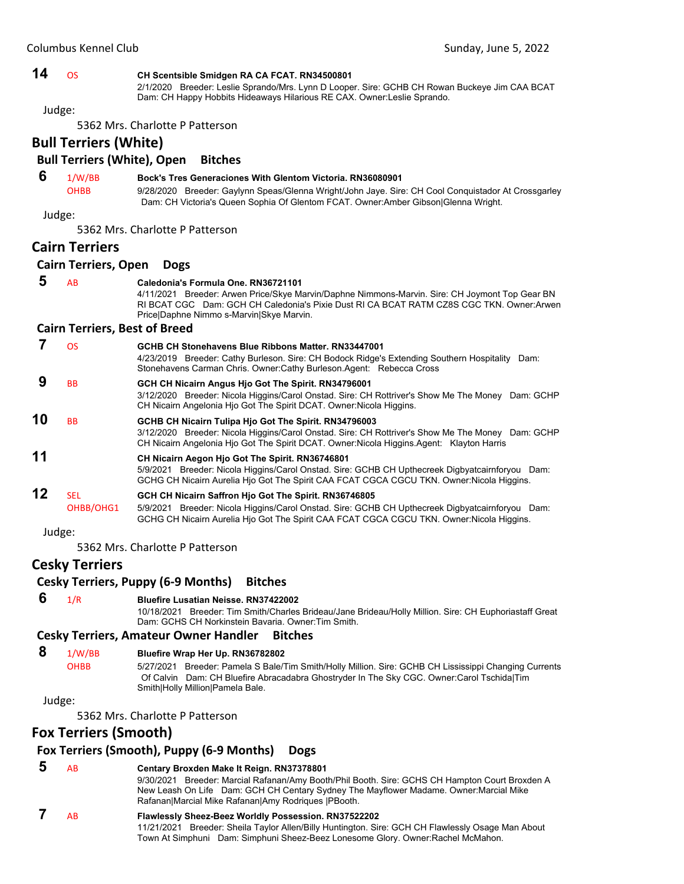# **14** OS **CH Scentsible Smidgen RA CA FCAT. RN34500801**

2/1/2020 Breeder: Leslie Sprando/Mrs. Lynn D Looper. Sire: GCHB CH Rowan Buckeye Jim CAA BCAT Dam: CH Happy Hobbits Hideaways Hilarious RE CAX. Owner:Leslie Sprando.

Judge:

5362 Mrs. Charlotte P Patterson

**Bull Terriers (White)**

# **Bull Terriers (White), Open Bitches**

 **6** 1/W/BB **Bock's Tres Generaciones With Glentom Victoria. RN36080901** OHBB 9/28/2020 Breeder: Gaylynn Speas/Glenna Wright/John Jaye. Sire: CH Cool Conquistador At Crossgarley

Dam: CH Victoria's Queen Sophia Of Glentom FCAT. Owner:Amber Gibson|Glenna Wright.

Judge:

5362 Mrs. Charlotte P Patterson

# **Cairn Terriers**

#### **Cairn Terriers, Open Dogs**

# **5** AB **Caledonia's Formula One. RN36721101**

4/11/2021 Breeder: Arwen Price/Skye Marvin/Daphne Nimmons-Marvin. Sire: CH Joymont Top Gear BN RI BCAT CGC Dam: GCH CH Caledonia's Pixie Dust RI CA BCAT RATM CZ8S CGC TKN. Owner:Arwen Price|Daphne Nimmo s-Marvin|Skye Marvin.

#### **Cairn Terriers, Best of Breed**

|    | OS               | GCHB CH Stonehavens Blue Ribbons Matter, RN33447001<br>4/23/2019 Breeder: Cathy Burleson. Sire: CH Bodock Ridge's Extending Southern Hospitality Dam:<br>Stonehavens Carman Chris. Owner: Cathy Burleson. Agent: Rebecca Cross                         |
|----|------------------|--------------------------------------------------------------------------------------------------------------------------------------------------------------------------------------------------------------------------------------------------------|
|    | <b>BB</b>        | GCH CH Nicairn Angus Hjo Got The Spirit. RN34796001<br>3/12/2020 Breeder: Nicola Higgins/Carol Onstad. Sire: CH Rottriver's Show Me The Money Dam: GCHP<br>CH Nicairn Angelonia Hio Got The Spirit DCAT. Owner: Nicola Higgins.                        |
| 10 | <b>BB</b>        | GCHB CH Nicairn Tulipa Hjo Got The Spirit. RN34796003<br>3/12/2020 Breeder: Nicola Higgins/Carol Onstad. Sire: CH Rottriver's Show Me The Money Dam: GCHP<br>CH Nicairn Angelonia Hio Got The Spirit DCAT. Owner: Nicola Higgins Agent: Klayton Harris |
| 11 |                  | CH Nicairn Aegon Hio Got The Spirit. RN36746801<br>5/9/2021 Breeder: Nicola Higgins/Carol Onstad. Sire: GCHB CH Upthecreek Digbyatcairnforyou Dam:<br>GCHG CH Nicairn Aurelia Hio Got The Spirit CAA FCAT CGCA CGCU TKN. Owner: Nicola Higgins.        |
| 12 | SEL<br>OHBB/OHG1 | GCH CH Nicairn Saffron Hio Got The Spirit. RN36746805<br>5/9/2021 Breeder: Nicola Higgins/Carol Onstad. Sire: GCHB CH Upthecreek Digbyatcairnforyou Dam:<br>GCHG CH Nicairn Aurelia Hio Got The Spirit CAA FCAT CGCA CGCU TKN. Owner:Nicola Higgins.   |

Judge:

5362 Mrs. Charlotte P Patterson

# **Cesky Terriers**

#### **Cesky Terriers, Puppy (6‐9 Months) Bitches**

 **6** 1/R **Bluefire Lusatian Neisse. RN37422002**

10/18/2021 Breeder: Tim Smith/Charles Brideau/Jane Brideau/Holly Million. Sire: CH Euphoriastaff Great Dam: GCHS CH Norkinstein Bavaria. Owner:Tim Smith.

### **Cesky Terriers, Amateur Owner Handler Bitches**

#### **8** 1/W/BB **Bluefire Wrap Her Up. RN36782802**

OHBB 5/27/2021 Breeder: Pamela S Bale/Tim Smith/Holly Million. Sire: GCHB CH Lississippi Changing Currents Of Calvin Dam: CH Bluefire Abracadabra Ghostryder In The Sky CGC. Owner:Carol Tschida|Tim Smith|Holly Million|Pamela Bale.

Judge:

5362 Mrs. Charlotte P Patterson

# **Fox Terriers (Smooth)**

# **Fox Terriers (Smooth), Puppy (6‐9 Months) Dogs**

 **5** AB **Centary Broxden Make It Reign. RN37378801** 9/30/2021 Breeder: Marcial Rafanan/Amy Booth/Phil Booth. Sire: GCHS CH Hampton Court Broxden A New Leash On Life Dam: GCH CH Centary Sydney The Mayflower Madame. Owner:Marcial Mike Rafanan|Marcial Mike Rafanan|Amy Rodriques |PBooth.  **7** AB **Flawlessly Sheez-Beez Worldly Possession. RN37522202**

11/21/2021 Breeder: Sheila Taylor Allen/Billy Huntington. Sire: GCH CH Flawlessly Osage Man About Town At Simphuni Dam: Simphuni Sheez-Beez Lonesome Glory. Owner:Rachel McMahon.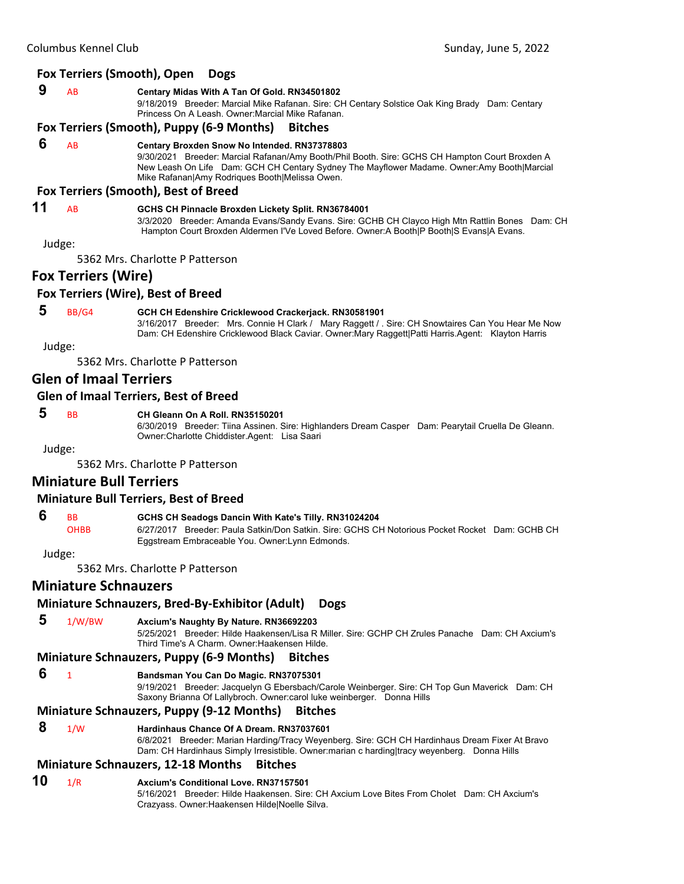#### **9** AB **Centary Midas With A Tan Of Gold. RN34501802**

9/18/2019 Breeder: Marcial Mike Rafanan. Sire: CH Centary Solstice Oak King Brady Dam: Centary Princess On A Leash. Owner:Marcial Mike Rafanan.

#### **Fox Terriers (Smooth), Puppy (6‐9 Months) Bitches**

#### **6** AB **Centary Broxden Snow No Intended. RN37378803**

9/30/2021 Breeder: Marcial Rafanan/Amy Booth/Phil Booth. Sire: GCHS CH Hampton Court Broxden A New Leash On Life Dam: GCH CH Centary Sydney The Mayflower Madame. Owner:Amy Booth|Marcial Mike Rafanan|Amy Rodriques Booth|Melissa Owen.

#### **Fox Terriers (Smooth), Best of Breed**

#### **11** AB **GCHS CH Pinnacle Broxden Lickety Split. RN36784001**

3/3/2020 Breeder: Amanda Evans/Sandy Evans. Sire: GCHB CH Clayco High Mtn Rattlin Bones Dam: CH Hampton Court Broxden Aldermen I'Ve Loved Before. Owner:A Booth|P Booth|S Evans|A Evans.

Judge:

5362 Mrs. Charlotte P Patterson

# **Fox Terriers (Wire)**

#### **Fox Terriers (Wire), Best of Breed**

#### **5** BB/G4 **GCH CH Edenshire Cricklewood Crackerjack. RN30581901**

3/16/2017 Breeder: Mrs. Connie H Clark / Mary Raggett / . Sire: CH Snowtaires Can You Hear Me Now Dam: CH Edenshire Cricklewood Black Caviar. Owner:Mary Raggett|Patti Harris.Agent: Klayton Harris

Judge:

5362 Mrs. Charlotte P Patterson

# **Glen of Imaal Terriers**

#### **Glen of Imaal Terriers, Best of Breed**

# **5** BB **CH Gleann On A Roll. RN35150201**

6/30/2019 Breeder: Tiina Assinen. Sire: Highlanders Dream Casper Dam: Pearytail Cruella De Gleann. Owner:Charlotte Chiddister.Agent: Lisa Saari

Judge:

5362 Mrs. Charlotte P Patterson

# **Miniature Bull Terriers**

#### **Miniature Bull Terriers, Best of Breed**

# **6** BB **GCHS CH Seadogs Dancin With Kate's Tilly. RN31024204**

OHBB 6/27/2017 Breeder: Paula Satkin/Don Satkin. Sire: GCHS CH Notorious Pocket Rocket Dam: GCHB CH Eggstream Embraceable You. Owner:Lynn Edmonds.

Judge:

5362 Mrs. Charlotte P Patterson

# **Miniature Schnauzers**

# **Miniature Schnauzers, Bred‐By‐Exhibitor (Adult) Dogs**

 **5** 1/W/BW **Axcium's Naughty By Nature. RN36692203**

5/25/2021 Breeder: Hilde Haakensen/Lisa R Miller. Sire: GCHP CH Zrules Panache Dam: CH Axcium's Third Time's A Charm. Owner:Haakensen Hilde.

# **Miniature Schnauzers, Puppy (6‐9 Months) Bitches**

 **6** <sup>1</sup> **Bandsman You Can Do Magic. RN37075301**

9/19/2021 Breeder: Jacquelyn G Ebersbach/Carole Weinberger. Sire: CH Top Gun Maverick Dam: CH Saxony Brianna Of Lallybroch. Owner:carol luke weinberger. Donna Hills

# **Miniature Schnauzers, Puppy (9‐12 Months) Bitches**

 **8** 1/W **Hardinhaus Chance Of A Dream. RN37037601**

6/8/2021 Breeder: Marian Harding/Tracy Weyenberg. Sire: GCH CH Hardinhaus Dream Fixer At Bravo Dam: CH Hardinhaus Simply Irresistible. Owner:marian c harding|tracy weyenberg. Donna Hills

# **Miniature Schnauzers, 12‐18 Months Bitches**

# **10** 1/R **Axcium's Conditional Love. RN37157501**

5/16/2021 Breeder: Hilde Haakensen. Sire: CH Axcium Love Bites From Cholet Dam: CH Axcium's Crazyass. Owner:Haakensen Hilde|Noelle Silva.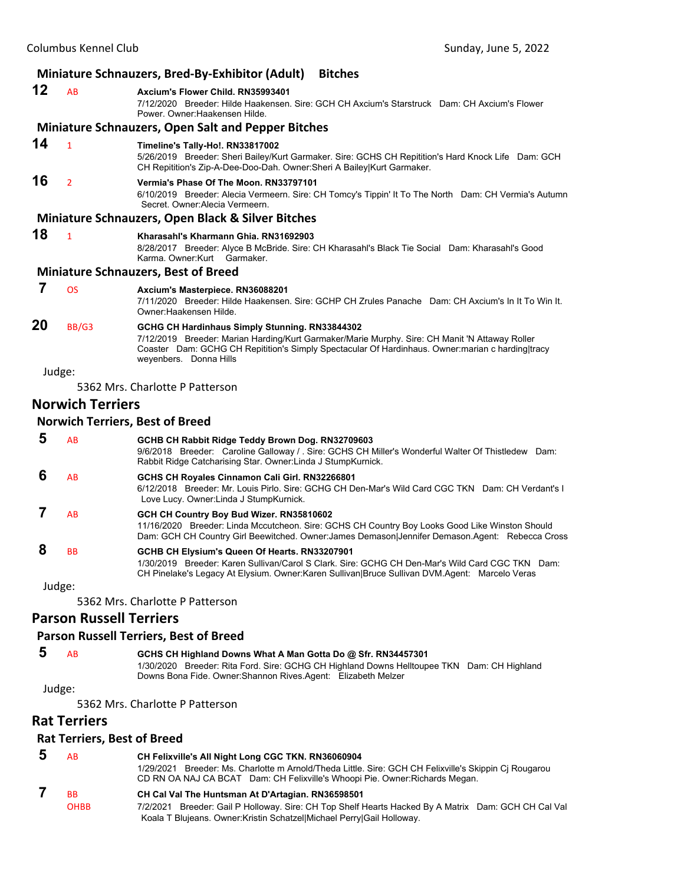|    |                         | Miniature Schnauzers, Bred-By-Exhibitor (Adult)<br><b>Bitches</b>                                                                                                                                                                                                               |
|----|-------------------------|---------------------------------------------------------------------------------------------------------------------------------------------------------------------------------------------------------------------------------------------------------------------------------|
| 12 | AB                      | Axcium's Flower Child. RN35993401<br>7/12/2020 Breeder: Hilde Haakensen, Sire: GCH CH Axcium's Starstruck Dam: CH Axcium's Flower<br>Power, Owner: Haakensen Hilde.                                                                                                             |
|    |                         | <b>Miniature Schnauzers, Open Salt and Pepper Bitches</b>                                                                                                                                                                                                                       |
| 14 | $\mathbf{1}$            | Timeline's Tally-Ho!. RN33817002<br>5/26/2019 Breeder: Sheri Bailey/Kurt Garmaker. Sire: GCHS CH Repitition's Hard Knock Life Dam: GCH<br>CH Repitition's Zip-A-Dee-Doo-Dah. Owner: Sheri A Bailey Kurt Garmaker.                                                               |
| 16 | $\overline{2}$          | Vermia's Phase Of The Moon, RN33797101<br>6/10/2019 Breeder: Alecia Vermeern. Sire: CH Tomcy's Tippin' It To The North Dam: CH Vermia's Autumn<br>Secret. Owner: Alecia Vermeern.                                                                                               |
|    |                         | <b>Miniature Schnauzers, Open Black &amp; Silver Bitches</b>                                                                                                                                                                                                                    |
| 18 | $\mathbf{1}$            | Kharasahl's Kharmann Ghia. RN31692903<br>8/28/2017 Breeder: Alyce B McBride. Sire: CH Kharasahl's Black Tie Social Dam: Kharasahl's Good<br>Karma, Owner:Kurt Garmaker,                                                                                                         |
|    |                         | <b>Miniature Schnauzers, Best of Breed</b>                                                                                                                                                                                                                                      |
| 7  | <b>OS</b>               | Axcium's Masterpiece. RN36088201<br>7/11/2020 Breeder: Hilde Haakensen, Sire: GCHP CH Zrules Panache Dam: CH Axcium's In It To Win It.<br>Owner: Haakensen Hilde.                                                                                                               |
| 20 | BB/G3                   | GCHG CH Hardinhaus Simply Stunning. RN33844302<br>7/12/2019 Breeder: Marian Harding/Kurt Garmaker/Marie Murphy. Sire: CH Manit 'N Attaway Roller<br>Coaster Dam: GCHG CH Repitition's Simply Spectacular Of Hardinhaus. Owner: marian c harding tracy<br>weyenbers. Donna Hills |
|    | Judge:                  |                                                                                                                                                                                                                                                                                 |
|    |                         | 5362 Mrs. Charlotte P Patterson                                                                                                                                                                                                                                                 |
|    | <b>Norwich Terriers</b> |                                                                                                                                                                                                                                                                                 |
|    |                         | <b>Norwich Terriers, Best of Breed</b>                                                                                                                                                                                                                                          |
| 5  | AB                      | GCHB CH Rabbit Ridge Teddy Brown Dog. RN32709603<br>9/6/2018 Breeder: Caroline Galloway / . Sire: GCHS CH Miller's Wonderful Walter Of Thistledew Dam:<br>Rabbit Ridge Catcharising Star. Owner: Linda J StumpKurnick.                                                          |
| 6  | AB                      | GCHS CH Royales Cinnamon Cali Girl. RN32266801<br>6/12/2018 Breeder: Mr. Louis Pirlo, Sire: GCHG CH Den-Mar's Wild Card CGC TKN Dam: CH Verdant's I<br>Love Lucy. Owner: Linda J StumpKurnick.                                                                                  |
| 7  | AB                      | GCH CH Country Boy Bud Wizer. RN35810602<br>11/16/2020 Breeder: Linda Mccutcheon. Sire: GCHS CH Country Boy Looks Good Like Winston Should                                                                                                                                      |

Dam: GCH CH Country Girl Beewitched. Owner:James Demason|Jennifer Demason.Agent: Rebecca Cross

 **8** BB **GCHB CH Elysium's Queen Of Hearts. RN33207901** 1/30/2019 Breeder: Karen Sullivan/Carol S Clark. Sire: GCHG CH Den-Mar's Wild Card CGC TKN Dam: CH Pinelake's Legacy At Elysium. Owner:Karen Sullivan|Bruce Sullivan DVM.Agent: Marcelo Veras

Judge:

5362 Mrs. Charlotte P Patterson

# **Parson Russell Terriers**

#### **Parson Russell Terriers, Best of Breed**

 **5** AB **GCHS CH Highland Downs What A Man Gotta Do @ Sfr. RN34457301** 1/30/2020 Breeder: Rita Ford. Sire: GCHG CH Highland Downs Helltoupee TKN Dam: CH Highland Downs Bona Fide. Owner:Shannon Rives.Agent: Elizabeth Melzer

Judge:

5362 Mrs. Charlotte P Patterson

# **Rat Terriers**

#### **Rat Terriers, Best of Breed**

| AB          | CH Felixville's All Night Long CGC TKN. RN36060904                                                                                                                                       |
|-------------|------------------------------------------------------------------------------------------------------------------------------------------------------------------------------------------|
|             | Breeder: Ms. Charlotte m Arnold/Theda Little. Sire: GCH CH Felixville's Skippin Ci Rougarou<br>1/29/2021<br>CD RN OA NAJ CA BCAT Dam: CH Felixville's Whoopi Pie. Owner: Richards Megan. |
| <b>BB</b>   | CH Cal Val The Huntsman At D'Artagian. RN36598501                                                                                                                                        |
| <b>OHBB</b> | 7/2/2021 Breeder: Gail P Holloway. Sire: CH Top Shelf Hearts Hacked By A Matrix Dam: GCH CH Cal Val<br>Koala T Blujeans. Owner: Kristin Schatzel Michael Perry Gail Holloway.            |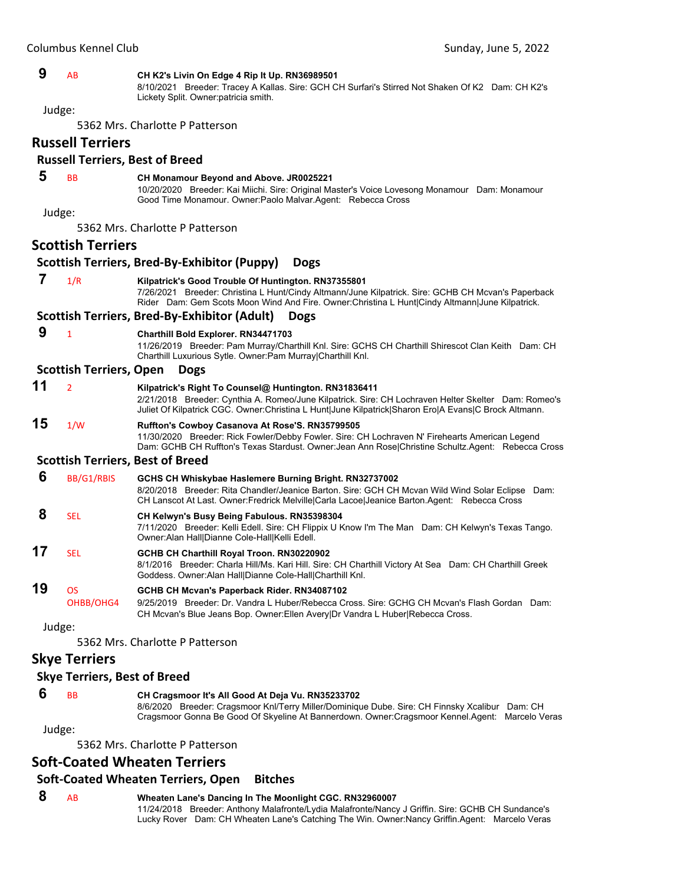| Columbus Kennel Club |                                     | Sunday, June 5, 2022                                                                                                                                                                                                                                                 |
|----------------------|-------------------------------------|----------------------------------------------------------------------------------------------------------------------------------------------------------------------------------------------------------------------------------------------------------------------|
| 9                    | AB                                  | CH K2's Livin On Edge 4 Rip It Up. RN36989501<br>8/10/2021 Breeder: Tracey A Kallas. Sire: GCH CH Surfari's Stirred Not Shaken Of K2 Dam: CH K2's<br>Lickety Split. Owner:patricia smith.                                                                            |
|                      | Judge:                              |                                                                                                                                                                                                                                                                      |
|                      |                                     | 5362 Mrs. Charlotte P Patterson                                                                                                                                                                                                                                      |
|                      | <b>Russell Terriers</b>             |                                                                                                                                                                                                                                                                      |
|                      |                                     | <b>Russell Terriers, Best of Breed</b>                                                                                                                                                                                                                               |
| 5                    | <b>BB</b>                           | CH Monamour Beyond and Above. JR0025221<br>10/20/2020 Breeder: Kai Miichi. Sire: Original Master's Voice Lovesong Monamour Dam: Monamour<br>Good Time Monamour. Owner: Paolo Malvar. Agent: Rebecca Cross                                                            |
|                      | Judge:                              |                                                                                                                                                                                                                                                                      |
|                      |                                     | 5362 Mrs. Charlotte P Patterson                                                                                                                                                                                                                                      |
|                      | <b>Scottish Terriers</b>            |                                                                                                                                                                                                                                                                      |
|                      |                                     | <b>Scottish Terriers, Bred-By-Exhibitor (Puppy)</b><br><b>Dogs</b>                                                                                                                                                                                                   |
| 7                    | 1/R                                 | Kilpatrick's Good Trouble Of Huntington. RN37355801<br>7/26/2021 Breeder: Christina L Hunt/Cindy Altmann/June Kilpatrick. Sire: GCHB CH Mcvan's Paperback<br>Rider Dam: Gem Scots Moon Wind And Fire. Owner: Christina L Hunt Cindy Altmann June Kilpatrick.         |
|                      |                                     | Scottish Terriers, Bred-By-Exhibitor (Adult)<br><b>Dogs</b>                                                                                                                                                                                                          |
| 9                    | $\mathbf{1}$                        | <b>Charthill Bold Explorer. RN34471703</b><br>11/26/2019 Breeder: Pam Murray/Charthill Knl. Sire: GCHS CH Charthill Shirescot Clan Keith Dam: CH<br>Charthill Luxurious Sytle. Owner:Pam Murray Charthill Knl.                                                       |
|                      | <b>Scottish Terriers, Open</b>      | <b>Dogs</b>                                                                                                                                                                                                                                                          |
| 11                   | $\overline{2}$                      | Kilpatrick's Right To Counsel@ Huntington. RN31836411<br>2/21/2018 Breeder: Cynthia A. Romeo/June Kilpatrick. Sire: CH Lochraven Helter Skelter Dam: Romeo's<br>Juliet Of Kilpatrick CGC. Owner:Christina L Hunt June Kilpatrick Sharon Ero A Evans C Brock Altmann. |
| 15                   | 1/W                                 | Ruffton's Cowboy Casanova At Rose'S. RN35799505<br>11/30/2020 Breeder: Rick Fowler/Debby Fowler. Sire: CH Lochraven N' Firehearts American Legend<br>Dam: GCHB CH Ruffton's Texas Stardust. Owner: Jean Ann Rose Christine Schultz.Agent: Rebecca Cross              |
|                      |                                     | <b>Scottish Terriers, Best of Breed</b>                                                                                                                                                                                                                              |
| 6                    | BB/G1/RBIS                          | GCHS CH Whiskybae Haslemere Burning Bright. RN32737002<br>8/20/2018 Breeder: Rita Chandler/Jeanice Barton. Sire: GCH CH Mcvan Wild Wind Solar Eclipse Dam:<br>CH Lanscot At Last. Owner: Fredrick Melville Carla Lacoe   Jeanice Barton. Agent: Rebecca Cross        |
| 8                    | SEL                                 | CH Kelwyn's Busy Being Fabulous. RN35398304<br>7/11/2020 Breeder: Kelli Edell. Sire: CH Flippix U Know I'm The Man Dam: CH Kelwyn's Texas Tango.<br>Owner: Alan Hall Dianne Cole-Hall Kelli Edell.                                                                   |
| 17                   | <b>SEL</b>                          | GCHB CH Charthill Royal Troon. RN30220902<br>8/1/2016 Breeder: Charla Hill/Ms. Kari Hill. Sire: CH Charthill Victory At Sea Dam: CH Charthill Greek<br>Goddess. Owner:Alan Hall Dianne Cole-Hall Charthill Knl.                                                      |
| 19                   | <b>OS</b>                           | GCHB CH Mcvan's Paperback Rider. RN34087102                                                                                                                                                                                                                          |
|                      | OHBB/OHG4                           | 9/25/2019 Breeder: Dr. Vandra L Huber/Rebecca Cross, Sire: GCHG CH Mcvan's Flash Gordan Dam:<br>CH Mcvan's Blue Jeans Bop. Owner: Ellen Avery Dr Vandra L Huber Rebecca Cross.                                                                                       |
|                      | Judge:                              |                                                                                                                                                                                                                                                                      |
|                      |                                     | 5362 Mrs. Charlotte P Patterson                                                                                                                                                                                                                                      |
|                      | <b>Skye Terriers</b>                |                                                                                                                                                                                                                                                                      |
|                      | <b>Skye Terriers, Best of Breed</b> |                                                                                                                                                                                                                                                                      |
| 6                    | BB                                  | CH Cragsmoor It's All Good At Deja Vu. RN35233702                                                                                                                                                                                                                    |

8/6/2020 Breeder: Cragsmoor Knl/Terry Miller/Dominique Dube. Sire: CH Finnsky Xcalibur Dam: CH Cragsmoor Gonna Be Good Of Skyeline At Bannerdown. Owner:Cragsmoor Kennel.Agent: Marcelo Veras

Judge:

5362 Mrs. Charlotte P Patterson

# **Soft‐Coated Wheaten Terriers**

# **Soft‐Coated Wheaten Terriers, Open Bitches**

 **8** AB **Wheaten Lane's Dancing In The Moonlight CGC. RN32960007** 11/24/2018 Breeder: Anthony Malafronte/Lydia Malafronte/Nancy J Griffin. Sire: GCHB CH Sundance's Lucky Rover Dam: CH Wheaten Lane's Catching The Win. Owner:Nancy Griffin.Agent: Marcelo Veras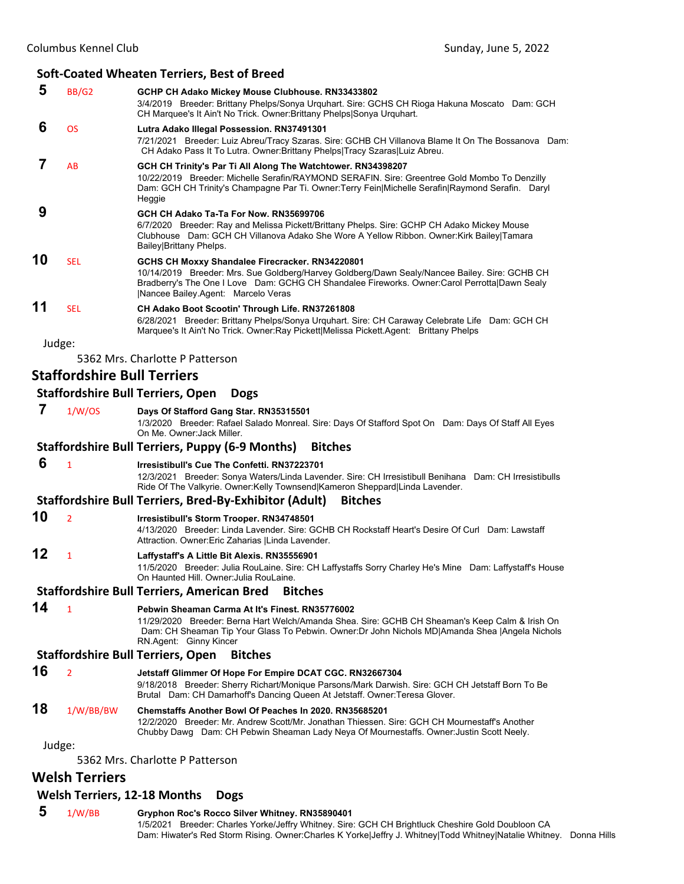# **Soft‐Coated Wheaten Terriers, Best of Breed**

|    |                | SUIT COUTCU WITCUTCH TEHTCHS, DEST OF DICCU                                                                                                                                                                                                                                             |
|----|----------------|-----------------------------------------------------------------------------------------------------------------------------------------------------------------------------------------------------------------------------------------------------------------------------------------|
| 5  | BB/G2          | GCHP CH Adako Mickey Mouse Clubhouse. RN33433802<br>3/4/2019 Breeder: Brittany Phelps/Sonya Urquhart. Sire: GCHS CH Rioga Hakuna Moscato Dam: GCH<br>CH Marquee's It Ain't No Trick. Owner: Brittany Phelps Sonya Urquhart.                                                             |
| 6  | <b>OS</b>      | Lutra Adako Illegal Possession. RN37491301<br>7/21/2021 Breeder: Luiz Abreu/Tracy Szaras. Sire: GCHB CH Villanova Blame It On The Bossanova Dam:<br>CH Adako Pass It To Lutra. Owner: Brittany Phelps   Tracy Szaras   Luiz Abreu.                                                      |
| 7  | AB             | GCH CH Trinity's Par Ti All Along The Watchtower. RN34398207<br>10/22/2019 Breeder: Michelle Serafin/RAYMOND SERAFIN. Sire: Greentree Gold Mombo To Denzilly<br>Dam: GCH CH Trinity's Champagne Par Ti. Owner: Terry Fein Michelle Serafin Raymond Serafin. Daryl<br>Heggie             |
| 9  |                | GCH CH Adako Ta-Ta For Now, RN35699706<br>6/7/2020 Breeder: Ray and Melissa Pickett/Brittany Phelps. Sire: GCHP CH Adako Mickey Mouse<br>Clubhouse Dam: GCH CH Villanova Adako She Wore A Yellow Ribbon. Owner:Kirk Bailey Tamara<br>Bailey Brittany Phelps.                            |
| 10 | <b>SEL</b>     | GCHS CH Moxxy Shandalee Firecracker. RN34220801<br>10/14/2019 Breeder: Mrs. Sue Goldberg/Harvey Goldberg/Dawn Sealy/Nancee Bailey. Sire: GCHB CH<br>Bradberry's The One I Love Dam: GCHG CH Shandalee Fireworks. Owner:Carol Perrotta Dawn Sealy<br> Nancee Bailey.Agent: Marcelo Veras |
| 11 | <b>SEL</b>     | CH Adako Boot Scootin' Through Life. RN37261808<br>6/28/2021 Breeder: Brittany Phelps/Sonya Urquhart. Sire: CH Caraway Celebrate Life Dam: GCH CH<br>Marquee's It Ain't No Trick. Owner: Ray Pickett Melissa Pickett. Agent: Brittany Phelps                                            |
|    | Judge:         |                                                                                                                                                                                                                                                                                         |
|    |                | 5362 Mrs. Charlotte P Patterson                                                                                                                                                                                                                                                         |
|    |                | <b>Staffordshire Bull Terriers</b>                                                                                                                                                                                                                                                      |
|    |                | <b>Staffordshire Bull Terriers, Open</b><br><b>Dogs</b>                                                                                                                                                                                                                                 |
| 7  | 1/W/OS         | Days Of Stafford Gang Star. RN35315501<br>1/3/2020 Breeder: Rafael Salado Monreal. Sire: Days Of Stafford Spot On Dam: Days Of Staff All Eyes<br>On Me. Owner: Jack Miller.                                                                                                             |
|    |                | <b>Staffordshire Bull Terriers, Puppy (6-9 Months)</b><br><b>Bitches</b>                                                                                                                                                                                                                |
| 6  | $\overline{1}$ | Irresistibull's Cue The Confetti, RN37223701<br>12/3/2021 Breeder: Sonya Waters/Linda Lavender. Sire: CH Irresistibull Benihana Dam: CH Irresistibulls<br>Ride Of The Valkyrie. Owner:Kelly Townsend Kameron Sheppard Linda Lavender.                                                   |
|    |                | Staffordshire Bull Terriers, Bred-By-Exhibitor (Adult)<br><b>Bitches</b>                                                                                                                                                                                                                |
| 10 | $\overline{2}$ | Irresistibull's Storm Trooper. RN34748501<br>4/13/2020 Breeder: Linda Lavender, Sire: GCHB CH Rockstaff Heart's Desire Of Curl Dam: Lawstaff<br>Attraction. Owner: Eric Zaharias   Linda Lavender.                                                                                      |

# **12** <sup>1</sup> **Laffystaff's A Little Bit Alexis. RN35556901**

11/5/2020 Breeder: Julia RouLaine. Sire: CH Laffystaffs Sorry Charley He's Mine Dam: Laffystaff's House On Haunted Hill. Owner:Julia RouLaine.

#### **Staffordshire Bull Terriers, American Bred Bitches**

**14** <sup>1</sup> **Pebwin Sheaman Carma At It's Finest. RN35776002**

11/29/2020 Breeder: Berna Hart Welch/Amanda Shea. Sire: GCHB CH Sheaman's Keep Calm & Irish On Dam: CH Sheaman Tip Your Glass To Pebwin. Owner:Dr John Nichols MD|Amanda Shea |Angela Nichols RN.Agent: Ginny Kincer

#### **Staffordshire Bull Terriers, Open Bitches**

**16** <sup>2</sup> **Jetstaff Glimmer Of Hope For Empire DCAT CGC. RN32667304**

9/18/2018 Breeder: Sherry Richart/Monique Parsons/Mark Darwish. Sire: GCH CH Jetstaff Born To Be Brutal Dam: CH Damarhoff's Dancing Queen At Jetstaff. Owner:Teresa Glover.

#### **18** 1/W/BB/BW **Chemstaffs Another Bowl Of Peaches In 2020. RN35685201** 12/2/2020 Breeder: Mr. Andrew Scott/Mr. Jonathan Thiessen. Sire: GCH CH Mournestaff's Another Chubby Dawg Dam: CH Pebwin Sheaman Lady Neya Of Mournestaffs. Owner:Justin Scott Neely.

Judge:

5362 Mrs. Charlotte P Patterson

# **Welsh Terriers**

# **Welsh Terriers, 12‐18 Months Dogs**

 **5** 1/W/BB **Gryphon Roc's Rocco Silver Whitney. RN35890401** 1/5/2021 Breeder: Charles Yorke/Jeffry Whitney. Sire: GCH CH Brightluck Cheshire Gold Doubloon CA Dam: Hiwater's Red Storm Rising. Owner:Charles K Yorke|Jeffry J. Whitney|Todd Whitney|Natalie Whitney. Donna Hills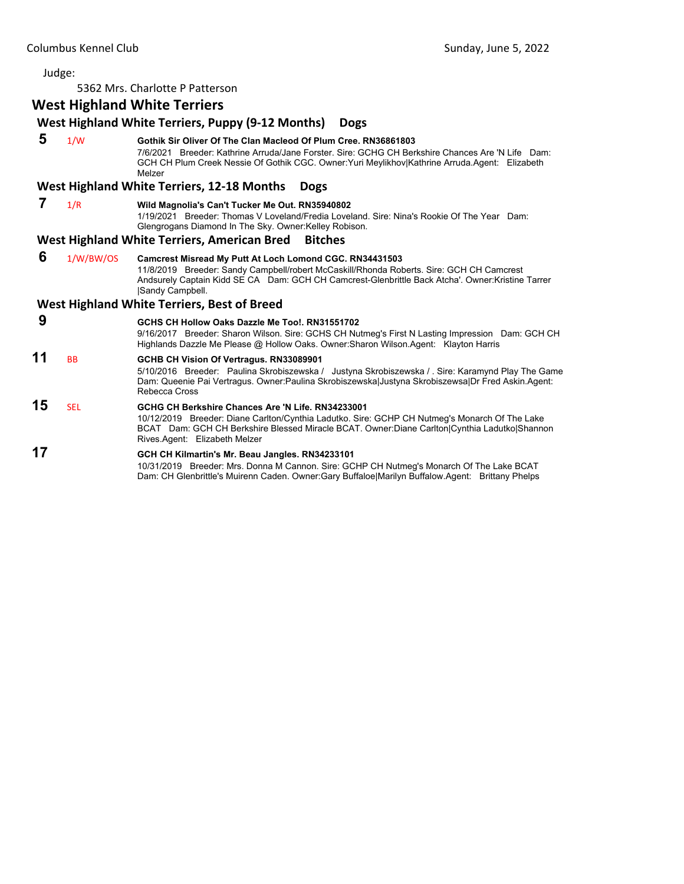5362 Mrs. Charlotte P Patterson

# **West Highland White Terriers**

# **West Highland White Terriers, Puppy (9‐12 Months) Dogs**

 **5** 1/W **Gothik Sir Oliver Of The Clan Macleod Of Plum Cree. RN36861803** 7/6/2021 Breeder: Kathrine Arruda/Jane Forster. Sire: GCHG CH Berkshire Chances Are 'N Life Dam: GCH CH Plum Creek Nessie Of Gothik CGC. Owner:Yuri Meylikhov|Kathrine Arruda.Agent: Elizabeth Melzer

#### **West Highland White Terriers, 12‐18 Months Dogs**

 **7** 1/R **Wild Magnolia's Can't Tucker Me Out. RN35940802**

1/19/2021 Breeder: Thomas V Loveland/Fredia Loveland. Sire: Nina's Rookie Of The Year Dam: Glengrogans Diamond In The Sky. Owner:Kelley Robison.

#### **West Highland White Terriers, American Bred Bitches**

 **6** 1/W/BW/OS **Camcrest Misread My Putt At Loch Lomond CGC. RN34431503** 11/8/2019 Breeder: Sandy Campbell/robert McCaskill/Rhonda Roberts. Sire: GCH CH Camcrest Andsurely Captain Kidd SE CA Dam: GCH CH Camcrest-Glenbrittle Back Atcha'. Owner:Kristine Tarrer |Sandy Campbell.

#### **West Highland White Terriers, Best of Breed**

 **9 GCHS CH Hollow Oaks Dazzle Me Too!. RN31551702**

9/16/2017 Breeder: Sharon Wilson. Sire: GCHS CH Nutmeg's First N Lasting Impression Dam: GCH CH Highlands Dazzle Me Please @ Hollow Oaks. Owner:Sharon Wilson.Agent: Klayton Harris

# **11** BB **GCHB CH Vision Of Vertragus. RN33089901**

5/10/2016 Breeder: Paulina Skrobiszewska / Justyna Skrobiszewska / . Sire: Karamynd Play The Game Dam: Queenie Pai Vertragus. Owner:Paulina Skrobiszewska|Justyna Skrobiszewsa|Dr Fred Askin.Agent: Rebecca Cross

# **15** SEL **GCHG CH Berkshire Chances Are 'N Life. RN34233001**

10/12/2019 Breeder: Diane Carlton/Cynthia Ladutko. Sire: GCHP CH Nutmeg's Monarch Of The Lake BCAT Dam: GCH CH Berkshire Blessed Miracle BCAT. Owner:Diane Carlton|Cynthia Ladutko|Shannon Rives.Agent: Elizabeth Melzer

# **17 GCH CH Kilmartin's Mr. Beau Jangles. RN34233101**

10/31/2019 Breeder: Mrs. Donna M Cannon. Sire: GCHP CH Nutmeg's Monarch Of The Lake BCAT Dam: CH Glenbrittle's Muirenn Caden. Owner:Gary Buffaloe|Marilyn Buffalow.Agent: Brittany Phelps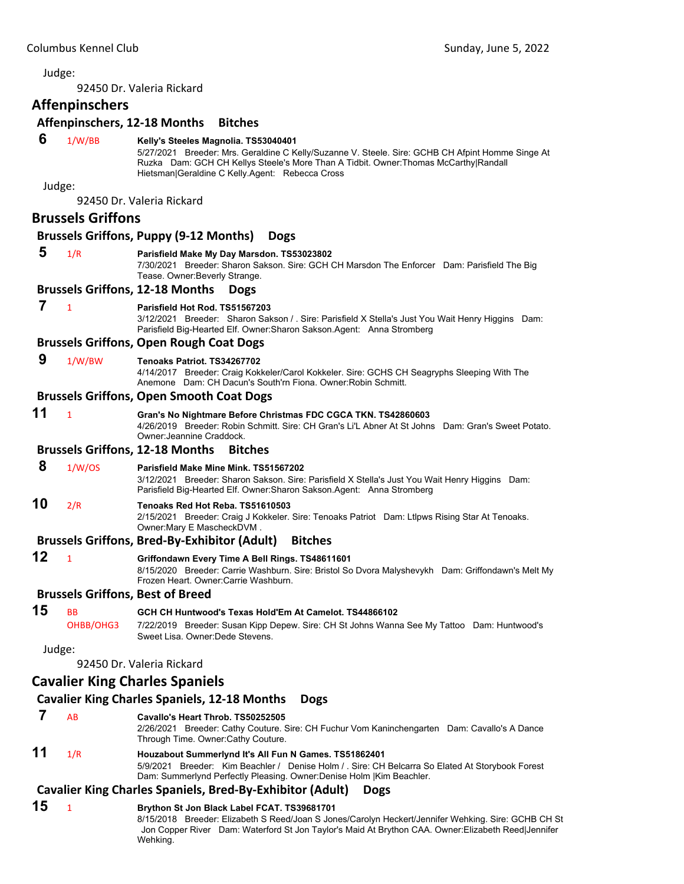# <span id="page-38-0"></span>Judge: 92450 Dr. Valeria Rickard **Affenpinschers Affenpinschers, 12‐18 Months Bitches 6** 1/W/BB **Kelly's Steeles Magnolia. TS53040401** 5/27/2021 Breeder: Mrs. Geraldine C Kelly/Suzanne V. Steele. Sire: GCHB CH Afpint Homme Singe At Ruzka Dam: GCH CH Kellys Steele's More Than A Tidbit. Owner:Thomas McCarthy|Randall Hietsman|Geraldine C Kelly.Agent: Rebecca Cross Judge: 92450 Dr. Valeria Rickard **Brussels Griffons Brussels Griffons, Puppy (9‐12 Months) Dogs 5** 1/R **Parisfield Make My Day Marsdon. TS53023802** 7/30/2021 Breeder: Sharon Sakson. Sire: GCH CH Marsdon The Enforcer Dam: Parisfield The Big Tease. Owner:Beverly Strange. **Brussels Griffons, 12‐18 Months Dogs 7** <sup>1</sup> **Parisfield Hot Rod. TS51567203** 3/12/2021 Breeder: Sharon Sakson / . Sire: Parisfield X Stella's Just You Wait Henry Higgins Dam: Parisfield Big-Hearted Elf. Owner:Sharon Sakson.Agent: Anna Stromberg **Brussels Griffons, Open Rough Coat Dogs 9** 1/W/BW **Tenoaks Patriot. TS34267702** 4/14/2017 Breeder: Craig Kokkeler/Carol Kokkeler. Sire: GCHS CH Seagryphs Sleeping With The Anemone Dam: CH Dacun's South'rn Fiona. Owner:Robin Schmitt. **Brussels Griffons, Open Smooth Coat Dogs 11** <sup>1</sup> **Gran's No Nightmare Before Christmas FDC CGCA TKN. TS42860603** 4/26/2019 Breeder: Robin Schmitt. Sire: CH Gran's Li'L Abner At St Johns Dam: Gran's Sweet Potato. Owner:Jeannine Craddock. **Brussels Griffons, 12‐18 Months Bitches 8** 1/W/OS **Parisfield Make Mine Mink. TS51567202** 3/12/2021 Breeder: Sharon Sakson. Sire: Parisfield X Stella's Just You Wait Henry Higgins Dam: Parisfield Big-Hearted Elf. Owner:Sharon Sakson.Agent: Anna Stromberg **10** 2/R **Tenoaks Red Hot Reba. TS51610503** 2/15/2021 Breeder: Craig J Kokkeler. Sire: Tenoaks Patriot Dam: Ltlpws Rising Star At Tenoaks. Owner:Mary E MascheckDVM . **Brussels Griffons, Bred‐By‐Exhibitor (Adult) Bitches 12** <sup>1</sup> **Griffondawn Every Time A Bell Rings. TS48611601** 8/15/2020 Breeder: Carrie Washburn. Sire: Bristol So Dvora Malyshevykh Dam: Griffondawn's Melt My Frozen Heart. Owner:Carrie Washburn. **Brussels Griffons, Best of Breed 15** BB **GCH CH Huntwood's Texas Hold'Em At Camelot. TS44866102** OHBB/OHG3 7/22/2019 Breeder: Susan Kipp Depew. Sire: CH St Johns Wanna See My Tattoo Dam: Huntwood's Sweet Lisa. Owner:Dede Stevens. Judge: 92450 Dr. Valeria Rickard **Cavalier King Charles Spaniels Cavalier King Charles Spaniels, 12‐18 Months Dogs 7** AB **Cavallo's Heart Throb. TS50252505** 2/26/2021 Breeder: Cathy Couture. Sire: CH Fuchur Vom Kaninchengarten Dam: Cavallo's A Dance Through Time. Owner:Cathy Couture. **11** 1/R **Houzabout Summerlynd It's All Fun N Games. TS51862401**

5/9/2021 Breeder: Kim Beachler / Denise Holm / . Sire: CH Belcarra So Elated At Storybook Forest Dam: Summerlynd Perfectly Pleasing. Owner:Denise Holm |Kim Beachler.

# **Cavalier King Charles Spaniels, Bred‐By‐Exhibitor (Adult) Dogs**

# **15** <sup>1</sup> **Brython St Jon Black Label FCAT. TS39681701**

8/15/2018 Breeder: Elizabeth S Reed/Joan S Jones/Carolyn Heckert/Jennifer Wehking. Sire: GCHB CH St Jon Copper River Dam: Waterford St Jon Taylor's Maid At Brython CAA. Owner:Elizabeth Reed|Jennifer Wehking.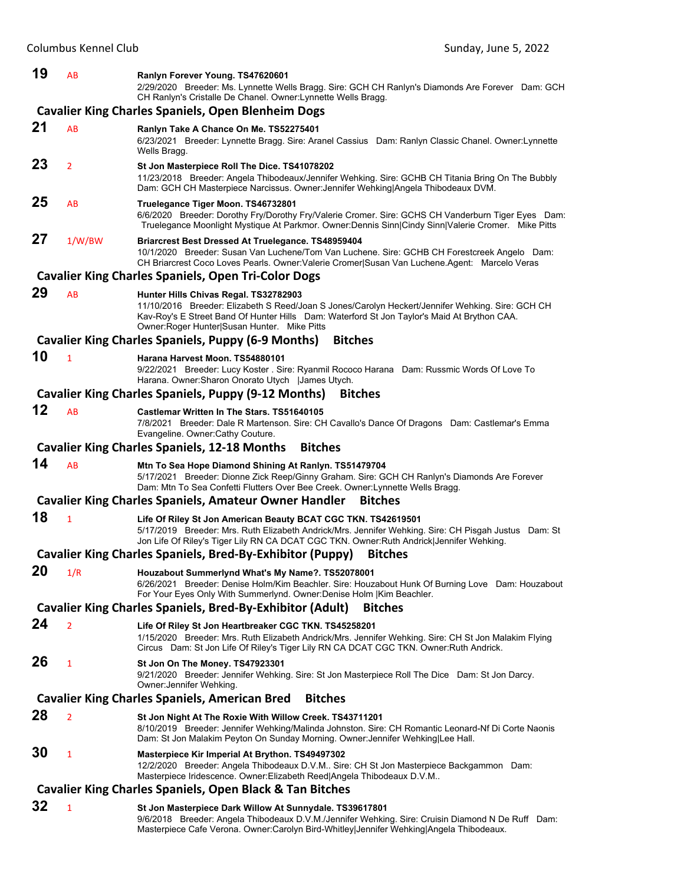#### **19** AB **Ranlyn Forever Young. TS47620601**

2/29/2020 Breeder: Ms. Lynnette Wells Bragg. Sire: GCH CH Ranlyn's Diamonds Are Forever Dam: GCH CH Ranlyn's Cristalle De Chanel. Owner:Lynnette Wells Bragg.

#### **Cavalier King Charles Spaniels, Open Blenheim Dogs**

#### **21** AB **Ranlyn Take A Chance On Me. TS52275401**

6/23/2021 Breeder: Lynnette Bragg. Sire: Aranel Cassius Dam: Ranlyn Classic Chanel. Owner:Lynnette Wells Bragg

# **23** <sup>2</sup> **St Jon Masterpiece Roll The Dice. TS41078202**

11/23/2018 Breeder: Angela Thibodeaux/Jennifer Wehking. Sire: GCHB CH Titania Bring On The Bubbly Dam: GCH CH Masterpiece Narcissus. Owner:Jennifer Wehking|Angela Thibodeaux DVM.

# **25** AB **Truelegance Tiger Moon. TS46732801**

6/6/2020 Breeder: Dorothy Fry/Dorothy Fry/Valerie Cromer. Sire: GCHS CH Vanderburn Tiger Eyes Dam: Truelegance Moonlight Mystique At Parkmor. Owner:Dennis Sinn|Cindy Sinn|Valerie Cromer. Mike Pitts

# **27** 1/W/BW **Briarcrest Best Dressed At Truelegance. TS48959404**

10/1/2020 Breeder: Susan Van Luchene/Tom Van Luchene. Sire: GCHB CH Forestcreek Angelo Dam: CH Briarcrest Coco Loves Pearls. Owner:Valerie Cromer|Susan Van Luchene.Agent: Marcelo Veras

#### **Cavalier King Charles Spaniels, Open Tri‐Color Dogs**

**29** AB **Hunter Hills Chivas Regal. TS32782903** 11/10/2016 Breeder: Elizabeth S Reed/Joan S Jones/Carolyn Heckert/Jennifer Wehking. Sire: GCH CH Kav-Roy's E Street Band Of Hunter Hills Dam: Waterford St Jon Taylor's Maid At Brython CAA. Owner:Roger Hunter|Susan Hunter. Mike Pitts

#### **Cavalier King Charles Spaniels, Puppy (6‐9 Months) Bitches**

#### **10** <sup>1</sup> **Harana Harvest Moon. TS54880101**

9/22/2021 Breeder: Lucy Koster . Sire: Ryanmil Rococo Harana Dam: Russmic Words Of Love To Harana. Owner:Sharon Onorato Utych |James Utych.

#### **Cavalier King Charles Spaniels, Puppy (9‐12 Months) Bitches**

#### **12** AB **Castlemar Written In The Stars. TS51640105**

7/8/2021 Breeder: Dale R Martenson. Sire: CH Cavallo's Dance Of Dragons Dam: Castlemar's Emma Evangeline. Owner:Cathy Couture.

#### **Cavalier King Charles Spaniels, 12‐18 Months Bitches**

**14** AB **Mtn To Sea Hope Diamond Shining At Ranlyn. TS51479704** 5/17/2021 Breeder: Dionne Zick Reep/Ginny Graham. Sire: GCH CH Ranlyn's Diamonds Are Forever Dam: Mtn To Sea Confetti Flutters Over Bee Creek. Owner:Lynnette Wells Bragg.

# **Cavalier King Charles Spaniels, Amateur Owner Handler Bitches**

# **18** <sup>1</sup> **Life Of Riley St Jon American Beauty BCAT CGC TKN. TS42619501**

5/17/2019 Breeder: Mrs. Ruth Elizabeth Andrick/Mrs. Jennifer Wehking. Sire: CH Pisgah Justus Dam: St Jon Life Of Riley's Tiger Lily RN CA DCAT CGC TKN. Owner:Ruth Andrick|Jennifer Wehking.

#### **Cavalier King Charles Spaniels, Bred‐By‐Exhibitor (Puppy) Bitches**

#### **20** 1/R **Houzabout Summerlynd What's My Name?. TS52078001** 6/26/2021 Breeder: Denise Holm/Kim Beachler. Sire: Houzabout Hunk Of Burning Love Dam: Houzabout For Your Eyes Only With Summerlynd. Owner:Denise Holm |Kim Beachler.

#### **Cavalier King Charles Spaniels, Bred‐By‐Exhibitor (Adult) Bitches**

# **24** <sup>2</sup> **Life Of Riley St Jon Heartbreaker CGC TKN. TS45258201**

1/15/2020 Breeder: Mrs. Ruth Elizabeth Andrick/Mrs. Jennifer Wehking. Sire: CH St Jon Malakim Flying Circus Dam: St Jon Life Of Riley's Tiger Lily RN CA DCAT CGC TKN. Owner:Ruth Andrick.

# **26** <sup>1</sup> **St Jon On The Money. TS47923301**

9/21/2020 Breeder: Jennifer Wehking. Sire: St Jon Masterpiece Roll The Dice Dam: St Jon Darcy. Owner:Jennifer Wehking.

# **Cavalier King Charles Spaniels, American Bred Bitches**

**28** <sup>2</sup> **St Jon Night At The Roxie With Willow Creek. TS43711201** 8/10/2019 Breeder: Jennifer Wehking/Malinda Johnston. Sire: CH Romantic Leonard-Nf Di Corte Naonis Dam: St Jon Malakim Peyton On Sunday Morning. Owner:Jennifer Wehking|Lee Hall. **30** <sup>1</sup> **Masterpiece Kir Imperial At Brython. TS49497302**

#### 12/2/2020 Breeder: Angela Thibodeaux D.V.M.. Sire: CH St Jon Masterpiece Backgammon Dam: Masterpiece Iridescence. Owner:Elizabeth Reed|Angela Thibodeaux D.V.M..

# **Cavalier King Charles Spaniels, Open Black & Tan Bitches**

**32** <sup>1</sup> **St Jon Masterpiece Dark Willow At Sunnydale. TS39617801** 9/6/2018 Breeder: Angela Thibodeaux D.V.M./Jennifer Wehking. Sire: Cruisin Diamond N De Ruff Dam: Masterpiece Cafe Verona. Owner:Carolyn Bird-Whitley|Jennifer Wehking|Angela Thibodeaux.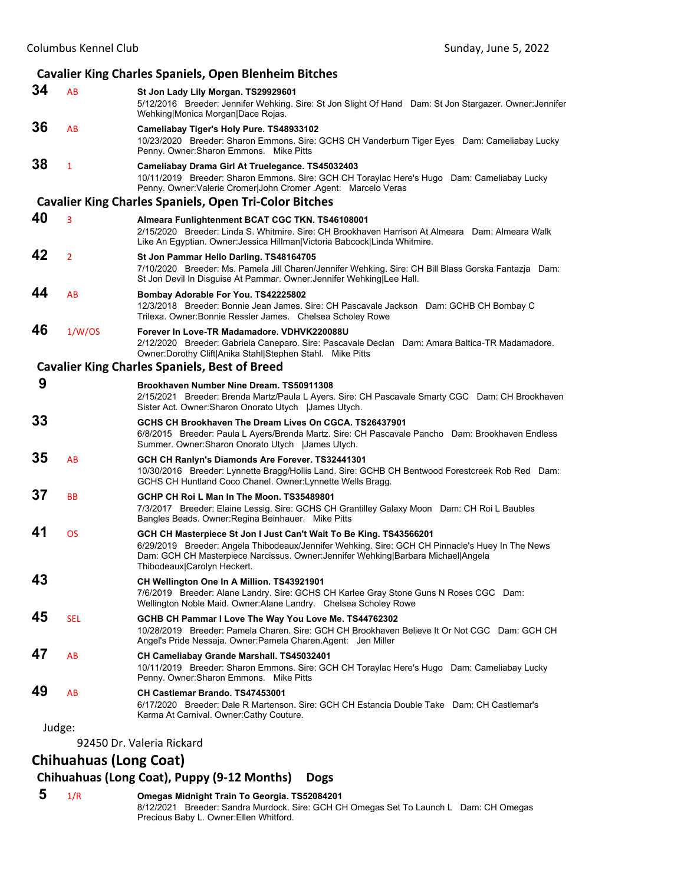#### **Cavalier King Charles Spaniels, Open Blenheim Bitches 34** AB **St Jon Lady Lily Morgan. TS29929601** 5/12/2016 Breeder: Jennifer Wehking. Sire: St Jon Slight Of Hand Dam: St Jon Stargazer. Owner:Jennifer Wehking|Monica Morgan|Dace Rojas. **36** AB **Cameliabay Tiger's Holy Pure. TS48933102** 10/23/2020 Breeder: Sharon Emmons. Sire: GCHS CH Vanderburn Tiger Eyes Dam: Cameliabay Lucky Penny. Owner:Sharon Emmons. Mike Pitts **38** <sup>1</sup> **Cameliabay Drama Girl At Truelegance. TS45032403** 10/11/2019 Breeder: Sharon Emmons. Sire: GCH CH Toraylac Here's Hugo Dam: Cameliabay Lucky Penny. Owner:Valerie Cromer|John Cromer .Agent: Marcelo Veras **Cavalier King Charles Spaniels, Open Tri‐Color Bitches 40** <sup>3</sup> **Almeara Funlightenment BCAT CGC TKN. TS46108001** 2/15/2020 Breeder: Linda S. Whitmire. Sire: CH Brookhaven Harrison At Almeara Dam: Almeara Walk Like An Egyptian. Owner:Jessica Hillman|Victoria Babcock|Linda Whitmire. **42** <sup>2</sup> **St Jon Pammar Hello Darling. TS48164705** 7/10/2020 Breeder: Ms. Pamela Jill Charen/Jennifer Wehking. Sire: CH Bill Blass Gorska Fantazja Dam: St Jon Devil In Disguise At Pammar. Owner:Jennifer Wehking|Lee Hall. **44** AB **Bombay Adorable For You. TS42225802** 12/3/2018 Breeder: Bonnie Jean James. Sire: CH Pascavale Jackson Dam: GCHB CH Bombay C Trilexa. Owner:Bonnie Ressler James. Chelsea Scholey Rowe **46** 1/W/OS **Forever In Love-TR Madamadore. VDHVK220088U** 2/12/2020 Breeder: Gabriela Caneparo. Sire: Pascavale Declan Dam: Amara Baltica-TR Madamadore. Owner:Dorothy Clift|Anika Stahl|Stephen Stahl. Mike Pitts **Cavalier King Charles Spaniels, Best of Breed 9 Brookhaven Number Nine Dream. TS50911308** 2/15/2021 Breeder: Brenda Martz/Paula L Ayers. Sire: CH Pascavale Smarty CGC Dam: CH Brookhaven Sister Act. Owner:Sharon Onorato Utych |James Utych. **33 GCHS CH Brookhaven The Dream Lives On CGCA. TS26437901** 6/8/2015 Breeder: Paula L Ayers/Brenda Martz. Sire: CH Pascavale Pancho Dam: Brookhaven Endless Summer. Owner:Sharon Onorato Utych |James Utych. **35** AB **GCH CH Ranlyn's Diamonds Are Forever. TS32441301** 10/30/2016 Breeder: Lynnette Bragg/Hollis Land. Sire: GCHB CH Bentwood Forestcreek Rob Red Dam: GCHS CH Huntland Coco Chanel. Owner:Lynnette Wells Bragg. **37** BB **GCHP CH Roi L Man In The Moon. TS35489801** 7/3/2017 Breeder: Elaine Lessig. Sire: GCHS CH Grantilley Galaxy Moon Dam: CH Roi L Baubles Bangles Beads. Owner:Regina Beinhauer. Mike Pitts **41** OS **GCH CH Masterpiece St Jon I Just Can't Wait To Be King. TS43566201** 6/29/2019 Breeder: Angela Thibodeaux/Jennifer Wehking. Sire: GCH CH Pinnacle's Huey In The News Dam: GCH CH Masterpiece Narcissus. Owner:Jennifer Wehking|Barbara Michael|Angela Thibodeaux|Carolyn Heckert. **43 CH Wellington One In A Million. TS43921901** 7/6/2019 Breeder: Alane Landry. Sire: GCHS CH Karlee Gray Stone Guns N Roses CGC Dam: Wellington Noble Maid. Owner:Alane Landry. Chelsea Scholey Rowe **45** SEL **GCHB CH Pammar I Love The Way You Love Me. TS44762302** 10/28/2019 Breeder: Pamela Charen. Sire: GCH CH Brookhaven Believe It Or Not CGC Dam: GCH CH Angel's Pride Nessaja. Owner:Pamela Charen.Agent: Jen Miller **47** AB **CH Cameliabay Grande Marshall. TS45032401** 10/11/2019 Breeder: Sharon Emmons. Sire: GCH CH Toraylac Here's Hugo Dam: Cameliabay Lucky Penny. Owner:Sharon Emmons. Mike Pitts **49** AB **CH Castlemar Brando. TS47453001** 6/17/2020 Breeder: Dale R Martenson. Sire: GCH CH Estancia Double Take Dam: CH Castlemar's Karma At Carnival. Owner:Cathy Couture. Judge:

92450 Dr. Valeria Rickard

# **Chihuahuas (Long Coat)**

#### **Chihuahuas (Long Coat), Puppy (9‐12 Months) Dogs**

 **5** 1/R **Omegas Midnight Train To Georgia. TS52084201** 8/12/2021 Breeder: Sandra Murdock. Sire: GCH CH Omegas Set To Launch L Dam: CH Omegas Precious Baby L. Owner:Ellen Whitford.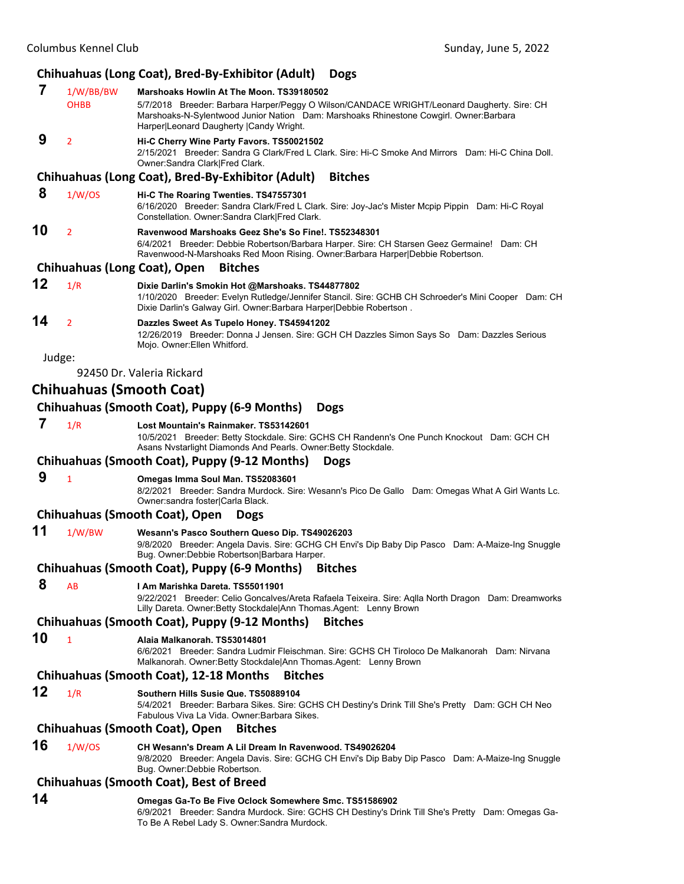# **Chihuahuas (Long Coat), Bred‐By‐Exhibitor (Adult) Dogs**

|        |                          | Companyas (Long Coat), Dieu-Dy-Lambitor (Addit)                                                                                                                                                                                                                             |
|--------|--------------------------|-----------------------------------------------------------------------------------------------------------------------------------------------------------------------------------------------------------------------------------------------------------------------------|
| 7      | 1/W/BB/BW<br><b>OHBB</b> | Marshoaks Howlin At The Moon. TS39180502<br>5/7/2018 Breeder: Barbara Harper/Peggy O Wilson/CANDACE WRIGHT/Leonard Daugherty. Sire: CH<br>Marshoaks-N-Sylentwood Junior Nation Dam: Marshoaks Rhinestone Cowgirl. Owner:Barbara<br>Harper Leonard Daugherty   Candy Wright. |
| 9      | $\overline{2}$           | Hi-C Cherry Wine Party Favors. TS50021502<br>2/15/2021 Breeder: Sandra G Clark/Fred L Clark. Sire: Hi-C Smoke And Mirrors Dam: Hi-C China Doll.<br>Owner: Sandra Clark Fred Clark.                                                                                          |
|        |                          | Chihuahuas (Long Coat), Bred-By-Exhibitor (Adult)<br><b>Bitches</b>                                                                                                                                                                                                         |
| 8      | 1/W/OS                   | Hi-C The Roaring Twenties. TS47557301<br>6/16/2020 Breeder: Sandra Clark/Fred L Clark. Sire: Joy-Jac's Mister Mcpip Pippin Dam: Hi-C Royal<br>Constellation. Owner: Sandra Clark Fred Clark.                                                                                |
| 10     | $\overline{2}$           | Ravenwood Marshoaks Geez She's So Fine!. TS52348301<br>6/4/2021 Breeder: Debbie Robertson/Barbara Harper. Sire: CH Starsen Geez Germaine! Dam: CH<br>Ravenwood-N-Marshoaks Red Moon Rising. Owner:Barbara Harper Debbie Robertson.                                          |
|        |                          | <b>Chihuahuas (Long Coat), Open</b><br><b>Bitches</b>                                                                                                                                                                                                                       |
| 12     | 1/R                      | Dixie Darlin's Smokin Hot @Marshoaks. TS44877802<br>1/10/2020 Breeder: Evelyn Rutledge/Jennifer Stancil. Sire: GCHB CH Schroeder's Mini Cooper Dam: CH<br>Dixie Darlin's Galway Girl. Owner: Barbara Harper Debbie Robertson.                                               |
| 14     | $\overline{2}$           | Dazzles Sweet As Tupelo Honey. TS45941202<br>12/26/2019 Breeder: Donna J Jensen. Sire: GCH CH Dazzles Simon Says So Dam: Dazzles Serious<br>Mojo. Owner: Ellen Whitford.                                                                                                    |
| Judge: |                          |                                                                                                                                                                                                                                                                             |
|        |                          | 92450 Dr. Valeria Rickard                                                                                                                                                                                                                                                   |
|        |                          | Chihuahuas (Smooth Coat)                                                                                                                                                                                                                                                    |
|        |                          | Chihuahuas (Smooth Coat), Puppy (6-9 Months)<br><b>Dogs</b>                                                                                                                                                                                                                 |
| 7      | 1/R                      | Lost Mountain's Rainmaker. TS53142601<br>10/5/2021 Breeder: Betty Stockdale. Sire: GCHS CH Randenn's One Punch Knockout Dam: GCH CH<br>Asans Nvstarlight Diamonds And Pearls. Owner: Betty Stockdale.                                                                       |
|        |                          | Chihuahuas (Smooth Coat), Puppy (9-12 Months)<br><b>Dogs</b>                                                                                                                                                                                                                |
| 9      | $\mathbf{1}$             | Omegas Imma Soul Man. TS52083601<br>8/2/2021 Breeder: Sandra Murdock. Sire: Wesann's Pico De Gallo Dam: Omegas What A Girl Wants Lc.<br>Owner: sandra foster Carla Black.                                                                                                   |
|        |                          | Chihuahuas (Smooth Coat), Open<br><b>Dogs</b>                                                                                                                                                                                                                               |
| 11     | 1/W/BW                   | Wesann's Pasco Southern Queso Dip. TS49026203<br>9/8/2020 Breeder: Angela Davis. Sire: GCHG CH Envi's Dip Baby Dip Pasco Dam: A-Maize-Ing Snuggle<br>Bug. Owner: Debbie Robertson   Barbara Harper.                                                                         |
|        |                          | Chihuahuas (Smooth Coat), Puppy (6-9 Months)<br><b>Bitches</b>                                                                                                                                                                                                              |
| 8      | AB                       | I Am Marishka Dareta. TS55011901<br>9/22/2021 Breeder: Celio Goncalves/Areta Rafaela Teixeira. Sire: Aglla North Dragon Dam: Dreamworks<br>Lilly Dareta. Owner: Betty Stockdale Ann Thomas. Agent: Lenny Brown                                                              |
|        |                          | Chihuahuas (Smooth Coat), Puppy (9-12 Months)<br><b>Bitches</b>                                                                                                                                                                                                             |
| 10     | $\mathbf{1}$             | Alaia Malkanorah. TS53014801<br>6/6/2021 Breeder: Sandra Ludmir Fleischman. Sire: GCHS CH Tiroloco De Malkanorah Dam: Nirvana<br>Malkanorah. Owner: Betty Stockdale Ann Thomas. Agent: Lenny Brown                                                                          |
|        |                          | <b>Chihuahuas (Smooth Coat), 12-18 Months</b><br><b>Bitches</b>                                                                                                                                                                                                             |
| 12     | 1/R                      | Southern Hills Susie Que. TS50889104<br>5/4/2021 Breeder: Barbara Sikes. Sire: GCHS CH Destiny's Drink Till She's Pretty Dam: GCH CH Neo<br>Fabulous Viva La Vida. Owner: Barbara Sikes.                                                                                    |
|        |                          | <b>Chihuahuas (Smooth Coat), Open</b><br><b>Bitches</b>                                                                                                                                                                                                                     |
| 16     | 1/W/OS                   | CH Wesann's Dream A Lil Dream In Ravenwood. TS49026204<br>9/8/2020 Breeder: Angela Davis. Sire: GCHG CH Envi's Dip Baby Dip Pasco Dam: A-Maize-Ing Snuggle<br>Bug. Owner: Debbie Robertson.                                                                                 |
|        |                          | <b>Chihuahuas (Smooth Coat), Best of Breed</b>                                                                                                                                                                                                                              |
| 14     |                          | Omegas Ga-To Be Five Oclock Somewhere Smc. TS51586902                                                                                                                                                                                                                       |

6/9/2021 Breeder: Sandra Murdock. Sire: GCHS CH Destiny's Drink Till She's Pretty Dam: Omegas Ga-To Be A Rebel Lady S. Owner:Sandra Murdock.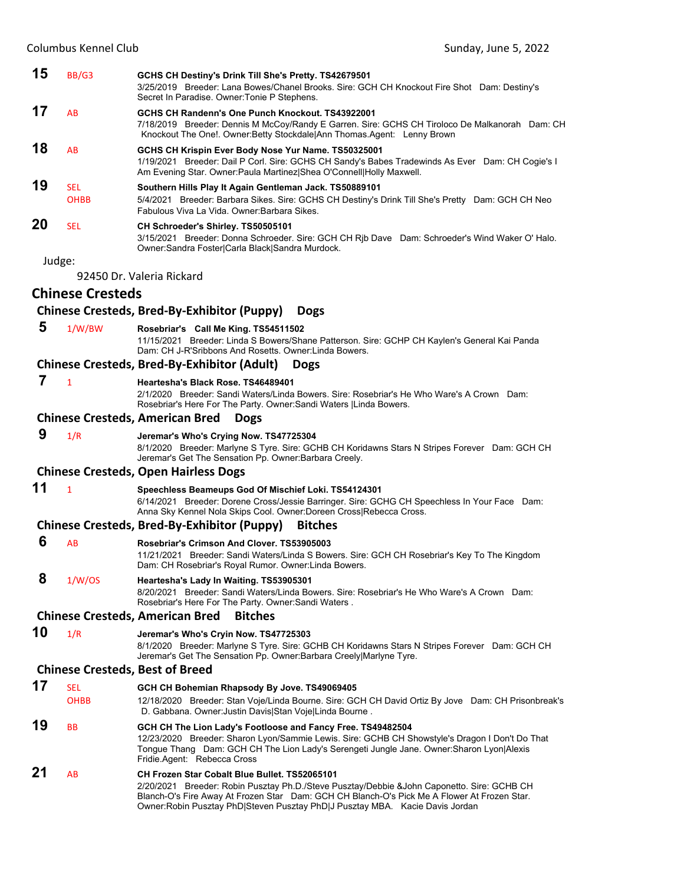| 15     | BB/G3                     | GCHS CH Destiny's Drink Till She's Pretty. TS42679501<br>3/25/2019 Breeder: Lana Bowes/Chanel Brooks. Sire: GCH CH Knockout Fire Shot Dam: Destiny's<br>Secret In Paradise. Owner: Tonie P Stephens.                                                                                                                              |
|--------|---------------------------|-----------------------------------------------------------------------------------------------------------------------------------------------------------------------------------------------------------------------------------------------------------------------------------------------------------------------------------|
| 17     | AB                        | GCHS CH Randenn's One Punch Knockout. TS43922001<br>7/18/2019 Breeder: Dennis M McCoy/Randy E Garren. Sire: GCHS CH Tiroloco De Malkanorah Dam: CH<br>Knockout The One!. Owner: Betty Stockdale Ann Thomas. Agent: Lenny Brown                                                                                                    |
| 18     | AB                        | GCHS CH Krispin Ever Body Nose Yur Name. TS50325001<br>1/19/2021 Breeder: Dail P Corl. Sire: GCHS CH Sandy's Babes Tradewinds As Ever Dam: CH Cogie's I<br>Am Evening Star. Owner: Paula Martinez  Shea O'Connell  Holly Maxwell.                                                                                                 |
| 19     | <b>SEL</b><br><b>OHBB</b> | Southern Hills Play It Again Gentleman Jack. TS50889101<br>5/4/2021 Breeder: Barbara Sikes. Sire: GCHS CH Destiny's Drink Till She's Pretty Dam: GCH CH Neo<br>Fabulous Viva La Vida, Owner Barbara Sikes.                                                                                                                        |
| 20     | <b>SEL</b>                | CH Schroeder's Shirley. TS50505101<br>3/15/2021 Breeder: Donna Schroeder. Sire: GCH CH Rjb Dave Dam: Schroeder's Wind Waker O' Halo.<br>Owner:Sandra Foster Carla Black Sandra Murdock.                                                                                                                                           |
| Judge: |                           |                                                                                                                                                                                                                                                                                                                                   |
|        |                           | 92450 Dr. Valeria Rickard                                                                                                                                                                                                                                                                                                         |
|        | <b>Chinese Cresteds</b>   |                                                                                                                                                                                                                                                                                                                                   |
|        |                           | <b>Chinese Cresteds, Bred-By-Exhibitor (Puppy)</b><br><b>Dogs</b>                                                                                                                                                                                                                                                                 |
| 5      | 1/W/BW                    | Rosebriar's Call Me King. TS54511502<br>11/15/2021 Breeder: Linda S Bowers/Shane Patterson. Sire: GCHP CH Kaylen's General Kai Panda<br>Dam: CH J-R'Sribbons And Rosetts. Owner: Linda Bowers.                                                                                                                                    |
|        |                           | <b>Chinese Cresteds, Bred-By-Exhibitor (Adult)</b><br><b>Dogs</b>                                                                                                                                                                                                                                                                 |
| 7      | $\mathbf{1}$              | Heartesha's Black Rose, TS46489401<br>2/1/2020 Breeder: Sandi Waters/Linda Bowers. Sire: Rosebriar's He Who Ware's A Crown Dam:<br>Rosebriar's Here For The Party. Owner: Sandi Waters   Linda Bowers.                                                                                                                            |
|        |                           | <b>Chinese Cresteds, American Bred</b><br><b>Dogs</b>                                                                                                                                                                                                                                                                             |
| 9      | 1/R                       | Jeremar's Who's Crying Now. TS47725304<br>8/1/2020 Breeder: Marlyne S Tyre. Sire: GCHB CH Koridawns Stars N Stripes Forever Dam: GCH CH<br>Jeremar's Get The Sensation Pp. Owner: Barbara Creely.                                                                                                                                 |
|        |                           | <b>Chinese Cresteds, Open Hairless Dogs</b>                                                                                                                                                                                                                                                                                       |
| 11     | $\mathbf{1}$              | Speechless Beameups God Of Mischief Loki. TS54124301<br>6/14/2021 Breeder: Dorene Cross/Jessie Barringer. Sire: GCHG CH Speechless In Your Face Dam:<br>Anna Sky Kennel Nola Skips Cool. Owner:Doreen Cross Rebecca Cross.                                                                                                        |
|        |                           | Chinese Cresteds, Bred-By-Exhibitor (Puppy)<br><b>Bitches</b>                                                                                                                                                                                                                                                                     |
| 6      | AB                        | Rosebriar's Crimson And Clover. TS53905003<br>11/21/2021 Breeder: Sandi Waters/Linda S Bowers. Sire: GCH CH Rosebriar's Key To The Kingdom<br>Dam: CH Rosebriar's Royal Rumor. Owner:Linda Bowers.                                                                                                                                |
| 8      | 1/W/OS                    | Heartesha's Lady In Waiting. TS53905301<br>8/20/2021 Breeder: Sandi Waters/Linda Bowers. Sire: Rosebriar's He Who Ware's A Crown Dam:<br>Rosebriar's Here For The Party. Owner: Sandi Waters.                                                                                                                                     |
|        |                           | <b>Chinese Cresteds, American Bred</b><br><b>Bitches</b>                                                                                                                                                                                                                                                                          |
| 10     | 1/R                       | Jeremar's Who's Cryin Now. TS47725303<br>8/1/2020 Breeder: Marlyne S Tyre. Sire: GCHB CH Koridawns Stars N Stripes Forever Dam: GCH CH<br>Jeremar's Get The Sensation Pp. Owner: Barbara Creely Marlyne Tyre.                                                                                                                     |
|        |                           | <b>Chinese Cresteds, Best of Breed</b>                                                                                                                                                                                                                                                                                            |
| 17     | <b>SEL</b><br><b>OHBB</b> | GCH CH Bohemian Rhapsody By Jove. TS49069405<br>12/18/2020 Breeder: Stan Voje/Linda Bourne. Sire: GCH CH David Ortiz By Jove Dam: CH Prisonbreak's<br>D. Gabbana. Owner: Justin Davis Stan Voje Linda Bourne.                                                                                                                     |
| 19     | <b>BB</b>                 | GCH CH The Lion Lady's Footloose and Fancy Free. TS49482504<br>12/23/2020 Breeder: Sharon Lyon/Sammie Lewis. Sire: GCHB CH Showstyle's Dragon I Don't Do That<br>Tongue Thang Dam: GCH CH The Lion Lady's Serengeti Jungle Jane. Owner: Sharon Lyon Alexis<br>Fridie Agent: Rebecca Cross                                         |
| 21     | AB                        | <b>CH Frozen Star Cobalt Blue Bullet. TS52065101</b><br>2/20/2021 Breeder: Robin Pusztay Ph.D./Steve Pusztay/Debbie &John Caponetto. Sire: GCHB CH<br>Blanch-O's Fire Away At Frozen Star Dam: GCH CH Blanch-O's Pick Me A Flower At Frozen Star.<br>Owner:Robin Pusztay PhD Steven Pusztay PhD J Pusztay MBA. Kacie Davis Jordan |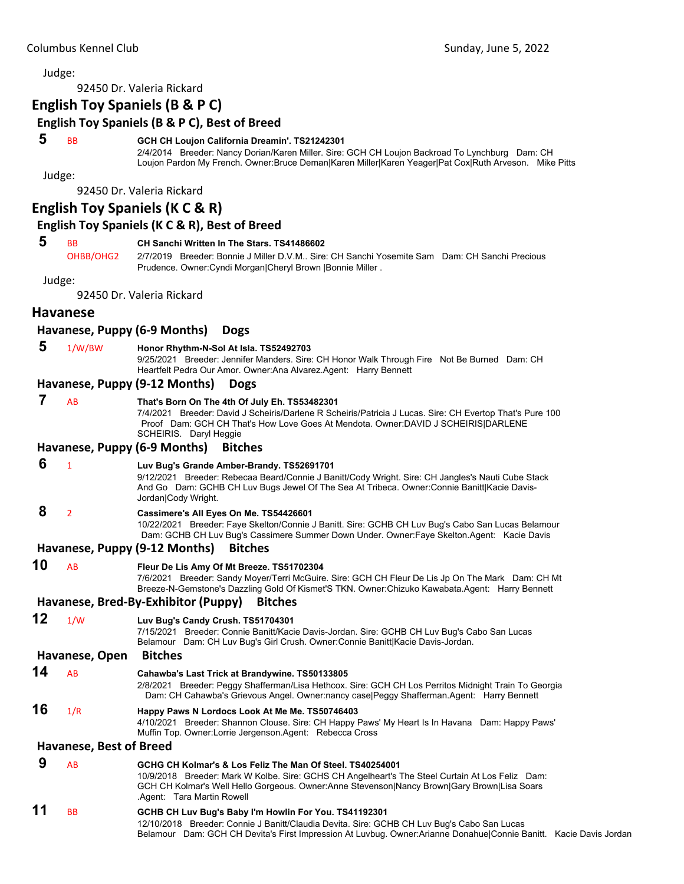92450 Dr. Valeria Rickard

# **English Toy Spaniels (B & P C)**

# **English Toy Spaniels (B & P C), Best of Breed**

#### **5** BB **GCH CH Loujon California Dreamin'. TS21242301**

2/4/2014 Breeder: Nancy Dorian/Karen Miller. Sire: GCH CH Loujon Backroad To Lynchburg Dam: CH Loujon Pardon My French. Owner:Bruce Deman|Karen Miller|Karen Yeager|Pat Cox|Ruth Arveson. Mike Pitts

Judge:

92450 Dr. Valeria Rickard

# **English Toy Spaniels (K C & R)**

#### **English Toy Spaniels (K C & R), Best of Breed**

#### **5** BB **CH Sanchi Written In The Stars. TS41486602**

OHBB/OHG2 2/7/2019 Breeder: Bonnie J Miller D.V.M.. Sire: CH Sanchi Yosemite Sam Dam: CH Sanchi Precious Prudence. Owner:Cyndi Morgan|Cheryl Brown |Bonnie Miller .

Judge:

92450 Dr. Valeria Rickard

#### **Havanese**

#### **Havanese, Puppy (6‐9 Months) Dogs**

 **5** 1/W/BW **Honor Rhythm-N-Sol At Isla. TS52492703**

9/25/2021 Breeder: Jennifer Manders. Sire: CH Honor Walk Through Fire Not Be Burned Dam: CH Heartfelt Pedra Our Amor. Owner:Ana Alvarez.Agent: Harry Bennett

#### **Havanese, Puppy (9‐12 Months) Dogs**

# **7** AB **That's Born On The 4th Of July Eh. TS53482301**

7/4/2021 Breeder: David J Scheiris/Darlene R Scheiris/Patricia J Lucas. Sire: CH Evertop That's Pure 100 Proof Dam: GCH CH That's How Love Goes At Mendota. Owner:DAVID J SCHEIRIS|DARLENE SCHEIRIS. Daryl Heggie

#### **Havanese, Puppy (6‐9 Months) Bitches**

 **6** <sup>1</sup> **Luv Bug's Grande Amber-Brandy. TS52691701**

9/12/2021 Breeder: Rebecaa Beard/Connie J Banitt/Cody Wright. Sire: CH Jangles's Nauti Cube Stack

And Go Dam: GCHB CH Luv Bugs Jewel Of The Sea At Tribeca. Owner:Connie Banitt|Kacie Davis-Jordan|Cody Wright.

# **8** <sup>2</sup> **Cassimere's All Eyes On Me. TS54426601**

10/22/2021 Breeder: Faye Skelton/Connie J Banitt. Sire: GCHB CH Luv Bug's Cabo San Lucas Belamour Dam: GCHB CH Luv Bug's Cassimere Summer Down Under. Owner:Faye Skelton.Agent: Kacie Davis

#### **Havanese, Puppy (9‐12 Months) Bitches**

**10** AB **Fleur De Lis Amy Of Mt Breeze. TS51702304**

7/6/2021 Breeder: Sandy Moyer/Terri McGuire. Sire: GCH CH Fleur De Lis Jp On The Mark Dam: CH Mt Breeze-N-Gemstone's Dazzling Gold Of Kismet'S TKN. Owner:Chizuko Kawabata.Agent: Harry Bennett

Belamour Dam: GCH CH Devita's First Impression At Luvbug. Owner:Arianne Donahue|Connie Banitt. Kacie Davis Jordan

# **Havanese, Bred‐By‐Exhibitor (Puppy) Bitches**

**12** 1/W **Luv Bug's Candy Crush. TS51704301** 7/15/2021 Breeder: Connie Banitt/Kacie Davis-Jordan. Sire: GCHB CH Luv Bug's Cabo San Lucas Belamour Dam: CH Luv Bug's Girl Crush. Owner:Connie Banitt|Kacie Davis-Jordan. **Havanese, Open Bitches 14** AB **Cahawba's Last Trick at Brandywine. TS50133805** 2/8/2021 Breeder: Peggy Shafferman/Lisa Hethcox. Sire: GCH CH Los Perritos Midnight Train To Georgia Dam: CH Cahawba's Grievous Angel. Owner:nancy case|Peggy Shafferman.Agent: Harry Bennett **16** 1/R **Happy Paws N Lordocs Look At Me Me. TS50746403** 4/10/2021 Breeder: Shannon Clouse. Sire: CH Happy Paws' My Heart Is In Havana Dam: Happy Paws' Muffin Top. Owner:Lorrie Jergenson.Agent: Rebecca Cross **Havanese, Best of Breed 9** AB **GCHG CH Kolmar's & Los Feliz The Man Of Steel. TS40254001** 10/9/2018 Breeder: Mark W Kolbe. Sire: GCHS CH Angelheart's The Steel Curtain At Los Feliz Dam: GCH CH Kolmar's Well Hello Gorgeous. Owner:Anne Stevenson|Nancy Brown|Gary Brown|Lisa Soars .Agent: Tara Martin Rowell **11** BB **GCHB CH Luv Bug's Baby I'm Howlin For You. TS41192301** 12/10/2018 Breeder: Connie J Banitt/Claudia Devita. Sire: GCHB CH Luv Bug's Cabo San Lucas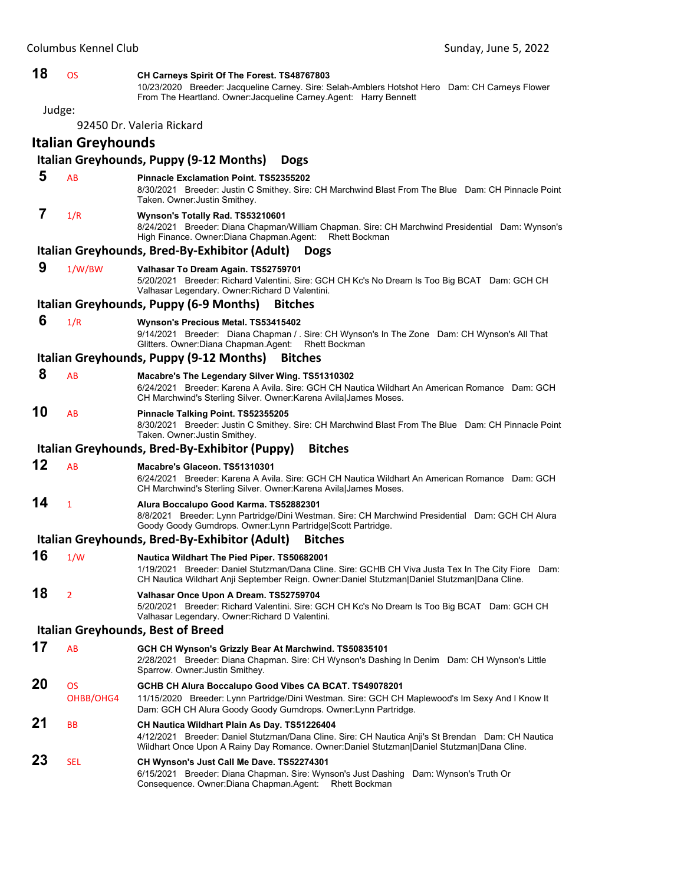| 18 | <b>OS</b>              | CH Carneys Spirit Of The Forest. TS48767803<br>10/23/2020 Breeder: Jacqueline Carney. Sire: Selah-Amblers Hotshot Hero Dam: CH Carneys Flower<br>From The Heartland. Owner: Jacqueline Carney. Agent: Harry Bennett                              |
|----|------------------------|--------------------------------------------------------------------------------------------------------------------------------------------------------------------------------------------------------------------------------------------------|
|    | Judge:                 |                                                                                                                                                                                                                                                  |
|    |                        | 92450 Dr. Valeria Rickard                                                                                                                                                                                                                        |
|    | Italian Greyhounds     |                                                                                                                                                                                                                                                  |
| 5  |                        | Italian Greyhounds, Puppy (9-12 Months)<br><b>Dogs</b>                                                                                                                                                                                           |
|    | AB                     | Pinnacle Exclamation Point. TS52355202<br>8/30/2021 Breeder: Justin C Smithey. Sire: CH Marchwind Blast From The Blue Dam: CH Pinnacle Point<br>Taken. Owner Justin Smithey.                                                                     |
| 7  | 1/R                    | Wynson's Totally Rad. TS53210601<br>8/24/2021 Breeder: Diana Chapman/William Chapman. Sire: CH Marchwind Presidential Dam: Wynson's<br>High Finance. Owner: Diana Chapman. Agent:<br><b>Rhett Bockman</b>                                        |
|    |                        | Italian Greyhounds, Bred-By-Exhibitor (Adult)<br><b>Dogs</b>                                                                                                                                                                                     |
| 9  | 1/W/BW                 | Valhasar To Dream Again. TS52759701<br>5/20/2021 Breeder: Richard Valentini. Sire: GCH CH Kc's No Dream Is Too Big BCAT Dam: GCH CH<br>Valhasar Legendary. Owner: Richard D Valentini.                                                           |
|    |                        | Italian Greyhounds, Puppy (6-9 Months)<br><b>Bitches</b>                                                                                                                                                                                         |
| 6  | 1/R                    | Wynson's Precious Metal. TS53415402<br>9/14/2021 Breeder: Diana Chapman / . Sire: CH Wynson's In The Zone Dam: CH Wynson's All That<br>Glitters. Owner: Diana Chapman. Agent:<br><b>Rhett Bockman</b>                                            |
|    |                        | Italian Greyhounds, Puppy (9-12 Months)<br><b>Bitches</b>                                                                                                                                                                                        |
| 8  | AB                     | Macabre's The Legendary Silver Wing. TS51310302<br>6/24/2021 Breeder: Karena A Avila. Sire: GCH CH Nautica Wildhart An American Romance Dam: GCH<br>CH Marchwind's Sterling Silver. Owner: Karena Avila James Moses.                             |
| 10 | AB                     | Pinnacle Talking Point. TS52355205<br>8/30/2021 Breeder: Justin C Smithey. Sire: CH Marchwind Blast From The Blue Dam: CH Pinnacle Point<br>Taken. Owner: Justin Smithey.                                                                        |
|    |                        | <b>Bitches</b><br>Italian Greyhounds, Bred-By-Exhibitor (Puppy)                                                                                                                                                                                  |
| 12 | AB                     | Macabre's Glaceon. TS51310301<br>6/24/2021 Breeder: Karena A Avila. Sire: GCH CH Nautica Wildhart An American Romance Dam: GCH<br>CH Marchwind's Sterling Silver. Owner: Karena Avila James Moses.                                               |
| 14 | $\mathbf{1}$           | Alura Boccalupo Good Karma. TS52882301<br>8/8/2021 Breeder: Lynn Partridge/Dini Westman. Sire: CH Marchwind Presidential Dam: GCH CH Alura<br>Goody Goody Gumdrops. Owner: Lynn Partridge Scott Partridge.                                       |
|    |                        | Italian Greyhounds, Bred-By-Exhibitor (Adult)<br><b>Bitches</b>                                                                                                                                                                                  |
| 16 | 1/W                    | Nautica Wildhart The Pied Piper, TS50682001<br>1/19/2021 Breeder: Daniel Stutzman/Dana Cline. Sire: GCHB CH Viva Justa Tex In The City Fiore Dam:<br>CH Nautica Wildhart Anji September Reign. Owner:Daniel Stutzman Daniel Stutzman Dana Cline. |
| 18 | $\overline{2}$         | Valhasar Once Upon A Dream. TS52759704<br>5/20/2021 Breeder: Richard Valentini. Sire: GCH CH Kc's No Dream Is Too Big BCAT Dam: GCH CH<br>Valhasar Legendary. Owner: Richard D Valentini.                                                        |
|    |                        | <b>Italian Greyhounds, Best of Breed</b>                                                                                                                                                                                                         |
| 17 | AB                     | GCH CH Wynson's Grizzly Bear At Marchwind. TS50835101<br>2/28/2021 Breeder: Diana Chapman. Sire: CH Wynson's Dashing In Denim Dam: CH Wynson's Little<br>Sparrow. Owner: Justin Smithey.                                                         |
| 20 | <b>OS</b><br>OHBB/OHG4 | GCHB CH Alura Boccalupo Good Vibes CA BCAT. TS49078201<br>11/15/2020 Breeder: Lynn Partridge/Dini Westman. Sire: GCH CH Maplewood's Im Sexy And I Know It<br>Dam: GCH CH Alura Goody Goody Gumdrops. Owner: Lynn Partridge.                      |
| 21 | ВB                     | CH Nautica Wildhart Plain As Day. TS51226404<br>4/12/2021 Breeder: Daniel Stutzman/Dana Cline. Sire: CH Nautica Anji's St Brendan Dam: CH Nautica<br>Wildhart Once Upon A Rainy Day Romance. Owner:Daniel Stutzman Daniel Stutzman Dana Cline.   |
| 23 | SEL                    | CH Wynson's Just Call Me Dave. TS52274301<br>6/15/2021 Breeder: Diana Chapman. Sire: Wynson's Just Dashing Dam: Wynson's Truth Or<br>Consequence. Owner: Diana Chapman. Agent:<br><b>Rhett Bockman</b>                                           |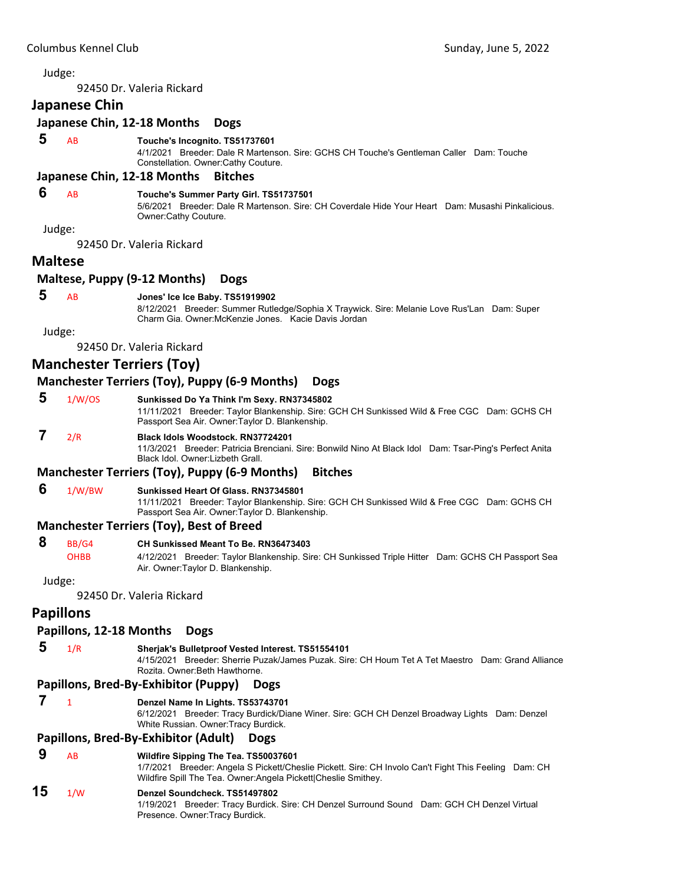92450 Dr. Valeria Rickard

#### **Japanese Chin**

# **Japanese Chin, 12‐18 Months Dogs**

#### **5** AB **Touche's Incognito. TS51737601**

4/1/2021 Breeder: Dale R Martenson. Sire: GCHS CH Touche's Gentleman Caller Dam: Touche Constellation. Owner:Cathy Couture.

#### **Japanese Chin, 12‐18 Months Bitches**

# **6** AB **Touche's Summer Party Girl. TS51737501**

5/6/2021 Breeder: Dale R Martenson. Sire: CH Coverdale Hide Your Heart Dam: Musashi Pinkalicious. Owner:Cathy Couture.

Judge:

92450 Dr. Valeria Rickard

#### **Maltese**

#### **Maltese, Puppy (9‐12 Months) Dogs**

#### **5** AB **Jones' Ice Ice Baby. TS51919902**

8/12/2021 Breeder: Summer Rutledge/Sophia X Traywick. Sire: Melanie Love Rus'Lan Dam: Super Charm Gia. Owner:McKenzie Jones. Kacie Davis Jordan

Judge:

92450 Dr. Valeria Rickard

# **Manchester Terriers (Toy)**

#### **Manchester Terriers (Toy), Puppy (6‐9 Months) Dogs**

 **5** 1/W/OS **Sunkissed Do Ya Think I'm Sexy. RN37345802**

11/11/2021 Breeder: Taylor Blankenship. Sire: GCH CH Sunkissed Wild & Free CGC Dam: GCHS CH Passport Sea Air. Owner:Taylor D. Blankenship.

# **7** 2/R **Black Idols Woodstock. RN37724201**

11/3/2021 Breeder: Patricia Brenciani. Sire: Bonwild Nino At Black Idol Dam: Tsar-Ping's Perfect Anita Black Idol. Owner:Lizbeth Grall.

#### **Manchester Terriers (Toy), Puppy (6‐9 Months) Bitches**

 **6** 1/W/BW **Sunkissed Heart Of Glass. RN37345801**

11/11/2021 Breeder: Taylor Blankenship. Sire: GCH CH Sunkissed Wild & Free CGC Dam: GCHS CH Passport Sea Air. Owner:Taylor D. Blankenship.

#### **Manchester Terriers (Toy), Best of Breed**

#### **8** BB/G4 **CH Sunkissed Meant To Be. RN36473403**

OHBB 4/12/2021 Breeder: Taylor Blankenship. Sire: CH Sunkissed Triple Hitter Dam: GCHS CH Passport Sea Air. Owner:Taylor D. Blankenship.

Judge:

92450 Dr. Valeria Rickard

# **Papillons**

#### **Papillons, 12‐18 Months Dogs**

 **5** 1/R **Sherjak's Bulletproof Vested Interest. TS51554101**

4/15/2021 Breeder: Sherrie Puzak/James Puzak. Sire: CH Houm Tet A Tet Maestro Dam: Grand Alliance Rozita. Owner:Beth Hawthorne.

#### **Papillons, Bred‐By‐Exhibitor (Puppy) Dogs**

#### **7** <sup>1</sup> **Denzel Name In Lights. TS53743701**

6/12/2021 Breeder: Tracy Burdick/Diane Winer. Sire: GCH CH Denzel Broadway Lights Dam: Denzel White Russian. Owner:Tracy Burdick.

#### **Papillons, Bred‐By‐Exhibitor (Adult) Dogs**

#### **9** AB **Wildfire Sipping The Tea. TS50037601**

1/7/2021 Breeder: Angela S Pickett/Cheslie Pickett. Sire: CH Involo Can't Fight This Feeling Dam: CH Wildfire Spill The Tea. Owner:Angela Pickett|Cheslie Smithey.

# **15** 1/W **Denzel Soundcheck. TS51497802**

1/19/2021 Breeder: Tracy Burdick. Sire: CH Denzel Surround Sound Dam: GCH CH Denzel Virtual Presence. Owner:Tracy Burdick.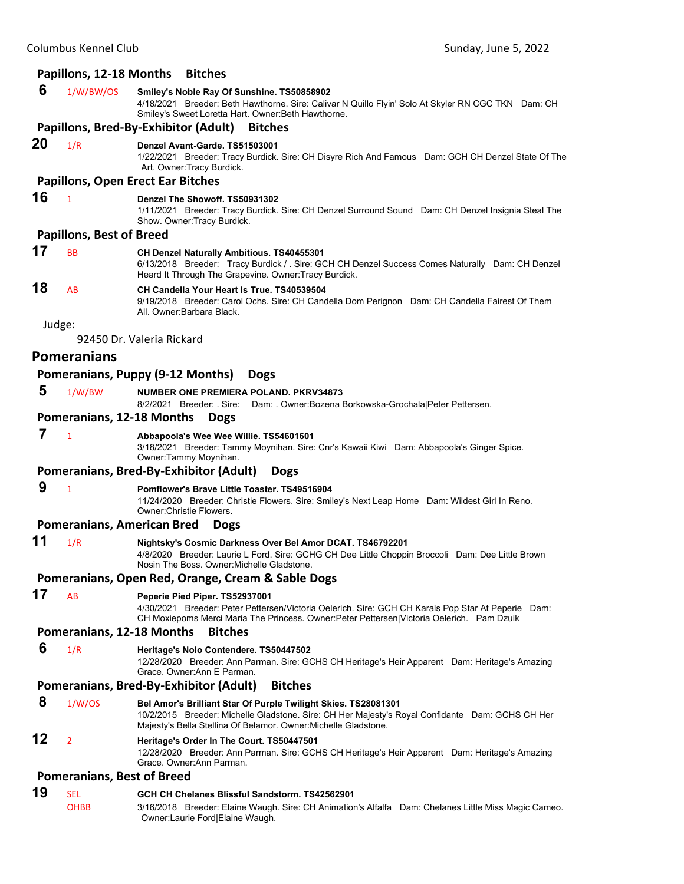#### **Papillons, 12‐18 Months Bitches**

#### **6** 1/W/BW/OS **Smiley's Noble Ray Of Sunshine. TS50858902**

4/18/2021 Breeder: Beth Hawthorne. Sire: Calivar N Quillo Flyin' Solo At Skyler RN CGC TKN Dam: CH Smiley's Sweet Loretta Hart. Owner:Beth Hawthorne.

#### **Papillons, Bred‐By‐Exhibitor (Adult) Bitches**

**20** 1/R **Denzel Avant-Garde. TS51503001**

1/22/2021 Breeder: Tracy Burdick. Sire: CH Disyre Rich And Famous Dam: GCH CH Denzel State Of The Art. Owner:Tracy Burdick.

# **Papillons, Open Erect Ear Bitches**

**16** <sup>1</sup> **Denzel The Showoff. TS50931302**

1/11/2021 Breeder: Tracy Burdick. Sire: CH Denzel Surround Sound Dam: CH Denzel Insignia Steal The Show. Owner:Tracy Burdick.

#### **Papillons, Best of Breed**

| 17 | <b>BB</b> | <b>CH Denzel Naturally Ambitious. TS40455301</b><br>6/13/2018 Breeder: Tracy Burdick / . Sire: GCH CH Denzel Success Comes Naturally Dam: CH Denzel<br>Heard It Through The Grapevine. Owner: Tracy Burdick. |
|----|-----------|--------------------------------------------------------------------------------------------------------------------------------------------------------------------------------------------------------------|
| 18 | <b>AR</b> | CH Candella Your Heart Is True, TS40539504<br>9/19/2018 Breeder: Carol Ochs. Sire: CH Candella Dom Perignon Dam: CH Candella Fairest Of Them<br>All. Owner:Barbara Black.                                    |

Judge:

92450 Dr. Valeria Rickard

#### **Pomeranians**

#### **Pomeranians, Puppy (9‐12 Months) Dogs**

 **5** 1/W/BW **NUMBER ONE PREMIERA POLAND. PKRV34873**

8/2/2021 Breeder: . Sire: Dam: . Owner:Bozena Borkowska-Grochala|Peter Pettersen.

#### **Pomeranians, 12‐18 Months Dogs**

# **7** <sup>1</sup> **Abbapoola's Wee Wee Willie. TS54601601**

3/18/2021 Breeder: Tammy Moynihan. Sire: Cnr's Kawaii Kiwi Dam: Abbapoola's Ginger Spice. Owner:Tammy Moynihan.

#### **Pomeranians, Bred‐By‐Exhibitor (Adult) Dogs**

 **9** <sup>1</sup> **Pomflower's Brave Little Toaster. TS49516904** 11/24/2020 Breeder: Christie Flowers. Sire: Smiley's Next Leap Home Dam: Wildest Girl In Reno. Owner:Christie Flowers.

#### **Pomeranians, American Bred Dogs**

**11** 1/R **Nightsky's Cosmic Darkness Over Bel Amor DCAT. TS46792201** 4/8/2020 Breeder: Laurie L Ford. Sire: GCHG CH Dee Little Choppin Broccoli Dam: Dee Little Brown Nosin The Boss. Owner:Michelle Gladstone.

#### **Pomeranians, Open Red, Orange, Cream & Sable Dogs**

**17** AB **Peperie Pied Piper. TS52937001**

4/30/2021 Breeder: Peter Pettersen/Victoria Oelerich. Sire: GCH CH Karals Pop Star At Peperie Dam: CH Moxiepoms Merci Maria The Princess. Owner:Peter Pettersen|Victoria Oelerich. Pam Dzuik

#### **Pomeranians, 12‐18 Months Bitches**

 **6** 1/R **Heritage's Nolo Contendere. TS50447502**

12/28/2020 Breeder: Ann Parman. Sire: GCHS CH Heritage's Heir Apparent Dam: Heritage's Amazing Grace. Owner:Ann E Parman.

#### **Pomeranians, Bred‐By‐Exhibitor (Adult) Bitches**

#### **8** 1/W/OS **Bel Amor's Brilliant Star Of Purple Twilight Skies. TS28081301**

10/2/2015 Breeder: Michelle Gladstone. Sire: CH Her Majesty's Royal Confidante Dam: GCHS CH Her Majesty's Bella Stellina Of Belamor. Owner:Michelle Gladstone.

# **12** <sup>2</sup> **Heritage's Order In The Court. TS50447501**

12/28/2020 Breeder: Ann Parman. Sire: GCHS CH Heritage's Heir Apparent Dam: Heritage's Amazing Grace. Owner:Ann Parman.

#### **Pomeranians, Best of Breed**

# **19** SEL **GCH CH Chelanes Blissful Sandstorm. TS42562901**

OHBB 3/16/2018 Breeder: Elaine Waugh. Sire: CH Animation's Alfalfa Dam: Chelanes Little Miss Magic Cameo. Owner:Laurie Ford|Elaine Waugh.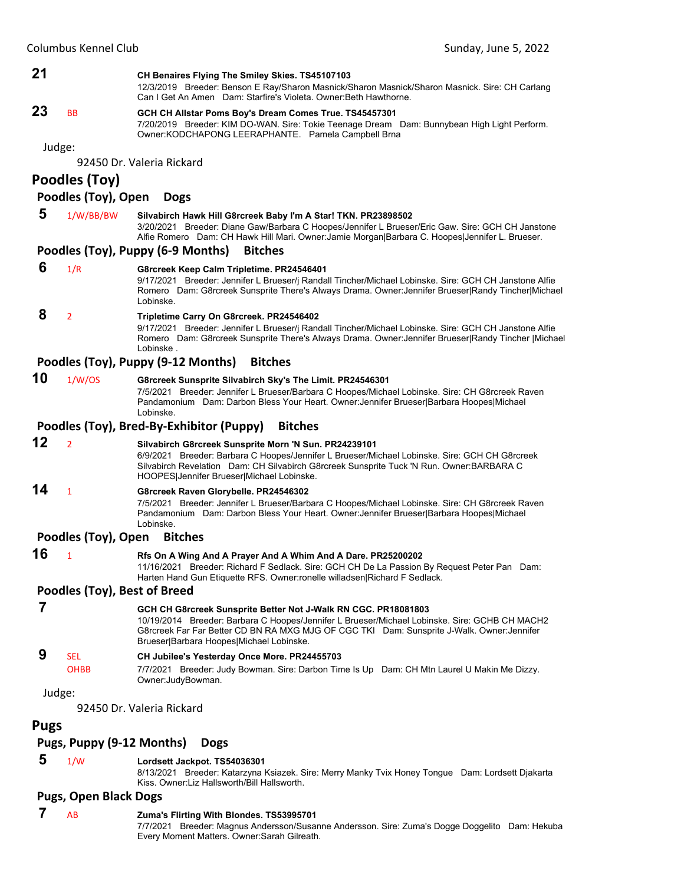

8/13/2021 Breeder: Katarzyna Ksiazek. Sire: Merry Manky Tvix Honey Tongue Dam: Lordsett Djakarta Kiss. Owner:Liz Hallsworth/Bill Hallsworth.

#### **Pugs, Open Black Dogs**

#### **7** AB **Zuma's Flirting With Blondes. TS53995701**

7/7/2021 Breeder: Magnus Andersson/Susanne Andersson. Sire: Zuma's Dogge Doggelito Dam: Hekuba Every Moment Matters. Owner:Sarah Gilreath.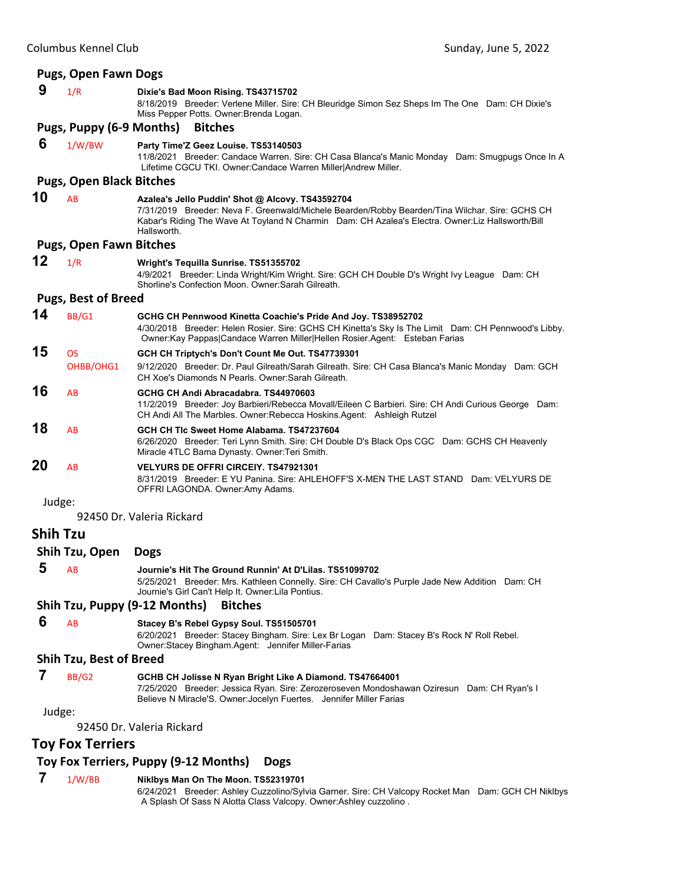|                 | <b>Pugs, Open Fawn Dogs</b>     |                                                                                                                                                                                                                                                                        |
|-----------------|---------------------------------|------------------------------------------------------------------------------------------------------------------------------------------------------------------------------------------------------------------------------------------------------------------------|
| 9               | 1/R                             | Dixie's Bad Moon Rising. TS43715702<br>8/18/2019 Breeder: Verlene Miller. Sire: CH Bleuridge Simon Sez Sheps Im The One Dam: CH Dixie's<br>Miss Pepper Potts. Owner: Brenda Logan.                                                                                     |
|                 | Pugs, Puppy (6-9 Months)        | <b>Bitches</b>                                                                                                                                                                                                                                                         |
| 6               | 1/W/BW                          | Party Time'Z Geez Louise. TS53140503<br>11/8/2021 Breeder: Candace Warren. Sire: CH Casa Blanca's Manic Monday Dam: Smugpugs Once In A<br>Lifetime CGCU TKI. Owner:Candace Warren Miller Andrew Miller.                                                                |
|                 | <b>Pugs, Open Black Bitches</b> |                                                                                                                                                                                                                                                                        |
| 10              | AB                              | Azalea's Jello Puddin' Shot @ Alcovy. TS43592704<br>7/31/2019 Breeder: Neva F. Greenwald/Michele Bearden/Robby Bearden/Tina Wilchar. Sire: GCHS CH<br>Kabar's Riding The Wave At Toyland N Charmin Dam: CH Azalea's Electra. Owner: Liz Hallsworth/Bill<br>Hallsworth. |
|                 | <b>Pugs, Open Fawn Bitches</b>  |                                                                                                                                                                                                                                                                        |
| 12              | 1/R                             | Wright's Tequilla Sunrise. TS51355702<br>4/9/2021 Breeder: Linda Wright/Kim Wright. Sire: GCH CH Double D's Wright Ivy League Dam: CH<br>Shorline's Confection Moon, Owner Sarah Gilreath.                                                                             |
|                 | <b>Pugs, Best of Breed</b>      |                                                                                                                                                                                                                                                                        |
| 14              | BB/G1                           | GCHG CH Pennwood Kinetta Coachie's Pride And Joy. TS38952702<br>4/30/2018 Breeder: Helen Rosier. Sire: GCHS CH Kinetta's Sky Is The Limit Dam: CH Pennwood's Libby.<br>Owner:Kay Pappas Candace Warren Miller Hellen Rosier.Agent: Esteban Farias                      |
| 15              | <b>OS</b><br>OHBB/OHG1          | GCH CH Triptych's Don't Count Me Out. TS47739301<br>9/12/2020 Breeder: Dr. Paul Gilreath/Sarah Gilreath. Sire: CH Casa Blanca's Manic Monday Dam: GCH<br>CH Xoe's Diamonds N Pearls. Owner: Sarah Gilreath.                                                            |
| 16              | AB                              | GCHG CH Andi Abracadabra. TS44970603<br>11/2/2019 Breeder: Joy Barbieri/Rebecca Movall/Eileen C Barbieri. Sire: CH Andi Curious George Dam:<br>CH Andi All The Marbles. Owner: Rebecca Hoskins. Agent: Ashleigh Rutzel                                                 |
| 18              | AB                              | GCH CH TIc Sweet Home Alabama, TS47237604<br>6/26/2020 Breeder: Teri Lynn Smith. Sire: CH Double D's Black Ops CGC Dam: GCHS CH Heavenly<br>Miracle 4TLC Bama Dynasty. Owner: Teri Smith.                                                                              |
| 20              | AB                              | <b>VELYURS DE OFFRI CIRCEIY, TS47921301</b><br>8/31/2019 Breeder: E YU Panina. Sire: AHLEHOFF'S X-MEN THE LAST STAND Dam: VELYURS DE<br>OFFRI LAGONDA. Owner:Amy Adams.                                                                                                |
| Judge:          |                                 | 92450 Dr. Valeria Rickard                                                                                                                                                                                                                                              |
| <b>Shih Tzu</b> |                                 |                                                                                                                                                                                                                                                                        |
|                 | Shih Tzu, Open                  | <b>Dogs</b>                                                                                                                                                                                                                                                            |
|                 | $5 \overline{AB}$               | Journie's Hit The Ground Runnin' At D'Lilas. TS51099702<br>5/25/2021 Breeder: Mrs. Kathleen Connelly. Sire: CH Cavallo's Purple Jade New Addition Dam: CH<br>Journie's Girl Can't Help It. Owner: Lila Pontius.                                                        |
|                 |                                 | Shih Tzu, Puppy (9-12 Months)<br><b>Bitches</b>                                                                                                                                                                                                                        |
| 6               | AB                              | Stacey B's Rebel Gypsy Soul. TS51505701<br>6/20/2021 Breeder: Stacey Bingham. Sire: Lex Br Logan Dam: Stacey B's Rock N' Roll Rebel.<br>Owner:Stacey Bingham.Agent: Jennifer Miller-Farias                                                                             |
|                 | <b>Shih Tzu, Best of Breed</b>  |                                                                                                                                                                                                                                                                        |
| 7               | BB/G2                           | GCHB CH Jolisse N Ryan Bright Like A Diamond. TS47664001<br>7/25/2020 Breeder: Jessica Ryan. Sire: Zerozeroseven Mondoshawan Oziresun Dam: CH Ryan's I<br>Believe N Miracle'S. Owner: Jocelyn Fuertes. Jennifer Miller Farias                                          |
| Judge:          |                                 |                                                                                                                                                                                                                                                                        |
|                 |                                 | 92450 Dr. Valeria Rickard                                                                                                                                                                                                                                              |
|                 | <b>Toy Fox Terriers</b>         |                                                                                                                                                                                                                                                                        |
|                 |                                 | Toy Fox Terriers, Puppy (9-12 Months)<br><b>Dogs</b>                                                                                                                                                                                                                   |

# **7** 1/W/BB **Niklbys Man On The Moon. TS52319701**

6/24/2021 Breeder: Ashley Cuzzolino/Sylvia Garner. Sire: CH Valcopy Rocket Man Dam: GCH CH Niklbys A Splash Of Sass N Alotta Class Valcopy. Owner:Ashley cuzzolino .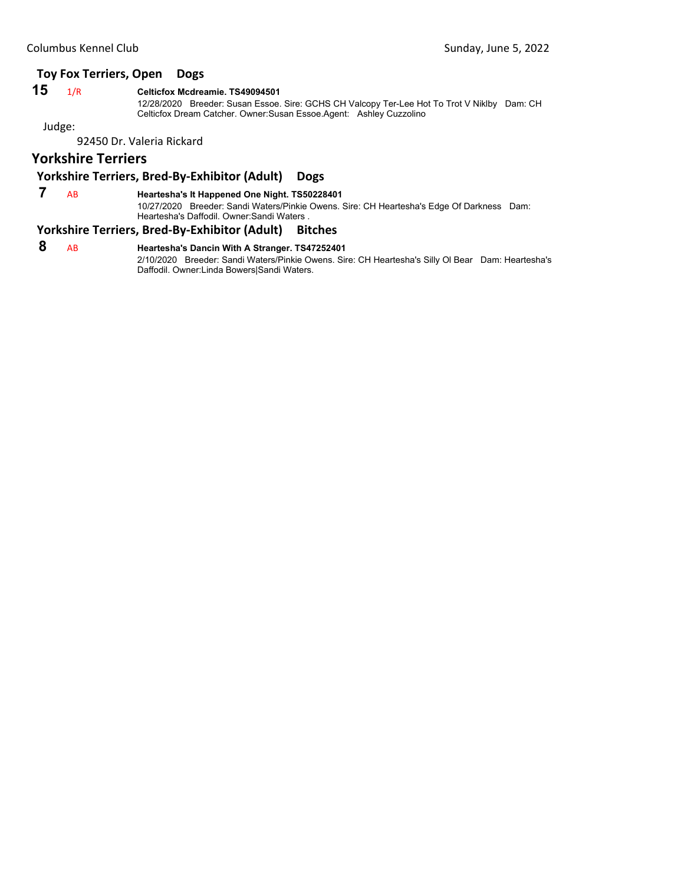# **Toy Fox Terriers, Open Dogs**

#### **15** 1/R **Celticfox Mcdreamie. TS49094501**

12/28/2020 Breeder: Susan Essoe. Sire: GCHS CH Valcopy Ter-Lee Hot To Trot V Niklby Dam: CH Celticfox Dream Catcher. Owner:Susan Essoe.Agent: Ashley Cuzzolino

Judge:

92450 Dr. Valeria Rickard

# **Yorkshire Terriers**

# **Yorkshire Terriers, Bred‐By‐Exhibitor (Adult) Dogs**

 **7** AB **Heartesha's It Happened One Night. TS50228401**

10/27/2020 Breeder: Sandi Waters/Pinkie Owens. Sire: CH Heartesha's Edge Of Darkness Dam: Heartesha's Daffodil. Owner:Sandi Waters .

#### **Yorkshire Terriers, Bred‐By‐Exhibitor (Adult) Bitches**

 **8** AB **Heartesha's Dancin With A Stranger. TS47252401** 2/10/2020 Breeder: Sandi Waters/Pinkie Owens. Sire: CH Heartesha's Silly Ol Bear Dam: Heartesha's Daffodil. Owner:Linda Bowers|Sandi Waters.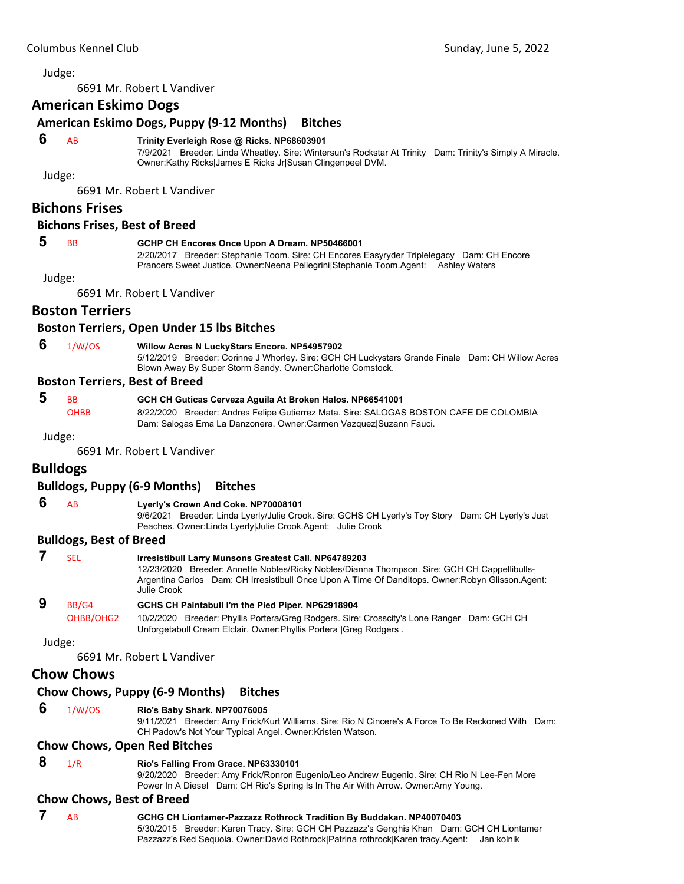<span id="page-50-0"></span>6691 Mr. Robert L Vandiver

# **American Eskimo Dogs**

# **American Eskimo Dogs, Puppy (9‐12 Months) Bitches**

#### **6** AB **Trinity Everleigh Rose @ Ricks. NP68603901**

7/9/2021 Breeder: Linda Wheatley. Sire: Wintersun's Rockstar At Trinity Dam: Trinity's Simply A Miracle. Owner:Kathy Ricks|James E Ricks Jr|Susan Clingenpeel DVM.

Judge:

6691 Mr. Robert L Vandiver

# **Bichons Frises**

#### **Bichons Frises, Best of Breed**

#### **5** BB **GCHP CH Encores Once Upon A Dream. NP50466001**

2/20/2017 Breeder: Stephanie Toom. Sire: CH Encores Easyryder Triplelegacy Dam: CH Encore Prancers Sweet Justice. Owner:Neena Pellegrini|Stephanie Toom.Agent: Ashley Waters

Judge:

6691 Mr. Robert L Vandiver

# **Boston Terriers**

#### **Boston Terriers, Open Under 15 lbs Bitches**

 **6** 1/W/OS **Willow Acres N LuckyStars Encore. NP54957902**

5/12/2019 Breeder: Corinne J Whorley. Sire: GCH CH Luckystars Grande Finale Dam: CH Willow Acres Blown Away By Super Storm Sandy. Owner:Charlotte Comstock.

#### **Boston Terriers, Best of Breed**

 **5** BB **GCH CH Guticas Cerveza Aguila At Broken Halos. NP66541001** OHBB 8/22/2020 Breeder: Andres Felipe Gutierrez Mata. Sire: SALOGAS BOSTON CAFE DE COLOMBIA Dam: Salogas Ema La Danzonera. Owner:Carmen Vazquez|Suzann Fauci.

Judge:

6691 Mr. Robert L Vandiver

# **Bulldogs**

# **Bulldogs, Puppy (6‐9 Months) Bitches**

 **6** AB **Lyerly's Crown And Coke. NP70008101**

9/6/2021 Breeder: Linda Lyerly/Julie Crook. Sire: GCHS CH Lyerly's Toy Story Dam: CH Lyerly's Just Peaches. Owner:Linda Lyerly|Julie Crook.Agent: Julie Crook

# **Bulldogs, Best of Breed**

| SEL       | <b>Irresistibull Larry Munsons Greatest Call. NP64789203</b><br>12/23/2020 Breeder: Annette Nobles/Ricky Nobles/Dianna Thompson. Sire: GCH CH Cappellibulls-<br>Argentina Carlos Dam: CH Irresistibull Once Upon A Time Of Danditops. Owner: Robyn Glisson. Agent:<br>Julie Crook |
|-----------|-----------------------------------------------------------------------------------------------------------------------------------------------------------------------------------------------------------------------------------------------------------------------------------|
| BB/G4     | GCHS CH Paintabull I'm the Pied Piper. NP62918904                                                                                                                                                                                                                                 |
| OHBB/OHG2 | 10/2/2020 Breeder: Phyllis Portera/Greg Rodgers. Sire: Crosscity's Lone Ranger Dam: GCH CH<br>Unforgetabull Cream Elclair. Owner: Phyllis Portera   Greg Rodgers.                                                                                                                 |
| Judge:    |                                                                                                                                                                                                                                                                                   |

6691 Mr. Robert L Vandiver

# **Chow Chows**

# **Chow Chows, Puppy (6‐9 Months) Bitches**

#### **6** 1/W/OS **Rio's Baby Shark. NP70076005**

9/11/2021 Breeder: Amy Frick/Kurt Williams. Sire: Rio N Cincere's A Force To Be Reckoned With Dam: CH Padow's Not Your Typical Angel. Owner:Kristen Watson.

#### **Chow Chows, Open Red Bitches**

 **8** 1/R **Rio's Falling From Grace. NP63330101**

9/20/2020 Breeder: Amy Frick/Ronron Eugenio/Leo Andrew Eugenio. Sire: CH Rio N Lee-Fen More Power In A Diesel Dam: CH Rio's Spring Is In The Air With Arrow. Owner:Amy Young.

#### **Chow Chows, Best of Breed**

 **7** AB **GCHG CH Liontamer-Pazzazz Rothrock Tradition By Buddakan. NP40070403** 5/30/2015 Breeder: Karen Tracy. Sire: GCH CH Pazzazz's Genghis Khan Dam: GCH CH Liontamer Pazzazz's Red Sequoia. Owner:David Rothrock|Patrina rothrock|Karen tracy.Agent: Jan kolnik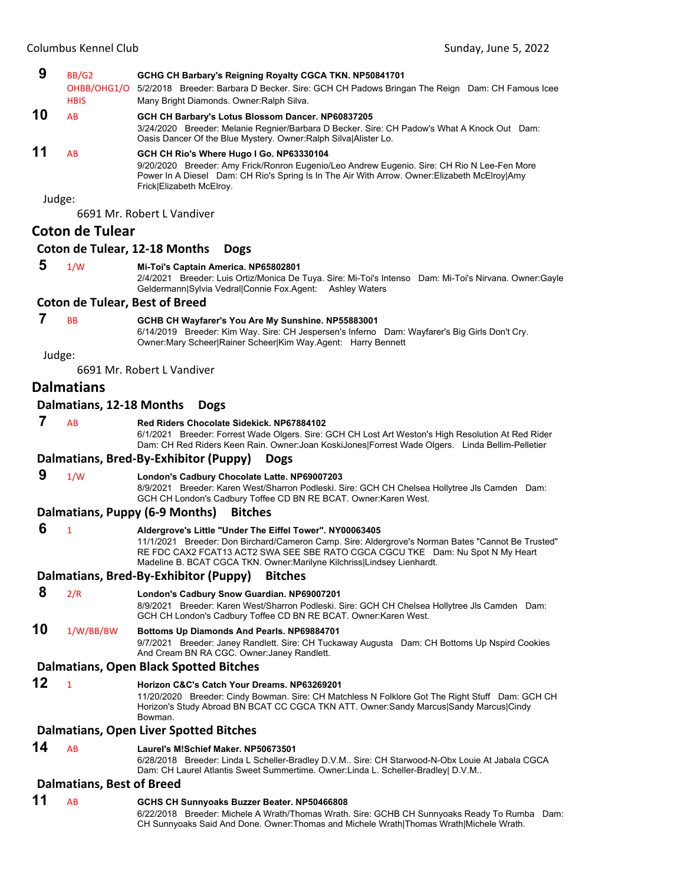|        | Columbus Kennel Club                  | Sunday, June 5, 2022                                                                                                                                                                                                                                                                                                      |  |
|--------|---------------------------------------|---------------------------------------------------------------------------------------------------------------------------------------------------------------------------------------------------------------------------------------------------------------------------------------------------------------------------|--|
| 9      | BB/G2<br><b>HBIS</b>                  | GCHG CH Barbary's Reigning Royalty CGCA TKN. NP50841701<br>OHBB/OHG1/O 5/2/2018 Breeder: Barbara D Becker. Sire: GCH CH Padows Bringan The Reign Dam: CH Famous Icee<br>Many Bright Diamonds. Owner: Ralph Silva.                                                                                                         |  |
| 10     | AB                                    | GCH CH Barbary's Lotus Blossom Dancer. NP60837205<br>3/24/2020 Breeder: Melanie Regnier/Barbara D Becker. Sire: CH Padow's What A Knock Out Dam:<br>Oasis Dancer Of the Blue Mystery. Owner: Ralph Silva Alister Lo.                                                                                                      |  |
| 11     | AB                                    | GCH CH Rio's Where Hugo I Go. NP63330104<br>9/20/2020 Breeder: Amy Frick/Ronron Eugenio/Leo Andrew Eugenio. Sire: CH Rio N Lee-Fen More<br>Power In A Diesel Dam: CH Rio's Spring Is In The Air With Arrow. Owner: Elizabeth McElroy Amy<br>Frick Elizabeth McElroy.                                                      |  |
| Judge: |                                       | 6691 Mr. Robert L Vandiver                                                                                                                                                                                                                                                                                                |  |
|        | <b>Coton de Tulear</b>                |                                                                                                                                                                                                                                                                                                                           |  |
|        |                                       | Coton de Tulear, 12-18 Months<br><b>Dogs</b>                                                                                                                                                                                                                                                                              |  |
| 5      | 1/W                                   | Mi-Toi's Captain America. NP65802801                                                                                                                                                                                                                                                                                      |  |
|        |                                       | 2/4/2021 Breeder: Luis Ortiz/Monica De Tuya. Sire: Mi-Toi's Intenso Dam: Mi-Toi's Nirvana. Owner: Gayle<br>Geldermann Sylvia Vedral Connie Fox.Agent:<br><b>Ashley Waters</b>                                                                                                                                             |  |
|        | <b>Coton de Tulear, Best of Breed</b> |                                                                                                                                                                                                                                                                                                                           |  |
| 7      | <b>BB</b>                             | GCHB CH Wayfarer's You Are My Sunshine. NP55883001<br>6/14/2019 Breeder: Kim Way. Sire: CH Jespersen's Inferno Dam: Wayfarer's Big Girls Don't Cry.<br>Owner: Mary Scheer Rainer Scheer Kim Way.Agent: Harry Bennett                                                                                                      |  |
| Judge: |                                       |                                                                                                                                                                                                                                                                                                                           |  |
|        |                                       | 6691 Mr. Robert L Vandiver                                                                                                                                                                                                                                                                                                |  |
|        | <b>Dalmatians</b>                     |                                                                                                                                                                                                                                                                                                                           |  |
|        | Dalmatians, 12-18 Months              | <b>Dogs</b>                                                                                                                                                                                                                                                                                                               |  |
| 7      | AB                                    | Red Riders Chocolate Sidekick. NP67884102<br>6/1/2021 Breeder: Forrest Wade Olgers. Sire: GCH CH Lost Art Weston's High Resolution At Red Rider<br>Dam: CH Red Riders Keen Rain. Owner: Joan Koski Jones Forrest Wade Olgers. Linda Bellim-Pelletier                                                                      |  |
|        |                                       | Dalmatians, Bred-By-Exhibitor (Puppy)<br><b>Dogs</b>                                                                                                                                                                                                                                                                      |  |
| 9      | 1/W                                   | London's Cadbury Chocolate Latte. NP69007203<br>8/9/2021 Breeder: Karen West/Sharron Podleski. Sire: GCH CH Chelsea Hollytree Jls Camden Dam:<br>GCH CH London's Cadbury Toffee CD BN RE BCAT. Owner: Karen West.                                                                                                         |  |
|        |                                       | Dalmatians, Puppy (6-9 Months)<br><b>Bitches</b>                                                                                                                                                                                                                                                                          |  |
| 6      | $\mathbf{1}$                          | Aldergrove's Little "Under The Eiffel Tower". NY00063405<br>11/1/2021 Breeder: Don Birchard/Cameron Camp. Sire: Aldergrove's Norman Bates "Cannot Be Trusted"<br>RE FDC CAX2 FCAT13 ACT2 SWA SEE SBE RATO CGCA CGCU TKE Dam: Nu Spot N My Heart<br>Madeline B. BCAT CGCA TKN. Owner:Marilyne Kilchriss Lindsey Lienhardt. |  |
|        |                                       | Dalmatians, Bred-By-Exhibitor (Puppy)<br><b>Bitches</b>                                                                                                                                                                                                                                                                   |  |
| 8      | 2/R                                   | London's Cadbury Snow Guardian. NP69007201                                                                                                                                                                                                                                                                                |  |
|        |                                       | 8/9/2021 Breeder: Karen West/Sharron Podleski. Sire: GCH CH Chelsea Hollytree Jls Camden Dam:<br>GCH CH London's Cadbury Toffee CD BN RE BCAT. Owner: Karen West.                                                                                                                                                         |  |
| 10     | 1/W/BB/BW                             | Bottoms Up Diamonds And Pearls. NP69884701<br>9/7/2021 Breeder: Janey Randlett. Sire: CH Tuckaway Augusta Dam: CH Bottoms Up Nspird Cookies<br>And Cream BN RA CGC. Owner: Janey Randlett.                                                                                                                                |  |
|        |                                       | <b>Dalmatians, Open Black Spotted Bitches</b>                                                                                                                                                                                                                                                                             |  |
| 12     | $\mathbf{1}$                          | Horizon C&C's Catch Your Dreams. NP63269201<br>11/20/2020 Breeder: Cindy Bowman. Sire: CH Matchless N Folklore Got The Right Stuff Dam: GCH CH<br>Horizon's Study Abroad BN BCAT CC CGCA TKN ATT. Owner:Sandy Marcus Sandy Marcus Cindy<br>Bowman.                                                                        |  |
|        |                                       | <b>Dalmatians, Open Liver Spotted Bitches</b>                                                                                                                                                                                                                                                                             |  |
| 14     | AB                                    | Laurel's M!Schief Maker. NP50673501                                                                                                                                                                                                                                                                                       |  |

6/28/2018 Breeder: Linda L Scheller-Bradley D.V.M.. Sire: CH Starwood-N-Obx Louie At Jabala CGCA Dam: CH Laurel Atlantis Sweet Summertime. Owner:Linda L. Scheller-Bradley| D.V.M..

# **Dalmatians, Best of Breed**

**11** AB **GCHS CH Sunnyoaks Buzzer Beater. NP50466808** 6/22/2018 Breeder: Michele A Wrath/Thomas Wrath. Sire: GCHB CH Sunnyoaks Ready To Rumba Dam: CH Sunnyoaks Said And Done. Owner:Thomas and Michele Wrath|Thomas Wrath|Michele Wrath.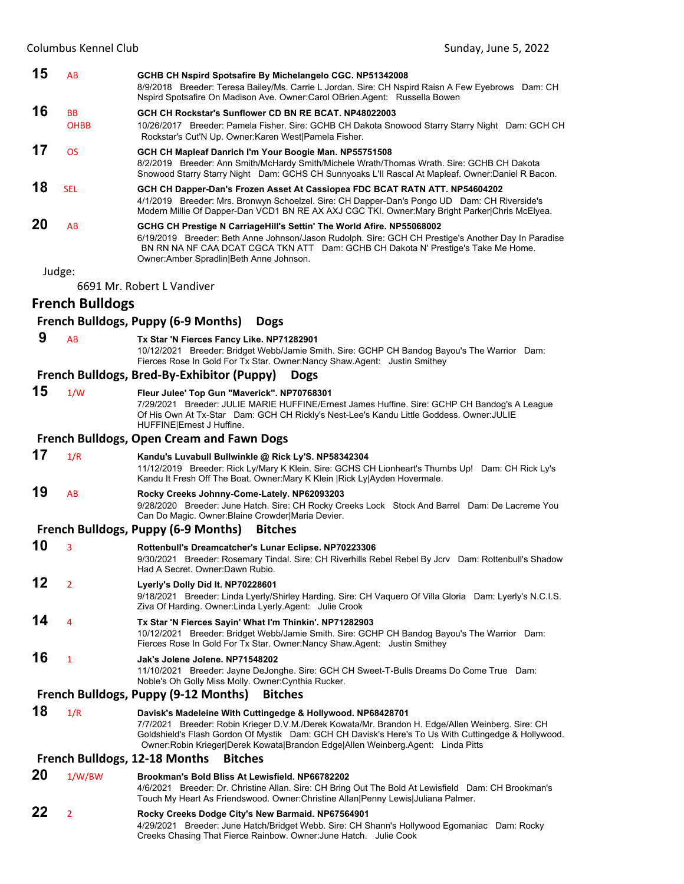|    | Columbus Kennel Club     |                                                                                                                                                                                                                                                                                                                                                           | Sunday, June 5, 2022 |
|----|--------------------------|-----------------------------------------------------------------------------------------------------------------------------------------------------------------------------------------------------------------------------------------------------------------------------------------------------------------------------------------------------------|----------------------|
| 15 | AB                       | GCHB CH Nspird Spotsafire By Michelangelo CGC. NP51342008<br>8/9/2018 Breeder: Teresa Bailey/Ms. Carrie L Jordan. Sire: CH Nspird Raisn A Few Eyebrows Dam: CH<br>Nspird Spotsafire On Madison Ave. Owner: Carol OBrien. Agent: Russella Bowen                                                                                                            |                      |
| 16 | <b>BB</b><br><b>OHBB</b> | GCH CH Rockstar's Sunflower CD BN RE BCAT. NP48022003<br>10/26/2017 Breeder: Pamela Fisher. Sire: GCHB CH Dakota Snowood Starry Starry Night Dam: GCH CH<br>Rockstar's Cut'N Up. Owner: Karen West   Pamela Fisher.                                                                                                                                       |                      |
| 17 | <b>OS</b>                | GCH CH Mapleaf Danrich I'm Your Boogie Man. NP55751508<br>8/2/2019 Breeder: Ann Smith/McHardy Smith/Michele Wrath/Thomas Wrath. Sire: GCHB CH Dakota<br>Snowood Starry Starry Night Dam: GCHS CH Sunnyoaks L'II Rascal At Mapleaf. Owner: Daniel R Bacon.                                                                                                 |                      |
| 18 | <b>SEL</b>               | GCH CH Dapper-Dan's Frozen Asset At Cassiopea FDC BCAT RATN ATT. NP54604202<br>4/1/2019 Breeder: Mrs. Bronwyn Schoelzel. Sire: CH Dapper-Dan's Pongo UD Dam: CH Riverside's<br>Modern Millie Of Dapper-Dan VCD1 BN RE AX AXJ CGC TKI. Owner: Mary Bright Parker Chris McElyea.                                                                            |                      |
| 20 | AB                       | GCHG CH Prestige N CarriageHill's Settin' The World Afire. NP55068002<br>6/19/2019 Breeder: Beth Anne Johnson/Jason Rudolph. Sire: GCH CH Prestige's Another Day In Paradise<br>BN RN NA NF CAA DCAT CGCA TKN ATT Dam: GCHB CH Dakota N' Prestige's Take Me Home.<br>Owner: Amber Spradlin Beth Anne Johnson.                                             |                      |
|    | Judge:                   |                                                                                                                                                                                                                                                                                                                                                           |                      |
|    |                          | 6691 Mr. Robert L Vandiver                                                                                                                                                                                                                                                                                                                                |                      |
|    | <b>French Bulldogs</b>   | French Bulldogs, Puppy (6-9 Months)<br><b>Dogs</b>                                                                                                                                                                                                                                                                                                        |                      |
| 9  | AB                       | Tx Star 'N Fierces Fancy Like. NP71282901                                                                                                                                                                                                                                                                                                                 |                      |
|    |                          | 10/12/2021 Breeder: Bridget Webb/Jamie Smith. Sire: GCHP CH Bandog Bayou's The Warrior Dam:<br>Fierces Rose In Gold For Tx Star. Owner: Nancy Shaw. Agent: Justin Smithey                                                                                                                                                                                 |                      |
|    |                          | French Bulldogs, Bred-By-Exhibitor (Puppy)<br><b>Dogs</b>                                                                                                                                                                                                                                                                                                 |                      |
| 15 | 1/W                      | Fleur Julee' Top Gun "Maverick". NP70768301<br>7/29/2021 Breeder: JULIE MARIE HUFFINE/Ernest James Huffine. Sire: GCHP CH Bandog's A League<br>Of His Own At Tx-Star Dam: GCH CH Rickly's Nest-Lee's Kandu Little Goddess. Owner: JULIE<br>HUFFINE Ernest J Huffine.                                                                                      |                      |
|    |                          | <b>French Bulldogs, Open Cream and Fawn Dogs</b>                                                                                                                                                                                                                                                                                                          |                      |
| 17 | 1/R                      | Kandu's Luvabull Bullwinkle @ Rick Ly'S. NP58342304<br>11/12/2019 Breeder: Rick Ly/Mary K Klein. Sire: GCHS CH Lionheart's Thumbs Up! Dam: CH Rick Ly's<br>Kandu It Fresh Off The Boat. Owner: Mary K Klein   Rick Ly  Ayden Hovermale.                                                                                                                   |                      |
| 19 | AB                       | Rocky Creeks Johnny-Come-Lately. NP62093203<br>9/28/2020 Breeder: June Hatch. Sire: CH Rocky Creeks Lock Stock And Barrel Dam: De Lacreme You<br>Can Do Magic. Owner: Blaine Crowder Maria Devier.                                                                                                                                                        |                      |
|    |                          | <b>French Bulldogs, Puppy (6-9 Months)</b><br><b>Bitches</b>                                                                                                                                                                                                                                                                                              |                      |
| 10 | 3                        | Rottenbull's Dreamcatcher's Lunar Eclipse. NP70223306<br>9/30/2021 Breeder: Rosemary Tindal. Sire: CH Riverhills Rebel Rebel By Jcrv Dam: Rottenbull's Shadow<br>Had A Secret. Owner: Dawn Rubio.                                                                                                                                                         |                      |
| 12 | 2                        | Lyerly's Dolly Did It. NP70228601<br>9/18/2021 Breeder: Linda Lyerly/Shirley Harding. Sire: CH Vaquero Of Villa Gloria Dam: Lyerly's N.C.I.S.<br>Ziva Of Harding. Owner: Linda Lyerly. Agent: Julie Crook                                                                                                                                                 |                      |
| 14 | 4                        | Tx Star 'N Fierces Sayin' What I'm Thinkin'. NP71282903<br>10/12/2021 Breeder: Bridget Webb/Jamie Smith. Sire: GCHP CH Bandog Bayou's The Warrior Dam:<br>Fierces Rose In Gold For Tx Star. Owner: Nancy Shaw. Agent: Justin Smithey                                                                                                                      |                      |
| 16 | 1                        | Jak's Jolene Jolene. NP71548202<br>11/10/2021 Breeder: Jayne DeJonghe. Sire: GCH CH Sweet-T-Bulls Dreams Do Come True Dam:<br>Noble's Oh Golly Miss Molly. Owner: Cynthia Rucker.                                                                                                                                                                         |                      |
|    |                          | French Bulldogs, Puppy (9-12 Months)<br><b>Bitches</b>                                                                                                                                                                                                                                                                                                    |                      |
| 18 | 1/R                      | Davisk's Madeleine With Cuttingedge & Hollywood. NP68428701<br>7/7/2021 Breeder: Robin Krieger D.V.M./Derek Kowata/Mr. Brandon H. Edge/Allen Weinberg. Sire: CH<br>Goldshield's Flash Gordon Of Mystik Dam: GCH CH Davisk's Here's To Us With Cuttingedge & Hollywood.<br>Owner:Robin Krieger Derek Kowata Brandon Edge Allen Weinberg.Agent: Linda Pitts |                      |
|    |                          | French Bulldogs, 12-18 Months<br><b>Bitches</b>                                                                                                                                                                                                                                                                                                           |                      |

**20** 1/W/BW **Brookman's Bold Bliss At Lewisfield. NP66782202**

4/6/2021 Breeder: Dr. Christine Allan. Sire: CH Bring Out The Bold At Lewisfield Dam: CH Brookman's Touch My Heart As Friendswood. Owner:Christine Allan|Penny Lewis|Juliana Palmer.

# **22** <sup>2</sup> **Rocky Creeks Dodge City's New Barmaid. NP67564901**

4/29/2021 Breeder: June Hatch/Bridget Webb. Sire: CH Shann's Hollywood Egomaniac Dam: Rocky Creeks Chasing That Fierce Rainbow. Owner:June Hatch. Julie Cook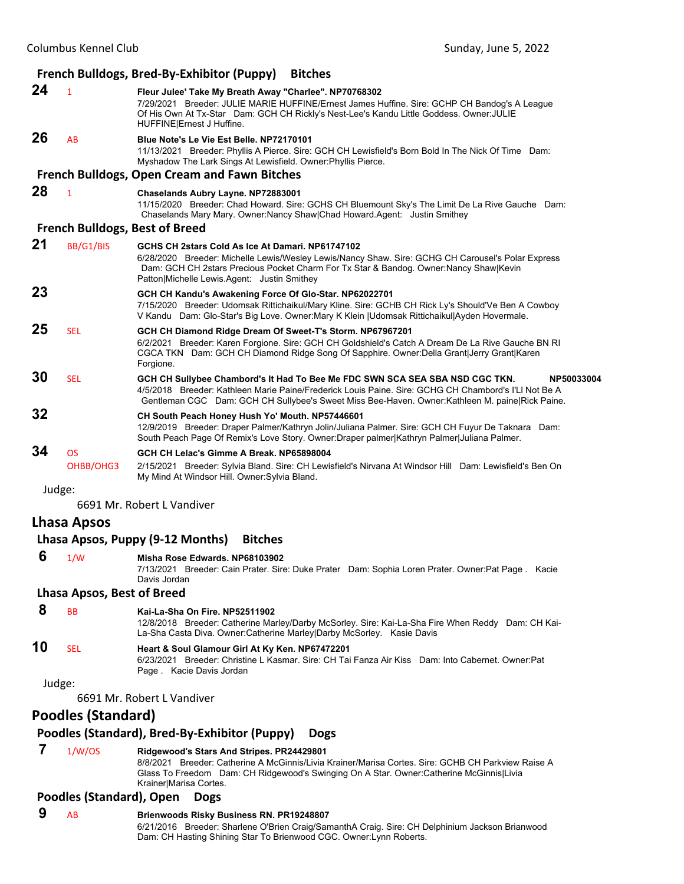# **French Bulldogs, Bred‐By‐Exhibitor (Puppy) Bitches**

**24** <sup>1</sup> **Fleur Julee' Take My Breath Away "Charlee". NP70768302** 7/29/2021 Breeder: JULIE MARIE HUFFINE/Ernest James Huffine. Sire: GCHP CH Bandog's A League Of His Own At Tx-Star Dam: GCH CH Rickly's Nest-Lee's Kandu Little Goddess. Owner:JULIE HUFFINE|Ernest J Huffine. **26** AB **Blue Note's Le Vie Est Belle. NP72170101**

11/13/2021 Breeder: Phyllis A Pierce. Sire: GCH CH Lewisfield's Born Bold In The Nick Of Time Dam: Myshadow The Lark Sings At Lewisfield. Owner:Phyllis Pierce.

#### **French Bulldogs, Open Cream and Fawn Bitches**

# **28** <sup>1</sup> **Chaselands Aubry Layne. NP72883001**

11/15/2020 Breeder: Chad Howard. Sire: GCHS CH Bluemount Sky's The Limit De La Rive Gauche Dam: Chaselands Mary Mary. Owner:Nancy Shaw|Chad Howard.Agent: Justin Smithey

#### **French Bulldogs, Best of Breed**

| 21 | BB/G1/BIS       | GCHS CH 2stars Cold As Ice At Damari, NP61747102<br>6/28/2020 Breeder: Michelle Lewis/Wesley Lewis/Nancy Shaw. Sire: GCHG CH Carousel's Polar Express<br>Dam: GCH CH 2stars Precious Pocket Charm For Tx Star & Bandog. Owner:Nancy Shaw Kevin<br>Patton Michelle Lewis Agent: Justin Smithey         |
|----|-----------------|-------------------------------------------------------------------------------------------------------------------------------------------------------------------------------------------------------------------------------------------------------------------------------------------------------|
| 23 |                 | GCH CH Kandu's Awakening Force Of Glo-Star. NP62022701<br>7/15/2020 Breeder: Udomsak Rittichaikul/Mary Kline. Sire: GCHB CH Rick Ly's Should'Ve Ben A Cowboy<br>V Kandu Dam: Glo-Star's Big Love. Owner: Mary K Klein   Udomsak Rittichaikul  Ayden Hovermale.                                        |
| 25 | <b>SEL</b>      | GCH CH Diamond Ridge Dream Of Sweet-T's Storm. NP67967201<br>6/2/2021 Breeder: Karen Forgione. Sire: GCH CH Goldshield's Catch A Dream De La Rive Gauche BN RI<br>CGCA TKN Dam: GCH CH Diamond Ridge Song Of Sapphire. Owner: Della Grant Jerry Grant Karen<br>Forgione.                              |
| 30 | <b>SEL</b>      | GCH CH Sullybee Chambord's It Had To Bee Me FDC SWN SCA SEA SBA NSD CGC TKN.<br>NP50033004<br>4/5/2018 Breeder: Kathleen Marie Paine/Frederick Louis Paine. Sire: GCHG CH Chambord's I'Ll Not Be A<br>Gentleman CGC Dam: GCH CH Sullybee's Sweet Miss Bee-Haven. Owner: Kathleen M. paine Rick Paine. |
| 32 |                 | CH South Peach Honey Hush Yo' Mouth. NP57446601<br>12/9/2019 Breeder: Draper Palmer/Kathryn Jolin/Juliana Palmer. Sire: GCH CH Fuyur De Taknara Dam:<br>South Peach Page Of Remix's Love Story. Owner: Draper palmer Kathryn Palmer Juliana Palmer.                                                   |
| 34 | OS<br>OHBB/OHG3 | GCH CH Lelac's Gimme A Break, NP65898004<br>2/15/2021 Breeder: Sylvia Bland. Sire: CH Lewisfield's Nirvana At Windsor Hill Dam: Lewisfield's Ben On<br>My Mind At Windsor Hill. Owner: Sylvia Bland.                                                                                                  |

# Judge:

6691 Mr. Robert L Vandiver

#### **Lhasa Apsos**

# **Lhasa Apsos, Puppy (9‐12 Months) Bitches 6** 1/W **Misha Rose Edwards. NP68103902** 7/13/2021 Breeder: Cain Prater. Sire: Duke Prater Dam: Sophia Loren Prater. Owner:Pat Page . Kacie Davis Jordan **Lhasa Apsos, Best of Breed 8** BB **Kai-La-Sha On Fire. NP52511902** 12/8/2018 Breeder: Catherine Marley/Darby McSorley. Sire: Kai-La-Sha Fire When Reddy Dam: CH Kai-La-Sha Casta Diva. Owner:Catherine Marley|Darby McSorley. Kasie Davis **10** SEL **Heart & Soul Glamour Girl At Ky Ken. NP67472201** 6/23/2021 Breeder: Christine L Kasmar. Sire: CH Tai Fanza Air Kiss Dam: Into Cabernet. Owner:Pat Page . Kacie Davis Jordan Judge: 6691 Mr. Robert L Vandiver **Poodles (Standard) Poodles (Standard), Bred‐By‐Exhibitor (Puppy) Dogs**

# **7** 1/W/OS **Ridgewood's Stars And Stripes. PR24429801**

8/8/2021 Breeder: Catherine A McGinnis/Livia Krainer/Marisa Cortes. Sire: GCHB CH Parkview Raise A Glass To Freedom Dam: CH Ridgewood's Swinging On A Star. Owner:Catherine McGinnis|Livia Krainer|Marisa Cortes.

#### **Poodles (Standard), Open Dogs**

#### **9** AB **Brienwoods Risky Business RN. PR19248807**

6/21/2016 Breeder: Sharlene O'Brien Craig/SamanthA Craig. Sire: CH Delphinium Jackson Brianwood Dam: CH Hasting Shining Star To Brienwood CGC. Owner:Lynn Roberts.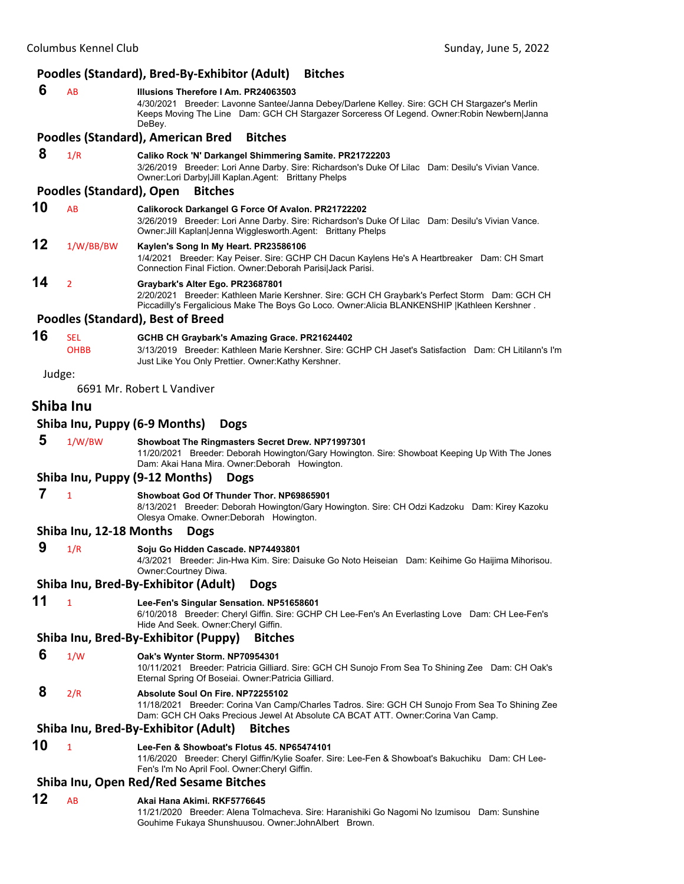# **Poodles (Standard), Bred‐By‐Exhibitor (Adult) Bitches**

 **6** AB **Illusions Therefore I Am. PR24063503** 4/30/2021 Breeder: Lavonne Santee/Janna Debey/Darlene Kelley. Sire: GCH CH Stargazer's Merlin Keeps Moving The Line Dam: GCH CH Stargazer Sorceress Of Legend. Owner:Robin Newbern|Janna DeBey. **Poodles (Standard), American Bred Bitches 8** 1/R **Caliko Rock 'N' Darkangel Shimmering Samite. PR21722203** 3/26/2019 Breeder: Lori Anne Darby. Sire: Richardson's Duke Of Lilac Dam: Desilu's Vivian Vance. Owner:Lori Darby|Jill Kaplan.Agent: Brittany Phelps **Poodles (Standard), Open Bitches 10** AB **Calikorock Darkangel G Force Of Avalon. PR21722202** 3/26/2019 Breeder: Lori Anne Darby. Sire: Richardson's Duke Of Lilac Dam: Desilu's Vivian Vance. Owner:Jill Kaplan|Jenna Wigglesworth.Agent: Brittany Phelps **12** 1/W/BB/BW **Kaylen's Song In My Heart. PR23586106** 1/4/2021 Breeder: Kay Peiser. Sire: GCHP CH Dacun Kaylens He's A Heartbreaker Dam: CH Smart Connection Final Fiction. Owner:Deborah Parisi|Jack Parisi. **14** <sup>2</sup> **Graybark's Alter Ego. PR23687801** 2/20/2021 Breeder: Kathleen Marie Kershner. Sire: GCH CH Graybark's Perfect Storm Dam: GCH CH Piccadilly's Fergalicious Make The Boys Go Loco. Owner:Alicia BLANKENSHIP |Kathleen Kershner . **Poodles (Standard), Best of Breed 16** SEL **GCHB CH Graybark's Amazing Grace. PR21624402** OHBB 3/13/2019 Breeder: Kathleen Marie Kershner. Sire: GCHP CH Jaset's Satisfaction Dam: CH Litilann's I'm Just Like You Only Prettier. Owner:Kathy Kershner. Judge: 6691 Mr. Robert L Vandiver **Shiba Inu Shiba Inu, Puppy (6‐9 Months) Dogs 5** 1/W/BW **Showboat The Ringmasters Secret Drew. NP71997301** 11/20/2021 Breeder: Deborah Howington/Gary Howington. Sire: Showboat Keeping Up With The Jones Dam: Akai Hana Mira. Owner:Deborah Howington. **Shiba Inu, Puppy (9‐12 Months) Dogs 7** <sup>1</sup> **Showboat God Of Thunder Thor. NP69865901** 8/13/2021 Breeder: Deborah Howington/Gary Howington. Sire: CH Odzi Kadzoku Dam: Kirey Kazoku Olesya Omake. Owner:Deborah Howington. **Shiba Inu, 12‐18 Months Dogs 9** 1/R **Soju Go Hidden Cascade. NP74493801** 4/3/2021 Breeder: Jin-Hwa Kim. Sire: Daisuke Go Noto Heiseian Dam: Keihime Go Haijima Mihorisou. Owner:Courtney Diwa. **Shiba Inu, Bred‐By‐Exhibitor (Adult) Dogs 11** <sup>1</sup> **Lee-Fen's Singular Sensation. NP51658601** 6/10/2018 Breeder: Cheryl Giffin. Sire: GCHP CH Lee-Fen's An Everlasting Love Dam: CH Lee-Fen's Hide And Seek. Owner:Cheryl Giffin. **Shiba Inu, Bred‐By‐Exhibitor (Puppy) Bitches 6** 1/W **Oak's Wynter Storm. NP70954301** 10/11/2021 Breeder: Patricia Gilliard. Sire: GCH CH Sunojo From Sea To Shining Zee Dam: CH Oak's Eternal Spring Of Boseiai. Owner:Patricia Gilliard.  **8** 2/R **Absolute Soul On Fire. NP72255102** 11/18/2021 Breeder: Corina Van Camp/Charles Tadros. Sire: GCH CH Sunojo From Sea To Shining Zee Dam: GCH CH Oaks Precious Jewel At Absolute CA BCAT ATT. Owner:Corina Van Camp. **Shiba Inu, Bred‐By‐Exhibitor (Adult) Bitches 10** <sup>1</sup> **Lee-Fen & Showboat's Flotus 45. NP65474101** 11/6/2020 Breeder: Cheryl Giffin/Kylie Soafer. Sire: Lee-Fen & Showboat's Bakuchiku Dam: CH Lee-Fen's I'm No April Fool. Owner:Cheryl Giffin. **Shiba Inu, Open Red/Red Sesame Bitches 12** AB **Akai Hana Akimi. RKF5776645** 11/21/2020 Breeder: Alena Tolmacheva. Sire: Haranishiki Go Nagomi No Izumisou Dam: Sunshine

Gouhime Fukaya Shunshuusou. Owner:JohnAlbert Brown.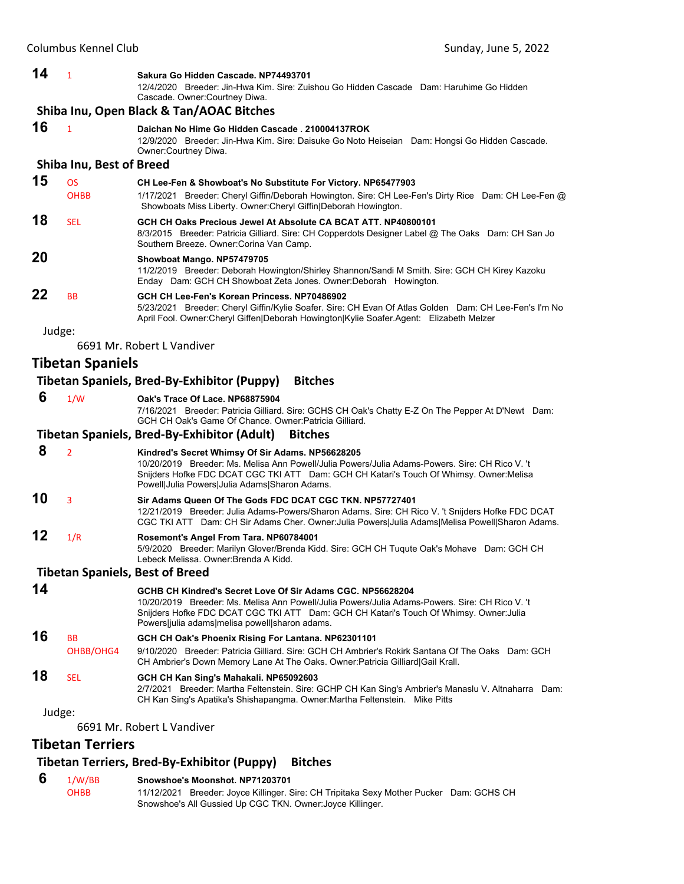Dam: GCHS CH

| 14 | $\mathbf{1}$                    | Sakura Go Hidden Cascade, NP74493701                                                                                                                                                                                                            |
|----|---------------------------------|-------------------------------------------------------------------------------------------------------------------------------------------------------------------------------------------------------------------------------------------------|
|    |                                 | 12/4/2020 Breeder: Jin-Hwa Kim, Sire: Zuishou Go Hidden Cascade Dam: Haruhime Go Hidden<br>Cascade. Owner: Courtney Diwa.                                                                                                                       |
|    |                                 | Shiba Inu, Open Black & Tan/AOAC Bitches                                                                                                                                                                                                        |
| 16 | $\overline{1}$                  | Daichan No Hime Go Hidden Cascade . 210004137ROK<br>12/9/2020 Breeder: Jin-Hwa Kim. Sire: Daisuke Go Noto Heiseian Dam: Hongsi Go Hidden Cascade.<br>Owner:Courtney Diwa.                                                                       |
|    | <b>Shiba Inu, Best of Breed</b> |                                                                                                                                                                                                                                                 |
| 15 | <b>OS</b>                       | CH Lee-Fen & Showboat's No Substitute For Victory. NP65477903                                                                                                                                                                                   |
|    | <b>OHBB</b>                     | 1/17/2021 Breeder: Cheryl Giffin/Deborah Howington. Sire: CH Lee-Fen's Dirty Rice Dam: CH Lee-Fen @<br>Showboats Miss Liberty. Owner: Cheryl Giffin   Deborah Howington.                                                                        |
| 18 | <b>SEL</b>                      | GCH CH Oaks Precious Jewel At Absolute CA BCAT ATT, NP40800101<br>8/3/2015 Breeder: Patricia Gilliard. Sire: CH Copperdots Designer Label @ The Oaks Dam: CH San Jo<br>Southern Breeze. Owner: Corina Van Camp.                                 |
| 20 |                                 | Showboat Mango. NP57479705<br>11/2/2019 Breeder: Deborah Howington/Shirley Shannon/Sandi M Smith. Sire: GCH CH Kirey Kazoku<br>Enday Dam: GCH CH Showboat Zeta Jones. Owner: Deborah Howington.                                                 |
| 22 | <b>BB</b>                       | GCH CH Lee-Fen's Korean Princess, NP70486902<br>5/23/2021 Breeder: Cheryl Giffin/Kylie Soafer. Sire: CH Evan Of Atlas Golden Dam: CH Lee-Fen's I'm No<br>April Fool. Owner:Cheryl Giffen Deborah Howington Kylie Soafer.Agent: Elizabeth Melzer |
|    | Judge:                          |                                                                                                                                                                                                                                                 |
|    |                                 | 6691 Mr. Robert L Vandiver                                                                                                                                                                                                                      |
|    | Tibetan Spaniels                |                                                                                                                                                                                                                                                 |
|    |                                 | Tibetan Spaniels, Bred-By-Exhibitor (Puppy)<br><b>Bitches</b>                                                                                                                                                                                   |
|    |                                 |                                                                                                                                                                                                                                                 |

 **6** 1/W **Oak's Trace Of Lace. NP68875904** 7/16/2021 Breeder: Patricia Gilliard. Sire: GCHS CH Oak's Chatty E-Z On The Pepper At D'Newt Dam: GCH CH Oak's Game Of Chance. Owner:Patricia Gilliard. **Tibetan Spaniels, Bred‐By‐Exhibitor (Adult) Bitches 8** <sup>2</sup> **Kindred's Secret Whimsy Of Sir Adams. NP56628205** 10/20/2019 Breeder: Ms. Melisa Ann Powell/Julia Powers/Julia Adams-Powers. Sire: CH Rico V. 't Snijders Hofke FDC DCAT CGC TKI ATT Dam: GCH CH Katari's Touch Of Whimsy. Owner:Melisa Powell|Julia Powers|Julia Adams|Sharon Adams. **10** <sup>3</sup> **Sir Adams Queen Of The Gods FDC DCAT CGC TKN. NP57727401** 12/21/2019 Breeder: Julia Adams-Powers/Sharon Adams. Sire: CH Rico V. 't Snijders Hofke FDC DCAT CGC TKI ATT Dam: CH Sir Adams Cher. Owner:Julia Powers|Julia Adams|Melisa Powell|Sharon Adams. **12** 1/R **Rosemont's Angel From Tara. NP60784001** 5/9/2020 Breeder: Marilyn Glover/Brenda Kidd. Sire: GCH CH Tuqute Oak's Mohave Dam: GCH CH Lebeck Melissa. Owner:Brenda A Kidd.

**Tibetan Spaniels, Best of Breed** 

| 14 |                        | GCHB CH Kindred's Secret Love Of Sir Adams CGC. NP56628204<br>10/20/2019 Breeder: Ms. Melisa Ann Powell/Julia Powers/Julia Adams-Powers, Sire: CH Rico V, 't<br>Snijders Hofke FDC DCAT CGC TKI ATT Dam: GCH CH Katari's Touch Of Whimsy. Owner: Julia<br>Powersljulia adams melisa powell sharon adams. |
|----|------------------------|----------------------------------------------------------------------------------------------------------------------------------------------------------------------------------------------------------------------------------------------------------------------------------------------------------|
| 16 | <b>BB</b><br>OHBB/OHG4 | GCH CH Oak's Phoenix Rising For Lantana. NP62301101<br>9/10/2020 Breeder: Patricia Gilliard. Sire: GCH CH Ambrier's Rokirk Santana Of The Oaks Dam: GCH<br>CH Ambrier's Down Memory Lane At The Oaks. Owner: Patricia Gilliard Gail Krall.                                                               |
| 18 | SFI.                   | GCH CH Kan Sing's Mahakali. NP65092603<br>2/7/2021 Breeder: Martha Feltenstein. Sire: GCHP CH Kan Sing's Ambrier's Manaslu V. Altnaharra Dam:<br>CH Kan Sing's Apatika's Shishapangma. Owner: Martha Feltenstein. Mike Pitts                                                                             |

#### Judge:

6691 Mr. Robert L Vandiver

# **Tibetan Terriers**

# **Tibetan Terriers, Bred‐By‐Exhibitor (Puppy) Bitches**

| 1/W/BB      | Snowshoe's Moonshot, NP71203701                                            |
|-------------|----------------------------------------------------------------------------|
| <b>OHBB</b> | 11/12/2021 Breeder: Joyce Killinger. Sire: CH Tripitaka Sexy Mother Pucker |
|             | Snowshoe's All Gussied Up CGC TKN. Owner: Joyce Killinger.                 |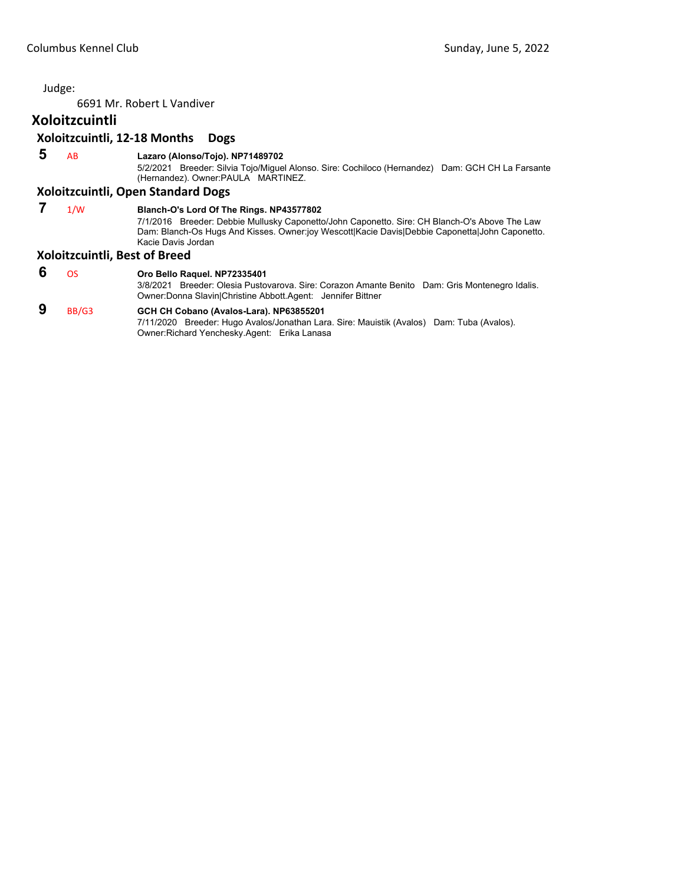6691 Mr. Robert L Vandiver

# **Xoloitzcuintli**

#### **Xoloitzcuintli, 12‐18 Months Dogs**

 **5** AB **Lazaro (Alonso/Tojo). NP71489702**

5/2/2021 Breeder: Silvia Tojo/Miguel Alonso. Sire: Cochiloco (Hernandez) Dam: GCH CH La Farsante (Hernandez). Owner:PAULA MARTINEZ.

#### **Xoloitzcuintli, Open Standard Dogs**

 **7** 1/W **Blanch-O's Lord Of The Rings. NP43577802** 7/1/2016 Breeder: Debbie Mullusky Caponetto/John Caponetto. Sire: CH Blanch-O's Above The Law Dam: Blanch-Os Hugs And Kisses. Owner:joy Wescott|Kacie Davis|Debbie Caponetta|John Caponetto. Kacie Davis Jordan

#### **Xoloitzcuintli, Best of Breed**

 **6** OS **Oro Bello Raquel. NP72335401** 3/8/2021 Breeder: Olesia Pustovarova. Sire: Corazon Amante Benito Dam: Gris Montenegro Idalis. Owner:Donna Slavin|Christine Abbott.Agent: Jennifer Bittner

# **9** BB/G3 **GCH CH Cobano (Avalos-Lara). NP63855201**

7/11/2020 Breeder: Hugo Avalos/Jonathan Lara. Sire: Mauistik (Avalos) Dam: Tuba (Avalos). Owner:Richard Yenchesky.Agent: Erika Lanasa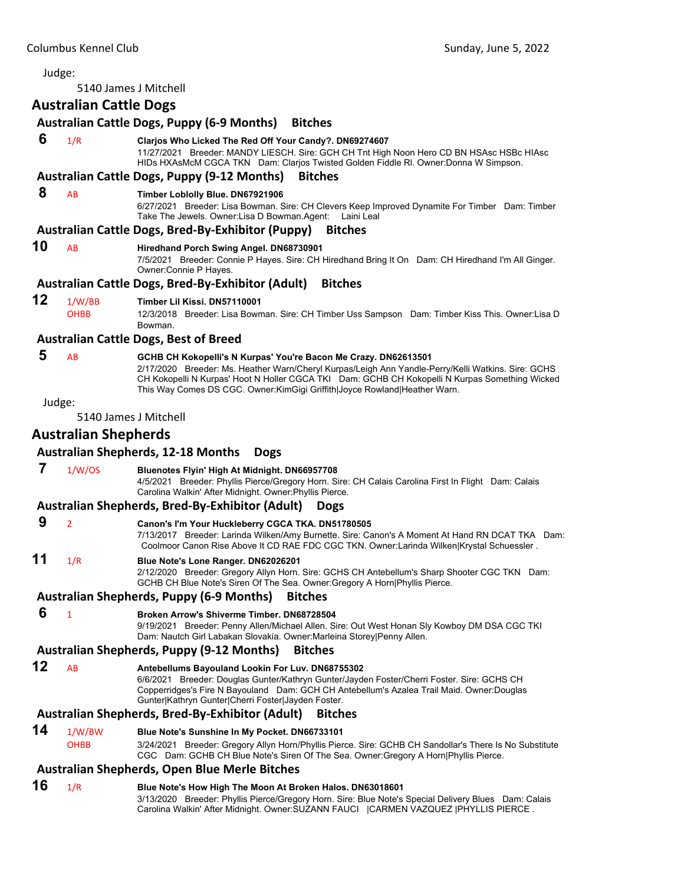<span id="page-57-0"></span>5140 James J Mitchell

# **Australian Cattle Dogs**

# **Australian Cattle Dogs, Puppy (6‐9 Months) Bitches**

 **6** 1/R **Clarjos Who Licked The Red Off Your Candy?. DN69274607**

11/27/2021 Breeder: MANDY LIESCH. Sire: GCH CH Tnt High Noon Hero CD BN HSAsc HSBc HIAsc HIDs HXAsMcM CGCA TKN Dam: Clarjos Twisted Golden Fiddle Rl. Owner:Donna W Simpson.

#### **Australian Cattle Dogs, Puppy (9‐12 Months) Bitches**

#### **8** AB **Timber Loblolly Blue. DN67921906**

6/27/2021 Breeder: Lisa Bowman. Sire: CH Clevers Keep Improved Dynamite For Timber Dam: Timber Take The Jewels. Owner:Lisa D Bowman.Agent: Laini Leal

#### **Australian Cattle Dogs, Bred‐By‐Exhibitor (Puppy) Bitches**

# **10** AB **Hiredhand Porch Swing Angel. DN68730901**

7/5/2021 Breeder: Connie P Hayes. Sire: CH Hiredhand Bring It On Dam: CH Hiredhand I'm All Ginger. Owner:Connie P Hayes.

#### **Australian Cattle Dogs, Bred‐By‐Exhibitor (Adult) Bitches**

**12** 1/W/BB **Timber Lil Kissi. DN57110001**

OHBB 12/3/2018 Breeder: Lisa Bowman. Sire: CH Timber Uss Sampson Dam: Timber Kiss This. Owner:Lisa D Bowman.

#### **Australian Cattle Dogs, Best of Breed**

# **5** AB **GCHB CH Kokopelli's N Kurpas' You're Bacon Me Crazy. DN62613501**

2/17/2020 Breeder: Ms. Heather Warn/Cheryl Kurpas/Leigh Ann Yandle-Perry/Kelli Watkins. Sire: GCHS CH Kokopelli N Kurpas' Hoot N Holler CGCA TKI Dam: GCHB CH Kokopelli N Kurpas Something Wicked This Way Comes DS CGC. Owner:KimGigi Griffith|Joyce Rowland|Heather Warn.

#### Judge:

5140 James J Mitchell

# **Australian Shepherds**

#### **Australian Shepherds, 12‐18 Months Dogs**

 **7** 1/W/OS **Bluenotes Flyin' High At Midnight. DN66957708**

4/5/2021 Breeder: Phyllis Pierce/Gregory Horn. Sire: CH Calais Carolina First In Flight Dam: Calais Carolina Walkin' After Midnight. Owner:Phyllis Pierce.

# **Australian Shepherds, Bred‐By‐Exhibitor (Adult) Dogs**

 **9** <sup>2</sup> **Canon's I'm Your Huckleberry CGCA TKA. DN51780505** 7/13/2017 Breeder: Larinda Wilken/Amy Burnette. Sire: Canon's A Moment At Hand RN DCAT TKA Dam: Coolmoor Canon Rise Above It CD RAE FDC CGC TKN. Owner:Larinda Wilken|Krystal Schuessler .

# **11** 1/R **Blue Note's Lone Ranger. DN62026201**

2/12/2020 Breeder: Gregory Allyn Horn. Sire: GCHS CH Antebellum's Sharp Shooter CGC TKN Dam: GCHB CH Blue Note's Siren Of The Sea. Owner:Gregory A Horn|Phyllis Pierce.

#### **Australian Shepherds, Puppy (6‐9 Months) Bitches**

 **6** <sup>1</sup> **Broken Arrow's Shiverme Timber. DN68728504**

9/19/2021 Breeder: Penny Allen/Michael Allen. Sire: Out West Honan Sly Kowboy DM DSA CGC TKI Dam: Nautch Girl Labakan Slovakia. Owner:Marleina Storey|Penny Allen.

#### **Australian Shepherds, Puppy (9‐12 Months) Bitches**

**12** AB **Antebellums Bayouland Lookin For Luv. DN68755302** 6/6/2021 Breeder: Douglas Gunter/Kathryn Gunter/Jayden Foster/Cherri Foster. Sire: GCHS CH Copperridges's Fire N Bayouland Dam: GCH CH Antebellum's Azalea Trail Maid. Owner:Douglas Gunter|Kathryn Gunter|Cherri Foster|Jayden Foster.

#### **Australian Shepherds, Bred‐By‐Exhibitor (Adult) Bitches**

**14** 1/W/BW **Blue Note's Sunshine In My Pocket. DN66733101**

OHBB 3/24/2021 Breeder: Gregory Allyn Horn/Phyllis Pierce. Sire: GCHB CH Sandollar's There Is No Substitute CGC Dam: GCHB CH Blue Note's Siren Of The Sea. Owner:Gregory A Horn|Phyllis Pierce.

#### **Australian Shepherds, Open Blue Merle Bitches**

# **16** 1/R **Blue Note's How High The Moon At Broken Halos. DN63018601**

3/13/2020 Breeder: Phyllis Pierce/Gregory Horn. Sire: Blue Note's Special Delivery Blues Dam: Calais Carolina Walkin' After Midnight. Owner:SUZANN FAUCI |CARMEN VAZQUEZ |PHYLLIS PIERCE .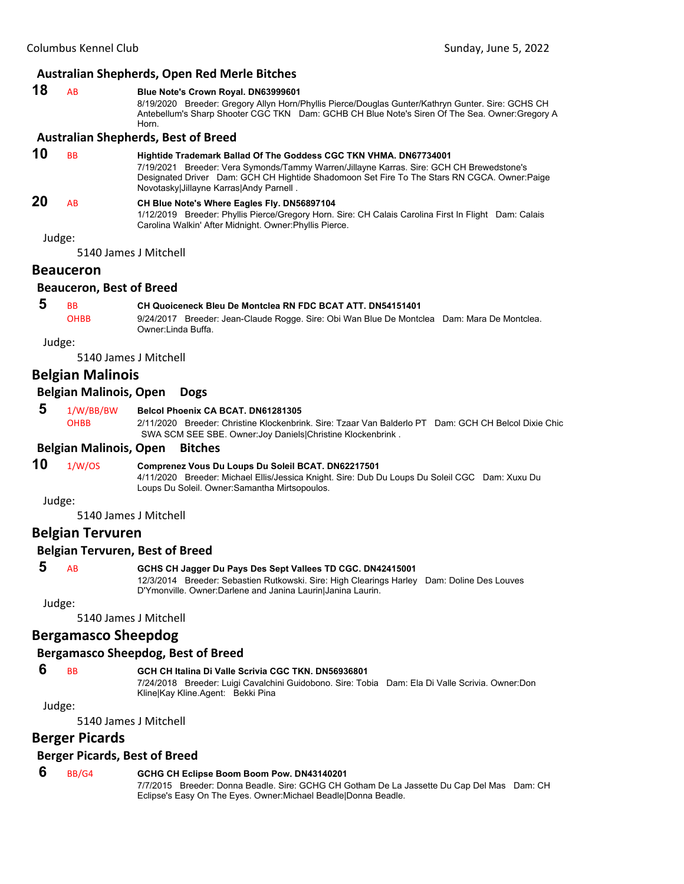#### **Australian Shepherds, Open Red Merle Bitches**

| 18 | Blue Note's Crown Royal. DN63999601                                                               |
|----|---------------------------------------------------------------------------------------------------|
|    | 8/19/2020 Breeder: Gregory Allyn Horn/Phyllis Pierce/Douglas Gunter/Kathryn Gunter. Sire: GCHS CH |
|    | Antebellum's Sharp Shooter CGC TKN Dam: GCHB CH Blue Note's Siren Of The Sea. Owner: Gregory A    |
|    | Horn.                                                                                             |

#### **Australian Shepherds, Best of Breed**

| 10        | <b>BB</b> | Hightide Trademark Ballad Of The Goddess CGC TKN VHMA. DN67734001<br>7/19/2021 Breeder: Vera Symonds/Tammy Warren/Jillayne Karras, Sire: GCH CH Brewedstone's<br>Designated Driver Dam: GCH CH Hightide Shadomoon Set Fire To The Stars RN CGCA. Owner: Paige<br>Novotasky Jillayne Karras Andy Parnell. |
|-----------|-----------|----------------------------------------------------------------------------------------------------------------------------------------------------------------------------------------------------------------------------------------------------------------------------------------------------------|
| <b>20</b> | AB        | CH Blue Note's Where Eagles Fly. DN56897104<br>1/12/2019 Breeder: Phyllis Pierce/Gregory Horn. Sire: CH Calais Carolina First In Flight Dam: Calais<br>Carolina Walkin' After Midnight. Owner: Phyllis Pierce.                                                                                           |
| Judge:    |           |                                                                                                                                                                                                                                                                                                          |

5140 James J Mitchell

# **Beauceron**

#### **Beauceron, Best of Breed**

# **5** BB **CH Quoiceneck Bleu De Montclea RN FDC BCAT ATT. DN54151401**

OHBB 9/24/2017 Breeder: Jean-Claude Rogge. Sire: Obi Wan Blue De Montclea Dam: Mara De Montclea. Owner:Linda Buffa.

Judge:

5140 James J Mitchell

# **Belgian Malinois**

### **Belgian Malinois, Open Dogs**

- **5** 1/W/BB/BW **Belcol Phoenix CA BCAT. DN61281305**
	- 2/11/2020 Breeder: Christine Klockenbrink. Sire: Tzaar Van Balderlo PT Dam: GCH CH Belcol Dixie Chic SWA SCM SEE SBE. Owner:Joy Daniels|Christine Klockenbrink .

#### **Belgian Malinois, Open Bitches**

# **10** 1/W/OS **Comprenez Vous Du Loups Du Soleil BCAT. DN62217501**

4/11/2020 Breeder: Michael Ellis/Jessica Knight. Sire: Dub Du Loups Du Soleil CGC Dam: Xuxu Du Loups Du Soleil. Owner:Samantha Mirtsopoulos.

Judge:

5140 James J Mitchell

#### **Belgian Tervuren**

#### **Belgian Tervuren, Best of Breed**

 **5** AB **GCHS CH Jagger Du Pays Des Sept Vallees TD CGC. DN42415001** 12/3/2014 Breeder: Sebastien Rutkowski. Sire: High Clearings Harley Dam: Doline Des Louves

D'Ymonville. Owner:Darlene and Janina Laurin|Janina Laurin.

Judge:

5140 James J Mitchell

# **Bergamasco Sheepdog**

#### **Bergamasco Sheepdog, Best of Breed**

# **6** BB **GCH CH Italina Di Valle Scrivia CGC TKN. DN56936801**

7/24/2018 Breeder: Luigi Cavalchini Guidobono. Sire: Tobia Dam: Ela Di Valle Scrivia. Owner:Don Kline|Kay Kline.Agent: Bekki Pina

Judge:

5140 James J Mitchell

# **Berger Picards**

#### **Berger Picards, Best of Breed**

#### **6** BB/G4 **GCHG CH Eclipse Boom Boom Pow. DN43140201**

7/7/2015 Breeder: Donna Beadle. Sire: GCHG CH Gotham De La Jassette Du Cap Del Mas Dam: CH Eclipse's Easy On The Eyes. Owner:Michael Beadle|Donna Beadle.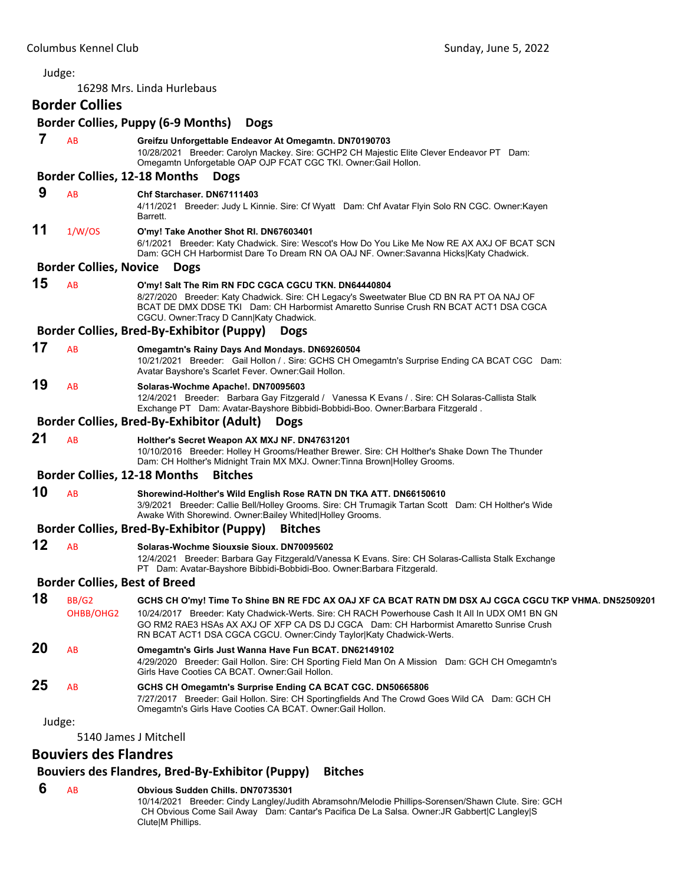16298 Mrs. Linda Hurlebaus

# **Border Collies**

#### **Border Collies, Puppy (6‐9 Months) Dogs 7** AB **Greifzu Unforgettable Endeavor At Omegamtn. DN70190703** 10/28/2021 Breeder: Carolyn Mackey. Sire: GCHP2 CH Majestic Elite Clever Endeavor PT Dam: Omegamtn Unforgetable OAP OJP FCAT CGC TKI. Owner:Gail Hollon. **Border Collies, 12‐18 Months Dogs 9** AB **Chf Starchaser. DN67111403** 4/11/2021 Breeder: Judy L Kinnie. Sire: Cf Wyatt Dam: Chf Avatar Flyin Solo RN CGC. Owner:Kayen Barrett. **11** 1/W/OS **O'my! Take Another Shot RI. DN67603401** 6/1/2021 Breeder: Katy Chadwick. Sire: Wescot's How Do You Like Me Now RE AX AXJ OF BCAT SCN Dam: GCH CH Harbormist Dare To Dream RN OA OAJ NF. Owner:Savanna Hicks|Katy Chadwick. **Border Collies, Novice Dogs 15** AB **O'my! Salt The Rim RN FDC CGCA CGCU TKN. DN64440804** 8/27/2020 Breeder: Katy Chadwick. Sire: CH Legacy's Sweetwater Blue CD BN RA PT OA NAJ OF BCAT DE DMX DDSE TKI Dam: CH Harbormist Amaretto Sunrise Crush RN BCAT ACT1 DSA CGCA CGCU. Owner:Tracy D Cann|Katy Chadwick. **Border Collies, Bred‐By‐Exhibitor (Puppy) Dogs 17** AB **Omegamtn's Rainy Days And Mondays. DN69260504** 10/21/2021 Breeder: Gail Hollon / . Sire: GCHS CH Omegamtn's Surprise Ending CA BCAT CGC Dam: Avatar Bayshore's Scarlet Fever. Owner:Gail Hollon. **19** AB **Solaras-Wochme Apache!. DN70095603** 12/4/2021 Breeder: Barbara Gay Fitzgerald / Vanessa K Evans / . Sire: CH Solaras-Callista Stalk Exchange PT Dam: Avatar-Bayshore Bibbidi-Bobbidi-Boo. Owner:Barbara Fitzgerald . **Border Collies, Bred‐By‐Exhibitor (Adult) Dogs 21** AB **Holther's Secret Weapon AX MXJ NF. DN47631201** 10/10/2016 Breeder: Holley H Grooms/Heather Brewer. Sire: CH Holther's Shake Down The Thunder Dam: CH Holther's Midnight Train MX MXJ. Owner:Tinna Brown|Holley Grooms. **Border Collies, 12‐18 Months Bitches 10** AB **Shorewind-Holther's Wild English Rose RATN DN TKA ATT. DN66150610** 3/9/2021 Breeder: Callie Bell/Holley Grooms. Sire: CH Trumagik Tartan Scott Dam: CH Holther's Wide Awake With Shorewind. Owner:Bailey Whited|Holley Grooms. **Border Collies, Bred‐By‐Exhibitor (Puppy) Bitches 12** AB **Solaras-Wochme Siouxsie Sioux. DN70095602** 12/4/2021 Breeder: Barbara Gay Fitzgerald/Vanessa K Evans. Sire: CH Solaras-Callista Stalk Exchange PT Dam: Avatar-Bayshore Bibbidi-Bobbidi-Boo. Owner:Barbara Fitzgerald. **Border Collies, Best of Breed 18** BB/G2 **GCHS CH O'my! Time To Shine BN RE FDC AX OAJ XF CA BCAT RATN DM DSX AJ CGCA CGCU TKP VHMA. DN52509201** OHBB/OHG2 10/24/2017 Breeder: Katy Chadwick-Werts. Sire: CH RACH Powerhouse Cash It All In UDX OM1 BN GN GO RM2 RAE3 HSAs AX AXJ OF XFP CA DS DJ CGCA Dam: CH Harbormist Amaretto Sunrise Crush RN BCAT ACT1 DSA CGCA CGCU. Owner:Cindy Taylor|Katy Chadwick-Werts. **20** AB **Omegamtn's Girls Just Wanna Have Fun BCAT. DN62149102** 4/29/2020 Breeder: Gail Hollon. Sire: CH Sporting Field Man On A Mission Dam: GCH CH Omegamtn's Girls Have Cooties CA BCAT. Owner:Gail Hollon. **25** AB **GCHS CH Omegamtn's Surprise Ending CA BCAT CGC. DN50665806** 7/27/2017 Breeder: Gail Hollon. Sire: CH Sportingfields And The Crowd Goes Wild CA Dam: GCH CH Omegamtn's Girls Have Cooties CA BCAT. Owner:Gail Hollon. Judge: 5140 James J Mitchell **Bouviers des Flandres**

# **Bouviers des Flandres, Bred‐By‐Exhibitor (Puppy) Bitches**

#### **6** AB **Obvious Sudden Chills. DN70735301**

10/14/2021 Breeder: Cindy Langley/Judith Abramsohn/Melodie Phillips-Sorensen/Shawn Clute. Sire: GCH CH Obvious Come Sail Away Dam: Cantar's Pacifica De La Salsa. Owner:JR Gabbert|C Langley|S Clute|M Phillips.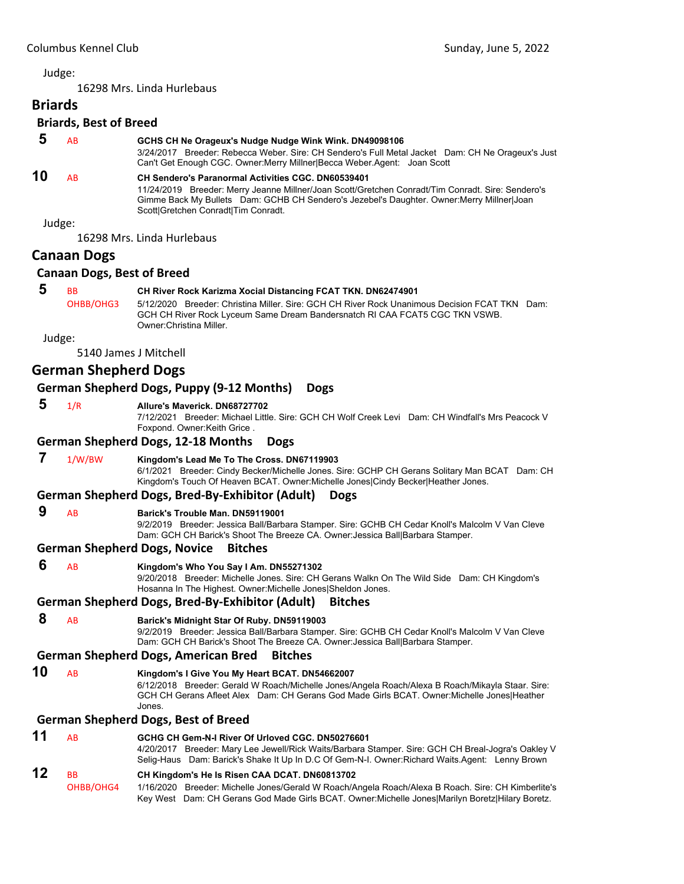# 16298 Mrs. Linda Hurlebaus **Briards Briards, Best of Breed 5** AB **GCHS CH Ne Orageux's Nudge Nudge Wink Wink. DN49098106** 3/24/2017 Breeder: Rebecca Weber. Sire: CH Sendero's Full Metal Jacket Dam: CH Ne Orageux's Just Can't Get Enough CGC. Owner:Merry Millner|Becca Weber.Agent: Joan Scott **10** AB **CH Sendero's Paranormal Activities CGC. DN60539401** 11/24/2019 Breeder: Merry Jeanne Millner/Joan Scott/Gretchen Conradt/Tim Conradt. Sire: Sendero's Gimme Back My Bullets Dam: GCHB CH Sendero's Jezebel's Daughter. Owner:Merry Millner|Joan Scott|Gretchen Conradt|Tim Conradt. Judge: 16298 Mrs. Linda Hurlebaus **Canaan Dogs Canaan Dogs, Best of Breed 5** BB **CH River Rock Karizma Xocial Distancing FCAT TKN. DN62474901** OHBB/OHG3 5/12/2020 Breeder: Christina Miller. Sire: GCH CH River Rock Unanimous Decision FCAT TKN Dam: GCH CH River Rock Lyceum Same Dream Bandersnatch RI CAA FCAT5 CGC TKN VSWB. Owner:Christina Miller. Judge: 5140 James J Mitchell **German Shepherd Dogs German Shepherd Dogs, Puppy (9‐12 Months) Dogs 5** 1/R **Allure's Maverick. DN68727702** 7/12/2021 Breeder: Michael Little. Sire: GCH CH Wolf Creek Levi Dam: CH Windfall's Mrs Peacock V Foxpond. Owner:Keith Grice . **German Shepherd Dogs, 12‐18 Months Dogs**

 **7** 1/W/BW **Kingdom's Lead Me To The Cross. DN67119903** 6/1/2021 Breeder: Cindy Becker/Michelle Jones. Sire: GCHP CH Gerans Solitary Man BCAT Dam: CH Kingdom's Touch Of Heaven BCAT. Owner:Michelle Jones|Cindy Becker|Heather Jones.

# **German Shepherd Dogs, Bred‐By‐Exhibitor (Adult) Dogs**

# **9** AB **Barick's Trouble Man. DN59119001**

9/2/2019 Breeder: Jessica Ball/Barbara Stamper. Sire: GCHB CH Cedar Knoll's Malcolm V Van Cleve Dam: GCH CH Barick's Shoot The Breeze CA. Owner:Jessica Ball|Barbara Stamper.

# **German Shepherd Dogs, Novice Bitches**

 **6** AB **Kingdom's Who You Say I Am. DN55271302**

9/20/2018 Breeder: Michelle Jones. Sire: CH Gerans Walkn On The Wild Side Dam: CH Kingdom's Hosanna In The Highest. Owner:Michelle Jones|Sheldon Jones.

# **German Shepherd Dogs, Bred‐By‐Exhibitor (Adult) Bitches**

# **8** AB **Barick's Midnight Star Of Ruby. DN59119003**

9/2/2019 Breeder: Jessica Ball/Barbara Stamper. Sire: GCHB CH Cedar Knoll's Malcolm V Van Cleve Dam: GCH CH Barick's Shoot The Breeze CA. Owner:Jessica Ball|Barbara Stamper.

# **German Shepherd Dogs, American Bred Bitches**

**10** AB **Kingdom's I Give You My Heart BCAT. DN54662007** 6/12/2018 Breeder: Gerald W Roach/Michelle Jones/Angela Roach/Alexa B Roach/Mikayla Staar. Sire: GCH CH Gerans Afleet Alex Dam: CH Gerans God Made Girls BCAT. Owner:Michelle Jones|Heather Jones.

# **German Shepherd Dogs, Best of Breed**

# **11** AB **GCHG CH Gem-N-I River Of Urloved CGC. DN50276601**

4/20/2017 Breeder: Mary Lee Jewell/Rick Waits/Barbara Stamper. Sire: GCH CH Breal-Jogra's Oakley V Selig-Haus Dam: Barick's Shake It Up In D.C Of Gem-N-I. Owner:Richard Waits.Agent: Lenny Brown

# **12** BB **CH Kingdom's He Is Risen CAA DCAT. DN60813702**

OHBB/OHG4 1/16/2020 Breeder: Michelle Jones/Gerald W Roach/Angela Roach/Alexa B Roach. Sire: CH Kimberlite's Key West Dam: CH Gerans God Made Girls BCAT. Owner:Michelle Jones|Marilyn Boretz|Hilary Boretz.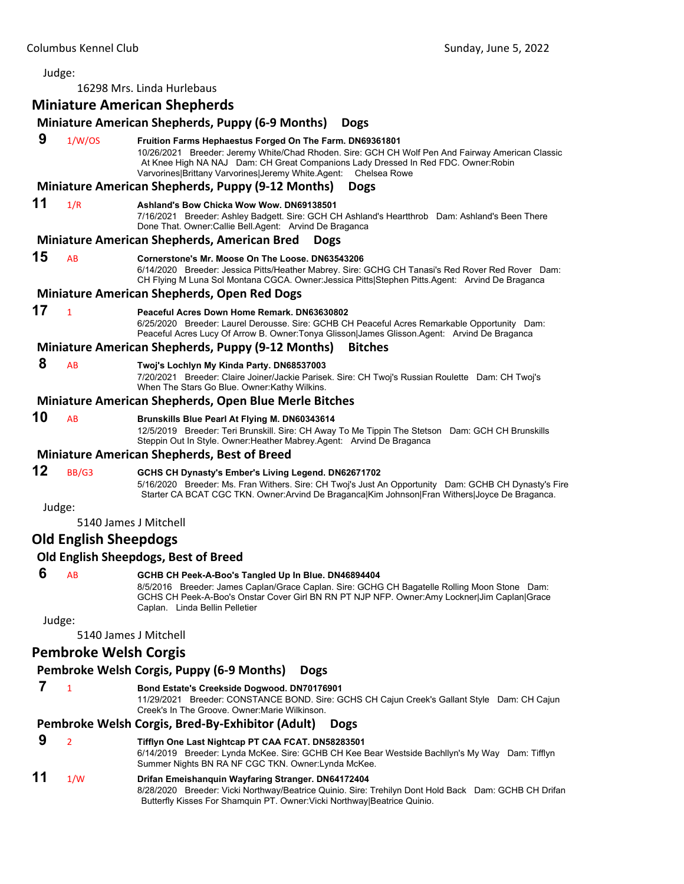Judge: 16298 Mrs. Linda Hurlebaus **Miniature American Shepherds Miniature American Shepherds, Puppy (6‐9 Months) Dogs 9** 1/W/OS **Fruition Farms Hephaestus Forged On The Farm. DN69361801** 10/26/2021 Breeder: Jeremy White/Chad Rhoden. Sire: GCH CH Wolf Pen And Fairway American Classic At Knee High NA NAJ Dam: CH Great Companions Lady Dressed In Red FDC. Owner:Robin Varvorines|Brittany Varvorines|Jeremy White.Agent: Chelsea Rowe **Miniature American Shepherds, Puppy (9‐12 Months) Dogs 11** 1/R **Ashland's Bow Chicka Wow Wow. DN69138501** 7/16/2021 Breeder: Ashley Badgett. Sire: GCH CH Ashland's Heartthrob Dam: Ashland's Been There Done That. Owner:Callie Bell.Agent: Arvind De Braganca **Miniature American Shepherds, American Bred Dogs 15** AB **Cornerstone's Mr. Moose On The Loose. DN63543206** 6/14/2020 Breeder: Jessica Pitts/Heather Mabrey. Sire: GCHG CH Tanasi's Red Rover Red Rover Dam: CH Flying M Luna Sol Montana CGCA. Owner:Jessica Pitts|Stephen Pitts.Agent: Arvind De Braganca **Miniature American Shepherds, Open Red Dogs 17** <sup>1</sup> **Peaceful Acres Down Home Remark. DN63630802** 6/25/2020 Breeder: Laurel Derousse. Sire: GCHB CH Peaceful Acres Remarkable Opportunity Dam: Peaceful Acres Lucy Of Arrow B. Owner:Tonya Glisson|James Glisson.Agent: Arvind De Braganca **Miniature American Shepherds, Puppy (9‐12 Months) Bitches 8** AB **Twoj's Lochlyn My Kinda Party. DN68537003** 7/20/2021 Breeder: Claire Joiner/Jackie Parisek. Sire: CH Twoj's Russian Roulette Dam: CH Twoj's When The Stars Go Blue. Owner:Kathy Wilkins. **Miniature American Shepherds, Open Blue Merle Bitches 10** AB **Brunskills Blue Pearl At Flying M. DN60343614** 12/5/2019 Breeder: Teri Brunskill. Sire: CH Away To Me Tippin The Stetson Dam: GCH CH Brunskills Steppin Out In Style. Owner:Heather Mabrey.Agent: Arvind De Braganca **Miniature American Shepherds, Best of Breed 12** BB/G3 **GCHS CH Dynasty's Ember's Living Legend. DN62671702** 5/16/2020 Breeder: Ms. Fran Withers. Sire: CH Twoj's Just An Opportunity Dam: GCHB CH Dynasty's Fire Starter CA BCAT CGC TKN. Owner:Arvind De Braganca|Kim Johnson|Fran Withers|Joyce De Braganca. Judge: 5140 James J Mitchell **Old English Sheepdogs Old English Sheepdogs, Best of Breed 6** AB **GCHB CH Peek-A-Boo's Tangled Up In Blue. DN46894404** 8/5/2016 Breeder: James Caplan/Grace Caplan. Sire: GCHG CH Bagatelle Rolling Moon Stone Dam: GCHS CH Peek-A-Boo's Onstar Cover Girl BN RN PT NJP NFP. Owner:Amy Lockner|Jim Caplan|Grace Caplan. Linda Bellin Pelletier Judge: 5140 James J Mitchell **Pembroke Welsh Corgis Pembroke Welsh Corgis, Puppy (6‐9 Months) Dogs 7** <sup>1</sup> **Bond Estate's Creekside Dogwood. DN70176901** 11/29/2021 Breeder: CONSTANCE BOND. Sire: GCHS CH Cajun Creek's Gallant Style Dam: CH Cajun Creek's In The Groove. Owner:Marie Wilkinson.

# **Pembroke Welsh Corgis, Bred‐By‐Exhibitor (Adult) Dogs**

 **9** <sup>2</sup> **Tifflyn One Last Nightcap PT CAA FCAT. DN58283501** 6/14/2019 Breeder: Lynda McKee. Sire: GCHB CH Kee Bear Westside Bachllyn's My Way Dam: Tifflyn Summer Nights BN RA NF CGC TKN. Owner:Lynda McKee.

# **11** 1/W **Drifan Emeishanquin Wayfaring Stranger. DN64172404**

8/28/2020 Breeder: Vicki Northway/Beatrice Quinio. Sire: Trehilyn Dont Hold Back Dam: GCHB CH Drifan Butterfly Kisses For Shamquin PT. Owner:Vicki Northway|Beatrice Quinio.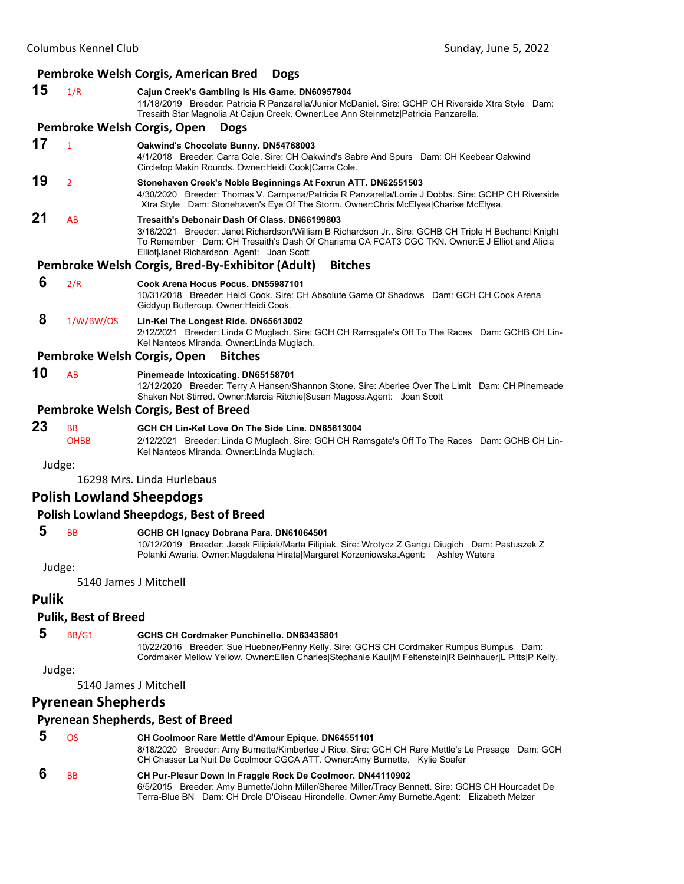|    | Pembroke Welsh Corgis, American Bred<br><b>Dogs</b> |                                                                                                                                                                                                                                                                                                    |  |  |
|----|-----------------------------------------------------|----------------------------------------------------------------------------------------------------------------------------------------------------------------------------------------------------------------------------------------------------------------------------------------------------|--|--|
| 15 | 1/R                                                 | Cajun Creek's Gambling Is His Game. DN60957904<br>11/18/2019 Breeder: Patricia R Panzarella/Junior McDaniel. Sire: GCHP CH Riverside Xtra Style Dam:<br>Tresaith Star Magnolia At Cajun Creek. Owner:Lee Ann Steinmetz Patricia Panzarella.                                                        |  |  |
|    |                                                     | Pembroke Welsh Corgis, Open<br><b>Dogs</b>                                                                                                                                                                                                                                                         |  |  |
| 17 | $\mathbf{1}$                                        | Oakwind's Chocolate Bunny. DN54768003<br>4/1/2018 Breeder: Carra Cole. Sire: CH Oakwind's Sabre And Spurs Dam: CH Keebear Oakwind<br>Circletop Makin Rounds. Owner: Heidi Cook Carra Cole.                                                                                                         |  |  |
| 19 | $\overline{2}$                                      | Stonehaven Creek's Noble Beginnings At Foxrun ATT. DN62551503<br>4/30/2020 Breeder: Thomas V. Campana/Patricia R Panzarella/Lorrie J Dobbs. Sire: GCHP CH Riverside<br>Xtra Style Dam: Stonehaven's Eye Of The Storm. Owner: Chris McElyea Charise McElyea.                                        |  |  |
| 21 | AB                                                  | Tresaith's Debonair Dash Of Class, DN66199803<br>3/16/2021 Breeder: Janet Richardson/William B Richardson Jr Sire: GCHB CH Triple H Bechanci Knight<br>To Remember Dam: CH Tresaith's Dash Of Charisma CA FCAT3 CGC TKN. Owner:E J Elliot and Alicia<br>Elliot Janet Richardson .Agent: Joan Scott |  |  |
|    |                                                     | Pembroke Welsh Corgis, Bred-By-Exhibitor (Adult)<br><b>Bitches</b>                                                                                                                                                                                                                                 |  |  |
| 6  | 2/R                                                 | Cook Arena Hocus Pocus, DN55987101<br>10/31/2018 Breeder: Heidi Cook, Sire: CH Absolute Game Of Shadows Dam: GCH CH Cook Arena<br>Giddyup Buttercup. Owner: Heidi Cook.                                                                                                                            |  |  |
| 8  | 1/W/BW/OS                                           | Lin-Kel The Longest Ride. DN65613002<br>2/12/2021 Breeder: Linda C Muglach. Sire: GCH CH Ramsgate's Off To The Races Dam: GCHB CH Lin-<br>Kel Nanteos Miranda. Owner: Linda Muglach.                                                                                                               |  |  |
|    |                                                     | Pembroke Welsh Corgis, Open<br><b>Bitches</b>                                                                                                                                                                                                                                                      |  |  |
| 10 | AB                                                  | Pinemeade Intoxicating. DN65158701<br>12/12/2020 Breeder: Terry A Hansen/Shannon Stone. Sire: Aberlee Over The Limit Dam: CH Pinemeade<br>Shaken Not Stirred. Owner: Marcia Ritchie Susan Magoss Agent: Joan Scott                                                                                 |  |  |
|    |                                                     | <b>Pembroke Welsh Corgis, Best of Breed</b>                                                                                                                                                                                                                                                        |  |  |
| 23 | <b>BB</b><br><b>OHBB</b>                            | GCH CH Lin-Kel Love On The Side Line, DN65613004<br>2/12/2021 Breeder: Linda C Muglach. Sire: GCH CH Ramsgate's Off To The Races Dam: GCHB CH Lin-<br>Kel Nanteos Miranda. Owner: Linda Muglach.                                                                                                   |  |  |
|    | Judge:                                              |                                                                                                                                                                                                                                                                                                    |  |  |
|    |                                                     | 16298 Mrs. Linda Hurlebaus                                                                                                                                                                                                                                                                         |  |  |
|    |                                                     | <b>Polish Lowland Sheepdogs</b>                                                                                                                                                                                                                                                                    |  |  |

# **Polish Lowland Sheepdogs, Best of Breed**

# **5** BB **GCHB CH Ignacy Dobrana Para. DN61064501**

10/12/2019 Breeder: Jacek Filipiak/Marta Filipiak. Sire: Wrotycz Z Gangu Diugich Dam: Pastuszek Z Polanki Awaria. Owner:Magdalena Hirata|Margaret Korzeniowska.Agent: Ashley Waters

Judge:

5140 James J Mitchell

# **Pulik**

#### **Pulik, Best of Breed**

# **5** BB/G1 **GCHS CH Cordmaker Punchinello. DN63435801**

10/22/2016 Breeder: Sue Huebner/Penny Kelly. Sire: GCHS CH Cordmaker Rumpus Bumpus Dam: Cordmaker Mellow Yellow. Owner:Ellen Charles|Stephanie Kaul|M Feltenstein|R Beinhauer|L Pitts|P Kelly.

#### Judge:

5140 James J Mitchell

# **Pyrenean Shepherds**

### **Pyrenean Shepherds, Best of Breed**

| ns        | CH Coolmoor Rare Mettle d'Amour Epique. DN64551101<br>8/18/2020 Breeder: Amy Burnette/Kimberlee J Rice. Sire: GCH CH Rare Mettle's Le Presage Dam: GCH<br>CH Chasser La Nuit De Coolmoor CGCA ATT. Owner:Amy Burnette. Kylie Soafer |
|-----------|-------------------------------------------------------------------------------------------------------------------------------------------------------------------------------------------------------------------------------------|
| <b>BB</b> | CH Pur-Plesur Down In Fraggle Rock De Coolmoor. DN44110902                                                                                                                                                                          |
|           | 6/5/2015 Breeder: Amy Burnette/John Miller/Sheree Miller/Tracy Bennett. Sire: GCHS CH Hourcadet De                                                                                                                                  |
|           | Terra-Blue BN Dam: CH Drole D'Oiseau Hirondelle. Owner:Amy Burnette.Agent: Elizabeth Melzer                                                                                                                                         |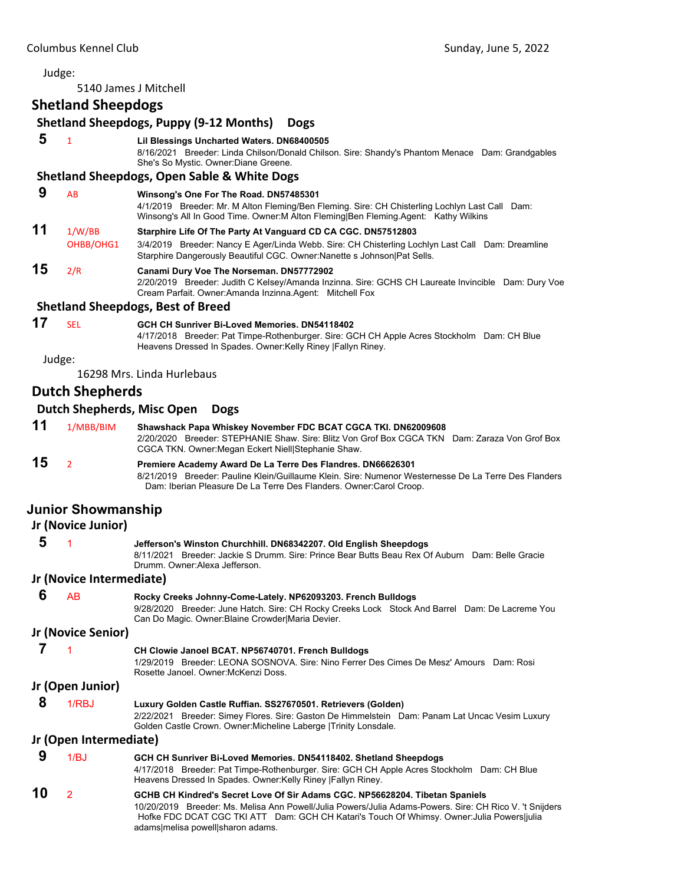5140 James J Mitchell

# **Shetland Sheepdogs**

|                        |                                   | <b>Shetland Sheepdogs, Puppy (9-12 Months)</b><br><b>Dogs</b>                                                                                                                                                                                                                                                              |  |  |  |
|------------------------|-----------------------------------|----------------------------------------------------------------------------------------------------------------------------------------------------------------------------------------------------------------------------------------------------------------------------------------------------------------------------|--|--|--|
| 5                      | $\mathbf{1}$                      | Lil Blessings Uncharted Waters. DN68400505<br>8/16/2021 Breeder: Linda Chilson/Donald Chilson. Sire: Shandy's Phantom Menace Dam: Grandgables<br>She's So Mystic. Owner: Diane Greene.                                                                                                                                     |  |  |  |
|                        |                                   | <b>Shetland Sheepdogs, Open Sable &amp; White Dogs</b>                                                                                                                                                                                                                                                                     |  |  |  |
| 9                      | AB                                | Winsong's One For The Road. DN57485301<br>4/1/2019 Breeder: Mr. M Alton Fleming/Ben Fleming. Sire: CH Chisterling Lochlyn Last Call Dam:<br>Winsong's All In Good Time. Owner: M Alton Fleming Ben Fleming.Agent: Kathy Wilkins                                                                                            |  |  |  |
| 11                     | 1/W/BB<br>OHBB/OHG1               | Starphire Life Of The Party At Vanguard CD CA CGC. DN57512803<br>3/4/2019 Breeder: Nancy E Ager/Linda Webb. Sire: CH Chisterling Lochlyn Last Call Dam: Dreamline<br>Starphire Dangerously Beautiful CGC. Owner: Nanette s Johnson   Pat Sells.                                                                            |  |  |  |
| 15                     | 2/R                               | Canami Dury Voe The Norseman. DN57772902<br>2/20/2019 Breeder: Judith C Kelsey/Amanda Inzinna. Sire: GCHS CH Laureate Invincible Dam: Dury Voe<br>Cream Parfait. Owner:Amanda Inzinna.Agent: Mitchell Fox                                                                                                                  |  |  |  |
|                        |                                   | <b>Shetland Sheepdogs, Best of Breed</b>                                                                                                                                                                                                                                                                                   |  |  |  |
| 17                     | <b>SEL</b>                        | GCH CH Sunriver Bi-Loved Memories. DN54118402<br>4/17/2018 Breeder: Pat Timpe-Rothenburger. Sire: GCH CH Apple Acres Stockholm Dam: CH Blue<br>Heavens Dressed In Spades. Owner: Kelly Riney   Fallyn Riney.                                                                                                               |  |  |  |
|                        | Judge:                            |                                                                                                                                                                                                                                                                                                                            |  |  |  |
|                        |                                   | 16298 Mrs. Linda Hurlebaus                                                                                                                                                                                                                                                                                                 |  |  |  |
|                        | <b>Dutch Shepherds</b>            |                                                                                                                                                                                                                                                                                                                            |  |  |  |
|                        | <b>Dutch Shepherds, Misc Open</b> | <b>Dogs</b>                                                                                                                                                                                                                                                                                                                |  |  |  |
| 11                     | 1/MBB/BIM                         | Shawshack Papa Whiskey November FDC BCAT CGCA TKI. DN62009608<br>2/20/2020 Breeder: STEPHANIE Shaw, Sire: Blitz Von Grof Box CGCA TKN Dam: Zaraza Von Grof Box<br>CGCA TKN. Owner: Megan Eckert Niell Stephanie Shaw.                                                                                                      |  |  |  |
| 15                     | $\overline{2}$                    | Premiere Academy Award De La Terre Des Flandres. DN66626301<br>8/21/2019 Breeder: Pauline Klein/Guillaume Klein, Sire: Numenor Westernesse De La Terre Des Flanders<br>Dam: Iberian Pleasure De La Terre Des Flanders. Owner: Carol Croop.                                                                                 |  |  |  |
|                        | <b>Junior Showmanship</b>         |                                                                                                                                                                                                                                                                                                                            |  |  |  |
|                        | Jr (Novice Junior)                |                                                                                                                                                                                                                                                                                                                            |  |  |  |
| 5                      | 1                                 | Jefferson's Winston Churchhill. DN68342207. Old English Sheepdogs<br>8/11/2021 Breeder: Jackie S Drumm, Sire: Prince Bear Butts Beau Rex Of Auburn Dam: Belle Gracie<br>Drumm. Owner:Alexa Jefferson.                                                                                                                      |  |  |  |
|                        | Jr (Novice Intermediate)          |                                                                                                                                                                                                                                                                                                                            |  |  |  |
| 6                      | AB                                | Rocky Creeks Johnny-Come-Lately. NP62093203. French Bulldogs<br>9/28/2020 Breeder: June Hatch. Sire: CH Rocky Creeks Lock Stock And Barrel Dam: De Lacreme You<br>Can Do Magic. Owner:Blaine Crowder Maria Devier.                                                                                                         |  |  |  |
| Jr (Novice Senior)     |                                   |                                                                                                                                                                                                                                                                                                                            |  |  |  |
| 7                      | 1                                 | CH Clowie Janoel BCAT. NP56740701. French Bulldogs<br>1/29/2019 Breeder: LEONA SOSNOVA. Sire: Nino Ferrer Des Cimes De Mesz' Amours Dam: Rosi<br>Rosette Janoel, Owner: McKenzi Doss,                                                                                                                                      |  |  |  |
|                        | Jr (Open Junior)                  |                                                                                                                                                                                                                                                                                                                            |  |  |  |
| 8                      | 1/RBJ                             | Luxury Golden Castle Ruffian. SS27670501. Retrievers (Golden)<br>2/22/2021 Breeder: Simey Flores. Sire: Gaston De Himmelstein Dam: Panam Lat Uncac Vesim Luxury<br>Golden Castle Crown. Owner: Micheline Laberge   Trinity Lonsdale.                                                                                       |  |  |  |
| Jr (Open Intermediate) |                                   |                                                                                                                                                                                                                                                                                                                            |  |  |  |
| 9                      | 1/BJ                              | GCH CH Sunriver Bi-Loved Memories. DN54118402. Shetland Sheepdogs<br>4/17/2018 Breeder: Pat Timpe-Rothenburger. Sire: GCH CH Apple Acres Stockholm Dam: CH Blue<br>Heavens Dressed In Spades. Owner: Kelly Riney   Fallyn Riney.                                                                                           |  |  |  |
| 10                     | $\overline{2}$                    | GCHB CH Kindred's Secret Love Of Sir Adams CGC. NP56628204. Tibetan Spaniels<br>10/20/2019 Breeder: Ms. Melisa Ann Powell/Julia Powers/Julia Adams-Powers. Sire: CH Rico V. 't Snijders<br>Hofke FDC DCAT CGC TKI ATT Dam: GCH CH Katari's Touch Of Whimsy. Owner: Julia Powers julia<br>adams melisa powell sharon adams. |  |  |  |